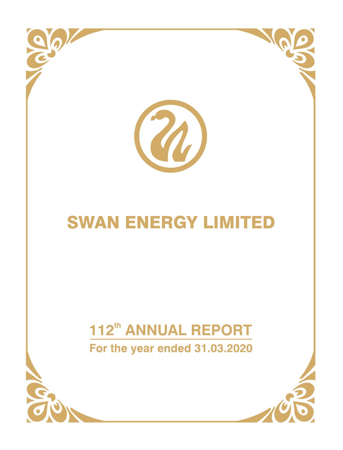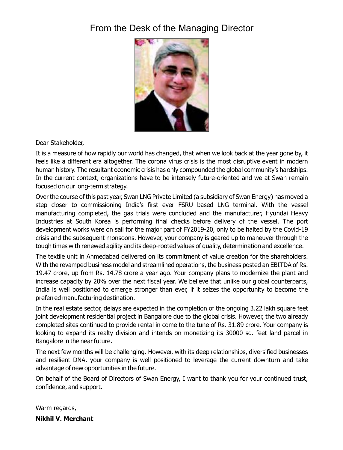# From the Desk of the Managing Director



Dear Stakeholder,

It is a measure of how rapidly our world has changed, that when we look back at the year gone by, it feels like a different era altogether. The corona virus crisis is the most disruptive event in modern human history. The resultant economic crisis has only compounded the global community's hardships. in the current context, organizations have to be intensely future-oriented and we at Swan remain focused on our long-term strategy.

Over the course of this past year, Swan LNG Private Limited (a subsidiary of Swan Energy) has moved a step closer to commissioning india's first ever FSRU based LNG terminal. With the vessel manufacturing completed, the gas trials were concluded and the manufacturer, Hyundai Heavy industries at South Korea is performing final checks before delivery of the vessel. The port development works were on sail for the major part of FY2019-20, only to be halted by the Covid-19 crisis and the subsequent monsoons. However, your company is geared up to maneuver through the tough times with renewed agility and its deep-rooted values of quality, determination and excellence.

The textile unit in Ahmedabad delivered on its commitment of value creation for the shareholders. With the revamped business model and streamlined operations, the business posted an EBiTDA of Rs. 19.47 crore, up from Rs. 14.78 crore a year ago. Your company plans to modernize the plant and increase capacity by 20% over the next fiscal year. We believe that unlike our global counterparts, india is well positioned to emerge stronger than ever, if it seizes the opportunity to become the preferred manufacturing destination.

in the real estate sector, delays are expected in the completion of the ongoing 3.22 lakh square feet joint development residential project in Bangalore due to the global crisis. However, the two already completed sites continued to provide rental in come to the tune of Rs. 31.89 crore. Your company is looking to expand its realty division and intends on monetizing its 30000 sq. feet land parcel in Bangalore in the near future.

The next few months will be challenging. However, with its deep relationships, diversified businesses and resilient DNA, your company is well positioned to leverage the current downturn and take advantage of new opportunities in the future.

On behalf of the Board of Directors of Swan Energy, i want to thank you for your continued trust, confidence, and support.

Warm regards, **Nikhil V. Merchant**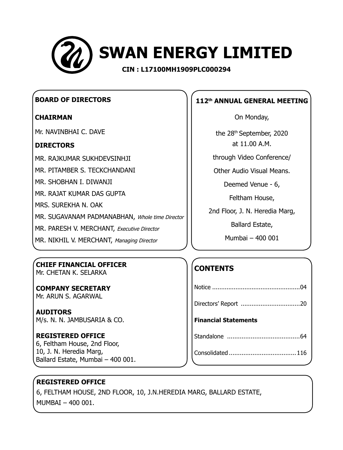

## **Board of Directors**

## **Chairman**

Mr. Navinbhai C. Dave

## **Directors**

Mr. RAJKUMAR SUKHDEVSINHJI

Mr. PITAMBER S. TECKCHANDANI

Mr. SHOBHAN I. DIWANJI

Mr. RAJAT KUMAR DAS GUPTA

Mrs. SUREKHA N. OAK

MR. SUGAVANAM PADMANABHAN, Whole time Director

MR. PARESH V. MERCHANT, Executive Director

MR. NIKHIL V. MERCHANT, Managing Director

## **Chief Financial Officer** Mr. Chetan K. Selarka

**Company Secretary** Mr. Arun S. Agarwal

**Auditors** M/s. N. N. Jambusaria & Co.

## **REGISTERED OFFICE** 6, Feltham House, 2nd Floor,

10, J. N. Heredia Marg, Ballard Estate, Mumbai – 400 001.

## ٦ **112th ANNUAL GENERAL MEETING**

On Monday,

the 28<sup>th</sup> September, 2020 at 11.00 A.M.

through Video Conference/

Other Audio Visual Means.

Deemed Venue - 6,

Feltham House,

2nd Floor, J. N. Heredia Marg,

Ballard Estate,

Mumbai – 400 001

# **CONTENTS**

| <b>Financial Statements</b> |
|-----------------------------|
|                             |
|                             |

# **Registered Office**

6, FELTHAM HOUSE, 2nd FLOOR, 10, J.N.HEREDIA MARG, BALLARD ESTATE, MUMBAI – 400 001.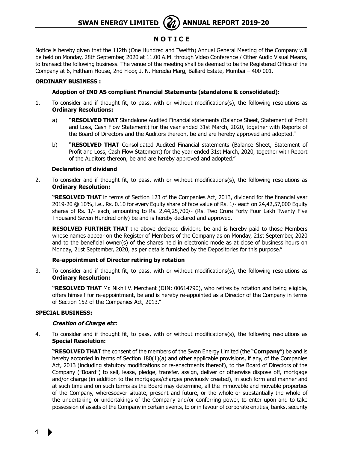## **N O T I C E**

Notice is hereby given that the 112th (One Hundred and Twelfth) Annual General Meeting of the Company will be held on Monday, 28th September, 2020 at 11.00 A.M. through Video Conference / Other Audio Visual Means, to transact the following business. The venue of the meeting shall be deemed to be the Registered Office of the Company at 6, Feltham House, 2nd Floor, J. N. Heredia Marg, Ballard Estate, Mumbai – 400 001.

#### **ORDINARY BUSINESS :**

#### **Adoption of IND AS compliant Financial Statements (standalone & consolidated):**

- 1. To consider and if thought fit, to pass, with or without modifications(s), the following resolutions as **Ordinary Resolutions:**
	- a) **"RESOLVED THAT** Standalone Audited Financial statements (Balance Sheet, Statement of Profit and Loss, Cash Flow Statement) for the year ended 31st March, 2020, together with Reports of the Board of Directors and the Auditors thereon, be and are hereby approved and adopted."
	- b) **"RESOLVED THAT** Consolidated Audited Financial statements (Balance Sheet, Statement of Profit and Loss, Cash Flow Statement) for the year ended 31st March, 2020, together with Report of the Auditors thereon, be and are hereby approved and adopted."

#### **Declaration of dividend**

2. To consider and if thought fit, to pass, with or without modifications(s), the following resolutions as **Ordinary Resolution:**

**"RESOLVED THAT** in terms of Section 123 of the Companies Act, 2013, dividend for the financial year 2019-20 @ 10%, i.e., Rs. 0.10 for every Equity share of face value of Rs. 1/- each on 24,42,57,000 Equity shares of Rs. 1/- each, amounting to Rs. 2,44,25,700/- (Rs. Two Crore Forty Four Lakh Twenty Five Thousand Seven Hundred only) be and is hereby declared and approved.

**RESOLVED FURTHER THAT** the above declared dividend be and is hereby paid to those Members whose names appear on the Register of Members of the Company as on Monday, 21st September, 2020 and to the beneficial owner(s) of the shares held in electronic mode as at close of business hours on Monday, 21st September, 2020, as per details furnished by the Depositories for this purpose."

#### **Re-appointment of Director retiring by rotation**

3. To consider and if thought fit, to pass, with or without modifications(s), the following resolutions as **Ordinary Resolution:**

**"RESOLVED THAT** Mr. Nikhil V. Merchant (DIN: 00614790), who retires by rotation and being eligible, offers himself for re-appointment, be and is hereby re-appointed as a Director of the Company in terms of Section 152 of the Companies Act, 2013."

#### **SPECIAL BUSINESS:**

#### **Creation of Charge etc:**

4. To consider and if thought fit, to pass, with or without modifications(s), the following resolutions as **Special Resolution:**

**"RESOLVED THAT** the consent of the members of the Swan Energy Limited (the "**Company**") be and is hereby accorded in terms of Section 180(1)(a) and other applicable provisions, if any, of the Companies Act, 2013 (including statutory modifications or re-enactments thereof), to the Board of Directors of the Company ("Board") to sell, lease, pledge, transfer, assign, deliver or otherwise dispose off, mortgage and/or charge (in addition to the mortgages/charges previously created), in such form and manner and at such time and on such terms as the Board may determine, all the immovable and movable properties of the Company, wheresoever situate, present and future, or the whole or substantially the whole of the undertaking or undertakings of the Company and/or conferring power, to enter upon and to take possession of assets of the Company in certain events, to or in favour of corporate entities, banks, security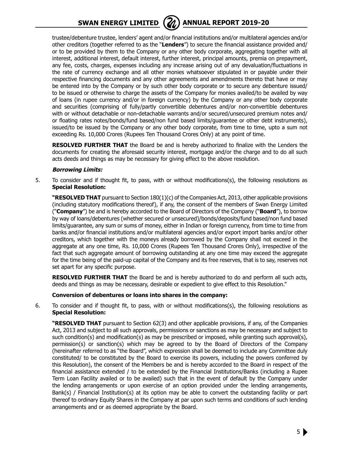

trustee/debenture trustee, lenders' agent and/or financial institutions and/or multilateral agencies and/or other creditors (together referred to as the "**Lenders**") to secure the financial assistance provided and/ or to be provided by them to the Company or any other body corporate, aggregating together with all interest, additional interest, default interest, further interest, principal amounts, premia on prepayment, any fee, costs, charges, expenses including any increase arising out of any devaluation/fluctuations in the rate of currency exchange and all other monies whatsoever stipulated in or payable under their respective financing documents and any other agreements and amendments thereto that have or may be entered into by the Company or by such other body corporate or to secure any debenture issued/ to be issued or otherwise to charge the assets of the Company for monies availed/to be availed by way of loans (in rupee currency and/or in foreign currency) by the Company or any other body corporate and securities (comprising of fully/partly convertible debentures and/or non-convertible debentures with or without detachable or non-detachable warrants and/or secured/unsecured premium notes and/ or floating rates notes/bonds/fund based/non fund based limits/guarantee or other debt instruments), issued/to be issued by the Company or any other body corporate, from time to time, upto a sum not exceeding Rs. 10,000 Crores (Rupees Ten Thousand Crores Only) at any point of time.

**RESOLVED FURTHER THAT** the Board be and is hereby authorized to finalize with the Lenders the documents for creating the aforesaid security interest, mortgage and/or the charge and to do all such acts deeds and things as may be necessary for giving effect to the above resolution.

#### **Borrowing Limits:**

5. To consider and if thought fit, to pass, with or without modifications(s), the following resolutions as **Special Resolution:**

**"RESOLVED THAT** pursuant to Section 180(1)(c) of the Companies Act, 2013, other applicable provisions (including statutory modifications thereof), if any, the consent of the members of Swan Energy Limited ("**Company**") be and is hereby accorded to the Board of Directors of the Company ("**Board**"), to borrow by way of loans/debentures (whether secured or unsecured)/bonds/deposits/fund based/non fund based limits/guarantee, any sum or sums of money, either in Indian or foreign currency, from time to time from banks and/or financial institutions and/or multilateral agencies and/or export import banks and/or other creditors, which together with the moneys already borrowed by the Company shall not exceed in the aggregate at any one time, Rs. 10,000 Crores (Rupees Ten Thousand Crores Only), irrespective of the fact that such aggregate amount of borrowing outstanding at any one time may exceed the aggregate for the time being of the paid-up capital of the Company and its free reserves, that is to say, reserves not set apart for any specific purpose.

**RESOLVED FURTHER THAT** the Board be and is hereby authorized to do and perform all such acts, deeds and things as may be necessary, desirable or expedient to give effect to this Resolution."

#### **Conversion of debentures or loans into shares in the company:**

6. To consider and if thought fit, to pass, with or without modifications(s), the following resolutions as **Special Resolution:**

**"RESOLVED THAT** pursuant to Section 62(3) and other applicable provisions, if any, of the Companies Act, 2013 and subject to all such approvals, permissions or sanctions as may be necessary and subject to such condition(s) and modification(s) as may be prescribed or imposed, while granting such approval(s), permission(s) or sanction(s) which may be agreed to by the Board of Directors of the Company (hereinafter referred to as "the Board", which expression shall be deemed to include any Committee duly constituted/ to be constituted by the Board to exercise its powers, including the powers conferred by this Resolution), the consent of the Members be and is hereby accorded to the Board in respect of the financial assistance extended / to be extended by the Financial Institutions/Banks (including a Rupee Term Loan Facility availed or to be availed) such that in the event of default by the Company under the lending arrangements or upon exercise of an option provided under the lending arrangements, Bank(s) / Financial Institution(s) at its option may be able to convert the outstanding facility or part thereof to ordinary Equity Shares in the Company at par upon such terms and conditions of such lending arrangements and or as deemed appropriate by the Board.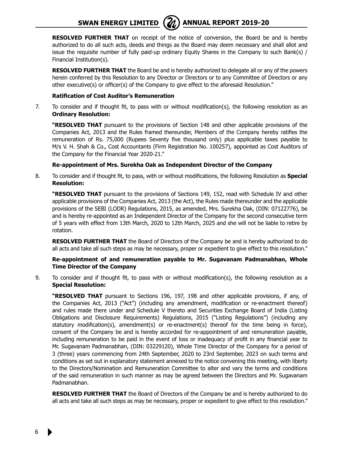

**RESOLVED FURTHER THAT** on receipt of the notice of conversion, the Board be and is hereby authorized to do all such acts, deeds and things as the Board may deem necessary and shall allot and issue the requisite number of fully paid-up ordinary Equity Shares in the Company to such Bank(s) / Financial Institution(s).

**RESOLVED FURTHER THAT** the Board be and is hereby authorized to delegate all or any of the powers herein conferred by this Resolution to any Director or Directors or to any Committee of Directors or any other executive(s) or officer(s) of the Company to give effect to the aforesaid Resolution."

#### **Ratification of Cost Auditor's Remuneration**

7. To consider and if thought fit, to pass with or without modification(s), the following resolution as an **Ordinary Resolution:**

**"RESOLVED THAT** pursuant to the provisions of Section 148 and other applicable provisions of the Companies Act, 2013 and the Rules framed thereunder, Members of the Company hereby ratifies the remuneration of Rs. 75,000 (Rupees Seventy five thousand only) plus applicable taxes payable to M/s V. H. Shah & Co., Cost Accountants (Firm Registration No. 100257), appointed as Cost Auditors of the Company for the Financial Year 2020-21."

### **Re-appointment of Mrs. Surekha Oak as Independent Director of the Company**

8. To consider and if thought fit, to pass, with or without modifications, the following Resolution as **Special Resolution:**

**"RESOLVED THAT** pursuant to the provisions of Sections 149, 152, read with Schedule IV and other applicable provisions of the Companies Act, 2013 (the Act), the Rules made thereunder and the applicable provisions of the SEBI (LODR) Regulations, 2015, as amended, Mrs. Surekha Oak, (DIN: 07122776), be and is hereby re-appointed as an Independent Director of the Company for the second consecutive term of 5 years with effect from 13th March, 2020 to 12th March, 2025 and she will not be liable to retire by rotation.

**RESOLVED FURTHER THAT** the Board of Directors of the Company be and is hereby authorized to do all acts and take all such steps as may be necessary, proper or expedient to give effect to this resolution."

#### **Re-appointment of and remuneration payable to Mr. Sugavanam Padmanabhan, Whole Time Director of the Company**

9. To consider and if thought fit, to pass with or without modification(s), the following resolution as a **Special Resolution:**

**"RESOLVED THAT** pursuant to Sections 196, 197, 198 and other applicable provisions, if any, of the Companies Act, 2013 ("Act") (including any amendment, modification or re-enactment thereof) and rules made there under and Schedule V thereto and Securities Exchange Board of India (Listing Obligations and Disclosure Requirements) Regulations, 2015 ("Listing Regulations") (including any statutory modification(s), amendment(s) or re-enactment(s) thereof for the time being in force), consent of the Company be and is hereby accorded for re-appointment of and remuneration payable, including remuneration to be paid in the event of loss or inadequacy of profit in any financial year to Mr. Sugavanam Padmanabhan, (DIN: 03229120), Whole Time Director of the Company for a period of 3 (three) years commencing from 24th September, 2020 to 23rd September, 2023 on such terms and conditions as set out in explanatory statement annexed to the notice convening this meeting, with liberty to the Directors/Nomination and Remuneration Committee to alter and vary the terms and conditions of the said remuneration in such manner as may be agreed between the Directors and Mr. Sugavanam Padmanabhan.

**RESOLVED FURTHER THAT** the Board of Directors of the Company be and is hereby authorized to do all acts and take all such steps as may be necessary, proper or expedient to give effect to this resolution."

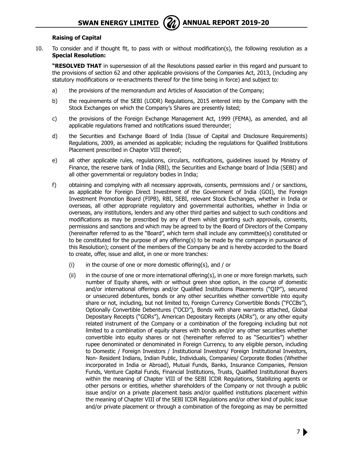

#### **Raising of Capital**

10. To consider and if thought fit, to pass with or without modification(s), the following resolution as a **Special Resolution:**

**"RESOLVED THAT** in supersession of all the Resolutions passed earlier in this regard and pursuant to the provisions of section 62 and other applicable provisions of the Companies Act, 2013, (including any statutory modifications or re-enactments thereof for the time being in force) and subject to:

- a) the provisions of the memorandum and Articles of Association of the Company;
- b) the requirements of the SEBI (LODR) Regulations, 2015 entered into by the Company with the Stock Exchanges on which the Company's Shares are presently listed;
- c) the provisions of the Foreign Exchange Management Act, 1999 (FEMA), as amended, and all applicable regulations framed and notifications issued thereunder;
- d) the Securities and Exchange Board of India (Issue of Capital and Disclosure Requirements) Regulations, 2009, as amended as applicable; including the regulations for Qualified Institutions Placement prescribed in Chapter VIII thereof;
- e) all other applicable rules, regulations, circulars, notifications, guidelines issued by Ministry of Finance, the reserve bank of India (RBI), the Securities and Exchange board of India (SEBI) and all other governmental or regulatory bodies in India;
- f) obtaining and complying with all necessary approvals, consents, permissions and / or sanctions, as applicable for Foreign Direct Investment of the Government of India (GOI), the Foreign Investment Promotion Board (FIPB), RBI, SEBI, relevant Stock Exchanges, whether in India or overseas, all other appropriate regulatory and governmental authorities, whether in India or overseas, any institutions, lenders and any other third parties and subject to such conditions and modifications as may be prescribed by any of them whilst granting such approvals, consents, permissions and sanctions and which may be agreed to by the Board of Directors of the Company (hereinafter referred to as the "Board", which term shall include any committee(s) constituted or to be constituted for the purpose of any offering(s) to be made by the company in pursuance of this Resolution); consent of the members of the Company be and is hereby accorded to the Board to create, offer, issue and allot, in one or more tranches:
	- $(i)$  in the course of one or more domestic offering(s), and / or
	- (ii) in the course of one or more international offering(s), in one or more foreign markets, such number of Equity shares, with or without green shoe option, in the course of domestic and/or international offerings and/or Qualified Institutions Placements ("QIP"), secured or unsecured debentures, bonds or any other securities whether convertible into equity share or not, including, but not limited to, Foreign Currency Convertible Bonds ("FCCBs"), Optionally Convertible Debentures ("OCD"), Bonds with share warrants attached, Global Depositary Receipts ("GDRs"), American Depositary Receipts (ADRs"), or any other equity related instrument of the Company or a combination of the foregoing including but not limited to a combination of equity shares with bonds and/or any other securities whether convertible into equity shares or not (hereinafter referred to as "Securities") whether rupee denominated or denominated in Foreign Currency, to any eligible person, including to Domestic / Foreign Investors / Institutional Investors/ Foreign Institutional Investors, Non- Resident Indians, Indian Public, Individuals, Companies/ Corporate Bodies (Whether incorporated in India or Abroad), Mutual Funds, Banks, Insurance Companies, Pension Funds, Venture Capital Funds, Financial Institutions, Trusts, Qualified Institutional Buyers within the meaning of Chapter VIII of the SEBI ICDR Regulations, Stabilizing agents or other persons or entities, whether shareholders of the Company or not through a public issue and/or on a private placement basis and/or qualified institutions placement within the meaning of Chapter VIII of the SEBI ICDR Regulations and/or other kind of public issue and/or private placement or through a combination of the foregoing as may be permitted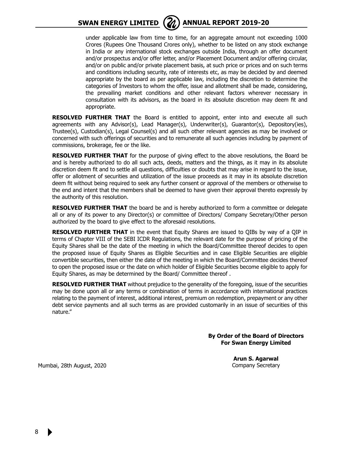

under applicable law from time to time, for an aggregate amount not exceeding 1000 Crores (Rupees One Thousand Crores only), whether to be listed on any stock exchange in India or any international stock exchanges outside India, through an offer document and/or prospectus and/or offer letter, and/or Placement Document and/or offering circular, and/or on public and/or private placement basis, at such price or prices and on such terms and conditions including security, rate of interests etc, as may be decided by and deemed appropriate by the board as per applicable law, including the discretion to determine the categories of Investors to whom the offer, issue and allotment shall be made, considering, the prevailing market conditions and other relevant factors wherever necessary in consultation with its advisors, as the board in its absolute discretion may deem fit and appropriate.

**RESOLVED FURTHER THAT** the Board is entitled to appoint, enter into and execute all such agreements with any Advisor(s), Lead Manager(s), Underwriter(s), Guarantor(s), Depository(ies), Trustee(s), Custodian(s), Legal Counsel(s) and all such other relevant agencies as may be involved or concerned with such offerings of securities and to remunerate all such agencies including by payment of commissions, brokerage, fee or the like.

**RESOLVED FURTHER THAT** for the purpose of giving effect to the above resolutions, the Board be and is hereby authorized to do all such acts, deeds, matters and the things, as it may in its absolute discretion deem fit and to settle all questions, difficulties or doubts that may arise in regard to the issue, offer or allotment of securities and utilization of the issue proceeds as it may in its absolute discretion deem fit without being required to seek any further consent or approval of the members or otherwise to the end and intent that the members shall be deemed to have given their approval thereto expressly by the authority of this resolution.

**RESOLVED FURTHER THAT** the board be and is hereby authorized to form a committee or delegate all or any of its power to any Director(s) or committee of Directors/ Company Secretary/Other person authorized by the board to give effect to the aforesaid resolutions.

**RESOLVED FURTHER THAT** in the event that Equity Shares are issued to QIBs by way of a QIP in terms of Chapter VIII of the SEBI ICDR Regulations, the relevant date for the purpose of pricing of the Equity Shares shall be the date of the meeting in which the Board/Committee thereof decides to open the proposed issue of Equity Shares as Eligible Securities and in case Eligible Securities are eligible convertible securities, then either the date of the meeting in which the Board/Committee decides thereof to open the proposed issue or the date on which holder of Eligible Securities become eligible to apply for Equity Shares, as may be determined by the Board/ Committee thereof .

**RESOLVED FURTHER THAT** without prejudice to the generality of the foregoing, issue of the securities may be done upon all or any terms or combination of terms in accordance with international practices relating to the payment of interest, additional interest, premium on redemption, prepayment or any other debt service payments and all such terms as are provided customarily in an issue of securities of this nature."

> **By Order of the Board of Directors For Swan Energy Limited**

> > **Arun S. Agarwal** Company Secretary

Mumbai, 28th August, 2020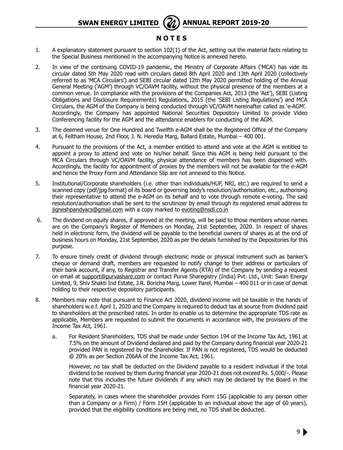## **N O T E S**

- 1. A explanatory statement pursuant to section 102(1) of the Act, setting out the material facts relating to the Special Business mentioned in the accompanying Notice is annexed hereto.
- 2. In view of the continuing COVID-19 pandemic, the Ministry of Corporate Affairs ('MCA') has vide its circular dated 5th May 2020 read with circulars dated 8th April 2020 and 13th April 2020 (collectively referred to as 'MCA Circulars') and SEBI circular dated 12th May 2020 permitted holding of the Annual General Meeting ('AGM') through VC/OAVM facility, without the physical presence of the members at a common venue. In compliance with the provisions of the Companies Act, 2013 (the 'Act'), SEBI (Listing Obligations and Disclosure Requirements) Regulations, 2015 (the 'SEBI Listing Regulations') and MCA Circulars, the AGM of the Company is being conducted through VC/OAVM hereinafter called as 'e-AGM'. Accordingly, the Company has appointed National Securities Depository Limited to provide Video Conferencing facility for the AGM and the attendance enablers for conducting of the AGM.
- 3. The deemed venue for One Hundred and Twelfth e-AGM shall be the Registered Office of the Company at 6, Feltham House, 2nd Floor, J. N. Heredia Marg, Ballard Estate, Mumbai – 400 001.
- 4. Pursuant to the provisions of the Act, a member entitled to attend and vote at the AGM is entitled to appoint a proxy to attend and vote on his/her behalf. Since this AGM is being held pursuant to the MCA Circulars through VC/OAVM facility, physical attendance of members has been dispensed with. Accordingly, the facility for appointment of proxies by the members will not be available for the e-AGM and hence the Proxy Form and Attendance Slip are not annexed to this Notice.
- 5. Institutional/Corporate shareholders (i.e. other than individuals/HUF, NRI, etc.) are required to send a scanned copy (pdf/jpg format) of its board or governing body's resolution/authorisation, etc., authorising their representative to attend the e-AGM on its behalf and to vote through remote e-voting. The said resolution/authorisation shall be sent to the scrutinizer by email through its registered email address to jigneshpandyacs@gmail.com with a copy marked to evoting@nsdl.co.in
- 6. The dividend on equity shares, if approved at the meeting, will be paid to those members whose names are on the Company's Register of Members on Monday, 21st September, 2020. In respect of shares held in electronic form, the dividend will be payable to the beneficial owners of shares as at the end of business hours on Monday, 21st September, 2020 as per the details furnished by the Depositories for this purpose.
- 7. To ensure timely credit of dividend through electronic mode or physical instrument such as banker's cheque or demand draft, members are requested to notify change to their address or particulars of their bank account, if any, to Registrar and Transfer Agents (RTA) of the Company by sending a request on email at support@purvashare.com or contact Purva Sharegistry (India) Pvt. Ltd., Unit: Swan Energy Limited, 9, Shiv Shakti Ind Estate, J.R. Boricha Marg, Lower Parel, Mumbai – 400 011 or in case of demat holding to their respective depository participants.
- 8. Members may note that pursuant to Finance Act 2020, dividend income will be taxable in the hands of shareholders w.e.f. April 1, 2020 and the Company is required to deduct tax at source from dividend paid to shareholders at the prescribed rates. In order to enable us to determine the appropriate TDS rate as applicable, Members are requested to submit the documents in accordance with, the provisions of the Income Tax Act, 1961.
	- a. For Resident Shareholders, TDS shall be made under Section 194 of the Income Tax Act, 1961 at 7.5% on the amount of Dividend declared and paid by the Company during financial year 2020-21 provided PAN is registered by the Shareholder. If PAN is not registered, TDS would be deducted @ 20% as per Section 206AA of the Income Tax Act, 1961.

However, no tax shall be deducted on the Dividend payable to a resident individual if the total dividend to be received by them during financial year 2020-21 does not exceed Rs. 5,000/-. Please note that this includes the future dividends if any which may be declared by the Board in the financial year 2020-21.

Separately, in cases where the shareholder provides Form 15G (applicable to any person other than a Company or a Firm) / Form 15H (applicable to an individual above the age of 60 years), provided that the eligibility conditions are being met, no TDS shall be deducted.

9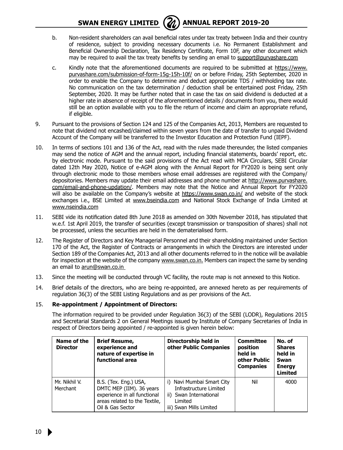## **SWAN ENERGY LIMITED** ( $\mathbb{Z}$ ) ANNUAL REPORT 2019-20



- b. Non-resident shareholders can avail beneficial rates under tax treaty between India and their country of residence, subject to providing necessary documents i.e. No Permanent Establishment and Beneficial Ownership Declaration, Tax Residency Certificate, Form 10F, any other document which may be required to avail the tax treaty benefits by sending an email to support@purvashare.com
- c. Kindly note that the aforementioned documents are required to be submitted at https://www. purvashare.com/submission-of-form-15g-15h-10f/ on or before Friday, 25th September, 2020 in order to enable the Company to determine and deduct appropriate TDS / withholding tax rate. No communication on the tax determination / deduction shall be entertained post Friday, 25th September, 2020. It may be further noted that in case the tax on said dividend is deducted at a higher rate in absence of receipt of the aforementioned details / documents from you, there would still be an option available with you to file the return of income and claim an appropriate refund, if eligible.
- 9. Pursuant to the provisions of Section 124 and 125 of the Companies Act, 2013, Members are requested to note that dividend not encashed/claimed within seven years from the date of transfer to unpaid Dividend Account of the Company will be transferred to the Investor Education and Protection Fund (IEPF).
- 10. In terms of sections 101 and 136 of the Act, read with the rules made thereunder, the listed companies may send the notice of AGM and the annual report, including financial statements, boards' report, etc. by electronic mode. Pursuant to the said provisions of the Act read with MCA Circulars, SEBI Circular dated 12th May 2020, Notice of e-AGM along with the Annual Report for FY2020 is being sent only through electronic mode to those members whose email addresses are registered with the Company/ depositories. Members may update their email addresses and phone number at http://www.purvashare. com/email-and-phone-updation/. Members may note that the Notice and Annual Report for FY2020 will also be available on the Company's website at https://www.swan.co.in/ and website of the stock exchanges i.e., BSE Limited at www.bseindia.com and National Stock Exchange of India Limited at www.nseindia.com
- 11. SEBI vide its notification dated 8th June 2018 as amended on 30th November 2018, has stipulated that w.e.f. 1st April 2019, the transfer of securities (except transmission or transposition of shares) shall not be processed, unless the securities are held in the dematerialised form.
- 12. The Register of Directors and Key Managerial Personnel and their shareholding maintained under Section 170 of the Act, the Register of Contracts or arrangements in which the Directors are interested under Section 189 of the Companies Act, 2013 and all other documents referred to in the notice will be available for inspection at the website of the company www.swan.co.in. Members can inspect the same by sending an email to arun@swan.co.in
- 13. Since the meeting will be conducted through VC facility, the route map is not annexed to this Notice.
- 14. Brief details of the directors, who are being re-appointed, are annexed hereto as per requirements of regulation 36(3) of the SEBI Listing Regulations and as per provisions of the Act.

#### 15. **Re-appointment / Appointment of Directors:**

The information required to be provided under Regulation 36(3) of the SEBI (LODR), Regulations 2015 and Secretarial Standards 2 on General Meetings issued by Institute of Company Secretaries of India in respect of Directors being appointed / re-appointed is given herein below:

| Name of the<br><b>Director</b> | <b>Brief Resume,</b><br>experience and<br>nature of expertise in<br>functional area                                                    | Directorship held in<br>other Public Companies                                                                      | Committee<br>position<br>held in<br>other Public<br><b>Companies</b> | No. of<br><b>Shares</b><br>held in<br>Swan<br><b>Energy</b><br><b>Limited</b> |
|--------------------------------|----------------------------------------------------------------------------------------------------------------------------------------|---------------------------------------------------------------------------------------------------------------------|----------------------------------------------------------------------|-------------------------------------------------------------------------------|
| Mr. Nikhil V.<br>Merchant      | B.S. (Tex. Eng.) USA,<br>DMTC MEP (IIM). 36 years<br>experience in all functional<br>areas related to the Textile,<br>Oil & Gas Sector | i) Navi Mumbai Smart City<br>Infrastructure Limited<br>ii) Swan International<br>Limited<br>iii) Swan Mills Limited | Nil                                                                  | 4000                                                                          |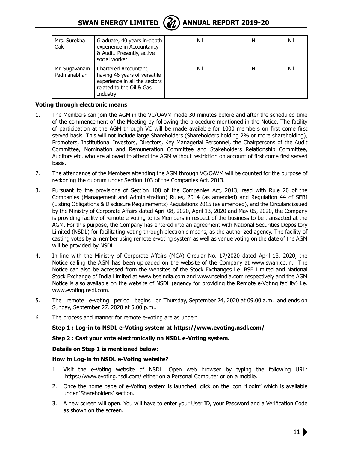

| Mrs. Surekha<br>Oak          | Graduate, 40 years in-depth<br>experience in Accountancy<br>& Audit. Presently, active<br>social worker                        | Nil | Nil | Nil |
|------------------------------|--------------------------------------------------------------------------------------------------------------------------------|-----|-----|-----|
| Mr. Sugavanam<br>Padmanabhan | Chartered Accountant,<br>having 46 years of versatile<br>experience in all the sectors<br>related to the Oil & Gas<br>Industry | Nil | Nil | Nil |

#### **Voting through electronic means**

- 1. The Members can join the AGM in the VC/OAVM mode 30 minutes before and after the scheduled time of the commencement of the Meeting by following the procedure mentioned in the Notice. The facility of participation at the AGM through VC will be made available for 1000 members on first come first served basis. This will not include large Shareholders (Shareholders holding 2% or more shareholding), Promoters, Institutional Investors, Directors, Key Managerial Personnel, the Chairpersons of the Audit Committee, Nomination and Remuneration Committee and Stakeholders Relationship Committee, Auditors etc. who are allowed to attend the AGM without restriction on account of first come first served basis.
- 2. The attendance of the Members attending the AGM through VC/OAVM will be counted for the purpose of reckoning the quorum under Section 103 of the Companies Act, 2013.
- 3. Pursuant to the provisions of Section 108 of the Companies Act, 2013, read with Rule 20 of the Companies (Management and Administration) Rules, 2014 (as amended) and Regulation 44 of SEBI (Listing Obligations & Disclosure Requirements) Regulations 2015 (as amended), and the Circulars issued by the Ministry of Corporate Affairs dated April 08, 2020, April 13, 2020 and May 05, 2020, the Company is providing facility of remote e-voting to its Members in respect of the business to be transacted at the AGM. For this purpose, the Company has entered into an agreement with National Securities Depository Limited (NSDL) for facilitating voting through electronic means, as the authorized agency. The facility of casting votes by a member using remote e-voting system as well as venue voting on the date of the AGM will be provided by NSDL.
- 4. In line with the Ministry of Corporate Affairs (MCA) Circular No. 17/2020 dated April 13, 2020, the Notice calling the AGM has been uploaded on the website of the Company at www.swan.co.in. The Notice can also be accessed from the websites of the Stock Exchanges i.e. BSE Limited and National Stock Exchange of India Limited at www.bseindia.com and www.nseindia.com respectively and the AGM Notice is also available on the website of NSDL (agency for providing the Remote e-Voting facility) i.e. www.evoting.nsdl.com.
- 5. The remote e-voting period begins on Thursday, September 24, 2020 at 09.00 a.m. and ends on Sunday, September 27, 2020 at 5.00 p.m..
- 6. The process and manner for remote e-voting are as under:

**Step 1 : Log-in to NSDL e-Voting system at https://www.evoting.nsdl.com/**

#### **Step 2 : Cast your vote electronically on NSDL e-Voting system.**

#### **Details on Step 1 is mentioned below:**

#### **How to Log-in to NSDL e-Voting website?**

- 1. Visit the e-Voting website of NSDL. Open web browser by typing the following URL: https://www.evoting.nsdl.com/ either on a Personal Computer or on a mobile.
- 2. Once the home page of e-Voting system is launched, click on the icon "Login" which is available under 'Shareholders' section.
- 3. A new screen will open. You will have to enter your User ID, your Password and a Verification Code as shown on the screen.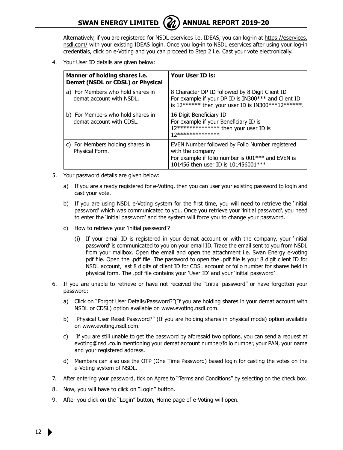

Alternatively, if you are registered for NSDL eservices i.e. IDEAS, you can log-in at https://eservices. nsdl.com/ with your existing IDEAS login. Once you log-in to NSDL eservices after using your log-in credentials, click on e-Voting and you can proceed to Step 2 i.e. Cast your vote electronically.

4. Your User ID details are given below:

| Manner of holding shares i.e.<br>Demat (NSDL or CDSL) or Physical | Your User ID is:                                                                                                                                                |
|-------------------------------------------------------------------|-----------------------------------------------------------------------------------------------------------------------------------------------------------------|
| a) For Members who hold shares in<br>demat account with NSDL.     | 8 Character DP ID followed by 8 Digit Client ID<br>For example if your DP ID is IN300*** and Client ID<br>is $12******$ then your user ID is IN300***12******.  |
| b) For Members who hold shares in<br>demat account with CDSL.     | 16 Digit Beneficiary ID<br>For example if your Beneficiary ID is<br>12************** then your user ID is<br>17**************                                   |
| c) For Members holding shares in<br>Physical Form.                | EVEN Number followed by Folio Number registered<br>with the company<br>For example if folio number is 001*** and EVEN is<br>101456 then user ID is 101456001*** |

- 5. Your password details are given below:
	- a) If you are already registered for e-Voting, then you can user your existing password to login and cast your vote.
	- b) If you are using NSDL e-Voting system for the first time, you will need to retrieve the 'initial password' which was communicated to you. Once you retrieve your 'initial password', you need to enter the 'initial password' and the system will force you to change your password.
	- c) How to retrieve your 'initial password'?
		- (i) If your email ID is registered in your demat account or with the company, your 'initial password' is communicated to you on your email ID. Trace the email sent to you from NSDL from your mailbox. Open the email and open the attachment i.e. Swan Energy e-voting pdf file. Open the .pdf file. The password to open the .pdf file is your 8 digit client ID for NSDL account, last 8 digits of client ID for CDSL account or folio number for shares held in physical form. The .pdf file contains your 'User ID' and your 'initial password'
- 6. If you are unable to retrieve or have not received the "Initial password" or have forgotten your password:
	- a) Click on "Forgot User Details/Password?"(If you are holding shares in your demat account with NSDL or CDSL) option available on www.evoting.nsdl.com.
	- b) Physical User Reset Password?" (If you are holding shares in physical mode) option available on www.evoting.nsdl.com.
	- c) If you are still unable to get the password by aforesaid two options, you can send a request at evoting@nsdl.co.in mentioning your demat account number/folio number, your PAN, your name and your registered address.
	- d) Members can also use the OTP (One Time Password) based login for casting the votes on the e-Voting system of NSDL.
- 7. After entering your password, tick on Agree to "Terms and Conditions" by selecting on the check box.
- 8. Now, you will have to click on "Login" button.
- 9. After you click on the "Login" button, Home page of e-Voting will open.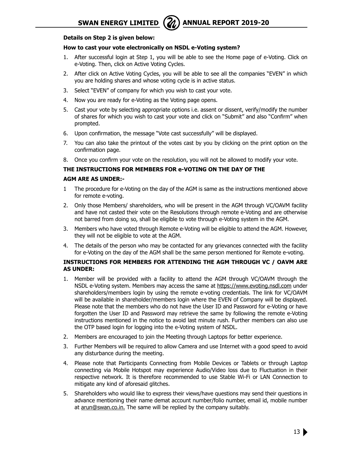

#### **Details on Step 2 is given below:**

#### **How to cast your vote electronically on NSDL e-Voting system?**

- 1. After successful login at Step 1, you will be able to see the Home page of e-Voting. Click on e-Voting. Then, click on Active Voting Cycles.
- 2. After click on Active Voting Cycles, you will be able to see all the companies "EVEN" in which you are holding shares and whose voting cycle is in active status.
- 3. Select "EVEN" of company for which you wish to cast your vote.
- 4. Now you are ready for e-Voting as the Voting page opens.
- 5. Cast your vote by selecting appropriate options i.e. assent or dissent, verify/modify the number of shares for which you wish to cast your vote and click on "Submit" and also "Confirm" when prompted.
- 6. Upon confirmation, the message "Vote cast successfully" will be displayed.
- 7. You can also take the printout of the votes cast by you by clicking on the print option on the confirmation page.
- 8. Once you confirm your vote on the resolution, you will not be allowed to modify your vote.

#### **THE INSTRUCTIONS FOR MEMBERS FOR e-VOTING ON THE DAY OF THE**

#### **AGM ARE AS UNDER:-**

- 1 The procedure for e-Voting on the day of the AGM is same as the instructions mentioned above for remote e-voting.
- 2. Only those Members/ shareholders, who will be present in the AGM through VC/OAVM facility and have not casted their vote on the Resolutions through remote e-Voting and are otherwise not barred from doing so, shall be eligible to vote through e-Voting system in the AGM.
- 3. Members who have voted through Remote e-Voting will be eligible to attend the AGM. However, they will not be eligible to vote at the AGM.
- 4. The details of the person who may be contacted for any grievances connected with the facility for e-Voting on the day of the AGM shall be the same person mentioned for Remote e-voting.

#### **INSTRUCTIONS FOR MEMBERS FOR ATTENDING THE AGM THROUGH VC / OAVM ARE AS UNDER:**

- 1. Member will be provided with a facility to attend the AGM through VC/OAVM through the NSDL e-Voting system. Members may access the same at https://www.evoting.nsdl.com under shareholders/members login by using the remote e-voting credentials. The link for VC/OAVM will be available in shareholder/members login where the EVEN of Company will be displayed. Please note that the members who do not have the User ID and Password for e-Voting or have forgotten the User ID and Password may retrieve the same by following the remote e-Voting instructions mentioned in the notice to avoid last minute rush. Further members can also use the OTP based login for logging into the e-Voting system of NSDL.
- 2. Members are encouraged to join the Meeting through Laptops for better experience.
- 3. Further Members will be required to allow Camera and use Internet with a good speed to avoid any disturbance during the meeting.
- 4. Please note that Participants Connecting from Mobile Devices or Tablets or through Laptop connecting via Mobile Hotspot may experience Audio/Video loss due to Fluctuation in their respective network. It is therefore recommended to use Stable Wi-Fi or LAN Connection to mitigate any kind of aforesaid glitches.
- 5. Shareholders who would like to express their views/have questions may send their questions in advance mentioning their name demat account number/folio number, email id, mobile number at arun@swan.co.in. The same will be replied by the company suitably.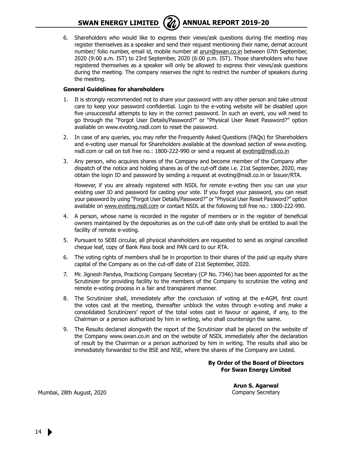6. Shareholders who would like to express their views/ask questions during the meeting may register themselves as a speaker and send their request mentioning their name, demat account number/ folio number, email id, mobile number at arun@swan.co.in between 07th September, 2020 (9:00 a.m. IST) to 23rd September, 2020 (6:00 p.m. IST). Those shareholders who have registered themselves as a speaker will only be allowed to express their views/ask questions during the meeting. The company reserves the right to restrict the number of speakers during the meeting.

#### **General Guidelines for shareholders**

- 1. It is strongly recommended not to share your password with any other person and take utmost care to keep your password confidential. Login to the e-voting website will be disabled upon five unsuccessful attempts to key in the correct password. In such an event, you will need to go through the "Forgot User Details/Password?" or "Physical User Reset Password?" option available on www.evoting.nsdl.com to reset the password.
- 2. In case of any queries, you may refer the Frequently Asked Questions (FAQs) for Shareholders and e-voting user manual for Shareholders available at the download section of www.evoting. nsdl.com or call on toll free no.: 1800-222-990 or send a request at evoting@nsdl.co.in
- 3. Any person, who acquires shares of the Company and become member of the Company after dispatch of the notice and holding shares as of the cut-off date i.e. 21st September, 2020, may obtain the login ID and password by sending a request at evoting@nsdl.co.in or Issuer/RTA.

However, if you are already registered with NSDL for remote e-voting then you can use your existing user ID and password for casting your vote. If you forgot your password, you can reset your password by using "Forgot User Details/Password?" or "Physical User Reset Password?" option available on www.evoting.nsdl.com or contact NSDL at the following toll free no.: 1800-222-990.

- 4. A person, whose name is recorded in the register of members or in the register of beneficial owners maintained by the depositories as on the cut-off date only shall be entitled to avail the facility of remote e-voting.
- 5. Pursuant to SEBI circular, all physical shareholders are requested to send as original cancelled cheque leaf, copy of Bank Pass book and PAN card to our RTA.
- 6. The voting rights of members shall be in proportion to their shares of the paid up equity share capital of the Company as on the cut-off date of 21st September, 2020.
- 7. Mr. Jignesh Pandya, Practicing Company Secretary (CP No. 7346) has been appointed for as the Scrutinizer for providing facility to the members of the Company to scrutinize the voting and remote e-voting process in a fair and transparent manner.
- 8. The Scrutinizer shall, immediately after the conclusion of voting at the e-AGM, first count the votes cast at the meeting, thereafter unblock the votes through e-voting and make a consolidated Scrutinizers' report of the total votes cast in favour or against, if any, to the Chairman or a person authorized by him in writing, who shall countersign the same.
- 9. The Results declared alongwith the report of the Scrutinizer shall be placed on the website of the Company www.swan.co.in and on the website of NSDL immediately after the declaration of result by the Chairman or a person authorized by him in writing. The results shall also be immediately forwarded to the BSE and NSE, where the shares of the Company are Listed.

#### **By Order of the Board of Directors For Swan Energy Limited**

**Arun S. Agarwal** Company Secretary

Mumbai, 28th August, 2020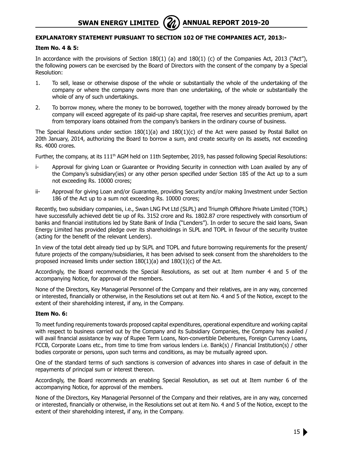### **EXPLANATORY STATEMENT PURSUANT TO SECTION 102 OF THE COMPANIES ACT, 2013:-**

#### **Item No. 4 & 5:**

In accordance with the provisions of Section 180(1) (a) and 180(1) (c) of the Companies Act, 2013 ("Act"), the following powers can be exercised by the Board of Directors with the consent of the company by a Special Resolution:

- 1. To sell, lease or otherwise dispose of the whole or substantially the whole of the undertaking of the company or where the company owns more than one undertaking, of the whole or substantially the whole of any of such undertakings.
- 2. To borrow money, where the money to be borrowed, together with the money already borrowed by the company will exceed aggregate of its paid-up share capital, free reserves and securities premium, apart from temporary loans obtained from the company's bankers in the ordinary course of business.

The Special Resolutions under section  $180(1)(a)$  and  $180(1)(c)$  of the Act were passed by Postal Ballot on 20th January, 2014, authorizing the Board to borrow a sum, and create security on its assets, not exceeding Rs. 4000 crores.

Further, the company, at its 111<sup>th</sup> AGM held on 11th September, 2019, has passed following Special Resolutions:

- i- Approval for giving Loan or Guarantee or Providing Security in connection with Loan availed by any of the Company's subsidiary(ies) or any other person specified under Section 185 of the Act up to a sum not exceeding Rs. 10000 crores;
- ii- Approval for giving Loan and/or Guarantee, providing Security and/or making Investment under Section 186 of the Act up to a sum not exceeding Rs. 10000 crores;

Recently, two subsidiary companies, i.e., Swan LNG Pvt Ltd (SLPL) and Triumph Offshore Private Limited (TOPL) have successfully achieved debt tie up of Rs. 3152 crore and Rs. 1802.87 crore respectively with consortium of banks and financial institutions led by State Bank of India ("Lenders"). In order to secure the said loans, Swan Energy Limited has provided pledge over its shareholdings in SLPL and TOPL in favour of the security trustee (acting for the benefit of the relevant Lenders).

In view of the total debt already tied up by SLPL and TOPL and future borrowing requirements for the present/ future projects of the company/subsidiaries, it has been advised to seek consent from the shareholders to the proposed increased limits under section 180(1)(a) and 180(1)(c) of the Act.

Accordingly, the Board recommends the Special Resolutions, as set out at Item number 4 and 5 of the accompanying Notice, for approval of the members.

None of the Directors, Key Managerial Personnel of the Company and their relatives, are in any way, concerned or interested, financially or otherwise, in the Resolutions set out at item No. 4 and 5 of the Notice, except to the extent of their shareholding interest, if any, in the Company.

#### **Item No. 6:**

To meet funding requirements towards proposed capital expenditures, operational expenditure and working capital with respect to business carried out by the Company and its Subsidiary Companies, the Company has availed / will avail financial assistance by way of Rupee Term Loans, Non-convertible Debentures, Foreign Currency Loans, FCCB, Corporate Loans etc., from time to time from various lenders i.e. Bank(s) / Financial Institution(s) / other bodies corporate or persons, upon such terms and conditions, as may be mutually agreed upon.

One of the standard terms of such sanctions is conversion of advances into shares in case of default in the repayments of principal sum or interest thereon.

Accordingly, the Board recommends an enabling Special Resolution, as set out at Item number 6 of the accompanying Notice, for approval of the members.

None of the Directors, Key Managerial Personnel of the Company and their relatives, are in any way, concerned or interested, financially or otherwise, in the Resolutions set out at item No. 4 and 5 of the Notice, except to the extent of their shareholding interest, if any, in the Company.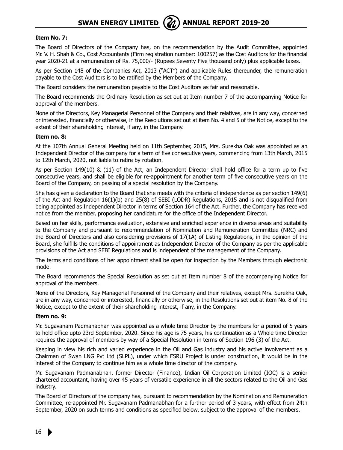

#### **Item No. 7:**

The Board of Directors of the Company has, on the recommendation by the Audit Committee, appointed Mr. V. H. Shah & Co., Cost Accountants (Firm registration number: 100257) as the Cost Auditors for the financial year 2020-21 at a remuneration of Rs. 75,000/- (Rupees Seventy Five thousand only) plus applicable taxes.

As per Section 148 of the Companies Act, 2013 ("ACT") and applicable Rules thereunder, the remuneration payable to the Cost Auditors is to be ratified by the Members of the Company.

The Board considers the remuneration payable to the Cost Auditors as fair and reasonable.

The Board recommends the Ordinary Resolution as set out at Item number 7 of the accompanying Notice for approval of the members.

None of the Directors, Key Managerial Personnel of the Company and their relatives, are in any way, concerned or interested, financially or otherwise, in the Resolutions set out at item No. 4 and 5 of the Notice, except to the extent of their shareholding interest, if any, in the Company.

#### **Item no. 8:**

At the 107th Annual General Meeting held on 11th September, 2015, Mrs. Surekha Oak was appointed as an Independent Director of the company for a term of five consecutive years, commencing from 13th March, 2015 to 12th March, 2020, not liable to retire by rotation.

As per Section 149(10) & (11) of the Act, an Independent Director shall hold office for a term up to five consecutive years, and shall be eligible for re-appointment for another term of five consecutive years on the Board of the Company, on passing of a special resolution by the Company.

She has given a declaration to the Board that she meets with the criteria of independence as per section 149(6) of the Act and Regulation 16(1)(b) and 25(8) of SEBI (LODR) Regulations, 2015 and is not disqualified from being appointed as Independent Director in terms of Section 164 of the Act. Further, the Company has received notice from the member, proposing her candidature for the office of the Independent Director.

Based on her skills, performance evaluation, extensive and enriched experience in diverse areas and suitability to the Company and pursuant to recommendation of Nomination and Remuneration Committee (NRC) and the Board of Directors and also considering provisions of 17(1A) of Listing Regulations, in the opinion of the Board, she fulfills the conditions of appointment as Independent Director of the Company as per the applicable provisions of the Act and SEBI Regulations and is independent of the management of the Company.

The terms and conditions of her appointment shall be open for inspection by the Members through electronic mode.

The Board recommends the Special Resolution as set out at Item number 8 of the accompanying Notice for approval of the members.

None of the Directors, Key Managerial Personnel of the Company and their relatives, except Mrs. Surekha Oak, are in any way, concerned or interested, financially or otherwise, in the Resolutions set out at item No. 8 of the Notice, except to the extent of their shareholding interest, if any, in the Company.

#### **Item no. 9:**

Mr. Sugavanam Padmanabhan was appointed as a whole time Director by the members for a period of 5 years to hold office upto 23rd September, 2020. Since his age is 75 years, his continuation as a Whole time Director requires the approval of members by way of a Special Resolution in terms of Section 196 (3) of the Act.

Keeping in view his rich and varied experience in the Oil and Gas industry and his active involvement as a Chairman of Swan LNG Pvt Ltd (SLPL), under which FSRU Project is under construction, it would be in the interest of the Company to continue him as a whole time director of the company.

Mr. Sugavanam Padmanabhan, former Director (Finance), Indian Oil Corporation Limited (IOC) is a senior chartered accountant, having over 45 years of versatile experience in all the sectors related to the Oil and Gas industry.

The Board of Directors of the company has, pursuant to recommendation by the Nomination and Remuneration Committee, re-appointed Mr. Sugavanam Padmanabhan for a further period of 3 years, with effect from 24th September, 2020 on such terms and conditions as specified below, subject to the approval of the members.

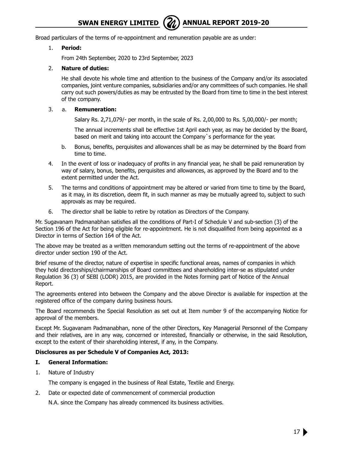Broad particulars of the terms of re-appointment and remuneration payable are as under:

#### 1. **Period:**

From 24th September, 2020 to 23rd September, 2023

#### 2. **Nature of duties:**

He shall devote his whole time and attention to the business of the Company and/or its associated companies, joint venture companies, subsidiaries and/or any committees of such companies. He shall carry out such powers/duties as may be entrusted by the Board from time to time in the best interest of the company.

#### 3. a. **Remuneration:**

Salary Rs. 2,71,079/- per month, in the scale of Rs. 2,00,000 to Rs. 5,00,000/- per month;

The annual increments shall be effective 1st April each year, as may be decided by the Board, based on merit and taking into account the Company`s performance for the year.

- b. Bonus, benefits, perquisites and allowances shall be as may be determined by the Board from time to time.
- 4. In the event of loss or inadequacy of profits in any financial year, he shall be paid remuneration by way of salary, bonus, benefits, perquisites and allowances, as approved by the Board and to the extent permitted under the Act.
- 5. The terms and conditions of appointment may be altered or varied from time to time by the Board, as it may, in its discretion, deem fit, in such manner as may be mutually agreed to, subject to such approvals as may be required.
- 6. The director shall be liable to retire by rotation as Directors of the Company.

Mr. Sugavanam Padmanabhan satisfies all the conditions of Part-I of Schedule V and sub-section (3) of the Section 196 of the Act for being eligible for re-appointment. He is not disqualified from being appointed as a Director in terms of Section 164 of the Act.

The above may be treated as a written memorandum setting out the terms of re-appointment of the above director under section 190 of the Act.

Brief resume of the director, nature of expertise in specific functional areas, names of companies in which they hold directorships/chairmanships of Board committees and shareholding inter-se as stipulated under Regulation 36 (3) of SEBI (LODR) 2015, are provided in the Notes forming part of Notice of the Annual Report.

The agreements entered into between the Company and the above Director is available for inspection at the registered office of the company during business hours.

The Board recommends the Special Resolution as set out at Item number 9 of the accompanying Notice for approval of the members.

Except Mr. Sugavanam Padmanabhan, none of the other Directors, Key Managerial Personnel of the Company and their relatives, are in any way, concerned or interested, financially or otherwise, in the said Resolution, except to the extent of their shareholding interest, if any, in the Company.

#### **Disclosures as per Schedule V of Companies Act, 2013:**

#### **I. General Information:**

1. Nature of Industry

The company is engaged in the business of Real Estate, Textile and Energy.

2. Date or expected date of commencement of commercial production

N.A. since the Company has already commenced its business activities.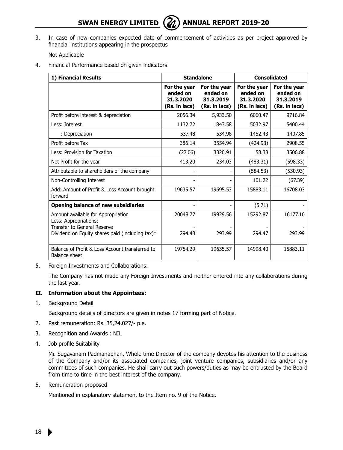**SWAN ENERGY LIMITED** ( $\mathbb{Z}$ ) ANNUAL REPORT 2019-20

3. In case of new companies expected date of commencement of activities as per project approved by financial institutions appearing in the prospectus

Not Applicable

4. Financial Performance based on given indicators

| 1) Financial Results                                                                       | <b>Standalone</b>                                      |                                                        | <b>Consolidated</b>                                    |                                                        |  |
|--------------------------------------------------------------------------------------------|--------------------------------------------------------|--------------------------------------------------------|--------------------------------------------------------|--------------------------------------------------------|--|
|                                                                                            | For the year<br>ended on<br>31.3.2020<br>(Rs. in lacs) | For the year<br>ended on<br>31.3.2019<br>(Rs. in lacs) | For the year<br>ended on<br>31.3.2020<br>(Rs. in lacs) | For the year<br>ended on<br>31.3.2019<br>(Rs. in lacs) |  |
| Profit before interest & depreciation                                                      | 2056.34                                                | 5,933.50                                               | 6060.47                                                | 9716.84                                                |  |
| Less: Interest                                                                             | 1132.72                                                | 1843.58                                                | 5032.97                                                | 5400.44                                                |  |
| : Depreciation                                                                             | 537.48                                                 | 534.98                                                 | 1452.43                                                | 1407.85                                                |  |
| Profit before Tax                                                                          | 386.14                                                 | 3554.94                                                | (424.93)                                               | 2908.55                                                |  |
| Less: Provision for Taxation                                                               | (27.06)                                                | 3320.91                                                | 58.38                                                  | 3506.88                                                |  |
| Net Profit for the year                                                                    | 413.20                                                 | 234.03                                                 | (483.31)                                               | (598.33)                                               |  |
| Attributable to shareholders of the company                                                |                                                        |                                                        | (584.53)                                               | (530.93)                                               |  |
| Non-Controlling Interest                                                                   |                                                        |                                                        | 101.22                                                 | (67.39)                                                |  |
| Add: Amount of Profit & Loss Account brought<br>forward                                    | 19635.57                                               | 19695.53                                               | 15883.11                                               | 16708.03                                               |  |
| <b>Opening balance of new subsidiaries</b>                                                 |                                                        |                                                        | (5.71)                                                 |                                                        |  |
| Amount available for Appropriation<br>Less: Appropriations:<br>Transfer to General Reserve | 20048.77                                               | 19929.56                                               | 15292.87                                               | 16177.10                                               |  |
| Dividend on Equity shares paid (including tax) $*$                                         | 294.48                                                 | 293.99                                                 | 294.47                                                 | 293.99                                                 |  |
| Balance of Profit & Loss Account transferred to<br><b>Balance sheet</b>                    | 19754.29                                               | 19635.57                                               | 14998.40                                               | 15883.11                                               |  |

5. Foreign Investments and Collaborations:

The Company has not made any Foreign Investments and neither entered into any collaborations during the last year.

#### **II. Information about the Appointees:**

1. Background Detail

Background details of directors are given in notes 17 forming part of Notice.

- 2. Past remuneration: Rs. 35,24,027/- p.a.
- 3. Recognition and Awards : NIL
- 4. Job profile Suitability

Mr. Sugavanam Padmanabhan, Whole time Director of the company devotes his attention to the business of the Company and/or its associated companies, joint venture companies, subsidiaries and/or any committees of such companies. He shall carry out such powers/duties as may be entrusted by the Board from time to time in the best interest of the company.

5. Remuneration proposed

Mentioned in explanatory statement to the Item no. 9 of the Notice.

18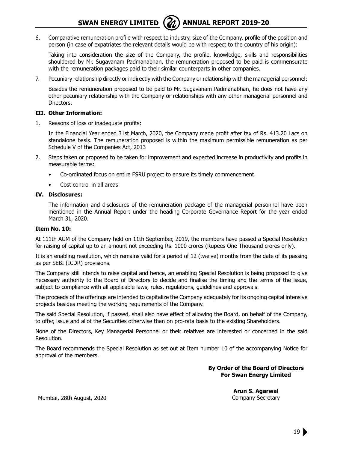

6. Comparative remuneration profile with respect to industry, size of the Company, profile of the position and person (in case of expatriates the relevant details would be with respect to the country of his origin):

Taking into consideration the size of the Company, the profile, knowledge, skills and responsibilities shouldered by Mr. Sugavanam Padmanabhan, the remuneration proposed to be paid is commensurate with the remuneration packages paid to their similar counterparts in other companies.

7. Pecuniary relationship directly or indirectly with the Company or relationship with the managerial personnel:

Besides the remuneration proposed to be paid to Mr. Sugavanam Padmanabhan, he does not have any other pecuniary relationship with the Company or relationships with any other managerial personnel and Directors.

#### **III. Other Information:**

1. Reasons of loss or inadequate profits:

In the Financial Year ended 31st March, 2020, the Company made profit after tax of Rs. 413.20 Lacs on standalone basis. The remuneration proposed is within the maximum permissible remuneration as per Schedule V of the Companies Act, 2013

- 2. Steps taken or proposed to be taken for improvement and expected increase in productivity and profits in measurable terms:
	- Co-ordinated focus on entire FSRU project to ensure its timely commencement.
	- Cost control in all areas

#### **IV. Disclosures:**

The information and disclosures of the remuneration package of the managerial personnel have been mentioned in the Annual Report under the heading Corporate Governance Report for the year ended March 31, 2020.

#### **Item No. 10:**

At 111th AGM of the Company held on 11th September, 2019, the members have passed a Special Resolution for raising of capital up to an amount not exceeding Rs. 1000 crores (Rupees One Thousand crores only).

It is an enabling resolution, which remains valid for a period of 12 (twelve) months from the date of its passing as per SEBI (ICDR) provisions.

The Company still intends to raise capital and hence, an enabling Special Resolution is being proposed to give necessary authority to the Board of Directors to decide and finalise the timing and the terms of the issue, subject to compliance with all applicable laws, rules, regulations, guidelines and approvals.

The proceeds of the offerings are intended to capitalize the Company adequately for its ongoing capital intensive projects besides meeting the working requirements of the Company.

The said Special Resolution, if passed, shall also have effect of allowing the Board, on behalf of the Company, to offer, issue and allot the Securities otherwise than on pro-rata basis to the existing Shareholders.

None of the Directors, Key Managerial Personnel or their relatives are interested or concerned in the said Resolution.

The Board recommends the Special Resolution as set out at Item number 10 of the accompanying Notice for approval of the members.

> **By Order of the Board of Directors For Swan Energy Limited**

> > **Arun S. Agarwal** Company Secretary

Mumbai, 28th August, 2020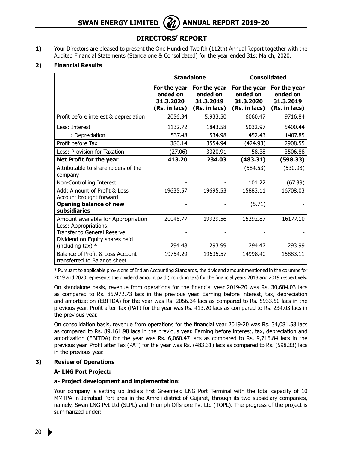## **SWAN ENERGY LIMITED** ( $\mathbb{Z}$ ) ANNUAL REPORT 2019-20

## **DIRECTORS' REPORT**

**1)** Your Directors are pleased to present the One Hundred Twelfth (112th) Annual Report together with the Audited Financial Statements (Standalone & Consolidated) for the year ended 31st March, 2020.

#### **2) Financial Results**

|                                                                                            |                                                        | <b>Standalone</b>                                      | <b>Consolidated</b>                                    |                                                        |
|--------------------------------------------------------------------------------------------|--------------------------------------------------------|--------------------------------------------------------|--------------------------------------------------------|--------------------------------------------------------|
|                                                                                            | For the year<br>ended on<br>31.3.2020<br>(Rs. in lacs) | For the year<br>ended on<br>31.3.2019<br>(Rs. in lacs) | For the year<br>ended on<br>31.3.2020<br>(Rs. in lacs) | For the year<br>ended on<br>31.3.2019<br>(Rs. in lacs) |
| Profit before interest & depreciation                                                      | 2056.34                                                | 5,933.50                                               | 6060.47                                                | 9716.84                                                |
| Less: Interest                                                                             | 1132.72                                                | 1843.58                                                | 5032.97                                                | 5400.44                                                |
| : Depreciation                                                                             | 537.48                                                 | 534.98                                                 | 1452.43                                                | 1407.85                                                |
| Profit before Tax                                                                          | 386.14                                                 | 3554.94                                                | (424.93)                                               | 2908.55                                                |
| Less: Provision for Taxation                                                               | (27.06)                                                | 3320.91                                                | 58.38                                                  | 3506.88                                                |
| Net Profit for the year                                                                    | 413.20                                                 | 234.03                                                 | (483.31)                                               | (598.33)                                               |
| Attributable to shareholders of the<br>company                                             |                                                        |                                                        | (584.53)                                               | (530.93)                                               |
| Non-Controlling Interest                                                                   |                                                        |                                                        | 101.22                                                 | (67.39)                                                |
| Add: Amount of Profit & Loss<br>Account brought forward                                    | 19635.57                                               | 19695.53                                               | 15883.11                                               | 16708.03                                               |
| <b>Opening balance of new</b><br>subsidiaries                                              |                                                        |                                                        | (5.71)                                                 |                                                        |
| Amount available for Appropriation<br>Less: Appropriations:<br>Transfer to General Reserve | 20048.77                                               | 19929.56                                               | 15292.87                                               | 16177.10                                               |
| Dividend on Equity shares paid<br>(including tax) *                                        | 294.48                                                 | 293.99                                                 | 294.47                                                 | 293.99                                                 |
| Balance of Profit & Loss Account<br>transferred to Balance sheet                           | 19754.29                                               | 19635.57                                               | 14998.40                                               | 15883.11                                               |

\* Pursuant to applicable provisions of Indian Accounting Standards, the dividend amount mentioned in the columns for 2019 and 2020 represents the dividend amount paid (including tax) for the financial years 2018 and 2019 respectively.

On standalone basis, revenue from operations for the financial year 2019-20 was Rs. 30,684.03 lacs as compared to Rs. 85,972.73 lacs in the previous year. Earning before interest, tax, depreciation and amortization (EBITDA) for the year was Rs. 2056.34 lacs as compared to Rs. 5933.50 lacs in the previous year. Profit after Tax (PAT) for the year was Rs. 413.20 lacs as compared to Rs. 234.03 lacs in the previous year.

On consolidation basis, revenue from operations for the financial year 2019-20 was Rs. 34,081.58 lacs as compared to Rs. 89,161.98 lacs in the previous year. Earning before interest, tax, depreciation and amortization (EBITDA) for the year was Rs. 6,060.47 lacs as compared to Rs. 9,716.84 lacs in the previous year. Profit after Tax (PAT) for the year was Rs. (483.31) lacs as compared to Rs. (598.33) lacs in the previous year.

#### **3) Review of Operations**

### **A- LNG Port Project:**

### **a- Project development and implementation:**

Your company is setting up India's first Greenfield LNG Port Terminal with the total capacity of 10 MMTPA in Jafrabad Port area in the Amreli district of Gujarat, through its two subsidiary companies, namely, Swan LNG Pvt Ltd (SLPL) and Triumph Offshore Pvt Ltd (TOPL). The progress of the project is summarized under: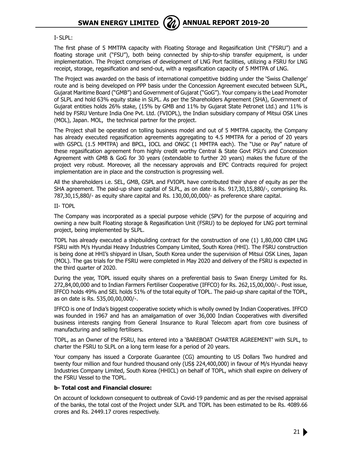**SWAN ENERGY LIMITED** ( $\mathcal{A}$ ) ANNUAL REPORT 2019-20



I- SLPL:

The first phase of 5 MMTPA capacity with Floating Storage and Regasification Unit ("FSRU") and a floating storage unit ("FSU"), both being connected by ship-to-ship transfer equipment, is under implementation. The Project comprises of development of LNG Port facilities, utilizing a FSRU for LNG receipt, storage, regasification and send-out, with a regasification capacity of 5 MMTPA of LNG.

The Project was awarded on the basis of international competitive bidding under the 'Swiss Challenge' route and is being developed on PPP basis under the Concession Agreement executed between SLPL, Gujarat Maritime Board ("GMB") and Government of Gujarat ("GoG"). Your company is the Lead Promoter of SLPL and hold 63% equity stake in SLPL. As per the Shareholders Agreement (SHA), Government of Gujarat entities holds 26% stake, (15% by GMB and 11% by Gujarat State Petronet Ltd.) and 11% is held by FSRU Venture India One Pvt. Ltd. (FVIOPL), the Indian subsidiary company of Mitsui OSK Lines (MOL), Japan. MOL, the technical partner for the project.

The Project shall be operated on tolling business model and out of 5 MMTPA capacity, the Company has already executed regasification agreements aggregating to 4.5 MMTPA for a period of 20 years with GSPCL (1.5 MMTPA) and BPCL, IOCL and ONGC (1 MMTPA each). The "Use or Pay" nature of these regasification agreement from highly credit worthy Central & State Govt PSU's and Concession Agreement with GMB & GoG for 30 years (extendable to further 20 years) makes the future of the project very robust. Moreover, all the necessary approvals and EPC Contracts required for project implementation are in place and the construction is progressing well.

All the shareholders i.e. SEL, GMB, GSPL and FVIOPL have contributed their share of equity as per the SHA agreement. The paid-up share capital of SLPL, as on date is Rs. 917,30,15,880/-, comprising Rs. 787,30,15,880/- as equity share capital and Rs. 130,00,00,000/- as preference share capital.

II- TOPL

The Company was incorporated as a special purpose vehicle (SPV) for the purpose of acquiring and owning a new built Floating storage & Regasification Unit (FSRU) to be deployed for LNG port terminal project, being implemented by SLPL.

TOPL has already executed a shipbuilding contract for the construction of one (1) 1,80,000 CBM LNG FSRU with M/s Hyundai Heavy Industries Company Limited, South Korea (HHI). The FSRU construction is being done at HHI's shipyard in Ulsan, South Korea under the supervision of Mitsui OSK Lines, Japan (MOL). The gas trials for the FSRU were completed in May 2020 and delivery of the FSRU is expected in the third quarter of 2020.

During the year, TOPL issued equity shares on a preferential basis to Swan Energy Limited for Rs. 272,84,00,000 and to Indian Farmers Fertiliser Cooperative (IFFCO) for Rs. 262,15,00,000/-. Post issue, IFFCO holds 49% and SEL holds 51% of the total equity of TOPL. The paid-up share capital of the TOPL, as on date is Rs. 535,00,00,000/-.

 IFFCO is one of India's biggest cooperative society which is wholly owned by Indian Cooperatives. IFFCO was founded in 1967 and has an amalgamation of over 36,000 Indian Cooperatives with diversified business interests ranging from General Insurance to Rural Telecom apart from core business of manufacturing and selling fertilisers.

TOPL, as an Owner of the FSRU, has entered into a 'BAREBOAT CHARTER AGREEMENT' with SLPL, to charter the FSRU to SLPL on a long term lease for a period of 20 years.

Your company has issued a Corporate Guarantee (CG) amounting to US Dollars Two hundred and twenty four million and four hundred thousand only (US\$ 224,400,000) in favour of M/s Hyundai heavy Industries Company Limited, South Korea (HHICL) on behalf of TOPL, which shall expire on delivery of the FSRU Vessel to the TOPL.

#### **b- Total cost and Financial closure:**

On account of lockdown consequent to outbreak of Covid-19 pandemic and as per the revised appraisal of the banks, the total cost of the Project under SLPL and TOPL has been estimated to be Rs. 4089.66 crores and Rs. 2449.17 crores respectively.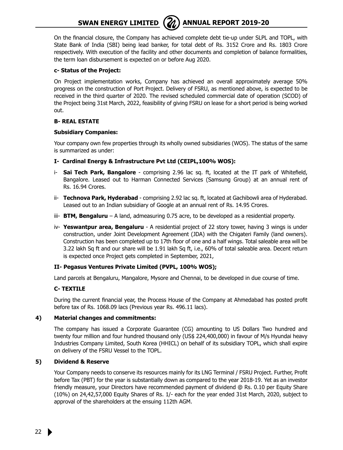

On the financial closure, the Company has achieved complete debt tie-up under SLPL and TOPL, with State Bank of India (SBI) being lead banker, for total debt of Rs. 3152 Crore and Rs. 1803 Crore respectively. With execution of the facility and other documents and completion of balance formalities, the term loan disbursement is expected on or before Aug 2020.

#### **c- Status of the Project:**

On Project implementation works, Company has achieved an overall approximately average 50% progress on the construction of Port Project. Delivery of FSRU, as mentioned above, is expected to be received in the third quarter of 2020. The revised scheduled commercial date of operation (SCOD) of the Project being 31st March, 2022, feasibility of giving FSRU on lease for a short period is being worked out.

#### **B- REAL ESTATE**

#### **Subsidiary Companies:**

Your company own few properties through its wholly owned subsidiaries (WOS). The status of the same is summarized as under:

- **I- Cardinal Energy & Infrastructure Pvt Ltd (CEIPL,100% WOS):**
- i- **Sai Tech Park, Bangalore** comprising 2.96 lac sq. ft, located at the IT park of Whitefield, Bangalore. Leased out to Harman Connected Services (Samsung Group) at an annual rent of Rs. 16.94 Crores.
- ii- **Technova Park, Hyderabad** comprising 2.92 lac sq. ft, located at Gachibowli area of Hyderabad. Leased out to an Indian subsidiary of Google at an annual rent of Rs. 14.95 Crores.
- iii- **BTM, Bengaluru** A land, admeasuring 0.75 acre, to be developed as a residential property.
- iv- **Yeswantpur area, Bengaluru** A residential project of 22 story tower, having 3 wings is under construction, under Joint Development Agreement (JDA) with the Chigateri Family (land owners). Construction has been completed up to 17th floor of one and a half wings. Total saleable area will be 3.22 lakh Sq ft and our share will be 1.91 lakh Sq ft, i.e., 60% of total saleable area. Decent return is expected once Project gets completed in September, 2021,

### **II- Pegasus Ventures Private Limited (PVPL, 100% WOS);**

Land parcels at Bengaluru, Mangalore, Mysore and Chennai, to be developed in due course of time.

### **C- TEXTILE**

During the current financial year, the Process House of the Company at Ahmedabad has posted profit before tax of Rs. 1068.09 lacs (Previous year Rs. 496.11 lacs).

#### **4) Material changes and commitments:**

The company has issued a Corporate Guarantee (CG) amounting to US Dollars Two hundred and twenty four million and four hundred thousand only (US\$ 224,400,000) in favour of M/s Hyundai heavy Industries Company Limited, South Korea (HHICL) on behalf of its subsidiary TOPL, which shall expire on delivery of the FSRU Vessel to the TOPL.

#### **5) Dividend & Reserve**

Your Company needs to conserve its resources mainly for its LNG Terminal / FSRU Project. Further, Profit before Tax (PBT) for the year is substantially down as compared to the year 2018-19. Yet as an investor friendly measure, your Directors have recommended payment of dividend @ Rs. 0.10 per Equity Share (10%) on 24,42,57,000 Equity Shares of Rs. 1/- each for the year ended 31st March, 2020, subject to approval of the shareholders at the ensuing 112th AGM.

22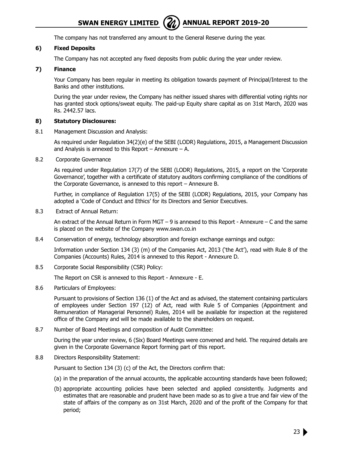The company has not transferred any amount to the General Reserve during the year.

#### **6) Fixed Deposits**

The Company has not accepted any fixed deposits from public during the year under review.

#### **7) Finance**

Your Company has been regular in meeting its obligation towards payment of Principal/Interest to the Banks and other institutions.

During the year under review, the Company has neither issued shares with differential voting rights nor has granted stock options/sweat equity. The paid-up Equity share capital as on 31st March, 2020 was Rs. 2442.57 lacs.

#### **8) Statutory Disclosures:**

8.1 Management Discussion and Analysis:

As required under Regulation 34(2)(e) of the SEBI (LODR) Regulations, 2015, a Management Discussion and Analysis is annexed to this Report – Annexure – A.

8.2 Corporate Governance

As required under Regulation 17(7) of the SEBI (LODR) Regulations, 2015, a report on the 'Corporate Governance', together with a certificate of statutory auditors confirming compliance of the conditions of the Corporate Governance, is annexed to this report – Annexure B.

Further, in compliance of Regulation 17(5) of the SEBI (LODR) Regulations, 2015, your Company has adopted a 'Code of Conduct and Ethics' for its Directors and Senior Executives.

8.3 Extract of Annual Return:

An extract of the Annual Return in Form MGT – 9 is annexed to this Report - Annexure – C and the same is placed on the website of the Company www.swan.co.in

8.4 Conservation of energy, technology absorption and foreign exchange earnings and outgo:

 Information under Section 134 (3) (m) of the Companies Act, 2013 ('the Act'), read with Rule 8 of the Companies (Accounts) Rules, 2014 is annexed to this Report - Annexure D.

8.5 Corporate Social Responsibility (CSR) Policy:

The Report on CSR is annexed to this Report - Annexure - E.

8.6 Particulars of Employees:

Pursuant to provisions of Section 136 (1) of the Act and as advised, the statement containing particulars of employees under Section 197 (12) of Act, read with Rule 5 of Companies (Appointment and Remuneration of Managerial Personnel) Rules, 2014 will be available for inspection at the registered office of the Company and will be made available to the shareholders on request.

8.7 Number of Board Meetings and composition of Audit Committee:

During the year under review, 6 (Six) Board Meetings were convened and held. The required details are given in the Corporate Governance Report forming part of this report.

8.8 Directors Responsibility Statement:

Pursuant to Section 134 (3) (c) of the Act, the Directors confirm that:

- (a) in the preparation of the annual accounts, the applicable accounting standards have been followed;
- (b) appropriate accounting policies have been selected and applied consistently. Judgments and estimates that are reasonable and prudent have been made so as to give a true and fair view of the state of affairs of the company as on 31st March, 2020 and of the profit of the Company for that period;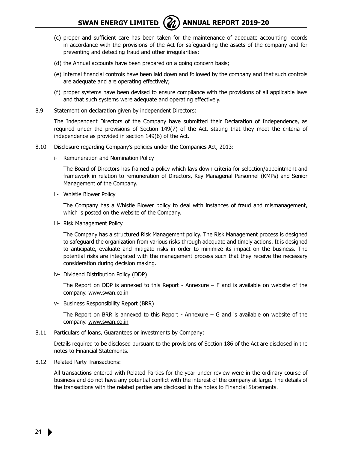## **SWAN ENERGY LIMITED** ( $\mathcal{U}$ ) ANNUAL REPORT 2019-20

- 
- (c) proper and sufficient care has been taken for the maintenance of adequate accounting records in accordance with the provisions of the Act for safeguarding the assets of the company and for preventing and detecting fraud and other irregularities;
- (d) the Annual accounts have been prepared on a going concern basis;
- (e) internal financial controls have been laid down and followed by the company and that such controls are adequate and are operating effectively;
- (f) proper systems have been devised to ensure compliance with the provisions of all applicable laws and that such systems were adequate and operating effectively.
- 8.9 Statement on declaration given by independent Directors:

The Independent Directors of the Company have submitted their Declaration of Independence, as required under the provisions of Section 149(7) of the Act, stating that they meet the criteria of independence as provided in section 149(6) of the Act.

- 8.10 Disclosure regarding Company's policies under the Companies Act, 2013:
	- i- Remuneration and Nomination Policy

The Board of Directors has framed a policy which lays down criteria for selection/appointment and framework in relation to remuneration of Directors, Key Managerial Personnel (KMPs) and Senior Management of the Company.

ii- Whistle Blower Policy

The Company has a Whistle Blower policy to deal with instances of fraud and mismanagement, which is posted on the website of the Company.

iii- Risk Management Policy

The Company has a structured Risk Management policy. The Risk Management process is designed to safeguard the organization from various risks through adequate and timely actions. It is designed to anticipate, evaluate and mitigate risks in order to minimize its impact on the business. The potential risks are integrated with the management process such that they receive the necessary consideration during decision making.

iv- Dividend Distribution Policy (DDP)

The Report on DDP is annexed to this Report - Annexure  $-$  F and is available on website of the company. www.swan.co.in

v- Business Responsibility Report (BRR)

The Report on BRR is annexed to this Report - Annexure – G and is available on website of the company. www.swan.co.in

8.11 Particulars of loans, Guarantees or investments by Company:

Details required to be disclosed pursuant to the provisions of Section 186 of the Act are disclosed in the notes to Financial Statements.

8.12 Related Party Transactions:

All transactions entered with Related Parties for the year under review were in the ordinary course of business and do not have any potential conflict with the interest of the company at large. The details of the transactions with the related parties are disclosed in the notes to Financial Statements.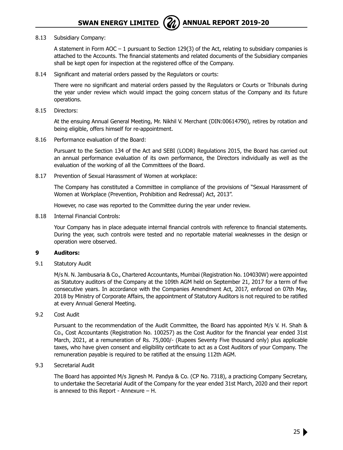## **SWAN ENERGY LIMITED** ( $\mathbb{Z}$ ) ANNUAL REPORT 2019-20



#### 8.13 Subsidiary Company:

A statement in Form AOC  $-1$  pursuant to Section 129(3) of the Act, relating to subsidiary companies is attached to the Accounts. The financial statements and related documents of the Subsidiary companies shall be kept open for inspection at the registered office of the Company.

8.14 Significant and material orders passed by the Regulators or courts:

There were no significant and material orders passed by the Regulators or Courts or Tribunals during the year under review which would impact the going concern status of the Company and its future operations.

8.15 Directors:

At the ensuing Annual General Meeting, Mr. Nikhil V. Merchant (DIN:00614790), retires by rotation and being eligible, offers himself for re-appointment.

8.16 Performance evaluation of the Board:

Pursuant to the Section 134 of the Act and SEBI (LODR) Regulations 2015, the Board has carried out an annual performance evaluation of its own performance, the Directors individually as well as the evaluation of the working of all the Committees of the Board.

8.17 Prevention of Sexual Harassment of Women at workplace:

The Company has constituted a Committee in compliance of the provisions of "Sexual Harassment of Women at Workplace (Prevention, Prohibition and Redressal) Act, 2013".

However, no case was reported to the Committee during the year under review.

8.18 Internal Financial Controls:

Your Company has in place adequate internal financial controls with reference to financial statements. During the year, such controls were tested and no reportable material weaknesses in the design or operation were observed.

#### **9 Auditors:**

9.1 Statutory Audit

M/s N. N. Jambusaria & Co., Chartered Accountants, Mumbai (Registration No. 104030W) were appointed as Statutory auditors of the Company at the 109th AGM held on September 21, 2017 for a term of five consecutive years. In accordance with the Companies Amendment Act, 2017, enforced on 07th May, 2018 by Ministry of Corporate Affairs, the appointment of Statutory Auditors is not required to be ratified at every Annual General Meeting.

9.2 Cost Audit

Pursuant to the recommendation of the Audit Committee, the Board has appointed M/s V. H. Shah & Co., Cost Accountants (Registration No. 100257) as the Cost Auditor for the financial year ended 31st March, 2021, at a remuneration of Rs. 75,000/- (Rupees Seventy Five thousand only) plus applicable taxes, who have given consent and eligibility certificate to act as a Cost Auditors of your Company. The remuneration payable is required to be ratified at the ensuing 112th AGM.

9.3 Secretarial Audit

The Board has appointed M/s Jignesh M. Pandya & Co. (CP No. 7318), a practicing Company Secretary, to undertake the Secretarial Audit of the Company for the year ended 31st March, 2020 and their report is annexed to this Report - Annexure – H.

25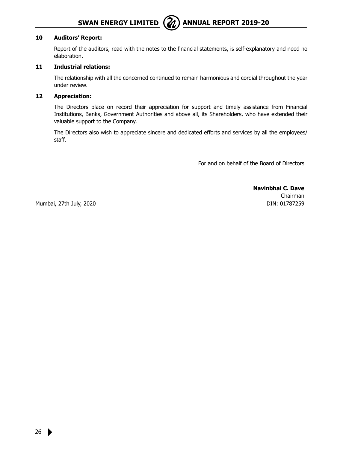

#### **10 Auditors' Report:**

Report of the auditors, read with the notes to the financial statements, is self-explanatory and need no elaboration.

#### **11 Industrial relations:**

The relationship with all the concerned continued to remain harmonious and cordial throughout the year under review.

#### **12 Appreciation:**

The Directors place on record their appreciation for support and timely assistance from Financial Institutions, Banks, Government Authorities and above all, its Shareholders, who have extended their valuable support to the Company.

The Directors also wish to appreciate sincere and dedicated efforts and services by all the employees/ staff.

For and on behalf of the Board of Directors

**Navinbhai C. Dave** Chairman DIN: 01787259

Mumbai, 27th July, 2020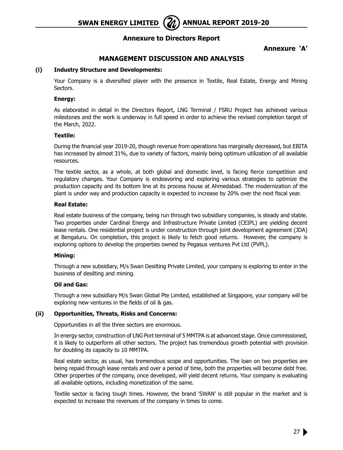**SWAN ENERGY LIMITED** ( $\mathbb{Z}$ ) ANNUAL REPORT 2019-20

## **Annexure to Directors Report**

## **Annexure 'A'**

## **Management Discussion and Analysis**

#### **(i) Industry Structure and Developments:**

Your Company is a diversified player with the presence in Textile, Real Estate, Energy and Mining Sectors.

#### **Energy:**

As elaborated in detail in the Directors Report, LNG Terminal / FSRU Project has achieved various milestones and the work is underway in full speed in order to achieve the revised completion target of the March, 2022.

#### **Textile:**

During the financial year 2019-20, though revenue from operations has marginally decreased, but EBITA has increased by almost 31%, due to variety of factors, mainly being optimum utilization of all available resources.

The textile sector, as a whole, at both global and domestic level, is facing fierce competition and regulatory changes. Your Company is endeavoring and exploring various strategies to optimize the production capacity and its bottom line at its process house at Ahmedabad. The modernization of the plant is under way and production capacity is expected to increase by 20% over the next fiscal year.

#### **Real Estate:**

Real estate business of the company, being run through two subsidiary companies, is steady and stable. Two properties under Cardinal Energy and Infrastructure Private Limited (CEIPL) are yielding decent lease rentals. One residential project is under construction through joint development agreement (JDA) at Bengaluru. On completion, this project is likely to fetch good returns. However, the company is exploring options to develop the properties owned by Pegasus ventures Pvt Ltd (PVPL).

#### **Mining:**

Through a new subsidiary, M/s Swan Desilting Private Limited, your company is exploring to enter in the business of desilting and mining.

### **Oil and Gas:**

Through a new subsidiary M/s Swan Global Pte Limited, established at Singapore, your company will be exploring new ventures in the fields of oil & gas.

### **(ii) Opportunities, Threats, Risks and Concerns:**

Opportunities in all the three sectors are enormous.

In energy sector, construction of LNG Port terminal of 5 MMTPA is at advanced stage. Once commissioned, it is likely to outperform all other sectors. The project has tremendous growth potential with provision for doubling its capacity to 10 MMTPA.

Real estate sector, as usual, has tremendous scope and opportunities. The loan on two properties are being repaid through lease rentals and over a period of time, both the properties will become debt free. Other properties of the company, once developed, will yield decent returns. Your company is evaluating all available options, including monetization of the same.

Textile sector is facing tough times. However, the brand 'SWAN' is still popular in the market and is expected to increase the revenues of the company in times to come.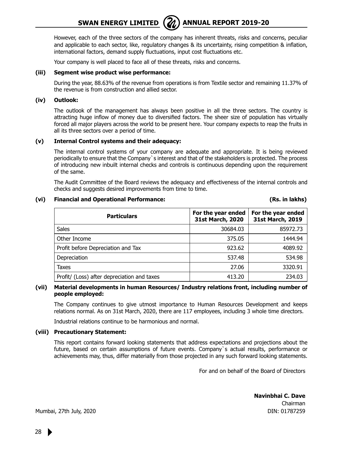However, each of the three sectors of the company has inherent threats, risks and concerns, peculiar and applicable to each sector, like, regulatory changes & its uncertainty, rising competition & inflation, international factors, demand supply fluctuations, input cost fluctuations etc.

Your company is well placed to face all of these threats, risks and concerns.

#### **(iii) Segment wise product wise performance:**

During the year, 88.63% of the revenue from operations is from Textile sector and remaining 11.37% of the revenue is from construction and allied sector.

#### **(iv) Outlook:**

The outlook of the management has always been positive in all the three sectors. The country is attracting huge inflow of money due to diversified factors. The sheer size of population has virtually forced all major players across the world to be present here. Your company expects to reap the fruits in all its three sectors over a period of time.

#### **(v) Internal Control systems and their adequacy:**

The internal control systems of your company are adequate and appropriate. It is being reviewed periodically to ensure that the Company`s interest and that of the stakeholders is protected. The process of introducing new inbuilt internal checks and controls is continuous depending upon the requirement of the same.

The Audit Committee of the Board reviews the adequacy and effectiveness of the internal controls and checks and suggests desired improvements from time to time.

#### **(vi) Financial and Operational Performance: (Rs. in lakhs)**

| <b>Particulars</b>                          | For the year ended<br>31st March, 2020 | For the year ended<br>31st March, 2019 |
|---------------------------------------------|----------------------------------------|----------------------------------------|
| <b>Sales</b>                                | 30684.03                               | 85972.73                               |
| Other Income                                | 375.05                                 | 1444.94                                |
| Profit before Depreciation and Tax          | 923.62                                 | 4089.92                                |
| Depreciation                                | 537.48                                 | 534.98                                 |
| Taxes                                       | 27.06                                  | 3320.91                                |
| Profit/ (Loss) after depreciation and taxes | 413.20                                 | 234.03                                 |

#### **(vii) Material developments in human Resources/ Industry relations front, including number of people employed:**

The Company continues to give utmost importance to Human Resources Development and keeps relations normal. As on 31st March, 2020, there are 117 employees, including 3 whole time directors.

Industrial relations continue to be harmonious and normal.

#### **(viii) Precautionary Statement:**

This report contains forward looking statements that address expectations and projections about the future, based on certain assumptions of future events. Company`s actual results, performance or achievements may, thus, differ materially from those projected in any such forward looking statements.

For and on behalf of the Board of Directors

**Navinbhai C. Dave** Chairman DIN: 01787259

Mumbai, 27th July, 2020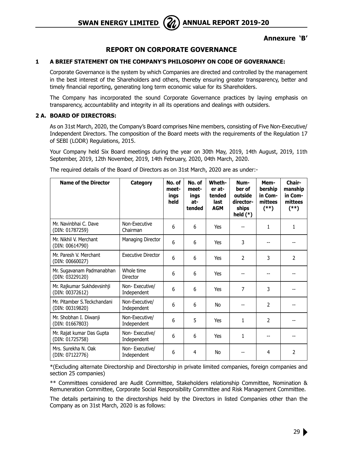

#### **Annexure 'B'**

## **REPORT ON CORPORATE GOVERNANCE**

#### **1 A BRIEF STATEMENT ON THE COMPANY'S PHILOSOPHY ON CODE OF GOVERNANCE:**

Corporate Governance is the system by which Companies are directed and controlled by the management in the best interest of the Shareholders and others, thereby ensuring greater transparency, better and timely financial reporting, generating long term economic value for its Shareholders.

The Company has incorporated the sound Corporate Governance practices by laying emphasis on transparency, accountability and integrity in all its operations and dealings with outsiders.

#### **2 A. BOARD OF DIRECTORS:**

As on 31st March, 2020, the Company's Board comprises Nine members, consisting of Five Non-Executive/ Independent Directors. The composition of the Board meets with the requirements of the Regulation 17 of SEBI (LODR) Regulations, 2015.

Your Company held Six Board meetings during the year on 30th May, 2019, 14th August, 2019, 11th September, 2019, 12th November, 2019, 14th February, 2020, 04th March, 2020.

| <b>Name of the Director</b>                     | Category                      | No. of<br>meet-<br>ings<br>held | No. of<br>meet-<br>ings<br>at-<br>tended | Wheth-<br>er at-<br>tended<br>last<br><b>AGM</b> | Num-<br>ber of<br>outside<br>director-<br>ships<br>held $(*)$ | Mem-<br>bership<br>in Com-<br>mittees<br>(**) | Chair-<br>manship<br>in Com-<br>mittees<br>$^{(*)}$ |
|-------------------------------------------------|-------------------------------|---------------------------------|------------------------------------------|--------------------------------------------------|---------------------------------------------------------------|-----------------------------------------------|-----------------------------------------------------|
| Mr. Navinbhai C. Dave<br>(DIN: 01787259)        | Non-Executive<br>Chairman     | 6                               | 6                                        | Yes                                              |                                                               | $\mathbf{1}$                                  | $\mathbf{1}$                                        |
| Mr. Nikhil V. Merchant<br>(DIN: 00614790)       | Managing Director             | 6                               | 6                                        | Yes                                              | 3                                                             |                                               |                                                     |
| Mr. Paresh V. Merchant<br>(DIN: 00660027)       | <b>Executive Director</b>     | 6                               | 6                                        | Yes                                              | $\overline{2}$                                                | 3                                             | $\overline{2}$                                      |
| Mr. Sugavanam Padmanabhan<br>(DIN: 03229120)    | Whole time<br>Director        | 6                               | 6                                        | Yes                                              |                                                               |                                               |                                                     |
| Mr. Rajkumar Sukhdevsinhji<br>(DIN: 00372612)   | Non-Executive/<br>Independent | 6                               | 6                                        | Yes                                              | 7                                                             | 3                                             |                                                     |
| Mr. Pitamber S. Teckchandani<br>(DIN: 00319820) | Non-Executive/<br>Independent | 6                               | 6                                        | No                                               |                                                               | 2                                             |                                                     |
| Mr. Shobhan I. Diwanji<br>(DIN: 01667803)       | Non-Executive/<br>Independent | 6                               | 5                                        | Yes                                              | 1                                                             | $\overline{2}$                                |                                                     |
| Mr. Rajat kumar Das Gupta<br>(DIN: 01725758)    | Non-Executive/<br>Independent | 6                               | 6                                        | Yes                                              | 1                                                             |                                               |                                                     |
| Mrs. Surekha N. Oak<br>(DIN: 07122776)          | Non-Executive/<br>Independent | 6                               | 4                                        | <b>No</b>                                        |                                                               | 4                                             | 2                                                   |

The required details of the Board of Directors as on 31st March, 2020 are as under:-

\*(Excluding alternate Directorship and Directorship in private limited companies, foreign companies and section 25 companies)

\*\* Committees considered are Audit Committee, Stakeholders relationship Committee, Nomination & Remuneration Committee, Corporate Social Responsibility Committee and Risk Management Committee.

The details pertaining to the directorships held by the Directors in listed Companies other than the Company as on 31st March, 2020 is as follows: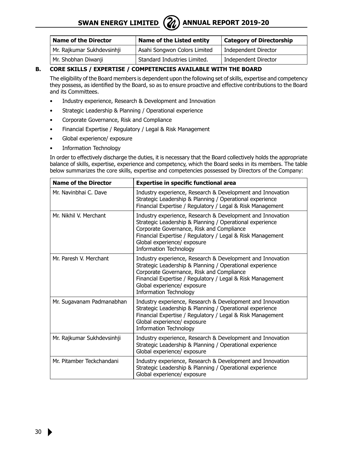## **SWAN ENERGY LIMITED** ( $\mathbb{Z}$ ) ANNUAL REPORT 2019-20



| <b>Name of the Director</b> | Name of the Listed entity    | <b>Category of Directorship</b> |
|-----------------------------|------------------------------|---------------------------------|
| Mr. Rajkumar Sukhdevsinhji  | Asahi Songwon Colors Limited | Independent Director            |
| Mr. Shobhan Diwanii         | Standard Industries Limited. | Independent Director            |

#### **B. CORE SKILLS / EXPERTISE / COMPETENCIES AVAILABLE WITH THE BOARD**

The eligibility of the Board members is dependent upon the following set of skills, expertise and competency they possess, as identified by the Board, so as to ensure proactive and effective contributions to the Board and its Committees.

- Industry experience, Research & Development and Innovation
- Strategic Leadership & Planning / Operational experience
- Corporate Governance, Risk and Compliance
- Financial Expertise / Regulatory / Legal & Risk Management
- Global experience/ exposure
- Information Technology

In order to effectively discharge the duties, it is necessary that the Board collectively holds the appropriate balance of skills, expertise, experience and competency, which the Board seeks in its members. The table below summarizes the core skills, expertise and competencies possessed by Directors of the Company:

| <b>Name of the Director</b> | <b>Expertise in specific functional area</b>                                                                                                                                                                                                                                                      |
|-----------------------------|---------------------------------------------------------------------------------------------------------------------------------------------------------------------------------------------------------------------------------------------------------------------------------------------------|
| Mr. Navinbhai C. Dave       | Industry experience, Research & Development and Innovation<br>Strategic Leadership & Planning / Operational experience<br>Financial Expertise / Regulatory / Legal & Risk Management                                                                                                              |
| Mr. Nikhil V. Merchant      | Industry experience, Research & Development and Innovation<br>Strategic Leadership & Planning / Operational experience<br>Corporate Governance, Risk and Compliance<br>Financial Expertise / Regulatory / Legal & Risk Management<br>Global experience/ exposure<br><b>Information Technology</b> |
| Mr. Paresh V. Merchant      | Industry experience, Research & Development and Innovation<br>Strategic Leadership & Planning / Operational experience<br>Corporate Governance, Risk and Compliance<br>Financial Expertise / Regulatory / Legal & Risk Management<br>Global experience/ exposure<br><b>Information Technology</b> |
| Mr. Sugavanam Padmanabhan   | Industry experience, Research & Development and Innovation<br>Strategic Leadership & Planning / Operational experience<br>Financial Expertise / Regulatory / Legal & Risk Management<br>Global experience/ exposure<br><b>Information Technology</b>                                              |
| Mr. Rajkumar Sukhdevsinhji  | Industry experience, Research & Development and Innovation<br>Strategic Leadership & Planning / Operational experience<br>Global experience/ exposure                                                                                                                                             |
| Mr. Pitamber Teckchandani   | Industry experience, Research & Development and Innovation<br>Strategic Leadership & Planning / Operational experience<br>Global experience/ exposure                                                                                                                                             |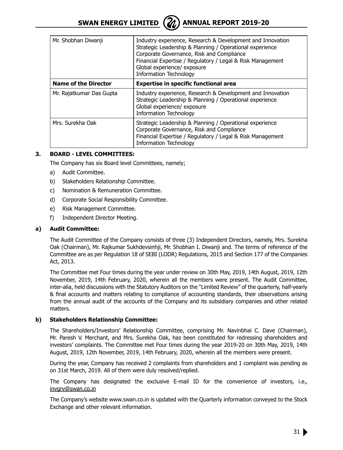

| Mr. Shobhan Diwanji         | Industry experience, Research & Development and Innovation<br>Strategic Leadership & Planning / Operational experience<br>Corporate Governance, Risk and Compliance<br>Financial Expertise / Regulatory / Legal & Risk Management<br>Global experience/ exposure<br><b>Information Technology</b> |
|-----------------------------|---------------------------------------------------------------------------------------------------------------------------------------------------------------------------------------------------------------------------------------------------------------------------------------------------|
| <b>Name of the Director</b> | <b>Expertise in specific functional area</b>                                                                                                                                                                                                                                                      |
| Mr. Rajatkumar Das Gupta    | Industry experience, Research & Development and Innovation<br>Strategic Leadership & Planning / Operational experience<br>Global experience/ exposure<br><b>Information Technology</b>                                                                                                            |
| Mrs. Surekha Oak            | Strategic Leadership & Planning / Operational experience<br>Corporate Governance, Risk and Compliance<br>Financial Expertise / Regulatory / Legal & Risk Management<br><b>Information Technology</b>                                                                                              |

#### **3. BOARD - LEVEL COMMITTEES:**

The Company has six Board level Committees, namely;

- a) Audit Committee.
- b) Stakeholders Relationship Committee.
- c) Nomination & Remuneration Committee.
- d) Corporate Social Responsibility Committee.
- e) Risk Management Committee.
- f) Independent Director Meeting.

#### **a) Audit Committee:**

The Audit Committee of the Company consists of three (3) Independent Directors, namely, Mrs. Surekha Oak (Chairman), Mr. Rajkumar Sukhdevsinhji, Mr. Shobhan I. Diwanji and. The terms of reference of the Committee are as per Regulation 18 of SEBI (LODR) Regulations, 2015 and Section 177 of the Companies Act, 2013.

The Committee met Four times during the year under review on 30th May, 2019, 14th August, 2019, 12th November, 2019, 14th February, 2020, wherein all the members were present. The Audit Committee, inter-alia, held discussions with the Statutory Auditors on the "Limited Review" of the quarterly, half-yearly & final accounts and matters relating to compliance of accounting standards, their observations arising from the annual audit of the accounts of the Company and its subsidiary companies and other related matters.

#### **b) Stakeholders Relationship Committee:**

The Shareholders/Investors' Relationship Committee, comprising Mr. Navinbhai C. Dave (Chairman), Mr. Paresh V. Merchant, and Mrs. Surekha Oak, has been constituted for redressing shareholders and investors' complaints. The Committee met Four times during the year 2019-20 on 30th May, 2019, 14th August, 2019, 12th November, 2019, 14th February, 2020, wherein all the members were present.

During the year, Company has received 2 complaints from shareholders and 1 complaint was pending as on 31st March, 2019. All of them were duly resolved/replied.

The Company has designated the exclusive E-mail ID for the convenience of investors, i.e., invgrv@swan.co.in

The Company's website www.swan.co.in is updated with the Quarterly information conveyed to the Stock Exchange and other relevant information.

31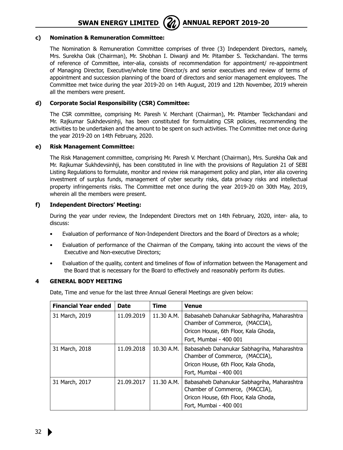

#### **c) Nomination & Remuneration Committee:**

The Nomination & Remuneration Committee comprises of three (3) Independent Directors, namely, Mrs. Surekha Oak (Chairman), Mr. Shobhan I. Diwanji and Mr. Pitamber S. Teckchandani. The terms of reference of Committee, inter-alia, consists of recommendation for appointment/ re-appointment of Managing Director, Executive/whole time Director/s and senior executives and review of terms of appointment and succession planning of the board of directors and senior management employees. The Committee met twice during the year 2019-20 on 14th August, 2019 and 12th November, 2019 wherein all the members were present.

#### **d) Corporate Social Responsibility (CSR) Committee:**

The CSR committee, comprising Mr. Paresh V. Merchant (Chairman), Mr. Pitamber Teckchandani and Mr. Rajkumar Sukhdevsinhji, has been constituted for formulating CSR policies, recommending the activities to be undertaken and the amount to be spent on such activities. The Committee met once during the year 2019-20 on 14th February, 2020.

#### **e) Risk Management Committee:**

The Risk Management committee, comprising Mr. Paresh V. Merchant (Chairman), Mrs. Surekha Oak and Mr. Rajkumar Sukhdevsinhji, has been constituted in line with the provisions of Regulation 21 of SEBI Listing Regulations to formulate, monitor and review risk management policy and plan, inter alia covering investment of surplus funds, management of cyber security risks, data privacy risks and intellectual property infringements risks. The Committee met once during the year 2019-20 on 30th May, 2019, wherein all the members were present.

#### **f) Independent Directors' Meeting:**

During the year under review, the Independent Directors met on 14th February, 2020, inter- alia, to discuss:

- Evaluation of performance of Non-Independent Directors and the Board of Directors as a whole;
- Evaluation of performance of the Chairman of the Company, taking into account the views of the Executive and Non-executive Directors;
- Evaluation of the quality, content and timelines of flow of information between the Management and the Board that is necessary for the Board to effectively and reasonably perform its duties.

#### **4 GENERAL BODY MEETING**

Date, Time and venue for the last three Annual General Meetings are given below:

| <b>Financial Year ended</b> | Date       | Time       | <b>Venue</b>                                                                                                                                    |
|-----------------------------|------------|------------|-------------------------------------------------------------------------------------------------------------------------------------------------|
| 31 March, 2019              | 11.09.2019 | 11.30 A.M. | Babasaheb Dahanukar Sabhagriha, Maharashtra<br>Chamber of Commerce, (MACCIA),<br>Oricon House, 6th Floor, Kala Ghoda,<br>Fort, Mumbai - 400 001 |
| 31 March, 2018              | 11.09.2018 | 10.30 A.M. | Babasaheb Dahanukar Sabhagriha, Maharashtra<br>Chamber of Commerce, (MACCIA),<br>Oricon House, 6th Floor, Kala Ghoda,<br>Fort, Mumbai - 400 001 |
| 31 March, 2017              | 21.09.2017 | 11.30 A.M. | Babasaheb Dahanukar Sabhagriha, Maharashtra<br>Chamber of Commerce, (MACCIA),<br>Oricon House, 6th Floor, Kala Ghoda,<br>Fort, Mumbai - 400 001 |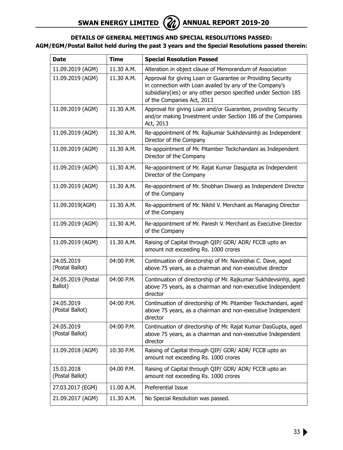### **DETAILS OF GENERAL MEETINGS AND SPECIAL RESOLUTIONS PASSED: AGM/EGM/Postal Ballot held during the past 3 years and the Special Resolutions passed therein:**

| Date                          | <b>Time</b> | <b>Special Resolution Passed</b>                                                                                                                                                                                        |  |
|-------------------------------|-------------|-------------------------------------------------------------------------------------------------------------------------------------------------------------------------------------------------------------------------|--|
| 11.09.2019 (AGM)              | 11.30 A.M.  | Alteration in object clause of Memorandum of Association                                                                                                                                                                |  |
| 11.09.2019 (AGM)              | 11.30 A.M.  | Approval for giving Loan or Guarantee or Providing Security<br>in connection with Loan availed by any of the Company's<br>subsidiary(ies) or any other person specified under Section 185<br>of the Companies Act, 2013 |  |
| 11.09.2019 (AGM)              | 11.30 A.M.  | Approval for giving Loan and/or Guarantee, providing Security<br>and/or making Investment under Section 186 of the Companies<br>Act, 2013                                                                               |  |
| 11.09.2019 (AGM)              | 11.30 A.M.  | Re-appointment of Mr. Rajkumar Sukhdevsinhji as Independent<br>Director of the Company                                                                                                                                  |  |
| 11.09.2019 (AGM)              | 11.30 A.M.  | Re-appointment of Mr. Pitamber Teckchandani as Independent<br>Director of the Company                                                                                                                                   |  |
| 11.09.2019 (AGM)              | 11.30 A.M.  | Re-appointment of Mr. Rajat Kumar Dasgupta as Independent<br>Director of the Company                                                                                                                                    |  |
| 11.09.2019 (AGM)              | 11.30 A.M.  | Re-appointment of Mr. Shobhan Diwanji as Independent Director<br>of the Company                                                                                                                                         |  |
| 11.09.2019(AGM)               | 11.30 A.M.  | Re-appointment of Mr. Nikhil V. Merchant as Managing Director<br>of the Company                                                                                                                                         |  |
| 11.09.2019 (AGM)              | 11.30 A.M.  | Re-appointment of Mr. Paresh V. Merchant as Executive Director<br>of the Company                                                                                                                                        |  |
| 11.09.2019 (AGM)              | 11.30 A.M.  | Raising of Capital through QIP/ GDR/ ADR/ FCCB upto an<br>amount not exceeding Rs. 1000 crores                                                                                                                          |  |
| 24.05.2019<br>(Postal Ballot) | 04:00 P.M.  | Continuation of directorship of Mr. Navinbhai C. Dave, aged<br>above 75 years, as a chairman and non-executive director                                                                                                 |  |
| 24.05.2019 (Postal<br>Ballot) | 04:00 P.M.  | Continuation of directorship of Mr. Rajkumar Sukhdevsinhji, aged<br>above 75 years, as a chairman and non-executive Independent<br>director                                                                             |  |
| 24.05.2019<br>(Postal Ballot) | 04:00 P.M.  | Continuation of directorship of Mr. Pitamber Teckchandani, aged<br>above 75 years, as a chairman and non-executive Independent<br>director                                                                              |  |
| 24.05.2019<br>(Postal Ballot) | 04:00 P.M.  | Continuation of directorship of Mr. Rajat Kumar DasGupta, aged<br>above 75 years, as a chairman and non-executive Independent<br>director                                                                               |  |
| 11.09.2018 (AGM)              | 10:30 P.M.  | Raising of Capital through QIP/ GDR/ ADR/ FCCB upto an<br>amount not exceeding Rs. 1000 crores                                                                                                                          |  |
| 15.03.2018<br>(Postal Ballot) | 04.00 P.M.  | Raising of Capital through QIP/ GDR/ ADR/ FCCB upto an<br>amount not exceeding Rs. 1000 crores                                                                                                                          |  |
| 27.03.2017 (EGM)              | 11.00 A.M.  | Preferential Issue                                                                                                                                                                                                      |  |
| 21.09.2017 (AGM)              | 11.30 A.M.  | No Special Resolution was passed.                                                                                                                                                                                       |  |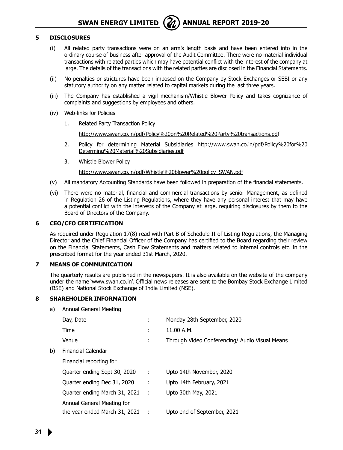

#### **5 DISCLOSURES**

- (i) All related party transactions were on an arm's length basis and have been entered into in the ordinary course of business after approval of the Audit Committee. There were no material individual transactions with related parties which may have potential conflict with the interest of the company at large. The details of the transactions with the related parties are disclosed in the Financial Statements.
- (ii) No penalties or strictures have been imposed on the Company by Stock Exchanges or SEBI or any statutory authority on any matter related to capital markets during the last three years.
- (iii) The Company has established a vigil mechanism/Whistle Blower Policy and takes cognizance of complaints and suggestions by employees and others.
- (iv) Web-links for Policies
	- 1. Related Party Transaction Policy

http://www.swan.co.in/pdf/Policy%20on%20Related%20Party%20transactions.pdf

- 2. Policy for determining Material Subsidiaries http://www.swan.co.in/pdf/Policy%20for%20 Determing%20Material%20Subsidiaries.pdf
- 3. Whistle Blower Policy

http://www.swan.co.in/pdf/Whistle%20blower%20policy\_SWAN.pdf

- (v) All mandatory Accounting Standards have been followed in preparation of the financial statements.
- (vi) There were no material, financial and commercial transactions by senior Management, as defined in Regulation 26 of the Listing Regulations, where they have any personal interest that may have a potential conflict with the interests of the Company at large, requiring disclosures by them to the Board of Directors of the Company.

#### **6 CEO/CFO CERTIFICATION**

As required under Regulation 17(8) read with Part B of Schedule II of Listing Regulations, the Managing Director and the Chief Financial Officer of the Company has certified to the Board regarding their review on the Financial Statements, Cash Flow Statements and matters related to internal controls etc. in the prescribed format for the year ended 31st March, 2020.

#### **7 MEANS OF COMMUNICATION**

The quarterly results are published in the newspapers. It is also available on the website of the company under the name 'www.swan.co.in'. Official news releases are sent to the Bombay Stock Exchange Limited (BSE) and National Stock Exchange of India Limited (NSE).

#### **8 SHAREHOLDER INFORMATION**

a) Annual General Meeting

|    | Day, Date                         | ÷         | Monday 28th September, 2020                    |
|----|-----------------------------------|-----------|------------------------------------------------|
|    |                                   |           |                                                |
|    | Time                              | t.        | 11.00 A.M.                                     |
|    | Venue                             | ٠<br>×.   | Through Video Conferencing/ Audio Visual Means |
| b) | Financial Calendar                |           |                                                |
|    | Financial reporting for           |           |                                                |
|    | Quarter ending Sept 30, 2020      | ÷         | Upto 14th November, 2020                       |
|    | Quarter ending Dec 31, 2020       | ÷         | Upto 14th February, 2021                       |
|    | Ouarter ending March 31, 2021     | $\sim$ 1. | Upto 30th May, 2021                            |
|    | Annual General Meeting for        |           |                                                |
|    | the year ended March $31, 2021$ : |           | Upto end of September, 2021                    |
|    |                                   |           |                                                |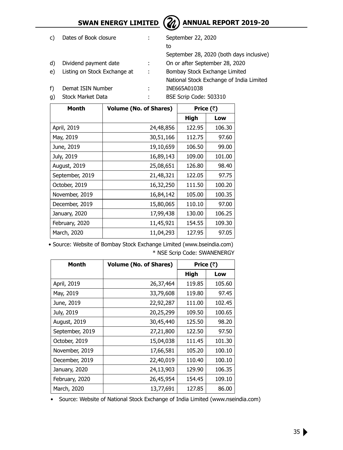

# **SWAN ENERGY LIMITED**  $\left(\frac{2}{2}\right)$  **ANNUAL REPORT 2019-20**

|    | Dates of Book closure        |     | September 22, 2020                       |
|----|------------------------------|-----|------------------------------------------|
|    |                              |     | to                                       |
|    |                              |     | September 28, 2020 (both days inclusive) |
| d) | Dividend payment date        | ÷.  | On or after September 28, 2020           |
| e) | Listing on Stock Exchange at | - 1 | Bombay Stock Exchange Limited            |
|    |                              |     | National Stock Exchange of India Limited |
|    | Demat ISIN Number            |     | INE665A01038                             |
|    | <b>Stock Market Data</b>     |     | BSE Scrip Code: 503310                   |
|    |                              |     |                                          |

| Month           | <b>Volume (No. of Shares)</b> | Price (₹) |        |
|-----------------|-------------------------------|-----------|--------|
|                 |                               | High      | Low    |
| April, 2019     | 24,48,856                     | 122.95    | 106.30 |
| May, 2019       | 30,51,166                     | 112.75    | 97.60  |
| June, 2019      | 19,10,659                     | 106.50    | 99.00  |
| July, 2019      | 16,89,143                     | 109.00    | 101.00 |
| August, 2019    | 25,08,651                     | 126.80    | 98.40  |
| September, 2019 | 21,48,321                     | 122.05    | 97.75  |
| October, 2019   | 16,32,250                     | 111.50    | 100.20 |
| November, 2019  | 16,84,142                     | 105.00    | 100.35 |
| December, 2019  | 15,80,065                     | 110.10    | 97.00  |
| January, 2020   | 17,99,438                     | 130.00    | 106.25 |
| February, 2020  | 11,45,921                     | 154.55    | 109.30 |
| March, 2020     | 11,04,293                     | 127.95    | 97.05  |

• Source: Website of Bombay Stock Exchange Limited (www.bseindia.com) \* NSE Scrip Code: SWANENERGY

| Month           | <b>Volume (No. of Shares)</b> | Price (₹) |        |
|-----------------|-------------------------------|-----------|--------|
|                 |                               | High      | Low    |
| April, 2019     | 26,37,464                     | 119.85    | 105.60 |
| May, 2019       | 33,79,608                     | 119.80    | 97.45  |
| June, 2019      | 22,92,287                     | 111.00    | 102.45 |
| July, 2019      | 20,25,299                     | 109.50    | 100.65 |
| August, 2019    | 30,45,440                     | 125.50    | 98.20  |
| September, 2019 | 27,21,800                     | 122.50    | 97.50  |
| October, 2019   | 15,04,038                     | 111.45    | 101.30 |
| November, 2019  | 17,66,581                     | 105.20    | 100.10 |
| December, 2019  | 22,40,019                     | 110.40    | 100.10 |
| January, 2020   | 24,13,903                     | 129.90    | 106.35 |
| February, 2020  | 26,45,954                     | 154.45    | 109.10 |
| March, 2020     | 13,77,691                     | 127.85    | 86.00  |

• Source: Website of National Stock Exchange of India Limited (www.nseindia.com)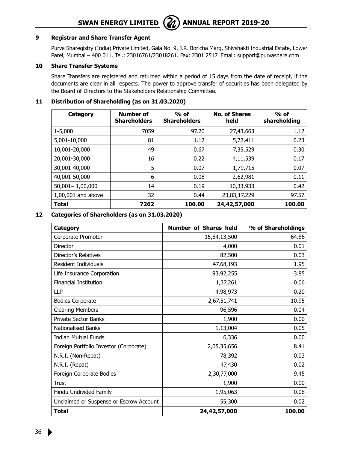## **SWAN ENERGY LIMITED** ( $\mathcal{Z}_\lambda$ ) ANNUAL REPORT 2019-20



#### **9 Registrar and Share Transfer Agent**

Purva Sharegistry (India) Private Limited, Gala No. 9, J.R. Boricha Marg, Shivshakti Industrial Estate, Lower Parel, Mumbai - 400 011. Tel.: 23016761/23018261. Fax: 2301 2517. Email: support@purvashare.com

#### **10 Share Transfer Systems**

Share Transfers are registered and returned within a period of 15 days from the date of receipt, if the documents are clear in all respects. The power to approve transfer of securities has been delegated by the Board of Directors to the Stakeholders Relationship Committee.

### **11 Distribution of Shareholding (as on 31.03.2020)**

| Category            | <b>Number of</b><br><b>Shareholders</b> | $%$ of<br><b>Shareholders</b> | <b>No. of Shares</b><br>held | $%$ of<br>shareholding |
|---------------------|-----------------------------------------|-------------------------------|------------------------------|------------------------|
| 1-5,000             | 7059                                    | 97.20                         | 27,43,663                    | 1.12                   |
| 5,001-10,000        | 81                                      | 1.12                          | 5,72,411                     | 0.23                   |
| 10,001-20,000       | 49                                      | 0.67                          | 7,35,529                     | 0.30                   |
| 20,001-30,000       | 16                                      | 0.22                          | 4,11,539                     | 0.17                   |
| 30,001-40,000       | 5                                       | 0.07                          | 1,79,715                     | 0.07                   |
| 40,001-50,000       | 6                                       | 0.08                          | 2,62,981                     | 0.11                   |
| $50,001 - 1,00,000$ | 14                                      | 0.19                          | 10,33,933                    | 0.42                   |
| 1,00,001 and above  | 32                                      | 0.44                          | 23,83,17,229                 | 97.57                  |
| <b>Total</b>        | 7262                                    | 100.00                        | 24,42,57,000                 | 100.00                 |

#### **12 Categories of Shareholders (as on 31.03.2020)**

| Category                                | Number of Shares held | % of Shareholdings |
|-----------------------------------------|-----------------------|--------------------|
| Corporate Promoter                      | 15,84,13,500          | 64.86              |
| Director                                | 4,000                 | 0.01               |
| Director's Relatives                    | 82,500                | 0.03               |
| Resident Individuals                    | 47,68,193             | 1.95               |
| Life Insurance Corporation              | 93,92,255             | 3.85               |
| <b>Financial Institution</b>            | 1,37,261              | 0.06               |
| LLP                                     | 4,98,973              | 0.20               |
| <b>Bodies Corporate</b>                 | 2,67,51,741           | 10.95              |
| <b>Clearing Members</b>                 | 96,596                | 0.04               |
| <b>Private Sector Banks</b>             | 1,900                 | 0.00               |
| <b>Nationalised Banks</b>               | 1,13,004              | 0.05               |
| <b>Indian Mutual Funds</b>              | 6,336                 | 0.00               |
| Foreign Portfolio Investor (Corporate)  | 2,05,35,656           | 8.41               |
| N.R.I. (Non-Repat)                      | 78,392                | 0.03               |
| N.R.I. (Repat)                          | 47,430                | 0.02               |
| Foreign Corporate Bodies                | 2,30,77,000           | 9.45               |
| Trust                                   | 1,900                 | 0.00               |
| Hindu Undivided Family                  | 1,95,063              | 0.08               |
| Unclaimed or Suspense or Escrow Account | 55,300                | 0.02               |
| <b>Total</b>                            | 24,42,57,000          | 100.00             |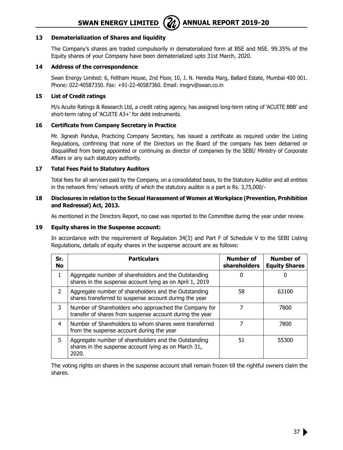

#### **13 Dematerialization of Shares and liquidity**

The Company's shares are traded compulsorily in dematerialized form at BSE and NSE. 99.35% of the Equity shares of your Company have been dematerialized upto 31st March, 2020.

#### **14 Address of the correspondence**

Swan Energy Limited: 6, Feltham House, 2nd Floor, 10, J. N. Heredia Marg, Ballard Estate, Mumbai 400 001. Phone: 022-40587350. Fax: +91-22-40587360. Email: invgrv@swan.co.in

#### **15 List of Credit ratings**

M/s Acuite Ratings & Research Ltd, a credit rating agency, has assigned long-term rating of 'ACUITE BBB' and short-term rating of 'ACUITE A3+' for debt instruments.

#### **16 Certificate from Company Secretary in Practice**

Mr. Jignesh Pandya, Practicing Company Secretary, has issued a certificate as required under the Listing Regulations, confirming that none of the Directors on the Board of the company has been debarred or disqualified from being appointed or continuing as director of companies by the SEBI/ Ministry of Corporate Affairs or any such statutory authority.

#### **17 Total Fees Paid to Statutory Auditors**

 Total fees for all services paid by the Company, on a consolidated basis, to the Statutory Auditor and all entities in the network firm/ network entity of which the statutory auditor is a part is Rs. 3,75,000/-

#### **18 Disclosures in relation to the Sexual Harassment of Women at Workplace (Prevention, Prohibition and Redressal) Act, 2013.**

As mentioned in the Directors Report, no case was reported to the Committee during the year under review.

#### **19 Equity shares in the Suspense account:**

In accordance with the requirement of Regulation 34(3) and Part F of Schedule V to the SEBI Listing Regulations, details of equity shares in the suspense account are as follows:

| Sr.<br>No     | <b>Particulars</b>                                                                                                    | Number of<br>shareholders | <b>Number of</b><br><b>Equity Shares</b> |
|---------------|-----------------------------------------------------------------------------------------------------------------------|---------------------------|------------------------------------------|
| $\mathbf{1}$  | Aggregate number of shareholders and the Outstanding<br>shares in the suspense account lying as on April 1, 2019      |                           |                                          |
| $\mathcal{P}$ | Aggregate number of shareholders and the Outstanding<br>shares transferred to suspense account during the year        | 58                        | 63100                                    |
| 3             | Number of Shareholders who approached the Company for<br>transfer of shares from suspense account during the year     |                           | 7800                                     |
| 4             | Number of Shareholders to whom shares were transferred<br>from the suspense account during the year                   | 7                         | 7800                                     |
| 5             | Aggregate number of shareholders and the Outstanding<br>shares in the suspense account lying as on March 31,<br>2020. | 51                        | 55300                                    |

The voting rights on shares in the suspense account shall remain frozen till the rightful owners claim the shares.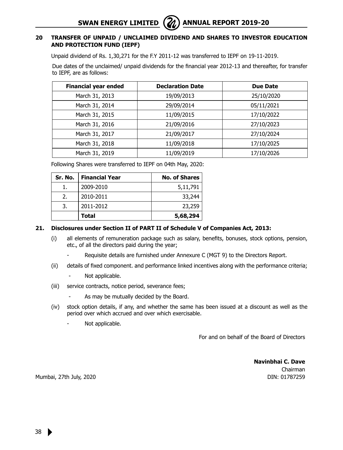#### **20 TRANSFER OF UNPAID / UNCLAIMED DIVIDEND AND SHARES TO INVESTOR EDUCATION AND PROTECTION FUND (IEPF)**

Unpaid dividend of Rs. 1,30,271 for the F.Y 2011-12 was transferred to IEPF on 19-11-2019.

Due dates of the unclaimed/ unpaid dividends for the financial year 2012-13 and thereafter, for transfer to IEPF, are as follows:

| <b>Financial year ended</b> | <b>Declaration Date</b> | <b>Due Date</b> |
|-----------------------------|-------------------------|-----------------|
| March 31, 2013              | 19/09/2013              | 25/10/2020      |
| March 31, 2014              | 29/09/2014              | 05/11/2021      |
| March 31, 2015              | 11/09/2015              | 17/10/2022      |
| March 31, 2016              | 21/09/2016              | 27/10/2023      |
| March 31, 2017              | 21/09/2017              | 27/10/2024      |
| March 31, 2018              | 11/09/2018              | 17/10/2025      |
| March 31, 2019              | 11/09/2019              | 17/10/2026      |

Following Shares were transferred to IEPF on 04th May, 2020:

| Sr. No. | <b>Financial Year</b> | <b>No. of Shares</b> |
|---------|-----------------------|----------------------|
|         | 2009-2010             | 5,11,791             |
| 2.      | 2010-2011             | 33,244               |
| 3.      | 2011-2012             | 23,259               |
|         | Total                 | 5,68,294             |

#### **21. Disclosures under Section II of PART II of Schedule V of Companies Act, 2013:**

- (i) all elements of remuneration package such as salary, benefits, bonuses, stock options, pension, etc., of all the directors paid during the year;
	- Requisite details are furnished under Annexure C (MGT 9) to the Directors Report.
- (ii) details of fixed component. and performance linked incentives along with the performance criteria;
	- Not applicable.
- (iii) service contracts, notice period, severance fees;
	- As may be mutually decided by the Board.
- (iv) stock option details, if any, and whether the same has been issued at a discount as well as the period over which accrued and over which exercisable.
	- Not applicable.

For and on behalf of the Board of Directors

**Navinbhai C. Dave** Chairman DIN: 01787259

Mumbai, 27th July, 2020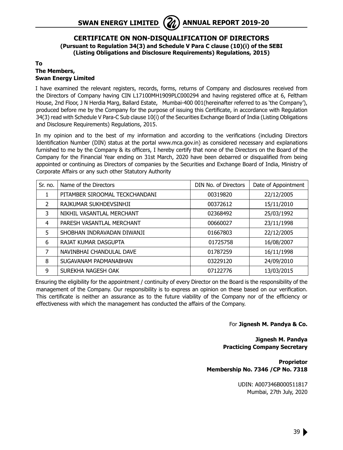#### **CERTIFICATE ON NON-DISQUALIFICATION OF DIRECTORS (Pursuant to Regulation 34(3) and Schedule V Para C clause (10)(i) of the SEBI (Listing Obligations and Disclosure Requirements) Regulations, 2015)**

#### **To The Members, Swan Energy Limited**

I have examined the relevant registers, records, forms, returns of Company and disclosures received from the Directors of Company having CIN L17100MH1909PLC000294 and having registered office at 6, Feltham House, 2nd Floor, J N Herdia Marg, Ballard Estate, Mumbai-400 001(hereinafter referred to as 'the Company'), produced before me by the Company for the purpose of issuing this Certificate, in accordance with Regulation 34(3) read with Schedule V Para-C Sub clause 10(i) of the Securities Exchange Board of India (Listing Obligations and Disclosure Requirements) Regulations, 2015.

In my opinion and to the best of my information and according to the verifications (including Directors Identification Number (DIN) status at the portal www.mca.gov.in) as considered necessary and explanations furnished to me by the Company & its officers, I hereby certify that none of the Directors on the Board of the Company for the Financial Year ending on 31st March, 2020 have been debarred or disqualified from being appointed or continuing as Directors of companies by the Securities and Exchange Board of India, Ministry of Corporate Affairs or any such other Statutory Authority

| Sr. no. | Name of the Directors          | DIN No. of Directors | Date of Appointment |
|---------|--------------------------------|----------------------|---------------------|
|         | PITAMBER SIROOMAL TECKCHANDANI | 00319820             | 22/12/2005          |
| 2       | RAJKUMAR SUKHDEVSINHJI         | 00372612             | 15/11/2010          |
| 3       | NIKHIL VASANTLAL MERCHANT      | 02368492             | 25/03/1992          |
| 4       | PARESH VASANTLAL MERCHANT      | 00660027             | 23/11/1998          |
| 5       | SHOBHAN INDRAVADAN DIWANJI     | 01667803             | 22/12/2005          |
| 6       | RAJAT KUMAR DASGUPTA           | 01725758             | 16/08/2007          |
| 7       | NAVINBHAI CHANDULAL DAVE       | 01787259             | 16/11/1998          |
| 8       | SUGAVANAM PADMANABHAN          | 03229120             | 24/09/2010          |
| 9       | SUREKHA NAGESH OAK             | 07122776             | 13/03/2015          |

Ensuring the eligibility for the appointment / continuity of every Director on the Board is the responsibility of the management of the Company. Our responsibility is to express an opinion on these based on our verification. This certificate is neither an assurance as to the future viability of the Company nor of the efficiency or effectiveness with which the management has conducted the affairs of the Company.

#### For **Jignesh M. Pandya & Co.**

**Jignesh M. Pandya Practicing Company Secretary**

**Proprietor Membership No. 7346 /CP No. 7318**

> UDIN: A007346B000511817 Mumbai, 27th July, 2020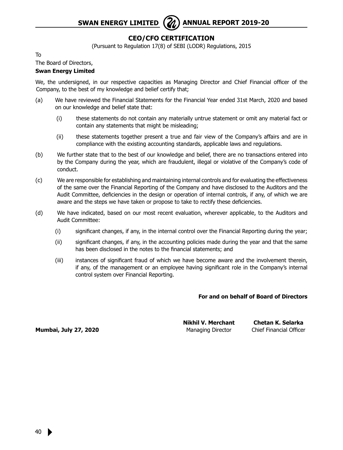#### **CEO/CFO CERTIFICATION**

(Pursuant to Regulation 17(8) of SEBI (LODR) Regulations, 2015

To

#### The Board of Directors,

#### **Swan Energy Limited**

We, the undersigned, in our respective capacities as Managing Director and Chief Financial officer of the Company, to the best of my knowledge and belief certify that;

- (a) We have reviewed the Financial Statements for the Financial Year ended 31st March, 2020 and based on our knowledge and belief state that:
	- (i) these statements do not contain any materially untrue statement or omit any material fact or contain any statements that might be misleading;
	- (ii) these statements together present a true and fair view of the Company's affairs and are in compliance with the existing accounting standards, applicable laws and regulations.
- (b) We further state that to the best of our knowledge and belief, there are no transactions entered into by the Company during the year, which are fraudulent, illegal or violative of the Company's code of conduct.
- (c) We are responsible for establishing and maintaining internal controls and for evaluating the effectiveness of the same over the Financial Reporting of the Company and have disclosed to the Auditors and the Audit Committee, deficiencies in the design or operation of internal controls, if any, of which we are aware and the steps we have taken or propose to take to rectify these deficiencies.
- (d) We have indicated, based on our most recent evaluation, wherever applicable, to the Auditors and Audit Committee:
	- (i) significant changes, if any, in the internal control over the Financial Reporting during the year;
	- (ii) significant changes, if any, in the accounting policies made during the year and that the same has been disclosed in the notes to the financial statements; and
	- (iii) instances of significant fraud of which we have become aware and the involvement therein, if any, of the management or an employee having significant role in the Company's internal control system over Financial Reporting.

#### **For and on behalf of Board of Directors**

**Mumbai, July 27, 2020 Managing Director** Chief Financial Officer

 **Nikhil V. Merchant Chetan K. Selarka**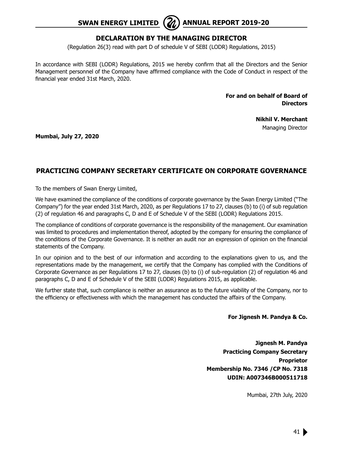#### **DECLARATION BY THE MANAGING DIRECTOR**

(Regulation 26(3) read with part D of schedule V of SEBI (LODR) Regulations, 2015)

In accordance with SEBI (LODR) Regulations, 2015 we hereby confirm that all the Directors and the Senior Management personnel of the Company have affirmed compliance with the Code of Conduct in respect of the financial year ended 31st March, 2020.

> **For and on behalf of Board of Directors**

> > **Nikhil V. Merchant** Managing Director

**Mumbai, July 27, 2020**

#### **Practicing Company Secretary Certificate on Corporate Governance**

To the members of Swan Energy Limited,

We have examined the compliance of the conditions of corporate governance by the Swan Energy Limited ("The Company") for the year ended 31st March, 2020, as per Regulations 17 to 27, clauses (b) to (i) of sub regulation (2) of regulation 46 and paragraphs C, D and E of Schedule V of the SEBI (LODR) Regulations 2015.

The compliance of conditions of corporate governance is the responsibility of the management. Our examination was limited to procedures and implementation thereof, adopted by the company for ensuring the compliance of the conditions of the Corporate Governance. It is neither an audit nor an expression of opinion on the financial statements of the Company.

In our opinion and to the best of our information and according to the explanations given to us, and the representations made by the management, we certify that the Company has complied with the Conditions of Corporate Governance as per Regulations 17 to 27, clauses (b) to (i) of sub-regulation (2) of regulation 46 and paragraphs C, D and E of Schedule V of the SEBI (LODR) Regulations 2015, as applicable.

We further state that, such compliance is neither an assurance as to the future viability of the Company, nor to the efficiency or effectiveness with which the management has conducted the affairs of the Company.

**For Jignesh M. Pandya & Co.**

**Jignesh M. Pandya Practicing Company Secretary Proprietor Membership No. 7346 /CP No. 7318 UDIN: A007346B000511718**

Mumbai, 27th July, 2020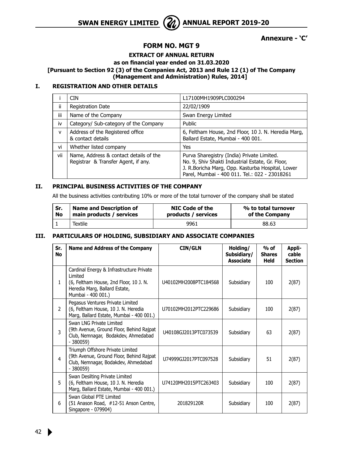**SWAN ENERGY LIMITED** ( $\mathcal{Z}_\lambda$ ) ANNUAL REPORT 2019-20



**Annexure - 'C'**

#### **FORM NO. MGT 9**

**EXTRACT OF ANNUAL RETURN**

#### **as on financial year ended on 31.03.2020**

**[Pursuant to Section 92 (3) of the Companies Act, 2013 and Rule 12 (1) of The Company (Management and Administration) Rules, 2014]**

#### **I. REGISTRATION AND OTHER DETAILS**

|       | <b>CIN</b>                                                                    | L17100MH1909PLC000294                                                                                                                                                                               |
|-------|-------------------------------------------------------------------------------|-----------------------------------------------------------------------------------------------------------------------------------------------------------------------------------------------------|
| ii    | Registration Date                                                             | 22/02/1909                                                                                                                                                                                          |
| <br>Ш | Name of the Company                                                           | Swan Energy Limited                                                                                                                                                                                 |
| iv    | Category/ Sub-category of the Company                                         | Public                                                                                                                                                                                              |
| v     | Address of the Registered office<br>& contact details                         | 6, Feltham House, 2nd Floor, 10 J. N. Heredia Marg,<br>Ballard Estate, Mumbai - 400 001.                                                                                                            |
| vi    | Whether listed company                                                        | Yes                                                                                                                                                                                                 |
| vii   | Name, Address & contact details of the<br>Registrar & Transfer Agent, if any. | Purva Sharegistry (India) Private Limited.<br>No. 9, Shiv Shakti Industrial Estate, Gr. Floor,<br>J. R.Boricha Marg, Opp. Kasturba Hospital, Lower<br>Parel, Mumbai - 400 011. Tel.: 022 - 23018261 |

#### **II. PRINCIPAL BUSINESS ACTIVITIES OF THE COMPANY**

All the business activities contributing 10% or more of the total turnover of the company shall be stated

| Sr.       | <b>Name and Description of</b> | NIC Code of the     | % to total turnover |
|-----------|--------------------------------|---------------------|---------------------|
| <b>No</b> | main products / services       | products / services | of the Company      |
|           | Textile                        | 9961                | 88.63               |

#### **III. PARTICULARS OF HOLDING, SUBSIDIARY AND ASSOCIATE COMPANIES**

| Sr.<br><b>No</b> | <b>Name and Address of the Company</b>                                                                                                                | <b>CIN/GLN</b>        | Holding/<br>Subsidiary/<br><b>Associate</b> | $%$ of<br><b>Shares</b><br><b>Held</b> | Appli-<br>cable<br><b>Section</b> |
|------------------|-------------------------------------------------------------------------------------------------------------------------------------------------------|-----------------------|---------------------------------------------|----------------------------------------|-----------------------------------|
| 1                | Cardinal Energy & Infrastructure Private<br>I imited<br>(6, Feltham House, 2nd Floor, 10 J. N.<br>Heredia Marg, Ballard Estate,<br>Mumbai - 400 001.) | U40102MH2008PTC184568 | Subsidiary                                  | 100                                    | 2(87)                             |
| $\mathcal{P}$    | Pegasus Ventures Private Limited<br>(6, Feltham House, 10 J. N. Heredia<br>Marg, Ballard Estate, Mumbai - 400 001.)                                   | U70102MH2012PTC229686 | Subsidiary                                  | 100                                    | 2(87)                             |
| 3                | Swan I NG Private Limited<br>(9th Avenue, Ground Floor, Behind Rajpat<br>Club, Nemnagar, Bodakdev, Ahmedabad<br>$-380059$                             | U40108GJ2013PTC073539 | Subsidiary                                  | 63                                     | 2(87)                             |
| 4                | Triumph Offshore Private Limited<br>(9th Avenue, Ground Floor, Behind Rajpat<br>Club, Nemnagar, Bodakdev, Ahmedabad<br>$-380059$                      | U74999GJ2017PTC097528 | Subsidiary                                  | 51                                     | 2(87)                             |
| 5                | Swan Desilting Private Limited<br>(6, Feltham House, 10 J. N. Heredia<br>Marg, Ballard Estate, Mumbai - 400 001.)                                     | U74120MH2015PTC263403 | Subsidiary                                  | 100                                    | 2(87)                             |
| 6                | Swan Global PTE Limited<br>(51 Anason Road, #12-51 Anson Centre,<br>Singapore - 079904)                                                               | 201829120R            | Subsidiary                                  | 100                                    | 2(87)                             |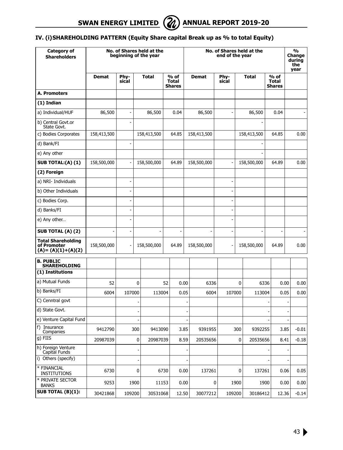**SWAN ENERGY LIMITED**  $\left(\mathcal{U}\right)$  **ANNUAL REPORT 2019-20** 



#### **IV. (i)SHAREHOLDING PATTERN (Equity Share capital Break up as % to total Equity)**

| Category of<br><b>Shareholders</b>                                |             |                          |      | No. of Shares held at the<br>beginning of the year |      |                                       | No. of Shares held at the<br>end of the year |   |                |      | %<br>Change<br>during<br>the<br>year |  |                                |         |
|-------------------------------------------------------------------|-------------|--------------------------|------|----------------------------------------------------|------|---------------------------------------|----------------------------------------------|---|----------------|------|--------------------------------------|--|--------------------------------|---------|
|                                                                   | Demat       | Phy-<br>sical            |      | Total                                              |      | % of<br><b>Total</b><br><b>Shares</b> | <b>Demat</b>                                 |   | Phy-<br>sical  |      | <b>Total</b>                         |  | % of<br><b>Total</b><br>Shares |         |
| A. Promoters                                                      |             |                          |      |                                                    |      |                                       |                                              |   |                |      |                                      |  |                                |         |
| (1) Indian                                                        |             |                          |      |                                                    |      |                                       |                                              |   |                |      |                                      |  |                                |         |
| a) Individual/HUF                                                 | 86,500      | ÷,                       |      | 86,500                                             |      | 0.04                                  | 86,500                                       |   |                |      | 86,500                               |  | 0.04                           |         |
| b) Central Govt.or<br>State Govt.                                 |             |                          |      |                                                    |      |                                       |                                              |   |                |      |                                      |  |                                |         |
| c) Bodies Corporates                                              | 158,413,500 |                          |      | 158,413,500                                        |      | 64.85                                 | 158,413,500                                  |   |                |      | 158,413,500                          |  | 64.85                          | 0.00    |
| d) Bank/FI                                                        |             | $\overline{a}$           |      |                                                    |      |                                       |                                              |   |                |      |                                      |  |                                |         |
| e) Any other                                                      |             |                          |      |                                                    |      |                                       |                                              |   |                |      |                                      |  |                                |         |
| <b>SUB TOTAL:(A) (1)</b>                                          | 158,500,000 | ÷,                       |      | 158,500,000                                        |      | 64.89                                 | 158,500,000                                  |   | ÷,             |      | 158,500,000                          |  | 64.89                          | 0.00    |
| (2) Foreign                                                       |             |                          |      |                                                    |      |                                       |                                              |   |                |      |                                      |  |                                |         |
| a) NRI- Individuals                                               |             | $\overline{\phantom{a}}$ |      |                                                    |      |                                       |                                              |   | ÷,             |      |                                      |  |                                |         |
| b) Other Individuals                                              |             | ÷                        |      |                                                    |      |                                       |                                              |   | $\overline{a}$ |      |                                      |  |                                |         |
| c) Bodies Corp.                                                   |             | $\overline{\phantom{a}}$ |      |                                                    |      |                                       |                                              |   |                |      |                                      |  |                                |         |
| d) Banks/FI                                                       |             | ä,                       |      |                                                    |      |                                       |                                              |   |                |      |                                      |  |                                |         |
| e) Any other                                                      |             | ÷,                       |      |                                                    |      |                                       |                                              |   |                |      |                                      |  |                                |         |
| <b>SUB TOTAL (A) (2)</b>                                          |             | $\overline{a}$           |      |                                                    |      |                                       |                                              |   |                |      |                                      |  |                                |         |
| <b>Total Shareholding</b><br>of Promoter<br>$(A) = (A)(1)+(A)(2)$ | 158,500,000 |                          |      | 158,500,000                                        |      | 64.89                                 | 158,500,000                                  |   |                |      | 158,500,000                          |  | 64.89                          | 0.00    |
| <b>B. PUBLIC</b><br><b>SHAREHOLDING</b>                           |             |                          |      |                                                    |      |                                       |                                              |   |                |      |                                      |  |                                |         |
| (1) Institutions                                                  |             |                          |      |                                                    |      |                                       |                                              |   |                |      |                                      |  |                                |         |
| a) Mutual Funds                                                   | 52          |                          | 0    |                                                    | 52   | 0.00                                  | 6336                                         |   |                | 0    | 6336                                 |  | 0.00                           | 0.00    |
| b) Banks/FI                                                       | 6004        | 107000                   |      | 113004                                             |      | 0.05                                  | 6004                                         |   | 107000         |      | 113004                               |  | 0.05                           | 0.00    |
| C) Cenntral govt                                                  |             |                          |      |                                                    |      |                                       |                                              |   |                |      |                                      |  |                                |         |
| d) State Govt.                                                    |             |                          |      |                                                    |      |                                       |                                              |   |                |      |                                      |  |                                |         |
| e) Venture Capital Fund                                           |             |                          |      |                                                    |      |                                       |                                              |   |                |      |                                      |  |                                |         |
| f) Insurance<br>Companies                                         | 9412790     |                          | 300  | 9413090                                            |      | 3.85                                  | 9391955                                      |   |                | 300  | 9392255                              |  | 3.85                           | $-0.01$ |
| $g)$ FIIS                                                         | 20987039    |                          | 0    | 20987039                                           |      | 8.59                                  | 20535656                                     |   |                | 0    | 20535656                             |  | 8.41                           | $-0.18$ |
| h) Foreign Venture<br>Capital Funds                               |             |                          |      |                                                    |      |                                       |                                              |   |                |      |                                      |  |                                |         |
| i) Others (specify)                                               |             |                          |      |                                                    |      |                                       |                                              |   |                |      |                                      |  |                                |         |
| * FINANCIAL<br><b>INSTITUTIONS</b>                                | 6730        |                          | 0    |                                                    | 6730 | 0.00                                  | 137261                                       |   |                | 0    | 137261                               |  | 0.06                           | 0.05    |
| * PRIVATE SECTOR<br><b>BANKS</b>                                  | 9253        |                          | 1900 | 11153                                              |      | 0.00                                  |                                              | 0 |                | 1900 | 1900                                 |  | 0.00                           | 0.00    |
| <b>SUB TOTAL (B)(1):</b>                                          | 30421868    | 109200                   |      | 30531068                                           |      | 12.50                                 | 30077212                                     |   | 109200         |      | 30186412                             |  | 12.36                          | $-0.14$ |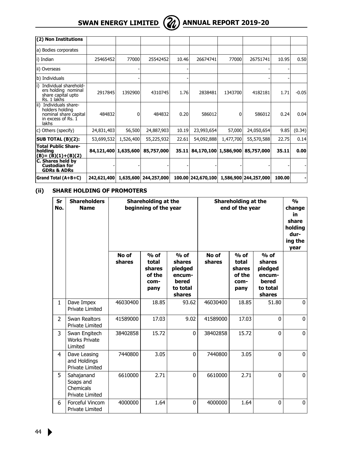# **Swan Energy Limited Annual Report 2019-20**



| (2) Non Institutions                                                                                |             |           |             |       |                      |           |                       |        |         |
|-----------------------------------------------------------------------------------------------------|-------------|-----------|-------------|-------|----------------------|-----------|-----------------------|--------|---------|
| a) Bodies corporates                                                                                |             |           |             |       |                      |           |                       |        |         |
| li) Indian                                                                                          | 25465452    | 77000     | 25542452    | 10.46 | 26674741             | 77000     | 26751741              | 10.95  | 0.50    |
| ii) Overseas                                                                                        |             |           |             |       |                      |           |                       |        |         |
| b) Individuals                                                                                      |             |           |             |       |                      |           |                       |        |         |
| Individual sharehold-<br>ers holding nominal<br>share capital upto<br>Rs. 1 lakhs                   | 2917845     | 1392900   | 4310745     | 1.76  | 2838481              | 1343700   | 4182181               | 1.71   | $-0.05$ |
| ii) Individuals share-<br>holders holding<br>nominal share capital<br>in excess of Rs. $1$<br>lakhs | 484832      | 0         | 484832      | 0.20  | 586012               | 0         | 586012                | 0.24   | 0.04    |
| c) Others (specify)                                                                                 | 24,831,403  | 56,500    | 24,887,903  | 10.19 | 23,993,654           | 57,000    | 24,050,654            | 9.85   | (0.34)  |
| SUB TOTAL (B)(2):                                                                                   | 53,699,532  | 1,526,400 | 55,225,932  | 22.61 | 54,092,888           | 1,477,700 | 55,570,588            | 22.75  | 0.14    |
| <b>Total Public Share-</b><br>  holdina<br>$(B) = (B)(1)+(B)(2)$                                    | 84,121,400  | 1,635,600 | 85,757,000  | 35.11 | 84,170,100 1,586,900 |           | 85,757,000            | 35.11  | 0.00    |
| C. Shares held by<br><b>Custodian for</b><br><b>GDRs &amp; ADRs</b>                                 |             |           |             |       |                      |           |                       |        |         |
| Grand Total (A+B+C)                                                                                 | 242,621,400 | 1,635,600 | 244,257,000 |       | 100.00 242,670,100   |           | 1,586,900 244,257,000 | 100.00 |         |

#### **(ii) SHARE HOLDING OF PROMOTERS**

| Sr<br>No.      | <b>Shareholders</b><br><b>Name</b>                             |                 | Shareholding at the<br>beginning of the year        |                                                                      | Shareholding at the<br>end of the year |                                                     |                                                                      | O <sub>0</sub><br>change<br>in<br>share<br>holding<br>dur-<br>ing the<br>year |
|----------------|----------------------------------------------------------------|-----------------|-----------------------------------------------------|----------------------------------------------------------------------|----------------------------------------|-----------------------------------------------------|----------------------------------------------------------------------|-------------------------------------------------------------------------------|
|                |                                                                | No of<br>shares | $%$ of<br>total<br>shares<br>of the<br>com-<br>pany | $%$ of<br>shares<br>pledged<br>encum-<br>bered<br>to total<br>shares | No of<br>shares                        | $%$ of<br>total<br>shares<br>of the<br>com-<br>pany | $%$ of<br>shares<br>pledged<br>encum-<br>bered<br>to total<br>shares |                                                                               |
| $\mathbf{1}$   | Dave Impex<br><b>Private Limited</b>                           | 46030400        | 18.85                                               | 93.62                                                                | 46030400                               | 18.85                                               | 51.80                                                                | $\mathbf{0}$                                                                  |
| $\overline{2}$ | Swan Realtors<br><b>Private Limited</b>                        | 41589000        | 17.03                                               | 9.02                                                                 | 41589000                               | 17.03                                               | $\Omega$                                                             | $\Omega$                                                                      |
| 3              | Swan Engitech<br><b>Works Private</b><br>Limited               | 38402858        | 15.72                                               | $\mathbf{0}$                                                         | 38402858                               | 15.72                                               | $\mathbf{0}$                                                         | 0                                                                             |
| 4              | Dave Leasing<br>and Holdings<br><b>Private Limited</b>         | 7440800         | 3.05                                                | $\Omega$                                                             | 7440800                                | 3.05                                                | $\Omega$                                                             | $\mathbf{0}$                                                                  |
| 5              | Sahajanand<br>Soaps and<br>Chemicals<br><b>Private Limited</b> | 6610000         | 2.71                                                | $\Omega$                                                             | 6610000                                | 2.71                                                | $\Omega$                                                             | $\mathbf{0}$                                                                  |
| 6              | Forceful Vincom<br><b>Private Limited</b>                      | 4000000         | 1.64                                                | 0                                                                    | 4000000                                | 1.64                                                | $\mathbf{0}$                                                         | $\mathbf 0$                                                                   |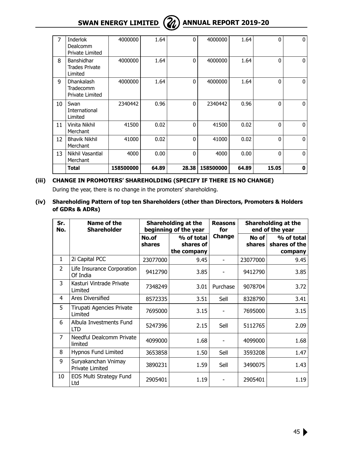## **SWAN ENERGY LIMITED**  $\left(\frac{2}{\ell}\right)$  **ANNUAL REPORT 2019-20**



| 13 | Nikhil Vasantlal<br>Merchant                          | 4000    | 0.00 | $\mathbf{0}$ | 4000    | 0.00 | $\mathbf{0}$ | $\mathbf{0}$ |
|----|-------------------------------------------------------|---------|------|--------------|---------|------|--------------|--------------|
| 12 | <b>Bhavik Nikhil</b><br>Merchant                      | 41000   | 0.02 | $\Omega$     | 41000   | 0.02 | $\mathbf{0}$ | 0            |
| 11 | Vinita Nikhil<br>Merchant                             | 41500   | 0.02 | $\Omega$     | 41500   | 0.02 | $\mathbf{0}$ | 0            |
| 10 | Swan<br>International<br>Limited                      | 2340442 | 0.96 | $\Omega$     | 2340442 | 0.96 | $\Omega$     | 0            |
| 9  | Dhankalash<br>Tradecomm<br>Private Limited            | 4000000 | 1.64 | $\Omega$     | 4000000 | 1.64 | $\Omega$     | 0            |
| 8  | Banshidhar<br>Trades Private<br>Limited               | 4000000 | 1.64 | $\mathbf{0}$ | 4000000 | 1.64 | $\mathbf{0}$ | 0            |
| 7  | <b>Inderlok</b><br><b>Dealcomm</b><br>Private Limited | 4000000 | 1.64 | $\Omega$     | 4000000 | 1.64 | $\Omega$     | 0            |

### **(iii) CHANGE IN PROMOTERS' SHAREHOLDING (SPECIFY IF THERE IS NO CHANGE)**

During the year, there is no change in the promoters' shareholding.

**(iv) Shareholding Pattern of top ten Shareholders (other than Directors, Promoters & Holders of GDRs & ADRs)**

| Sr.<br>No.     | Name of the<br><b>Shareholder</b>      |                 | Shareholding at the<br>beginning of the year | <b>Reasons</b><br>for |                 | <b>Shareholding at the</b><br>end of the year |  |  |
|----------------|----------------------------------------|-----------------|----------------------------------------------|-----------------------|-----------------|-----------------------------------------------|--|--|
|                |                                        | No.of<br>shares | % of total<br>shares of<br>the company       | Change                | No of<br>shares | % of total<br>shares of the<br>company        |  |  |
| $\mathbf{1}$   | 2i Capital PCC                         | 23077000        | 9.45                                         |                       | 23077000        | 9.45                                          |  |  |
| $\overline{2}$ | Life Insurance Corporation<br>Of India | 9412790         | 3.85                                         |                       | 9412790         | 3.85                                          |  |  |
| 3              | Kasturi Vintrade Private<br>Limited    | 7348249         | 3.01                                         | Purchase              | 9078704         | 3.72                                          |  |  |
| 4              | Ares Diversified                       | 8572335         | 3.51                                         | Sell                  | 8328790         | 3.41                                          |  |  |
| 5              | Tirupati Agencies Private<br>Limited   | 7695000         | 3.15                                         |                       | 7695000         | 3.15                                          |  |  |
| 6              | Albula Investments Fund<br>LTD         | 5247396         | 2.15                                         | Sell                  | 5112765         | 2.09                                          |  |  |
| $\overline{7}$ | Needful Dealcomm Private<br>limited    | 4099000         | 1.68                                         |                       | 4099000         | 1.68                                          |  |  |
| 8              | Hypnos Fund Limited                    | 3653858         | 1.50                                         | Sell                  | 3593208         | 1.47                                          |  |  |
| 9              | Suryakanchan Vnimay<br>Private Limited | 3890231         | 1.59                                         | Sell                  | 3490075         | 1.43                                          |  |  |
| 10             | EOS Multi Strategy Fund<br>Ltd         | 2905401         | 1.19                                         |                       | 2905401         | 1.19                                          |  |  |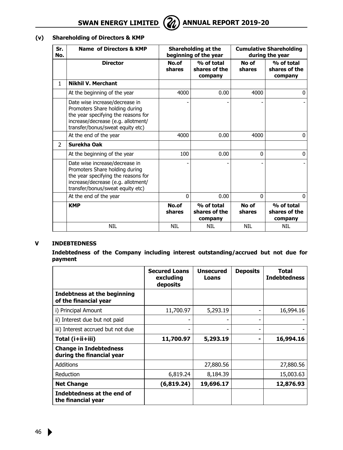

#### **(v) Shareholding of Directors & KMP**

| Sr.<br>No.     | Name of Directors & KMP                                                                                                                                                           |                 | Shareholding at the<br>beginning of the year |                 | <b>Cumulative Shareholding</b><br>during the year |
|----------------|-----------------------------------------------------------------------------------------------------------------------------------------------------------------------------------|-----------------|----------------------------------------------|-----------------|---------------------------------------------------|
|                | <b>Director</b>                                                                                                                                                                   | No.of<br>shares | % of total<br>shares of the<br>company       | No of<br>shares | % of total<br>shares of the<br>company            |
| 1.             | <b>Nikhil V. Merchant</b>                                                                                                                                                         |                 |                                              |                 |                                                   |
|                | At the beginning of the year                                                                                                                                                      | 4000            | 0.00                                         | 4000            | $\Omega$                                          |
|                | Date wise increase/decrease in<br>Promoters Share holding during<br>the year specifying the reasons for<br>increase/decrease (e.g. allotment/<br>transfer/bonus/sweat equity etc) |                 |                                              |                 |                                                   |
|                | At the end of the year                                                                                                                                                            | 4000            | 0.00                                         | 4000            | $\Omega$                                          |
| $\overline{2}$ | Surekha Oak                                                                                                                                                                       |                 |                                              |                 |                                                   |
|                | At the beginning of the year                                                                                                                                                      | 100             | 0.00                                         | 0               | $\mathbf{0}$                                      |
|                | Date wise increase/decrease in<br>Promoters Share holding during<br>the year specifying the reasons for<br>increase/decrease (e.g. allotment/<br>transfer/bonus/sweat equity etc) |                 |                                              |                 |                                                   |
|                | At the end of the year                                                                                                                                                            | 0               | 0.00                                         | $\Omega$        | $\Omega$                                          |
|                | <b>KMP</b>                                                                                                                                                                        | No.of<br>shares | % of total<br>shares of the<br>company       | No of<br>shares | % of total<br>shares of the<br>company            |
|                | NIL                                                                                                                                                                               | NIL             | NIL                                          | NIL             | <b>NIL</b>                                        |

#### **V INDEBTEDNESS**

**Indebtedness of the Company including interest outstanding/accrued but not due for payment**

|                                                            | <b>Secured Loans</b><br>excluding<br>deposits | <b>Unsecured</b><br>Loans | <b>Deposits</b> | Total<br><b>Indebtedness</b> |
|------------------------------------------------------------|-----------------------------------------------|---------------------------|-----------------|------------------------------|
| Indebtness at the beginning<br>of the financial year       |                                               |                           |                 |                              |
| i) Principal Amount                                        | 11,700.97                                     | 5,293.19                  |                 | 16,994.16                    |
| ii) Interest due but not paid                              |                                               |                           |                 |                              |
| iii) Interest accrued but not due                          |                                               |                           |                 |                              |
| Total (i+ii+iii)                                           | 11,700.97                                     | 5,293.19                  | -               | 16,994.16                    |
| <b>Change in Indebtedness</b><br>during the financial year |                                               |                           |                 |                              |
| Additions                                                  |                                               | 27,880.56                 |                 | 27,880.56                    |
| Reduction                                                  | 6,819.24                                      | 8,184.39                  |                 | 15,003.63                    |
| <b>Net Change</b>                                          | (6,819.24)                                    | 19,696.17                 |                 | 12,876.93                    |
| Indebtedness at the end of<br>the financial year           |                                               |                           |                 |                              |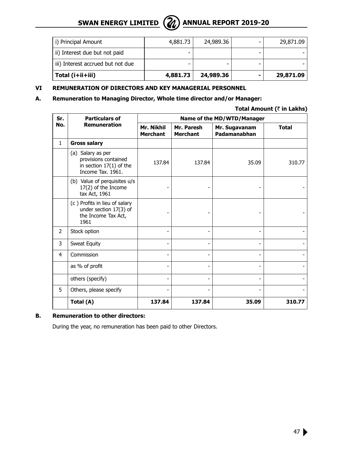

| i) Principal Amount               | 4,881.73 | 24,989.36 | 29,871.09 |
|-----------------------------------|----------|-----------|-----------|
| ii) Interest due but not paid     | -        |           |           |
| iii) Interest accrued but not due | -        |           |           |
| Total $(i+ii+iii)$                | 4,881.73 | 24,989.36 | 29,871.09 |

#### **VI REMUNERATION OF DIRECTORS AND KEY MANAGERIAL PERSONNEL**

#### **A. Remuneration to Managing Director, Whole time director and/or Manager:**

**Total Amount (**` **in Lakhs)**

| Sr.            | <b>Particulars of</b>                                                                       | Name of the MD/WTD/Manager    |                               |                               |              |  |  |  |  |  |
|----------------|---------------------------------------------------------------------------------------------|-------------------------------|-------------------------------|-------------------------------|--------------|--|--|--|--|--|
| No.            | <b>Remuneration</b>                                                                         | Mr. Nikhil<br><b>Merchant</b> | Mr. Paresh<br><b>Merchant</b> | Mr. Sugavanam<br>Padamanabhan | <b>Total</b> |  |  |  |  |  |
| $\mathbf{1}$   | <b>Gross salary</b>                                                                         |                               |                               |                               |              |  |  |  |  |  |
|                | (a) Salary as per<br>provisions contained<br>in section $17(1)$ of the<br>Income Tax. 1961. | 137.84                        | 137.84                        | 35.09                         | 310.77       |  |  |  |  |  |
|                | (b) Value of perquisites u/s<br>17(2) of the Income<br>tax Act, 1961                        |                               |                               |                               |              |  |  |  |  |  |
|                | (c) Profits in lieu of salary<br>under section 17(3) of<br>the Income Tax Act,<br>1961      |                               |                               |                               |              |  |  |  |  |  |
| $\overline{2}$ | Stock option                                                                                |                               |                               |                               |              |  |  |  |  |  |
| 3              | Sweat Equity                                                                                |                               |                               |                               |              |  |  |  |  |  |
| 4              | Commission                                                                                  |                               |                               |                               |              |  |  |  |  |  |
|                | as % of profit                                                                              |                               |                               |                               |              |  |  |  |  |  |
|                | others (specify)                                                                            |                               |                               |                               |              |  |  |  |  |  |
| 5              | Others, please specify                                                                      |                               |                               |                               |              |  |  |  |  |  |
|                | Total (A)                                                                                   | 137.84                        | 137.84                        | 35.09                         | 310.77       |  |  |  |  |  |

#### **B. Remuneration to other directors:**

During the year, no remuneration has been paid to other Directors.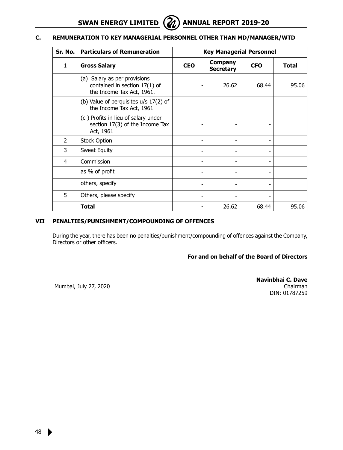

#### **C. REMUNERATION TO KEY MANAGERIAL PERSONNEL OTHER THAN MD/MANAGER/WTD**

| Sr. No.       | <b>Particulars of Remuneration</b>                                                         |            | <b>Key Managerial Personnel</b> |            |              |  |  |
|---------------|--------------------------------------------------------------------------------------------|------------|---------------------------------|------------|--------------|--|--|
| 1             | <b>Gross Salary</b>                                                                        | <b>CEO</b> | Company<br><b>Secretary</b>     | <b>CFO</b> | <b>Total</b> |  |  |
|               | (a) Salary as per provisions<br>contained in section 17(1) of<br>the Income Tax Act, 1961. |            | 26.62                           | 68.44      | 95.06        |  |  |
|               | (b) Value of perquisites $u/s$ 17(2) of<br>the Income Tax Act, 1961                        |            |                                 |            |              |  |  |
|               | (c) Profits in lieu of salary under<br>section 17(3) of the Income Tax<br>Act, 1961        |            |                                 |            |              |  |  |
| $\mathcal{P}$ | <b>Stock Option</b>                                                                        |            |                                 |            |              |  |  |
| 3             | Sweat Equity                                                                               |            |                                 |            |              |  |  |
| 4             | Commission                                                                                 |            |                                 |            |              |  |  |
|               | as % of profit                                                                             |            |                                 |            |              |  |  |
|               | others, specify                                                                            |            |                                 |            |              |  |  |
| 5             | Others, please specify                                                                     |            |                                 |            |              |  |  |
|               | Total                                                                                      |            | 26.62                           | 68.44      | 95.06        |  |  |

#### **VII PENALTIES/PUNISHMENT/COMPOUNDING OF OFFENCES**

During the year, there has been no penalties/punishment/compounding of offences against the Company, Directors or other officers.

#### **For and on behalf of the Board of Directors**

Mumbai, July 27, 2020

**Navinbhai C. Dave** Chairman DIN: 01787259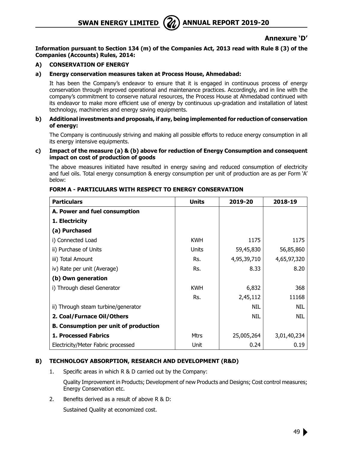

#### **Annexure 'D'**

**Information pursuant to Section 134 (m) of the Companies Act, 2013 read with Rule 8 (3) of the Companies (Accounts) Rules, 2014:** 

#### **A) CONSERVATION OF ENERGY**

#### **a) Energy conservation measures taken at Process House, Ahmedabad:**

 It has been the Company's endeavor to ensure that it is engaged in continuous process of energy conservation through improved operational and maintenance practices. Accordingly, and in line with the company's commitment to conserve natural resources, the Process House at Ahmedabad continued with its endeavor to make more efficient use of energy by continuous up-gradation and installation of latest technology, machineries and energy saving equipments.

#### **b) Additional investments and proposals, if any, being implemented for reduction of conservation of energy:**

The Company is continuously striving and making all possible efforts to reduce energy consumption in all its energy intensive equipments.

#### **c) Impact of the measure (a) & (b) above for reduction of Energy Consumption and consequent impact on cost of production of goods**

The above measures initiated have resulted in energy saving and reduced consumption of electricity and fuel oils. Total energy consumption & energy consumption per unit of production are as per Form 'A' below:

| <b>Particulars</b>                           | <b>Units</b> | 2019-20     | 2018-19     |
|----------------------------------------------|--------------|-------------|-------------|
| A. Power and fuel consumption                |              |             |             |
| 1. Electricity                               |              |             |             |
| (a) Purchased                                |              |             |             |
| i) Connected Load                            | <b>KWH</b>   | 1175        | 1175        |
| ii) Purchase of Units                        | Units        | 59,45,830   | 56,85,860   |
| iii) Total Amount                            | Rs.          | 4,95,39,710 | 4,65,97,320 |
| iv) Rate per unit (Average)                  | Rs.          | 8.33        | 8.20        |
| (b) Own generation                           |              |             |             |
| i) Through diesel Generator                  | <b>KWH</b>   | 6,832       | 368         |
|                                              | Rs.          | 2,45,112    | 11168       |
| ii) Through steam turbine/generator          |              | NIL         | NIL         |
| 2. Coal/Furnace Oil/Others                   |              | NIL         | NIL         |
| <b>B. Consumption per unit of production</b> |              |             |             |
| <b>1. Processed Fabrics</b>                  | Mtrs         | 25,005,264  | 3,01,40,234 |
| Electricity/Meter Fabric processed           | Unit         | 0.24        | 0.19        |

#### **FORM A - PARTICULARS WITH RESPECT TO ENERGY CONSERVATION**

#### **B) TECHNOLOGY ABSORPTION, RESEARCH AND DEVELOPMENT (R&D)**

1. Specific areas in which R & D carried out by the Company:

Quality Improvement in Products; Development of new Products and Designs; Cost control measures; Energy Conservation etc.

2. Benefits derived as a result of above R & D:

Sustained Quality at economized cost.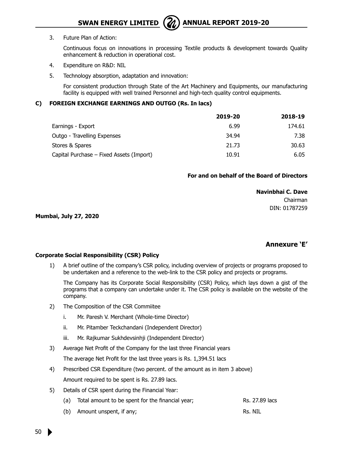

3. Future Plan of Action:

Continuous focus on innovations in processing Textile products & development towards Quality enhancement & reduction in operational cost.

- 4. Expenditure on R&D: NIL
- 5. Technology absorption, adaptation and innovation:

For consistent production through State of the Art Machinery and Equipments, our manufacturing facility is equipped with well trained Personnel and high-tech quality control equipments.

#### **C) FOREIGN EXCHANGE EARNINGS AND OUTGO (Rs. In lacs)**

|                                          | 2019-20 | 2018-19 |
|------------------------------------------|---------|---------|
| Earnings - Export                        | 6.99    | 174.61  |
| Outgo - Travelling Expenses              | 34.94   | 7.38    |
| Stores & Spares                          | 21.73   | 30.63   |
| Capital Purchase – Fixed Assets (Import) | 10.91   | 6.05    |

#### **For and on behalf of the Board of Directors**

 **Navinbhai C. Dave**

Chairman DIN: 01787259

**Mumbai, July 27, 2020** 

#### **Annexure 'E'**

#### **Corporate Social Responsibility (CSR) Policy**

1) A brief outline of the company's CSR policy, including overview of projects or programs proposed to be undertaken and a reference to the web-link to the CSR policy and projects or programs.

The Company has its Corporate Social Responsibility (CSR) Policy, which lays down a gist of the programs that a company can undertake under it. The CSR policy is available on the website of the company.

- 2) The Composition of the CSR Commiitee
	- i. Mr. Paresh V. Merchant (Whole-time Director)
	- ii. Mr. Pitamber Teckchandani (Independent Director)
	- iii. Mr. Rajkumar Sukhdevsinhji (Independent Director)
- 3) Average Net Profit of the Company for the last three Financial years

The average Net Profit for the last three years is Rs. 1,394.51 lacs

- 4) Prescribed CSR Expenditure (two percent. of the amount as in item 3 above) Amount required to be spent is Rs. 27.89 lacs.
- 5) Details of CSR spent during the Financial Year:
	- (a) Total amount to be spent for the financial year; Rs. 27.89 lacs
	- (b) Amount unspent, if any; example and the set of the RS. NIL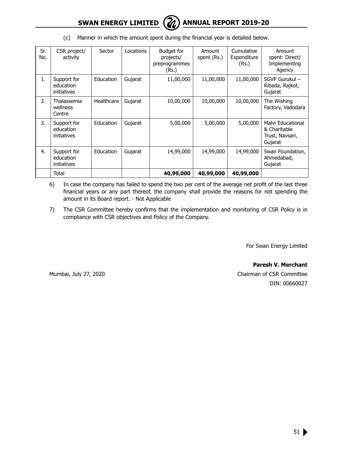

| Sr.<br>No. | CSR project/<br>activity                | Sector     | Locations | Budget for<br>projects/<br>preprogrammes<br>(Rs.)                                                              | Amount<br>spent (Rs.) | Cumulative<br>Expenditure<br>(Rs.)           | Amount<br>spent: Direct/<br>Implementing<br>Agency              |
|------------|-----------------------------------------|------------|-----------|----------------------------------------------------------------------------------------------------------------|-----------------------|----------------------------------------------|-----------------------------------------------------------------|
| 1.         | Support for<br>education<br>initiatives | Education  | Gujarat   | 11,00,000<br>11,00,000<br>11,00,000<br>10,00,000<br>10,00,000<br>10,00,000<br>5,00,000<br>5,00,000<br>5,00,000 |                       | SGVP Gurukul -<br>Ribada, Rajkot,<br>Gujarat |                                                                 |
| 2.         | Thalassemia<br>wellness<br>Centre       | Healthcare | Gujarat   |                                                                                                                |                       |                                              | The Wishing<br>Factory, Vadodara                                |
| 3.         | Support for<br>education<br>initiatives | Education  | Gujarat   |                                                                                                                |                       |                                              | Malvi Educational<br>& Charitable<br>Trust, Navsari,<br>Gujarat |
| 4.         | Support for<br>education<br>initiatives | Education  | Gujarat   | 14,99,000                                                                                                      | 14,99,000             | 14,99,000                                    | Swan Foundation,<br>Ahmedabad,<br>Gujarat                       |
|            | Total                                   |            |           | 40,99,000                                                                                                      | 40,99,000             | 40,99,000                                    |                                                                 |

(c) Manner in which the amount spent during the financial year is detailed below.

- 6) In case the company has failed to spend the two per cent of the average net profit of the last three financial years or any part thereof, the company shall provide the reasons for not spending the amount in its Board report. - Not Applicable
- 7) The CSR Committee hereby confirms that the implementation and monitoring of CSR Policy is in compliance with CSR objectives and Policy of the Company.

For Swan Energy Limited

**Paresh V. Merchant** Mumbai, July 27, 2020 Chairman of CSR Committee DIN: 00660027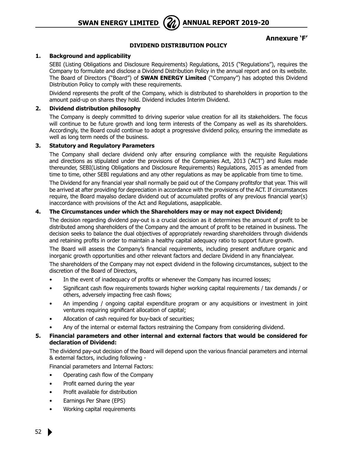

**Annexure 'F'**

#### **DIVIDEND DISTRIBUTION POLICY**

#### **1. Background and applicability**

SEBI (Listing Obligations and Disclosure Requirements) Regulations, 2015 ("Regulations"), requires the Company to formulate and disclose a Dividend Distribution Policy in the annual report and on its website. The Board of Directors ("Board") of **SWAN ENERGY Limited** ("Company") has adopted this Dividend Distribution Policy to comply with these requirements.

Dividend represents the profit of the Company, which is distributed to shareholders in proportion to the amount paid-up on shares they hold. Dividend includes Interim Dividend.

#### **2. Dividend distribution philosophy**

The Company is deeply committed to driving superior value creation for all its stakeholders. The focus will continue to be future growth and long term interests of the Company as well as its shareholders. Accordingly, the Board could continue to adopt a progressive dividend policy, ensuring the immediate as well as long term needs of the business.

#### **3. Statutory and Regulatory Parameters**

The Company shall declare dividend only after ensuring compliance with the requisite Regulations and directions as stipulated under the provisions of the Companies Act, 2013 ('ACT') and Rules made thereunder, SEBI(Listing Obligations and Disclosure Requirements) Regulations, 2015 as amended from time to time, other SEBI regulations and any other regulations as may be applicable from time to time.

The Dividend for any financial year shall normally be paid out of the Company profitsfor that year. This will be arrived at after providing for depreciation in accordance with the provisions of the ACT. If circumstances require, the Board mayalso declare dividend out of accumulated profits of any previous financial year(s) inaccordance with provisions of the Act and Regulations, asapplicable.

#### **4. The Circumstances under which the Shareholders may or may not expect Dividend;**

The decision regarding dividend pay-out is a crucial decision as it determines the amount of profit to be distributed among shareholders of the Company and the amount of profit to be retained in business. The decision seeks to balance the dual objectives of appropriately rewarding shareholders through dividends and retaining profits in order to maintain a healthy capital adequacy ratio to support future growth.

The Board will assess the Company's financial requirements, including present andfuture organic and inorganic growth opportunities and other relevant factors and declare Dividend in any financialyear.

The shareholders of the Company may not expect dividend in the following circumstances, subject to the discretion of the Board of Directors,

- In the event of inadequacy of profits or whenever the Company has incurred losses;
- Significant cash flow requirements towards higher working capital requirements / tax demands / or others, adversely impacting free cash flows;
- An impending / ongoing capital expenditure program or any acquisitions or investment in joint ventures requiring significant allocation of capital;
- Allocation of cash required for buy-back of securities;
- Any of the internal or external factors restraining the Company from considering dividend.

#### **5. Financial parameters and other internal and external factors that would be considered for declaration of Dividend:**

The dividend pay-out decision of the Board will depend upon the various financial parameters and internal & external factors, including following -

Financial parameters and Internal Factors:

- Operating cash flow of the Company
- Profit earned during the year
- Profit available for distribution
- Earnings Per Share (EPS)
- Working capital requirements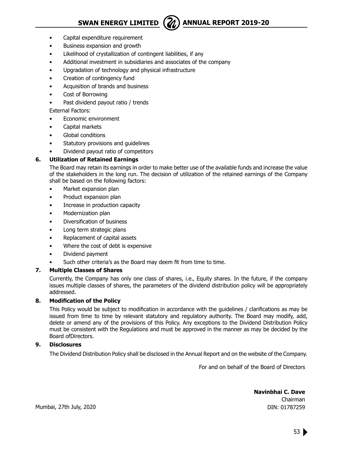

- Capital expenditure requirement
- Business expansion and growth
- Likelihood of crystallization of contingent liabilities, if any
- Additional investment in subsidiaries and associates of the company
- Upgradation of technology and physical infrastructure
- Creation of contingency fund
- Acquisition of brands and business
- Cost of Borrowing
- Past dividend payout ratio / trends
- External Factors:
- Economic environment
- Capital markets
- Global conditions
- Statutory provisions and quidelines
- Dividend payout ratio of competitors

#### **6. Utilization of Retained Earnings**

The Board may retain its earnings in order to make better use of the available funds and increase the value of the stakeholders in the long run. The decision of utilization of the retained earnings of the Company shall be based on the following factors:

- Market expansion plan
- Product expansion plan
- Increase in production capacity
- Modernization plan
- Diversification of business
- Long term strategic plans
- Replacement of capital assets
- Where the cost of debt is expensive
- Dividend payment
- Such other criteria's as the Board may deem fit from time to time.

#### **7. Multiple Classes of Shares**

Currently, the Company has only one class of shares, i.e., Equity shares. In the future, if the company issues multiple classes of shares, the parameters of the dividend distribution policy will be appropriately addressed.

#### **8. Modification of the Policy**

This Policy would be subject to modification in accordance with the guidelines / clarifications as may be issued from time to time by relevant statutory and regulatory authority. The Board may modify, add, delete or amend any of the provisions of this Policy. Any exceptions to the Dividend Distribution Policy must be consistent with the Regulations and must be approved in the manner as may be decided by the Board ofDirectors.

#### **9. Disclosures**

The Dividend Distribution Policy shall be disclosed in the Annual Report and on the website of the Company.

For and on behalf of the Board of Directors

**Navinbhai C. Dave** Chairman DIN: 01787259

Mumbai, 27th July, 2020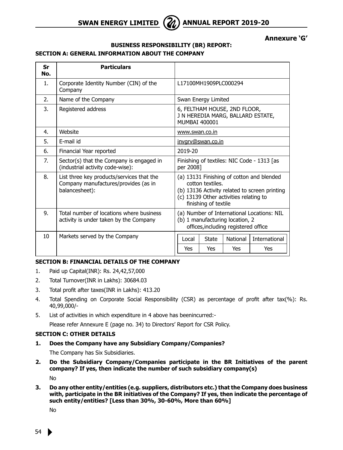

**Annexure 'G'**

#### **BUSINESS RESPONSIBILITY (BR) REPORT: SECTION A: GENERAL INFORMATION ABOUT THE COMPANY**

| Sr<br>No.       | <b>Particulars</b>                                                                                  |                                                                                                                                                                                  |  |  |  |  |
|-----------------|-----------------------------------------------------------------------------------------------------|----------------------------------------------------------------------------------------------------------------------------------------------------------------------------------|--|--|--|--|
| 1.              | Corporate Identity Number (CIN) of the<br>Company                                                   | L17100MH1909PLC000294                                                                                                                                                            |  |  |  |  |
| 2.              | Name of the Company                                                                                 | Swan Energy Limited                                                                                                                                                              |  |  |  |  |
| 3.              | Registered address                                                                                  | 6, FELTHAM HOUSE, 2ND FLOOR,<br>J N HEREDIA MARG, BALLARD ESTATE,<br><b>MUMBAI 400001</b>                                                                                        |  |  |  |  |
| 4.              | Website                                                                                             | www.swan.co.in                                                                                                                                                                   |  |  |  |  |
| 5.              | F-mail id                                                                                           | invgry@swan.co.in                                                                                                                                                                |  |  |  |  |
| 6.              | Financial Year reported                                                                             | 2019-20                                                                                                                                                                          |  |  |  |  |
| 7.              | Sector(s) that the Company is engaged in<br>(industrial activity code-wise):                        | Finishing of textiles: NIC Code - 1313 [as<br>per 2008]                                                                                                                          |  |  |  |  |
| 8.              | List three key products/services that the<br>Company manufactures/provides (as in<br>balancesheet): | (a) 13131 Finishing of cotton and blended<br>cotton textiles.<br>(b) 13136 Activity related to screen printing<br>(c) 13139 Other activities relating to<br>finishing of textile |  |  |  |  |
| $Q_{\perp}$     | Total number of locations where business<br>activity is under taken by the Company                  | (a) Number of International Locations: NIL<br>(b) 1 manufacturing location, 2<br>offices, including registered office                                                            |  |  |  |  |
| 10 <sup>1</sup> | Markets served by the Company                                                                       | International<br>National<br>Local<br><b>State</b>                                                                                                                               |  |  |  |  |
|                 |                                                                                                     | Yes<br>Yes<br>Yes<br>Yes                                                                                                                                                         |  |  |  |  |

#### **SECTION B: FINANCIAL DETAILS OF THE COMPANY**

- 1. Paid up Capital(INR): Rs. 24,42,57,000
- 2. Total Turnover(INR in Lakhs): 30684.03
- 3. Total profit after taxes(INR in Lakhs): 413.20
- 4. Total Spending on Corporate Social Responsibility (CSR) as percentage of profit after tax(%): Rs. 40,99,000/-
- 5. List of activities in which expenditure in 4 above has beenincurred:-

Please refer Annexure E (page no. 34) to Directors' Report for CSR Policy.

#### **SECTION C: OTHER DETAILS**

**1. Does the Company have any Subsidiary Company/Companies?**

The Company has Six Subsidiaries.

**2. Do the Subsidiary Company/Companies participate in the BR Initiatives of the parent company? If yes, then indicate the number of such subsidiary company(s)**

No

**3. Do any other entity/entities (e.g. suppliers, distributors etc.) that the Company does business with, participate in the BR initiatives of the Company? If yes, then indicate the percentage of such entity/entities? [Less than 30%, 30-60%, More than 60%]**

No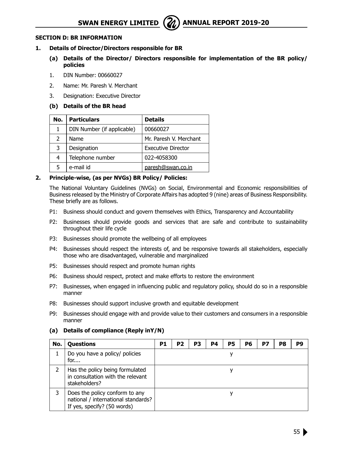

#### **SECTION D: BR INFORMATION**

#### **1. Details of Director/Directors responsible for BR**

- **(a) Details of the Director/ Directors responsible for implementation of the BR policy/ policies**
- 1. DIN Number: 00660027
- 2. Name: Mr. Paresh V. Merchant
- 3. Designation: Executive Director

#### **(b) Details of the BR head**

| No.           | <b>Particulars</b>         | <b>Details</b>            |
|---------------|----------------------------|---------------------------|
|               | DIN Number (if applicable) | 00660027                  |
| $\mathcal{L}$ | Name                       | Mr. Paresh V. Merchant    |
| 3             | Designation                | <b>Executive Director</b> |
| 4             | Telephone number           | 022-4058300               |
| 5             | e-mail id                  | paresh@swan.co.in         |

#### **2. Principle-wise, (as per NVGs) BR Policy/ Policies:**

The National Voluntary Guidelines (NVGs) on Social, Environmental and Economic responsibilities of Business released by the Ministry of Corporate Affairs has adopted 9 (nine) areas of Business Responsibility. These briefly are as follows.

- P1: Business should conduct and govern themselves with Ethics, Transparency and Accountability
- P2: Businesses should provide goods and services that are safe and contribute to sustainability throughout their life cycle
- P3: Businesses should promote the wellbeing of all employees
- P4: Businesses should respect the interests of, and be responsive towards all stakeholders, especially those who are disadvantaged, vulnerable and marginalized
- P5: Businesses should respect and promote human rights
- P6: Business should respect, protect and make efforts to restore the environment
- P7: Businesses, when engaged in influencing public and regulatory policy, should do so in a responsible manner
- P8: Businesses should support inclusive growth and equitable development
- P9: Businesses should engage with and provide value to their customers and consumers in a responsible manner

#### **(a) Details of compliance (Reply inY/N)**

| No. | <b>Questions</b>                                                                                     | P1 | P <sub>2</sub> | P3 | P4 | P5 | P6 | P7 | P8 | P9 |
|-----|------------------------------------------------------------------------------------------------------|----|----------------|----|----|----|----|----|----|----|
|     | Do you have a policy/ policies<br>for                                                                |    |                |    |    |    |    |    |    |    |
|     | Has the policy being formulated<br>in consultation with the relevant<br>stakeholders?                |    |                |    |    |    |    |    |    |    |
| 3   | Does the policy conform to any<br>national / international standards?<br>If yes, specify? (50 words) |    |                |    |    |    |    |    |    |    |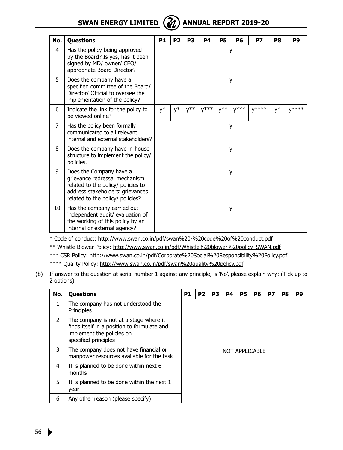

| No.            | Questions                                                                                                                                                              | P <sub>1</sub> | P <sub>2</sub> | P <sub>3</sub> | <b>P4</b> | <b>P5</b>      | P6        | P7         | P8 | P9         |
|----------------|------------------------------------------------------------------------------------------------------------------------------------------------------------------------|----------------|----------------|----------------|-----------|----------------|-----------|------------|----|------------|
| 4              | Has the policy being approved<br>by the Board? Is yes, has it been<br>signed by MD/ owner/ CEO/<br>appropriate Board Director?                                         |                |                |                |           |                | у         |            |    |            |
| 5              | Does the company have a<br>specified committee of the Board/<br>Director/ Official to oversee the<br>implementation of the policy?                                     | у              |                |                |           |                |           |            |    |            |
| 6              | Indicate the link for the policy to<br>be viewed online?                                                                                                               | y*             | $\mathsf{y}^*$ | $V^{**}$       | $V^{***}$ | $V^{\ast\ast}$ | $V^{***}$ | $V^{****}$ | y* | $V^{****}$ |
| $\overline{7}$ | Has the policy been formally<br>communicated to all relevant<br>internal and external stakeholders?                                                                    | у              |                |                |           |                |           |            |    |            |
| 8              | Does the company have in-house<br>structure to implement the policy/<br>policies.                                                                                      | у              |                |                |           |                |           |            |    |            |
| 9              | Does the Company have a<br>grievance redressal mechanism<br>related to the policy/ policies to<br>address stakeholders' grievances<br>related to the policy/ policies? | у              |                |                |           |                |           |            |    |            |
| 10             | Has the company carried out<br>independent audit/ evaluation of<br>the working of this policy by an<br>internal or external agency?                                    |                |                |                |           |                | у         |            |    |            |

\* Code of conduct: http://www.swan.co.in/pdf/swan%20-%20code%20of%20conduct.pdf \*\* Whistle Blower Policy: http://www.swan.co.in/pdf/Whistle%20blower%20policy\_SWAN.pdf \*\*\* CSR Policy: http://www.swan.co.in/pdf/Corporate%20Social%20Responsibility%20Policy.pdf \*\*\*\* Quality Policy: http://www.swan.co.in/pdf/swan%20quality%20policy.pdf

(b) If answer to the question at serial number 1 against any principle, is 'No', please explain why: (Tick up to 2 options)

| No.           | <b>Questions</b>                                                                                                                           | P1             | P <sub>2</sub> | P3 | <b>P4</b> | <b>P5</b> | <b>P6</b> | P7 | P8 | P9 |
|---------------|--------------------------------------------------------------------------------------------------------------------------------------------|----------------|----------------|----|-----------|-----------|-----------|----|----|----|
| 1.            | The company has not understood the<br>Principles                                                                                           |                |                |    |           |           |           |    |    |    |
| $\mathcal{P}$ | The company is not at a stage where it<br>finds itself in a position to formulate and<br>implement the policies on<br>specified principles | NOT APPLICABLE |                |    |           |           |           |    |    |    |
| 3             | The company does not have financial or<br>manpower resources available for the task                                                        |                |                |    |           |           |           |    |    |    |
| 4             | It is planned to be done within next 6<br>months                                                                                           |                |                |    |           |           |           |    |    |    |
| 5             | It is planned to be done within the next 1<br>year                                                                                         |                |                |    |           |           |           |    |    |    |
| 6             | Any other reason (please specify)                                                                                                          |                |                |    |           |           |           |    |    |    |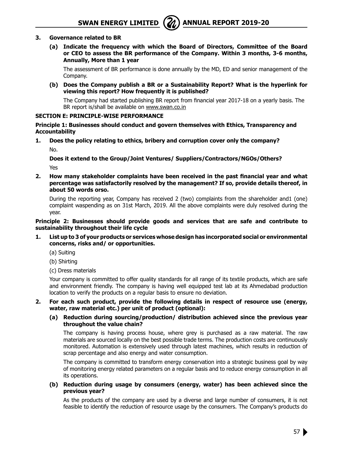

#### **3. Governance related to BR**

**(a) Indicate the frequency with which the Board of Directors, Committee of the Board or CEO to assess the BR performance of the Company. Within 3 months, 3-6 months, Annually, More than 1 year**

The assessment of BR performance is done annually by the MD, ED and senior management of the Company.

**(b) Does the Company publish a BR or a Sustainability Report? What is the hyperlink for viewing this report? How frequently it is published?**

The Company had started publishing BR report from financial year 2017-18 on a yearly basis. The BR report is/shall be available on www.swan.co.in

#### **SECTION E: PRINCIPLE-WISE PERFORMANCE**

**Principle 1: Businesses should conduct and govern themselves with Ethics, Transparency and Accountability**

**1. Does the policy relating to ethics, bribery and corruption cover only the company?** No.

**Does it extend to the Group/Joint Ventures/ Suppliers/Contractors/NGOs/Others?** Yes

**2. How many stakeholder complaints have been received in the past financial year and what percentage was satisfactorily resolved by the management? If so, provide details thereof, in about 50 words orso.**

During the reporting year, Company has received 2 (two) complaints from the shareholder and1 (one) complaint waspending as on 31st March, 2019. All the above complaints were duly resolved during the year.

#### **Principle 2: Businesses should provide goods and services that are safe and contribute to sustainability throughout their life cycle**

- **1. List up to 3 of your products or services whose design has incorporated social or environmental concerns, risks and/ or opportunities.**
	- (a) Suiting
	- (b) Shirting
	- (c) Dress materials

Your company is committed to offer quality standards for all range of its textile products, which are safe and environment friendly. The company is having well equipped test lab at its Ahmedabad production location to verify the products on a regular basis to ensure no deviation.

#### **2. For each such product, provide the following details in respect of resource use (energy, water, raw material etc.) per unit of product (optional):**

#### **(a) Reduction during sourcing/production/ distribution achieved since the previous year throughout the value chain?**

The company is having process house, where grey is purchased as a raw material. The raw materials are sourced locally on the best possible trade terms. The production costs are continuously monitored. Automation is extensively used through latest machines, which results in reduction of scrap percentage and also energy and water consumption.

The company is committed to transform energy conservation into a strategic business goal by way of monitoring energy related parameters on a regular basis and to reduce energy consumption in all its operations.

**(b) Reduction during usage by consumers (energy, water) has been achieved since the previous year?**

As the products of the company are used by a diverse and large number of consumers, it is not feasible to identify the reduction of resource usage by the consumers. The Company's products do

57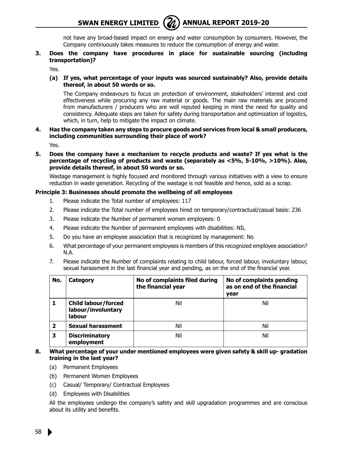

not have any broad-based impact on energy and water consumption by consumers. However, the Company continuously takes measures to reduce the consumption of energy and water.

**3. Does the company have procedures in place for sustainable sourcing (including transportation)?**

Yes.

**(a) If yes, what percentage of your inputs was sourced sustainably? Also, provide details thereof, in about 50 words or so.**

The Company endeavours to focus on protection of environment, stakeholders' interest and cost effectiveness while procuring any raw material or goods. The main raw materials are procured from manufacturers / producers who are well reputed keeping in mind the need for quality and consistency. Adequate steps are taken for safety during transportation and optimization of logistics, which, in turn, help to mitigate the impact on climate.

**4. Has the company taken any steps to procure goods and services from local & small producers, including communities surrounding their place of work?**

Yes.

**5. Does the company have a mechanism to recycle products and waste? If yes what is the percentage of recycling of products and waste (separately as <5%, 5-10%, >10%). Also, provide details thereof, in about 50 words or so.**

Wastage management is highly focused and monitored through various initiatives with a view to ensure reduction in waste generation. Recycling of the wastage is not feasible and hence, sold as a scrap.

#### **Principle 3: Businesses should promote the wellbeing of all employees**

- 1. Please indicate the Total number of employees: 117
- 2. Please indicate the Total number of employees hired on temporary/contractual/casual basis: 236
- 3. Please indicate the Number of permanent women employees: 0
- 4. Please indicate the Number of permanent employees with disabilities: NIL
- 5. Do you have an employee association that is recognized by management: No
- 6. What percentage of your permanent employees is members of this recognized employee association? N.A.
- 7. Please indicate the Number of complaints relating to child labour, forced labour, involuntary labour, sexual harassment in the last financial year and pending, as on the end of the financial year.

| No.                     | Category                                                   | No of complaints filed during<br>the financial year | No of complaints pending<br>as on end of the financial<br>year |
|-------------------------|------------------------------------------------------------|-----------------------------------------------------|----------------------------------------------------------------|
| ı                       | <b>Child labour/forced</b><br>labour/involuntary<br>labour | Nil                                                 | Nil                                                            |
| $\overline{\mathbf{2}}$ | Sexual harassment                                          | Nil                                                 | Nil                                                            |
| з                       | <b>Discriminatory</b><br>employment                        | Nil                                                 | Nil                                                            |

- **8. What percentage of your under mentioned employees were given safety & skill up- gradation training in the last year?**
	- (a) Permanent Employees
	- (b) Permanent Women Employees
	- (c) Casual/ Temporary/ Contractual Employees
	- (d) Employees with Disabilities

All the employees undergo the company's safety and skill upgradation programmes and are conscious about its utility and benefits.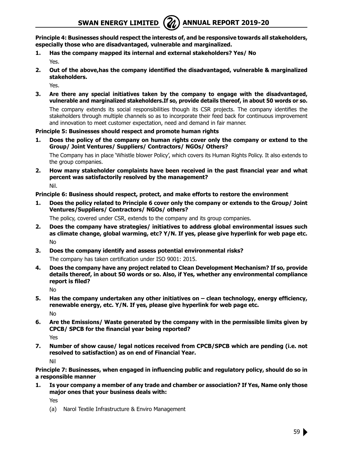**Principle 4: Businesses should respect the interests of, and be responsive towards all stakeholders, especially those who are disadvantaged, vulnerable and marginalized.**

- **1. Has the company mapped its internal and external stakeholders? Yes/ No** Yes.
- **2. Out of the above,has the company identified the disadvantaged, vulnerable & marginalized stakeholders.**

Yes.

**3. Are there any special initiatives taken by the company to engage with the disadvantaged, vulnerable and marginalized stakeholders.If so, provide details thereof, in about 50 words or so.**

The company extends its social responsibilities though its CSR projects. The company identifies the stakeholders through multiple channels so as to incorporate their feed back for continuous improvement and innovation to meet customer expectation, need and demand in fair manner.

#### **Principle 5: Businesses should respect and promote human rights**

**1. Does the policy of the company on human rights cover only the company or extend to the Group/ Joint Ventures/ Suppliers/ Contractors/ NGOs/ Others?**

The Company has in place 'Whistle blower Policy', which covers its Human Rights Policy. It also extends to the group companies.

**2. How many stakeholder complaints have been received in the past financial year and what percent was satisfactorily resolved by the management?** Nil.

#### **Principle 6: Business should respect, protect, and make efforts to restore the environment**

**1. Does the policy related to Principle 6 cover only the company or extends to the Group/ Joint Ventures/Suppliers/ Contractors/ NGOs/ others?**

The policy, covered under CSR, extends to the company and its group companies.

- **2. Does the company have strategies/ initiatives to address global environmental issues such as climate change, global warming, etc? Y/N. If yes, please give hyperlink for web page etc.** No
- **3. Does the company identify and assess potential environmental risks?**

The company has taken certification under ISO 9001: 2015.

**4. Does the company have any project related to Clean Development Mechanism? If so, provide details thereof, in about 50 words or so. Also, if Yes, whether any environmental compliance report is filed?**

No

**5. Has the company undertaken any other initiatives on – clean technology, energy efficiency, renewable energy, etc. Y/N. If yes, please give hyperlink for web page etc.**

No

**6. Are the Emissions/ Waste generated by the company with in the permissible limits given by CPCB/ SPCB for the financial year being reported?**

Yes

**7. Number of show cause/ legal notices received from CPCB/SPCB which are pending (i.e. not resolved to satisfaction) as on end of Financial Year.** Nil

**Principle 7: Businesses, when engaged in influencing public and regulatory policy, should do so in a responsible manner**

**1. Is your company a member of any trade and chamber or association? If Yes, Name only those major ones that your business deals with:**

Yes

(a) Narol Textile Infrastructure & Enviro Management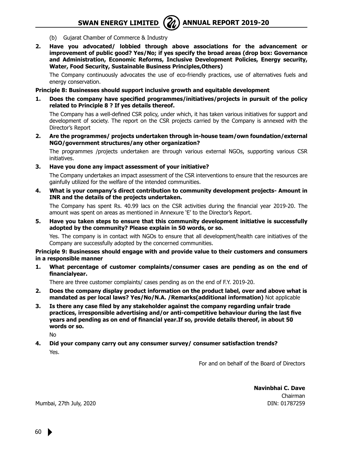

- (b) Gujarat Chamber of Commerce & Industry
- **2. Have you advocated/ lobbied through above associations for the advancement or improvement of public good? Yes/No; if yes specify the broad areas (drop box: Governance and Administration, Economic Reforms, Inclusive Development Policies, Energy security, Water, Food Security, Sustainable Business Principles,Others)**

The Company continuously advocates the use of eco-friendly practices, use of alternatives fuels and energy conservation.

#### **Principle 8: Businesses should support inclusive growth and equitable development**

**1. Does the company have specified programmes/initiatives/projects in pursuit of the policy related to Principle 8 ? If yes details thereof.**

The Company has a well-defined CSR policy, under which, it has taken various initiatives for support and development of society. The report on the CSR projects carried by the Company is annexed with the Director's Report

**2. Are the programmes/ projects undertaken through in-house team/own foundation/external NGO/government structures/any other organization?**

The programmes /projects undertaken are through various external NGOs, supporting various CSR initiatives.

**3. Have you done any impact assessment of your initiative?**

The Company undertakes an impact assessment of the CSR interventions to ensure that the resources are gainfully utilized for the welfare of the intended communities.

**4. What is your company's direct contribution to community development projects- Amount in INR and the details of the projects undertaken.**

The Company has spent Rs. 40.99 lacs on the CSR activities during the financial year 2019-20. The amount was spent on areas as mentioned in Annexure 'E' to the Director's Report.

**5. Have you taken steps to ensure that this community development initiative is successfully adopted by the community? Please explain in 50 words, or so.**

Yes. The company is in contact with NGOs to ensure that all development/health care initiatives of the Company are successfully adopted by the concerned communities.

#### **Principle 9: Businesses should engage with and provide value to their customers and consumers in a responsible manner**

**1. What percentage of customer complaints/consumer cases are pending as on the end of financialyear.**

There are three customer complaints/ cases pending as on the end of F.Y. 2019-20.

- **2. Does the company display product information on the product label, over and above what is mandated as per local laws? Yes/No/N.A. /Remarks(additional information)** Not applicable
- **3. Is there any case filed by any stakeholder against the company regarding unfair trade practices, irresponsible advertising and/or anti-competitive behaviour during the last five years and pending as on end of financial year.If so, provide details thereof, in about 50 words or so.**

No

**4. Did your company carry out any consumer survey/ consumer satisfaction trends?** Yes.

For and on behalf of the Board of Directors

**Navinbhai C. Dave** Chairman DIN: 01787259

Mumbai, 27th July, 2020

60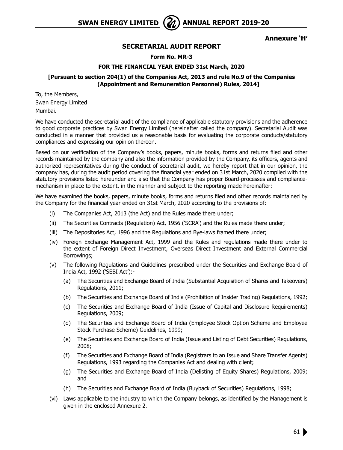

**Annexure 'H'**

#### **SECRETARIAL AUDIT REPORT**

**Form No. MR-3**

#### **FOR THE FINANCIAL YEAR ENDED 31st March, 2020**

#### **[Pursuant to section 204(1) of the Companies Act, 2013 and rule No.9 of the Companies (Appointment and Remuneration Personnel) Rules, 2014]**

To, the Members, Swan Energy Limited Mumbai.

We have conducted the secretarial audit of the compliance of applicable statutory provisions and the adherence to good corporate practices by Swan Energy Limited (hereinafter called the company). Secretarial Audit was conducted in a manner that provided us a reasonable basis for evaluating the corporate conducts/statutory compliances and expressing our opinion thereon.

Based on our verification of the Company's books, papers, minute books, forms and returns filed and other records maintained by the company and also the information provided by the Company, its officers, agents and authorized representatives during the conduct of secretarial audit, we hereby report that in our opinion, the company has, during the audit period covering the financial year ended on 31st March, 2020 complied with the statutory provisions listed hereunder and also that the Company has proper Board-processes and compliancemechanism in place to the extent, in the manner and subject to the reporting made hereinafter:

We have examined the books, papers, minute books, forms and returns filed and other records maintained by the Company for the financial year ended on 31st March, 2020 according to the provisions of:

- (i) The Companies Act, 2013 (the Act) and the Rules made there under;
- (ii) The Securities Contracts (Regulation) Act, 1956 ('SCRA') and the Rules made there under;
- (iii) The Depositories Act, 1996 and the Regulations and Bye-laws framed there under;
- (iv) Foreign Exchange Management Act, 1999 and the Rules and regulations made there under to the extent of Foreign Direct Investment, Overseas Direct Investment and External Commercial Borrowings;
- (v) The following Regulations and Guidelines prescribed under the Securities and Exchange Board of India Act, 1992 ('SEBI Act'):-
	- (a) The Securities and Exchange Board of India (Substantial Acquisition of Shares and Takeovers) Regulations, 2011;
	- (b) The Securities and Exchange Board of India (Prohibition of Insider Trading) Regulations, 1992;
	- (c) The Securities and Exchange Board of India (Issue of Capital and Disclosure Requirements) Regulations, 2009;
	- (d) The Securities and Exchange Board of India (Employee Stock Option Scheme and Employee Stock Purchase Scheme) Guidelines, 1999;
	- (e) The Securities and Exchange Board of India (Issue and Listing of Debt Securities) Regulations, 2008;
	- (f) The Securities and Exchange Board of India (Registrars to an Issue and Share Transfer Agents) Regulations, 1993 regarding the Companies Act and dealing with client;
	- (g) The Securities and Exchange Board of India (Delisting of Equity Shares) Regulations, 2009; and
	- (h) The Securities and Exchange Board of India (Buyback of Securities) Regulations, 1998;
- (vi) Laws applicable to the industry to which the Company belongs, as identified by the Management is given in the enclosed Annexure 2.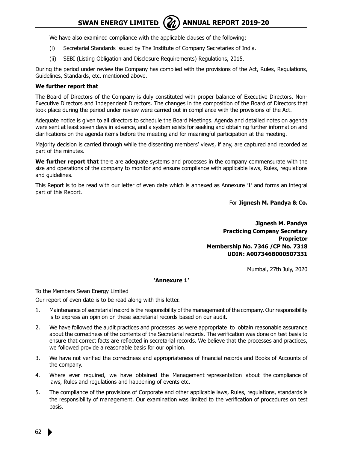We have also examined compliance with the applicable clauses of the following:

- (i) Secretarial Standards issued by The Institute of Company Secretaries of India.
- (ii) SEBI (Listing Obligation and Disclosure Requirements) Regulations, 2015.

During the period under review the Company has complied with the provisions of the Act, Rules, Regulations, Guidelines, Standards, etc. mentioned above.

#### **We further report that**

The Board of Directors of the Company is duly constituted with proper balance of Executive Directors, Non-Executive Directors and Independent Directors. The changes in the composition of the Board of Directors that took place during the period under review were carried out in compliance with the provisions of the Act.

Adequate notice is given to all directors to schedule the Board Meetings. Agenda and detailed notes on agenda were sent at least seven days in advance, and a system exists for seeking and obtaining further information and clarifications on the agenda items before the meeting and for meaningful participation at the meeting.

Majority decision is carried through while the dissenting members' views, if any, are captured and recorded as part of the minutes.

**We further report that** there are adequate systems and processes in the company commensurate with the size and operations of the company to monitor and ensure compliance with applicable laws, Rules, regulations and guidelines.

This Report is to be read with our letter of even date which is annexed as Annexure '1' and forms an integral part of this Report.

For **Jignesh M. Pandya & Co.**

**Jignesh M. Pandya Practicing Company Secretary Proprietor Membership No. 7346 /CP No. 7318 UDIN: A007346B000507331**

Mumbai, 27th July, 2020

#### **'Annexure 1'**

To the Members Swan Energy Limited

Our report of even date is to be read along with this letter.

- 1. Maintenance of secretarial record is the responsibility of the management of the company. Our responsibility is to express an opinion on these secretarial records based on our audit.
- 2. We have followed the audit practices and processes as were appropriate to obtain reasonable assurance about the correctness of the contents of the Secretarial records. The verification was done on test basis to ensure that correct facts are reflected in secretarial records. We believe that the processes and practices, we followed provide a reasonable basis for our opinion.
- 3. We have not verified the correctness and appropriateness of financial records and Books of Accounts of the company.
- 4. Where ever required, we have obtained the Management representation about the compliance of laws, Rules and regulations and happening of events etc.
- 5. The compliance of the provisions of Corporate and other applicable laws, Rules, regulations, standards is the responsibility of management. Our examination was limited to the verification of procedures on test basis.

62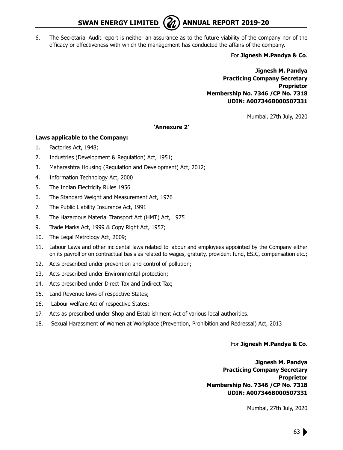**SWAN ENERGY LIMITED** ( $\mathcal{U}$ ) ANNUAL REPORT 2019-20



6. The Secretarial Audit report is neither an assurance as to the future viability of the company nor of the efficacy or effectiveness with which the management has conducted the affairs of the company.

For **Jignesh M.Pandya & Co**.

**Jignesh M. Pandya Practicing Company Secretary Proprietor Membership No. 7346 /CP No. 7318 UDIN: A007346B000507331**

Mumbai, 27th July, 2020

#### **'Annexure 2'**

#### **Laws applicable to the Company:**

- 1. Factories Act, 1948;
- 2. Industries (Development & Regulation) Act, 1951;
- 3. Maharashtra Housing (Regulation and Development) Act, 2012;
- 4. Information Technology Act, 2000
- 5. The Indian Electricity Rules 1956
- 6. The Standard Weight and Measurement Act, 1976
- 7. The Public Liability Insurance Act, 1991
- 8. The Hazardous Material Transport Act (HMT) Act, 1975
- 9. Trade Marks Act, 1999 & Copy Right Act, 1957;
- 10. The Legal Metrology Act, 2009;
- 11. Labour Laws and other incidental laws related to labour and employees appointed by the Company either on its payroll or on contractual basis as related to wages, gratuity, provident fund, ESIC, compensation etc.;
- 12. Acts prescribed under prevention and control of pollution;
- 13. Acts prescribed under Environmental protection;
- 14. Acts prescribed under Direct Tax and Indirect Tax;
- 15. Land Revenue laws of respective States;
- 16. Labour welfare Act of respective States;
- 17. Acts as prescribed under Shop and Establishment Act of various local authorities.
- 18. Sexual Harassment of Women at Workplace (Prevention, Prohibition and Redressal) Act, 2013

#### For **Jignesh M.Pandya & Co**.

**Jignesh M. Pandya Practicing Company Secretary Proprietor Membership No. 7346 /CP No. 7318 UDIN: A007346B000507331**

Mumbai, 27th July, 2020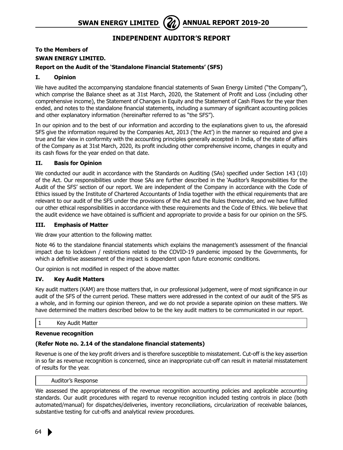### **Independent Auditor's Report**

## **To the Members of SWAN ENERGY LIMITED.**

#### **Report on the Audit of the 'Standalone Financial Statements' (SFS)**

#### **I. Opinion**

We have audited the accompanying standalone financial statements of Swan Energy Limited ("the Company"), which comprise the Balance sheet as at 31st March, 2020, the Statement of Profit and Loss (including other comprehensive income), the Statement of Changes in Equity and the Statement of Cash Flows for the year then ended, and notes to the standalone financial statements, including a summary of significant accounting policies and other explanatory information (hereinafter referred to as "the SFS").

In our opinion and to the best of our information and according to the explanations given to us, the aforesaid SFS give the information required by the Companies Act, 2013 ('the Act') in the manner so required and give a true and fair view in conformity with the accounting principles generally accepted in India, of the state of affairs of the Company as at 31st March, 2020, its profit including other comprehensive income, changes in equity and its cash flows for the year ended on that date.

#### **II. Basis for Opinion**

We conducted our audit in accordance with the Standards on Auditing (SAs) specified under Section 143 (10) of the Act. Our responsibilities under those SAs are further described in the 'Auditor's Responsibilities for the Audit of the SFS' section of our report. We are independent of the Company in accordance with the Code of Ethics issued by the Institute of Chartered Accountants of India together with the ethical requirements that are relevant to our audit of the SFS under the provisions of the Act and the Rules thereunder, and we have fulfilled our other ethical responsibilities in accordance with these requirements and the Code of Ethics. We believe that the audit evidence we have obtained is sufficient and appropriate to provide a basis for our opinion on the SFS.

#### **III. Emphasis of Matter**

We draw your attention to the following matter.

Note 46 to the standalone financial statements which explains the management's assessment of the financial impact due to lockdown / restrictions related to the COVID-19 pandemic imposed by the Governments, for which a definitive assessment of the impact is dependent upon future economic conditions.

Our opinion is not modified in respect of the above matter.

#### **IV. Key Audit Matters**

Key audit matters (KAM) are those matters that, in our professional judgement, were of most significance in our audit of the SFS of the current period. These matters were addressed in the context of our audit of the SFS as a whole, and in forming our opinion thereon, and we do not provide a separate opinion on these matters. We have determined the matters described below to be the key audit matters to be communicated in our report.

#### 1 Key Audit Matter

#### **Revenue recognition**

#### **(Refer Note no. 2.14 of the standalone financial statements)**

Revenue is one of the key profit drivers and is therefore susceptible to misstatement. Cut-off is the key assertion in so far as revenue recognition is concerned, since an inappropriate cut-off can result in material misstatement of results for the year.

#### Auditor's Response

We assessed the appropriateness of the revenue recognition accounting policies and applicable accounting standards. Our audit procedures with regard to revenue recognition included testing controls in place (both automated/manual) for dispatches/deliveries, inventory reconciliations, circularization of receivable balances, substantive testing for cut-offs and analytical review procedures.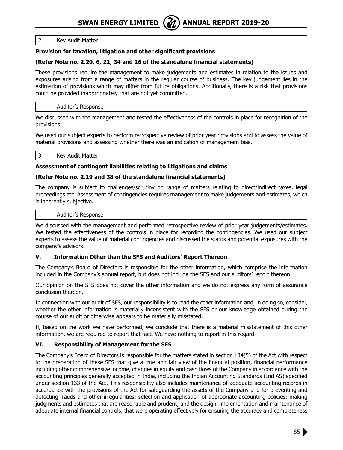#### 2 Key Audit Matter

#### **Provision for taxation, litigation and other significant provisions**

#### **(Refer Note no. 2.20, 6, 21, 34 and 26 of the standalone financial statements)**

These provisions require the management to make judgements and estimates in relation to the issues and exposures arising from a range of matters in the regular course of business. The key judgement lies in the estimation of provisions which may differ from future obligations. Additionally, there is a risk that provisions could be provided inappropriately that are not yet committed.

#### Auditor's Response

We discussed with the management and tested the effectiveness of the controls in place for recognition of the provisions.

We used our subject experts to perform retrospective review of prior year provisions and to assess the value of material provisions and assessing whether there was an indication of management bias.

#### 3 Key Audit Matter

#### **Assessment of contingent liabilities relating to litigations and claims**

#### **(Refer Note no. 2.19 and 38 of the standalone financial statements)**

The company is subject to challenges/scrutiny on range of matters relating to direct/indirect taxes, legal proceedings etc. Assessment of contingencies requires management to make judgements and estimates, which is inherently subjective.

#### Auditor's Response

We discussed with the management and performed retrospective review of prior year judgements/estimates. We tested the effectiveness of the controls in place for recording the contingencies. We used our subject experts to assess the value of material contingencies and discussed the status and potential exposures with the company's advisors.

#### **V. Information Other than the SFS and Auditors' Report Thereon**

The Company's Board of Directors is responsible for the other information, which comprise the information included in the Company's annual report, but does not include the SFS and our auditors' report thereon.

Our opinion on the SFS does not cover the other information and we do not express any form of assurance conclusion thereon.

In connection with our audit of SFS, our responsibility is to read the other information and, in doing so, consider, whether the other information is materially inconsistent with the SFS or our knowledge obtained during the course of our audit or otherwise appears to be materially misstated.

If, based on the work we have performed, we conclude that there is a material misstatement of this other information, we are required to report that fact. We have nothing to report in this regard.

#### **VI. Responsibility of Management for the SFS**

The Company's Board of Directors is responsible for the matters stated in section 134(5) of the Act with respect to the preparation of these SFS that give a true and fair view of the financial position, financial performance including other comprehensive income, changes in equity and cash flows of the Company in accordance with the accounting principles generally accepted in India, including the Indian Accounting Standards (Ind AS) specified under section 133 of the Act. This responsibility also includes maintenance of adequate accounting records in accordance with the provisions of the Act for safeguarding the assets of the Company and for preventing and detecting frauds and other irregularities; selection and application of appropriate accounting policies; making judgments and estimates that are reasonable and prudent; and the design, implementation and maintenance of adequate internal financial controls, that were operating effectively for ensuring the accuracy and completeness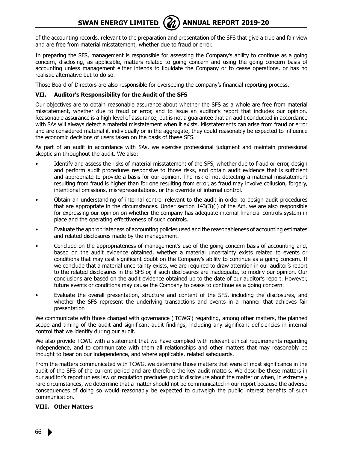of the accounting records, relevant to the preparation and presentation of the SFS that give a true and fair view and are free from material misstatement, whether due to fraud or error.

In preparing the SFS, management is responsible for assessing the Company's ability to continue as a going concern, disclosing, as applicable, matters related to going concern and using the going concern basis of accounting unless management either intends to liquidate the Company or to cease operations, or has no realistic alternative but to do so.

Those Board of Directors are also responsible for overseeing the company's financial reporting process.

#### **VII. Auditor's Responsibility for the Audit of the SFS**

Our objectives are to obtain reasonable assurance about whether the SFS as a whole are free from material misstatement, whether due to fraud or error, and to issue an auditor's report that includes our opinion. Reasonable assurance is a high level of assurance, but is not a guarantee that an audit conducted in accordance with SAs will always detect a material misstatement when it exists. Misstatements can arise from fraud or error and are considered material if, individually or in the aggregate, they could reasonably be expected to influence the economic decisions of users taken on the basis of these SFS.

As part of an audit in accordance with SAs, we exercise professional judgment and maintain professional skepticism throughout the audit. We also:

- Identify and assess the risks of material misstatement of the SFS, whether due to fraud or error, design and perform audit procedures responsive to those risks, and obtain audit evidence that is sufficient and appropriate to provide a basis for our opinion. The risk of not detecting a material misstatement resulting from fraud is higher than for one resulting from error, as fraud may involve collusion, forgery, intentional omissions, misrepresentations, or the override of internal control.
- Obtain an understanding of internal control relevant to the audit in order to design audit procedures that are appropriate in the circumstances. Under section 143(3)(i) of the Act, we are also responsible for expressing our opinion on whether the company has adequate internal financial controls system in place and the operating effectiveness of such controls.
- Evaluate the appropriateness of accounting policies used and the reasonableness of accounting estimates and related disclosures made by the management.
- Conclude on the appropriateness of management's use of the going concern basis of accounting and, based on the audit evidence obtained, whether a material uncertainty exists related to events or conditions that may cast significant doubt on the Company's ability to continue as a going concern. If we conclude that a material uncertainty exists, we are required to draw attention in our auditor's report to the related disclosures in the SFS or, if such disclosures are inadequate, to modify our opinion. Our conclusions are based on the audit evidence obtained up to the date of our auditor's report. However, future events or conditions may cause the Company to cease to continue as a going concern.
- Evaluate the overall presentation, structure and content of the SFS, including the disclosures, and whether the SFS represent the underlying transactions and events in a manner that achieves fair presentation

We communicate with those charged with governance ('TCWG') regarding, among other matters, the planned scope and timing of the audit and significant audit findings, including any significant deficiencies in internal control that we identify during our audit.

We also provide TCWG with a statement that we have complied with relevant ethical requirements regarding independence, and to communicate with them all relationships and other matters that may reasonably be thought to bear on our independence, and where applicable, related safeguards.

From the matters communicated with TCWG, we determine those matters that were of most significance in the audit of the SFS of the current period and are therefore the key audit matters. We describe these matters in our auditor's report unless law or regulation precludes public disclosure about the matter or when, in extremely rare circumstances, we determine that a matter should not be communicated in our report because the adverse consequences of doing so would reasonably be expected to outweigh the public interest benefits of such communication.

#### **VIII. Other Matters**

66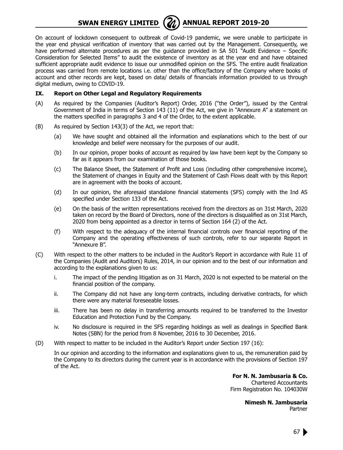

**SWAN ENERGY LIMITED** ( $\mathbb{Z}$ ) ANNUAL REPORT 2019-20

On account of lockdown consequent to outbreak of Covid-19 pandemic, we were unable to participate in the year end physical verification of inventory that was carried out by the Management. Consequently, we have performed alternate procedures as per the guidance provided in SA 501 "Audit Evidence – Specific Consideration for Selected Items" to audit the existence of inventory as at the year end and have obtained sufficient appropriate audit evidence to issue our unmodified opinion on the SFS. The entire audit finalization process was carried from remote locations i.e. other than the office/factory of the Company where books of account and other records are kept, based on data/ details of financials information provided to us through digital medium, owing to COVID-19.

#### **IX. Report on Other Legal and Regulatory Requirements**

- (A) As required by the Companies (Auditor's Report) Order, 2016 ("the Order"), issued by the Central Government of India in terms of Section 143 (11) of the Act, we give in "Annexure A" a statement on the matters specified in paragraphs 3 and 4 of the Order, to the extent applicable.
- (B) As required by Section 143(3) of the Act, we report that:
	- (a) We have sought and obtained all the information and explanations which to the best of our knowledge and belief were necessary for the purposes of our audit.
	- (b) In our opinion, proper books of account as required by law have been kept by the Company so far as it appears from our examination of those books.
	- (c) The Balance Sheet, the Statement of Profit and Loss (including other comprehensive income), the Statement of changes in Equity and the Statement of Cash Flows dealt with by this Report are in agreement with the books of account.
	- (d) In our opinion, the aforesaid standalone financial statements (SFS) comply with the Ind AS specified under Section 133 of the Act.
	- (e) On the basis of the written representations received from the directors as on 31st March, 2020 taken on record by the Board of Directors, none of the directors is disqualified as on 31st March, 2020 from being appointed as a director in terms of Section 164 (2) of the Act.
	- (f) With respect to the adequacy of the internal financial controls over financial reporting of the Company and the operating effectiveness of such controls, refer to our separate Report in "Annexure B".
- (C) With respect to the other matters to be included in the Auditor's Report in accordance with Rule 11 of the Companies (Audit and Auditors) Rules, 2014, in our opinion and to the best of our information and according to the explanations given to us:
	- i. The impact of the pending litigation as on 31 March, 2020 is not expected to be material on the financial position of the company.
	- ii. The Company did not have any long-term contracts, including derivative contracts, for which there were any material foreseeable losses.
	- iii. There has been no delay in transferring amounts required to be transferred to the Investor Education and Protection Fund by the Company.
	- iv. No disclosure is required in the SFS regarding holdings as well as dealings in Specified Bank Notes (SBN) for the period from 8 November, 2016 to 30 December, 2016.
- (D) With respect to matter to be included in the Auditor's Report under Section 197 (16):

 In our opinion and according to the information and explanations given to us, the remuneration paid by the Company to its directors during the current year is in accordance with the provisions of Section 197 of the Act.

> **For N. N. Jambusaria & Co.** Chartered Accountants Firm Registration No. 104030W

> > **Nimesh N. Jambusaria** Partner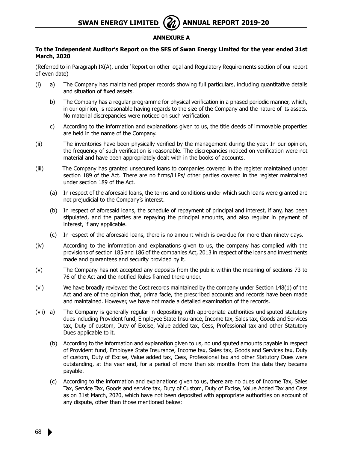#### **Annexure A**

#### **To the Independent Auditor's Report on the SFS of Swan Energy Limited for the year ended 31st March, 2020**

(Referred to in Paragraph IX(A), under 'Report on other legal and Regulatory Requirements section of our report of even date)

- (i) a) The Company has maintained proper records showing full particulars, including quantitative details and situation of fixed assets.
	- b) The Company has a regular programme for physical verification in a phased periodic manner, which, in our opinion, is reasonable having regards to the size of the Company and the nature of its assets. No material discrepancies were noticed on such verification.
	- c) According to the information and explanations given to us, the title deeds of immovable properties are held in the name of the Company.
- (ii) The inventories have been physically verified by the management during the year. In our opinion, the frequency of such verification is reasonable. The discrepancies noticed on verification were not material and have been appropriately dealt with in the books of accounts.
- (iii) The Company has granted unsecured loans to companies covered in the register maintained under section 189 of the Act. There are no firms/LLPs/ other parties covered in the register maintained under section 189 of the Act.
	- (a) In respect of the aforesaid loans, the terms and conditions under which such loans were granted are not prejudicial to the Company's interest.
	- (b) In respect of aforesaid loans, the schedule of repayment of principal and interest, if any, has been stipulated, and the parties are repaying the principal amounts, and also regular in payment of interest, if any applicable.
	- (c) In respect of the aforesaid loans, there is no amount which is overdue for more than ninety days.
- (iv) According to the information and explanations given to us, the company has complied with the provisions of section 185 and 186 of the companies Act, 2013 in respect of the loans and investments made and guarantees and security provided by it.
- (v) The Company has not accepted any deposits from the public within the meaning of sections 73 to 76 of the Act and the notified Rules framed there under.
- (vi) We have broadly reviewed the Cost records maintained by the company under Section 148(1) of the Act and are of the opinion that, prima facie, the prescribed accounts and records have been made and maintained. However, we have not made a detailed examination of the records.
- (vii) a) The Company is generally regular in depositing with appropriate authorities undisputed statutory dues including Provident fund, Employee State Insurance, Income tax, Sales tax, Goods and Services tax, Duty of custom, Duty of Excise, Value added tax, Cess, Professional tax and other Statutory Dues applicable to it.
	- (b) According to the information and explanation given to us, no undisputed amounts payable in respect of Provident fund, Employee State Insurance, Income tax, Sales tax, Goods and Services tax, Duty of custom, Duty of Excise, Value added tax, Cess, Professional tax and other Statutory Dues were outstanding, at the year end, for a period of more than six months from the date they became payable.
	- (c) According to the information and explanations given to us, there are no dues of Income Tax, Sales Tax, Service Tax, Goods and service tax, Duty of Custom, Duty of Excise, Value Added Tax and Cess as on 31st March, 2020, which have not been deposited with appropriate authorities on account of any dispute, other than those mentioned below: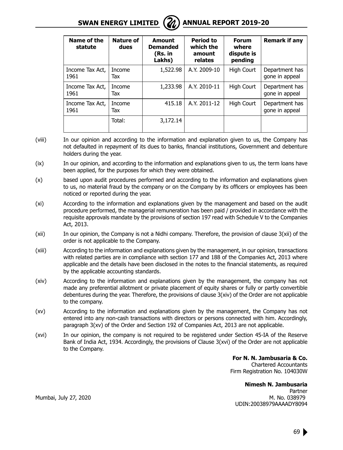

| Name of the<br>statute  | Nature of<br>dues | Amount<br><b>Demanded</b><br>(Rs. in<br>Lakhs) | <b>Period to</b><br>which the<br>amount<br>relates | <b>Forum</b><br>where<br>dispute is<br>pending | <b>Remark if any</b>             |
|-------------------------|-------------------|------------------------------------------------|----------------------------------------------------|------------------------------------------------|----------------------------------|
| Income Tax Act,<br>1961 | Income<br>Tax     | 1,522.98                                       | A.Y. 2009-10                                       | High Court                                     | Department has<br>gone in appeal |
| Income Tax Act,<br>1961 | Income<br>Tax     | 1,233.98                                       | A.Y. 2010-11                                       | High Court                                     | Department has<br>gone in appeal |
| Income Tax Act,<br>1961 | Income<br>Tax     | 415.18                                         | A.Y. 2011-12                                       | High Court                                     | Department has<br>gone in appeal |
|                         | Total:            | 3,172.14                                       |                                                    |                                                |                                  |

- (viii) In our opinion and according to the information and explanation given to us, the Company has not defaulted in repayment of its dues to banks, financial institutions, Government and debenture holders during the year.
- (ix) In our opinion, and according to the information and explanations given to us, the term loans have been applied, for the purposes for which they were obtained.
- (x) based upon audit procedures performed and according to the information and explanations given to us, no material fraud by the company or on the Company by its officers or employees has been noticed or reported during the year.
- (xi) According to the information and explanations given by the management and based on the audit procedure performed, the managerial remuneration has been paid / provided in accordance with the requisite approvals mandate by the provisions of section 197 read with Schedule V to the Companies Act, 2013.
- (xii) In our opinion, the Company is not a Nidhi company. Therefore, the provision of clause 3(xii) of the order is not applicable to the Company.
- (xiii) According to the information and explanations given by the management, in our opinion, transactions with related parties are in compliance with section 177 and 188 of the Companies Act, 2013 where applicable and the details have been disclosed in the notes to the financial statements, as required by the applicable accounting standards.
- (xiv) According to the information and explanations given by the management, the company has not made any preferential allotment or private placement of equity shares or fully or partly convertible debentures during the year. Therefore, the provisions of clause  $3(xiv)$  of the Order are not applicable to the company.
- (xv) According to the information and explanations given by the management, the Company has not entered into any non-cash transactions with directors or persons connected with him. Accordingly, paragraph 3(xv) of the Order and Section 192 of Companies Act, 2013 are not applicable.
- (xvi) In our opinion, the company is not required to be registered under Section 45-IA of the Reserve Bank of India Act, 1934. Accordingly, the provisions of Clause 3(xvi) of the Order are not applicable to the Company.

**For N. N. Jambusaria & Co.** Chartered Accountants Firm Registration No. 104030W

**Nimesh N. Jambusaria** Partner Mumbai, July 27, 2020 **M. No. 2008** M. No. 038979 UDIN:20038979AAAADY8094

69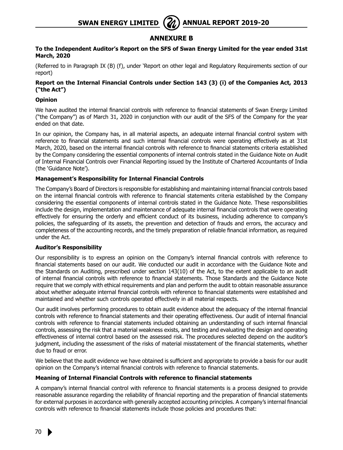#### **Annexure B**

#### **To the Independent Auditor's Report on the SFS of Swan Energy Limited for the year ended 31st March, 2020**

(Referred to in Paragraph IX (B) (f), under 'Report on other legal and Regulatory Requirements section of our report)

#### **Report on the Internal Financial Controls under Section 143 (3) (i) of the Companies Act, 2013 ("the Act")**

#### **Opinion**

We have audited the internal financial controls with reference to financial statements of Swan Energy Limited ("the Company") as of March 31, 2020 in conjunction with our audit of the SFS of the Company for the year ended on that date.

In our opinion, the Company has, in all material aspects, an adequate internal financial control system with reference to financial statements and such internal financial controls were operating effectively as at 31st March, 2020, based on the internal financial controls with reference to financial statements criteria established by the Company considering the essential components of internal controls stated in the Guidance Note on Audit of Internal Financial Controls over Financial Reporting issued by the Institute of Chartered Accountants of India (the 'Guidance Note').

#### **Management's Responsibility for Internal Financial Controls**

The Company's Board of Directors is responsible for establishing and maintaining internal financial controls based on the internal financial controls with reference to financial statements criteria established by the Company considering the essential components of internal controls stated in the Guidance Note. These responsibilities include the design, implementation and maintenance of adequate internal financial controls that were operating effectively for ensuring the orderly and efficient conduct of its business, including adherence to company's policies, the safeguarding of its assets, the prevention and detection of frauds and errors, the accuracy and completeness of the accounting records, and the timely preparation of reliable financial information, as required under the Act.

#### **Auditor's Responsibility**

Our responsibility is to express an opinion on the Company's internal financial controls with reference to financial statements based on our audit. We conducted our audit in accordance with the Guidance Note and the Standards on Auditing, prescribed under section 143(10) of the Act, to the extent applicable to an audit of internal financial controls with reference to financial statements. Those Standards and the Guidance Note require that we comply with ethical requirements and plan and perform the audit to obtain reasonable assurance about whether adequate internal financial controls with reference to financial statements were established and maintained and whether such controls operated effectively in all material respects.

Our audit involves performing procedures to obtain audit evidence about the adequacy of the internal financial controls with reference to financial statements and their operating effectiveness. Our audit of internal financial controls with reference to financial statements included obtaining an understanding of such internal financial controls, assessing the risk that a material weakness exists, and testing and evaluating the design and operating effectiveness of internal control based on the assessed risk. The procedures selected depend on the auditor's judgment, including the assessment of the risks of material misstatement of the financial statements, whether due to fraud or error.

We believe that the audit evidence we have obtained is sufficient and appropriate to provide a basis for our audit opinion on the Company's internal financial controls with reference to financial statements.

#### **Meaning of Internal Financial Controls with reference to financial statements**

A company's internal financial control with reference to financial statements is a process designed to provide reasonable assurance regarding the reliability of financial reporting and the preparation of financial statements for external purposes in accordance with generally accepted accounting principles. A company's internal financial controls with reference to financial statements include those policies and procedures that: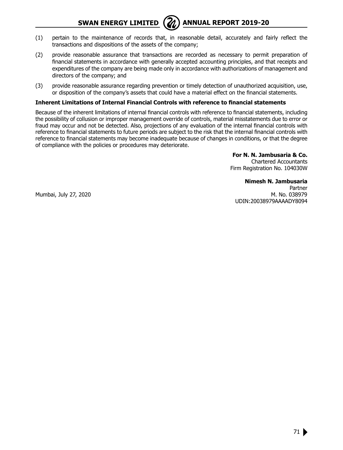**SWAN ENERGY LIMITED** ( $\mathcal{U}$ ) ANNUAL REPORT 2019-20



- (1) pertain to the maintenance of records that, in reasonable detail, accurately and fairly reflect the transactions and dispositions of the assets of the company;
- (2) provide reasonable assurance that transactions are recorded as necessary to permit preparation of financial statements in accordance with generally accepted accounting principles, and that receipts and expenditures of the company are being made only in accordance with authorizations of management and directors of the company; and
- (3) provide reasonable assurance regarding prevention or timely detection of unauthorized acquisition, use, or disposition of the company's assets that could have a material effect on the financial statements.

#### **Inherent Limitations of Internal Financial Controls with reference to financial statements**

Because of the inherent limitations of internal financial controls with reference to financial statements, including the possibility of collusion or improper management override of controls, material misstatements due to error or fraud may occur and not be detected. Also, projections of any evaluation of the internal financial controls with reference to financial statements to future periods are subject to the risk that the internal financial controls with reference to financial statements may become inadequate because of changes in conditions, or that the degree of compliance with the policies or procedures may deteriorate.

> **For N. N. Jambusaria & Co.** Chartered Accountants Firm Registration No. 104030W

**Nimesh N. Jambusaria** Partner Mumbai, July 27, 2020 M. No. 038979 UDIN:20038979AAAADY8094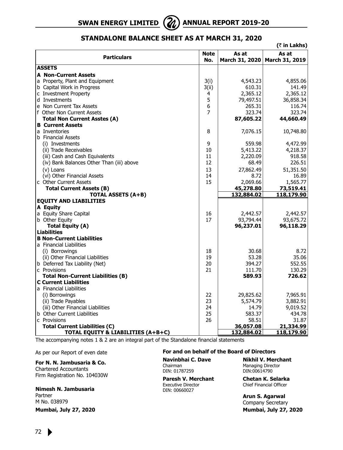

#### **Standalone Balance Sheet as at March 31, 2020**

| (₹ in Lakhs)                              |             |                |                |  |  |
|-------------------------------------------|-------------|----------------|----------------|--|--|
|                                           | <b>Note</b> | As at          | As at          |  |  |
| <b>Particulars</b>                        | No.         | March 31, 2020 | March 31, 2019 |  |  |
| <b>ASSETS</b>                             |             |                |                |  |  |
| <b>A</b> Non-Current Assets               |             |                |                |  |  |
| a Property, Plant and Equipment           | 3(i)        | 4,543.23       | 4,855.06       |  |  |
| b Capital Work in Progress                | 3(ii)       | 610.31         | 141.49         |  |  |
| c Investment Property                     | 4           | 2,365.12       | 2,365.12       |  |  |
| d Investments                             | 5           | 79,497.51      | 36,858.34      |  |  |
| e Non Current Tax Assets                  | 6           | 265.31         | 116.74         |  |  |
| f Other Non Current Assets                | 7           | 323.74         | 323.74         |  |  |
| Total Non Current Asstes (A)              |             | 87,605.22      | 44,660.49      |  |  |
| <b>B</b> Current Assets                   |             |                |                |  |  |
| a Inventories                             | 8           | 7,076.15       | 10,748.80      |  |  |
| b Financial Assets                        |             |                |                |  |  |
| (i) Investments                           | 9           | 559.98         | 4,472.99       |  |  |
| (ii) Trade Receivables                    | 10          | 5,413.22       | 4,218.37       |  |  |
| (iii) Cash and Cash Equivalents           | 11          | 2,220.09       | 918.58         |  |  |
| (iv) Bank Balances Other Than (iii) above | 12          | 68.49          | 226.51         |  |  |
| (v) Loans                                 | 13          | 27,862.49      | 51,351.50      |  |  |
| (vi) Other Financial Assets               | 14          | 8.72           | 16.89          |  |  |
| c Other Current Assets                    | 15          | 2,069.66       | 1,565.77       |  |  |
| <b>Total Current Assets (B)</b>           |             | 45,278.80      | 73,519.41      |  |  |
| <b>TOTAL ASSETS (A+B)</b>                 |             | 132,884.02     | 118,179.90     |  |  |
| <b>EQUITY AND LIABILITIES</b>             |             |                |                |  |  |
| A Equity                                  |             |                |                |  |  |
| a Equity Share Capital                    | 16          | 2,442.57       | 2,442.57       |  |  |
| b Other Equity                            | 17          | 93,794.44      | 93,675.72      |  |  |
| Total Equity (A)                          |             | 96,237.01      | 96,118.29      |  |  |
| <b>Liabilities</b>                        |             |                |                |  |  |
| <b>B Non-Current Liabilities</b>          |             |                |                |  |  |
| a Financial Liabilities                   |             |                |                |  |  |
| (i) Borrowings                            | 18          | 30.68          | 8.72           |  |  |
| (ii) Other Financial Liabilities          | 19          | 53.28          | 35.06          |  |  |
| b Deferred Tax Liability (Net)            | 20          | 394.27         | 552.55         |  |  |
| c Provisions                              | 21          | 111.70         | 130.29         |  |  |
| <b>Total Non-Current Liabilities (B)</b>  |             | 589.93         | 726.62         |  |  |
| <b>C Current Liabilities</b>              |             |                |                |  |  |
| a Financial Liabilities                   |             |                |                |  |  |
| (i) Borrowings                            | 22          | 29,825.62      | 7,965.91       |  |  |
| (ii) Trade Payables                       | 23          | 5,574.79       | 3,882.91       |  |  |
| (iii) Other Financial Liabilities         | 24          | 14.79          | 9,019.52       |  |  |
| <b>b</b> Other Current Liabilities        | 25          | 583.37         | 434.78         |  |  |
| c Provisions                              | 26          | 58.51          | 31.87          |  |  |
| <b>Total Current Liabilities (C)</b>      |             | 36,057.08      | 21,334.99      |  |  |
| TOTAL EQUITY & LIABILITIES (A+B+C)        |             | 132,884.02     | 118,179.90     |  |  |

The accompanying notes 1 & 2 are an integral part of the Standalone financial statements

As per our Report of even date

**For N. N. Jambusaria & Co.** Chartered Accountants Firm Registration No. 104030W

**Nimesh N. Jambusaria** Partner M No. 038979

**Mumbai, July 27, 2020**

#### **For and on behalf of the Board of Directors**

Chairman Managing Director<br>
DIN: 01787259 DIN:00614790 DIN: 01787259

**Paresh V. Merchant Chetan K. Selarka**<br>Executive Director Chief Financial Officer DIN: 00660027

**Navinbhai C. Dave Nikhil V. Merchant**

Chief Financial Officer

**Arun S. Agarwal** Company Secretary  **Mumbai, July 27, 2020**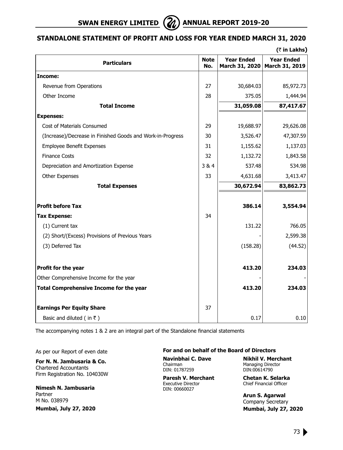# **Standalone Statement of Profit and Loss for Year Ended March 31, 2020**

|                                                            |                    |                                     | $($ ₹ in Lakhs)                     |
|------------------------------------------------------------|--------------------|-------------------------------------|-------------------------------------|
| <b>Particulars</b>                                         | <b>Note</b><br>No. | <b>Year Ended</b><br>March 31, 2020 | <b>Year Ended</b><br>March 31, 2019 |
| Income:                                                    |                    |                                     |                                     |
| Revenue from Operations                                    | 27                 | 30,684.03                           | 85,972.73                           |
| Other Income                                               | 28                 | 375.05                              | 1,444.94                            |
| <b>Total Income</b>                                        |                    | 31,059.08                           | 87,417.67                           |
| <b>Expenses:</b>                                           |                    |                                     |                                     |
| Cost of Materials Consumed                                 | 29                 | 19,688.97                           | 29,626.08                           |
| (Increase)/Decrease in Finished Goods and Work-in-Progress | 30                 | 3,526.47                            | 47,307.59                           |
| <b>Employee Benefit Expenses</b>                           | 31                 | 1,155.62                            | 1,137.03                            |
| <b>Finance Costs</b>                                       | 32                 | 1,132.72                            | 1,843.58                            |
| Depreciation and Amortization Expense                      | 3&4                | 537.48                              | 534.98                              |
| <b>Other Expenses</b>                                      | 33                 | 4,631.68                            | 3,413.47                            |
| <b>Total Expenses</b>                                      |                    | 30,672.94                           | 83,862.73                           |
| <b>Profit before Tax</b>                                   |                    | 386.14                              | 3,554.94                            |
| <b>Tax Expense:</b>                                        | 34                 |                                     |                                     |
| (1) Current tax                                            |                    | 131.22                              | 766.05                              |
| (2) Short/(Excess) Provisions of Previous Years            |                    |                                     | 2,599.38                            |
| (3) Deferred Tax                                           |                    | (158.28)                            | (44.52)                             |
| Profit for the year                                        |                    | 413.20                              | 234.03                              |
| Other Comprehensive Income for the year                    |                    |                                     |                                     |
| <b>Total Comprehensive Income for the year</b>             |                    | 413.20                              | 234.03                              |
| <b>Earnings Per Equity Share</b>                           | 37                 |                                     |                                     |
| Basic and diluted (in ₹)                                   |                    | 0.17                                | 0.10                                |

The accompanying notes 1 & 2 are an integral part of the Standalone financial statements

As per our Report of even date

**For N. N. Jambusaria & Co.** Chartered Accountants Firm Registration No. 104030W

**Nimesh N. Jambusaria** Partner M No. 038979 **Mumbai, July 27, 2020**

#### **For and on behalf of the Board of Directors**

Chairman Managing Director<br>
DIN: 01787259 DIN:00614790 DIN: 01787259

**Paresh V. Merchant Chetan K. Selarka**<br>Executive Director Chief Financial Officer DIN: 00660027

**Navinbhai C. Dave Nikhil V. Merchant**

Chief Financial Officer

**Arun S. Agarwal** Company Secretary  **Mumbai, July 27, 2020**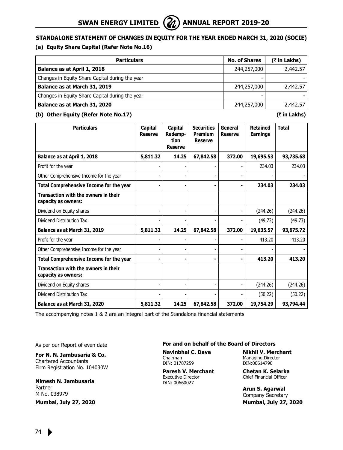**Standalone Statement of Changes in Equity for the year ended March 31, 2020 (SOCIE)**

# **(a) Equity Share Capital (Refer Note No.16)**

| <b>Particulars</b>                              | <b>No. of Shares</b> | $($ ₹ in Lakhs) |
|-------------------------------------------------|----------------------|-----------------|
| Balance as at April 1, 2018                     | 244,257,000          | 2,442.57        |
| Changes in Equity Share Capital during the year |                      |                 |
| Balance as at March 31, 2019                    | 244,257,000          | 2,442.57        |
| Changes in Equity Share Capital during the year |                      |                 |
| Balance as at March 31, 2020                    | 244,257,000          | 2,442.57        |

# **(b) Other Equity (Refer Note No.17) (**` **in Lakhs)**

| <b>Particulars</b>                                                 | Capital<br><b>Reserve</b> | Capital<br>Redemp-<br>tion<br><b>Reserve</b> | <b>Securities</b><br><b>Premium</b><br><b>Reserve</b> | General<br><b>Reserve</b> | <b>Retained</b><br><b>Earnings</b> | <b>Total</b> |
|--------------------------------------------------------------------|---------------------------|----------------------------------------------|-------------------------------------------------------|---------------------------|------------------------------------|--------------|
| Balance as at April 1, 2018                                        | 5,811.32                  | 14.25                                        | 67,842.58                                             | 372.00                    | 19,695.53                          | 93,735.68    |
| Profit for the year                                                |                           |                                              |                                                       |                           | 234.03                             | 234.03       |
| Other Comprehensive Income for the year                            |                           |                                              |                                                       |                           |                                    |              |
| Total Comprehensive Income for the year                            |                           |                                              |                                                       | $\blacksquare$            | 234.03                             | 234.03       |
| Transaction with the owners in their<br>capacity as owners:        |                           |                                              |                                                       |                           |                                    |              |
| Dividend on Equity shares                                          |                           |                                              |                                                       |                           | (244.26)                           | (244.26)     |
| Dividend Distribution Tax                                          |                           |                                              |                                                       |                           | (49.73)                            | (49.73)      |
| Balance as at March 31, 2019                                       | 5,811.32                  | 14.25                                        | 67,842.58                                             | 372.00                    | 19,635.57                          | 93,675.72    |
| Profit for the year                                                |                           |                                              |                                                       |                           | 413.20                             | 413.20       |
| Other Comprehensive Income for the year                            |                           |                                              |                                                       |                           |                                    |              |
| Total Comprehensive Income for the year                            |                           |                                              |                                                       | $\blacksquare$            | 413.20                             | 413.20       |
| <b>Transaction with the owners in their</b><br>capacity as owners: |                           |                                              |                                                       |                           |                                    |              |
| Dividend on Equity shares                                          |                           |                                              |                                                       | $\overline{a}$            | (244.26)                           | (244.26)     |
| Dividend Distribution Tax                                          |                           |                                              |                                                       |                           | (50.22)                            | (50.22)      |
| Balance as at March 31, 2020                                       | 5,811.32                  | 14.25                                        | 67,842.58                                             | 372.00                    | 19,754.29                          | 93,794.44    |

The accompanying notes 1 & 2 are an integral part of the Standalone financial statements

As per our Report of even date

**For N. N. Jambusaria & Co.** Chartered Accountants Firm Registration No. 104030W

**Nimesh N. Jambusaria** Partner M No. 038979

**Mumbai, July 27, 2020**

**For and on behalf of the Board of Directors**

Chairman Managing Director<br>
DIN: 01787259 DIN:00614790 DIN: 01787259

DIN: 00660027

**Navinbhai C. Dave Nikhil V. Merchant**

**Paresh V. Merchant Chetan K. Selarka**<br>Executive Director Chief Financial Officer Chief Financial Officer

> **Arun S. Agarwal** Company Secretary  **Mumbai, July 27, 2020**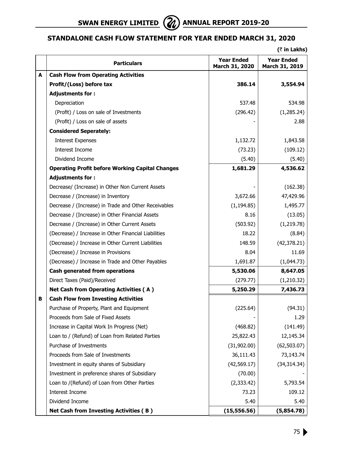

# **Standalone Cash Flow Statement for Year Ended March 31, 2020**

**(**` **in Lakhs)**

|   | <b>Particulars</b>                                     | Year Ended<br>March 31, 2020 | <b>Year Ended</b><br>March 31, 2019 |
|---|--------------------------------------------------------|------------------------------|-------------------------------------|
| A | <b>Cash Flow from Operating Activities</b>             |                              |                                     |
|   | Profit/(Loss) before tax                               | 386.14                       | 3,554.94                            |
|   | <b>Adjustments for:</b>                                |                              |                                     |
|   | Depreciation                                           | 537.48                       | 534.98                              |
|   | (Profit) / Loss on sale of Investments                 | (296.42)                     | (1, 285.24)                         |
|   | (Profit) / Loss on sale of assets                      |                              | 2.88                                |
|   | <b>Considered Seperately:</b>                          |                              |                                     |
|   | <b>Interest Expenses</b>                               | 1,132.72                     | 1,843.58                            |
|   | Interest Income                                        | (73.23)                      | (109.12)                            |
|   | Dividend Income                                        | (5.40)                       | (5.40)                              |
|   | <b>Operating Profit before Working Capital Changes</b> | 1,681.29                     | 4,536.62                            |
|   | <b>Adjustments for:</b>                                |                              |                                     |
|   | Decrease/ (Increase) in Other Non Current Assets       |                              | (162.38)                            |
|   | Decrease / (Increase) in Inventory                     | 3,672.66                     | 47,429.96                           |
|   | Decrease / (Increase) in Trade and Other Receivables   | (1, 194.85)                  | 1,495.77                            |
|   | Decrease / (Increase) in Other Financial Assets        | 8.16                         | (13.05)                             |
|   | Decrease / (Increase) in Other Current Assets          | (503.92)                     | (1, 219.78)                         |
|   | (Decrease) / Increase in Other Financial Liabilities   | 18.22                        | (8.84)                              |
|   | (Decrease) / Increase in Other Current Liabilities     | 148.59                       | (42, 378.21)                        |
|   | (Decrease) / Increase in Provisions                    | 8.04                         | 11.69                               |
|   | (Decrease) / Increase in Trade and Other Payables      | 1,691.87                     | (1,044.73)                          |
|   | Cash generated from operations                         | 5,530.06                     | 8,647.05                            |
|   | Direct Taxes (Paid)/Received                           | (279.77)                     | (1,210.32)                          |
|   | <b>Net Cash from Operating Activities (A)</b>          | 5,250.29                     | 7,436.73                            |
| в | <b>Cash Flow from Investing Activities</b>             |                              |                                     |
|   | Purchase of Property, Plant and Equipment              | (225.64)                     | (94.31)                             |
|   | Proceeds from Sale of Fixed Assets                     |                              | 1.29                                |
|   | Increase in Capital Work In Progress (Net)             | (468.82)                     | (141.49)                            |
|   | Loan to / (Refund) of Loan from Related Parties        | 25,822.43                    | 12,145.34                           |
|   | Purchase of Investments                                | (31,902.00)                  | (62, 503.07)                        |
|   | Proceeds from Sale of Investments                      | 36,111.43                    | 73,143.74                           |
|   | Investment in equity shares of Subsidiary              | (42, 569.17)                 | (34, 314.34)                        |
|   | Investment in preference shares of Subsidiary          | (70.00)                      |                                     |
|   | Loan to /(Refund) of Loan from Other Parties           | (2,333.42)                   | 5,793.54                            |
|   | Interest Income                                        | 73.23                        | 109.12                              |
|   | Dividend Income                                        | 5.40                         | 5.40                                |
|   | Net Cash from Investing Activities (B)                 | (15, 556.56)                 | (5,854.78)                          |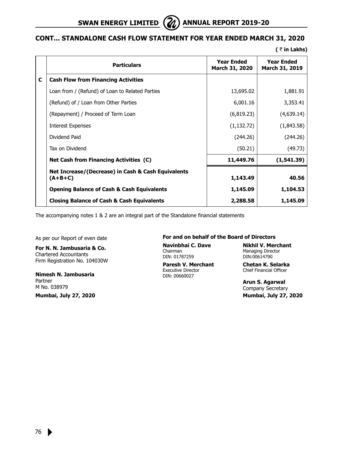

# **cont... Standalone Cash Flow Statement for Year Ended March 31, 2020**

**(** ` **in Lakhs)**

|   | <b>Particulars</b>                                              | <b>Year Ended</b><br>March 31, 2020 | <b>Year Ended</b><br>March 31, 2019 |
|---|-----------------------------------------------------------------|-------------------------------------|-------------------------------------|
| C | <b>Cash Flow from Financing Activities</b>                      |                                     |                                     |
|   | Loan from / (Refund) of Loan to Related Parties                 | 13,695.02                           | 1,881.91                            |
|   | (Refund) of / Loan from Other Parties                           | 6,001.16                            | 3,353.41                            |
|   | (Repayment) / Proceed of Term Loan                              | (6,819.23)                          | (4,639.14)                          |
|   | <b>Interest Expenses</b>                                        | (1, 132.72)                         | (1,843.58)                          |
|   | Dividend Paid                                                   | (244.26)                            | (244.26)                            |
|   | Tax on Dividend                                                 | (50.21)                             | (49.73)                             |
|   | <b>Net Cash from Financing Activities (C)</b>                   | 11,449.76                           | (1,541.39)                          |
|   | Net Increase/(Decrease) in Cash & Cash Equivalents<br>$(A+B+C)$ | 1,143.49                            | 40.56                               |
|   | <b>Opening Balance of Cash &amp; Cash Equivalents</b>           | 1,145.09                            | 1,104.53                            |
|   | <b>Closing Balance of Cash &amp; Cash Equivalents</b>           | 2,288.58                            | 1,145.09                            |

The accompanying notes 1 & 2 are an integral part of the Standalone financial statements

As per our Report of even date

**For N. N. Jambusaria & Co.** Chartered Accountants Firm Registration No. 104030W

**Nimesh N. Jambusaria** Partner M No. 038979

**Mumbai, July 27, 2020**

#### **For and on behalf of the Board of Directors**

DIN: 01787259 DIN:00614790

**Paresh V. Merchant Chetan K. Selarka**<br>Executive Director Chief Financial Officer DIN: 00660027

**Navinbhai C. Dave Nikhil V. Merchant** Managing Director

Chief Financial Officer

**Arun S. Agarwal** Company Secretary  **Mumbai, July 27, 2020**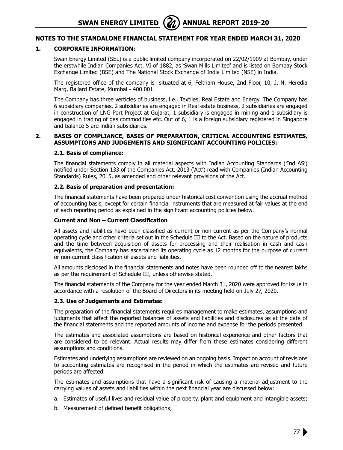# **1. CORPORATE INFORMATION:**

 Swan Energy Limited (SEL) is a public limited company incorporated on 22/02/1909 at Bombay, under the erstwhile Indian Companies Act, VI of 1882, as 'Swan Mills Limited' and is listed on Bombay Stock Exchange Limited (BSE) and The National Stock Exchange of India Limited (NSE) in India.

The registered office of the company is situated at 6, Feltham House, 2nd Floor, 10, J. N. Heredia Marg, Ballard Estate, Mumbai - 400 001.

 The Company has three verticles of business, i.e., Textiles, Real Estate and Energy. The Company has 6 subsidiary companies. 2 subsidiaries are engaged in Real estate business, 2 subsidiaries are engaged in construction of LNG Port Project at Gujarat, 1 subsidiary is engaged in mining and 1 subsidiary is engaged in trading of gas commodities etc. Out of 6, 1 is a foreign subsidiary registered in Singapore and balance 5 are indian subsidiaries.

#### **2. BASIS OF COMPLIANCE, BASIS OF PREPARATION, CRITICAL ACCOUNTING ESTIMATES, ASSUMPTIONS AND JUDGEMENTS AND SIGNIFICANT ACCOUNTING POLICIES:**

#### **2.1. Basis of compliance:**

The financial statements comply in all material aspects with Indian Accounting Standards ('Ind AS') notified under Section 133 of the Companies Act, 2013 ('Act') read with Companies (Indian Accounting Standards) Rules, 2015, as amended and other relevant provisions of the Act.

#### **2.2. Basis of preparation and presentation:**

The financial statements have been prepared under historical cost convention using the accrual method of accounting basis, except for certain financial instruments that are measured at fair values at the end of each reporting period as explained in the significant accounting policies below.

# **Current and Non – Current Classification**

All assets and liabilities have been classified as current or non-current as per the Company's normal operating cycle and other criteria set out in the Schedule III to the Act. Based on the nature of products and the time between acquisition of assets for processing and their realisation in cash and cash equivalents, the Company has ascertained its operating cycle as 12 months for the purpose of current or non-current classification of assets and liabilities.

All amounts disclosed in the financial statements and notes have been rounded off to the nearest lakhs as per the requirement of Schedule III, unless otherwise stated.

The financial statements of the Company for the year ended March 31, 2020 were approved for issue in accordance with a resolution of the Board of Directors in its meeting held on July 27, 2020.

# **2.3. Use of Judgements and Estimates:**

The preparation of the financial statements requires management to make estimates, assumptions and judgments that affect the reported balances of assets and liabilities and disclosures as at the date of the financial statements and the reported amounts of income and expense for the periods presented.

The estimates and associated assumptions are based on historical experience and other factors that are considered to be relevant. Actual results may differ from these estimates considering different assumptions and conditions.

Estimates and underlying assumptions are reviewed on an ongoing basis. Impact on account of revisions to accounting estimates are recognised in the period in which the estimates are revised and future periods are affected.

The estimates and assumptions that have a significant risk of causing a material adjustment to the carrying values of assets and liabilities within the next financial year are discussed below:

- a. Estimates of useful lives and residual value of property, plant and equipment and intangible assets;
- b. Measurement of defined benefit obligations;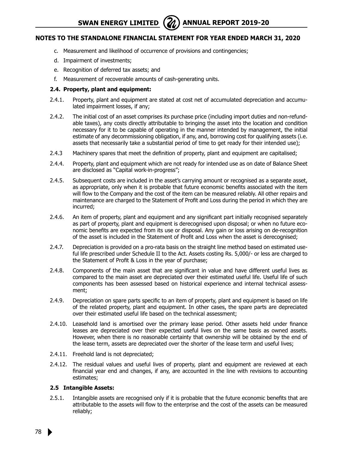**SWAN ENERGY LIMITED** (21) ANNUAL REPORT 2019-20

# **Notes to the Standalone Financial Statement for year ended March 31, 2020**

- c. Measurement and likelihood of occurrence of provisions and contingencies;
- d. Impairment of investments;
- e. Recognition of deferred tax assets; and
- f. Measurement of recoverable amounts of cash-generating units.

### **2.4. Property, plant and equipment:**

- 2.4.1. Property, plant and equipment are stated at cost net of accumulated depreciation and accumulated impairment losses, if any;
- 2.4.2. The initial cost of an asset comprises its purchase price (including import duties and non-refundable taxes), any costs directly attributable to bringing the asset into the location and condition necessary for it to be capable of operating in the manner intended by management, the initial estimate of any decommissioning obligation, if any, and, borrowing cost for qualifying assets (i.e. assets that necessarily take a substantial period of time to get ready for their intended use);
- 2.4.3 Machinery spares that meet the definition of property, plant and equipment are capitalised;
- 2.4.4. Property, plant and equipment which are not ready for intended use as on date of Balance Sheet are disclosed as "Capital work-in-progress";
- 2.4.5. Subsequent costs are included in the asset's carrying amount or recognised as a separate asset, as appropriate, only when it is probable that future economic benefits associated with the item will flow to the Company and the cost of the item can be measured reliably. All other repairs and maintenance are charged to the Statement of Profit and Loss during the period in which they are incurred;
- 2.4.6. An item of property, plant and equipment and any significant part initially recognised separately as part of property, plant and equipment is derecognised upon disposal; or when no future economic benefits are expected from its use or disposal. Any gain or loss arising on de-recognition of the asset is included in the Statement of Profit and Loss when the asset is derecognised;
- 2.4.7. Depreciation is provided on a pro-rata basis on the straight line method based on estimated useful life prescribed under Schedule II to the Act. Assets costing Rs. 5,000/- or less are charged to the Statement of Profit & Loss in the year of purchase;
- 2.4.8. Components of the main asset that are significant in value and have different useful lives as compared to the main asset are depreciated over their estimated useful life. Useful life of such components has been assessed based on historical experience and internal technical assessment;
- 2.4.9. Depreciation on spare parts specific to an item of property, plant and equipment is based on life of the related property, plant and equipment. In other cases, the spare parts are depreciated over their estimated useful life based on the technical assessment;
- 2.4.10. Leasehold land is amortised over the primary lease period. Other assets held under finance leases are depreciated over their expected useful lives on the same basis as owned assets. However, when there is no reasonable certainty that ownership will be obtained by the end of the lease term, assets are depreciated over the shorter of the lease term and useful lives;
- 2.4.11. Freehold land is not depreciated;
- 2.4.12. The residual values and useful lives of property, plant and equipment are reviewed at each financial year end and changes, if any, are accounted in the line with revisions to accounting estimates;

### **2.5 Intangible Assets:**

2.5.1. Intangible assets are recognised only if it is probable that the future economic benefits that are attributable to the assets will flow to the enterprise and the cost of the assets can be measured reliably;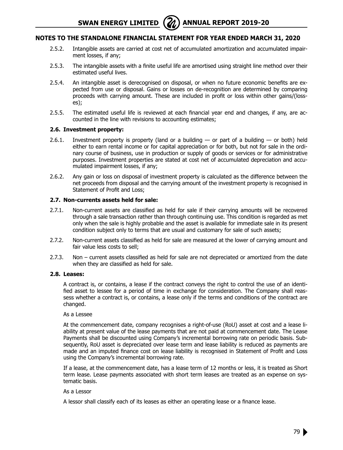**SWAN ENERGY LIMITED** (**A)** ANNUAL REPORT 2019-20

# **Notes to the Standalone Financial Statement for year ended March 31, 2020**

- 2.5.2. Intangible assets are carried at cost net of accumulated amortization and accumulated impairment losses, if any;
- 2.5.3. The intangible assets with a finite useful life are amortised using straight line method over their estimated useful lives.
- 2.5.4. An intangible asset is derecognised on disposal, or when no future economic benefits are expected from use or disposal. Gains or losses on de-recognition are determined by comparing proceeds with carrying amount. These are included in profit or loss within other gains/(losses);
- 2.5.5. The estimated useful life is reviewed at each financial year end and changes, if any, are accounted in the line with revisions to accounting estimates;

#### **2.6. Investment property:**

- 2.6.1. Investment property is property (land or a building  $-$  or part of a building  $-$  or both) held either to earn rental income or for capital appreciation or for both, but not for sale in the ordinary course of business, use in production or supply of goods or services or for administrative purposes. Investment properties are stated at cost net of accumulated depreciation and accumulated impairment losses, if any;
- 2.6.2. Any gain or loss on disposal of investment property is calculated as the difference between the net proceeds from disposal and the carrying amount of the investment property is recognised in Statement of Profit and Loss;

#### **2.7. Non-currents assets held for sale:**

- 2.7.1. Non-current assets are classified as held for sale if their carrying amounts will be recovered through a sale transaction rather than through continuing use. This condition is regarded as met only when the sale is highly probable and the asset is available for immediate sale in its present condition subject only to terms that are usual and customary for sale of such assets;
- 2.7.2. Non-current assets classified as held for sale are measured at the lower of carrying amount and fair value less costs to sell;
- 2.7.3. Non current assets classified as held for sale are not depreciated or amortized from the date when they are classified as held for sale.

#### **2.8. Leases:**

A contract is, or contains, a lease if the contract conveys the right to control the use of an identified asset to lessee for a period of time in exchange for consideration. The Company shall reassess whether a contract is, or contains, a lease only if the terms and conditions of the contract are changed.

#### As a Lessee

At the commencement date, company recognises a right-of-use (RoU) asset at cost and a lease liability at present value of the lease payments that are not paid at commencement date. The Lease Payments shall be discounted using Company's incremental borrowing rate on periodic basis. Subsequently, RoU asset is depreciated over lease term and lease liability is reduced as payments are made and an imputed finance cost on lease liability is recognised in Statement of Profit and Loss using the Company's incremental borrowing rate.

If a lease, at the commencement date, has a lease term of 12 months or less, it is treated as Short term lease. Lease payments associated with short term leases are treated as an expense on systematic basis.

#### As a Lessor

A lessor shall classify each of its leases as either an operating lease or a finance lease.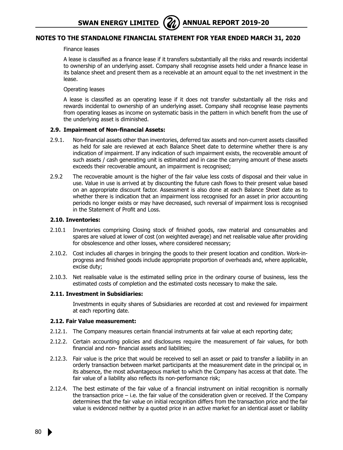#### Finance leases

A lease is classified as a finance lease if it transfers substantially all the risks and rewards incidental to ownership of an underlying asset. Company shall recognise assets held under a finance lease in its balance sheet and present them as a receivable at an amount equal to the net investment in the lease.

#### Operating leases

A lease is classified as an operating lease if it does not transfer substantially all the risks and rewards incidental to ownership of an underlying asset. Company shall recognise lease payments from operating leases as income on systematic basis in the pattern in which benefit from the use of the underlying asset is diminished.

#### **2.9. Impairment of Non-financial Assets:**

- 2.9.1. Non-financial assets other than inventories, deferred tax assets and non-current assets classified as held for sale are reviewed at each Balance Sheet date to determine whether there is any indication of impairment. If any indication of such impairment exists, the recoverable amount of such assets / cash generating unit is estimated and in case the carrying amount of these assets exceeds their recoverable amount, an impairment is recognised;
- 2.9.2 The recoverable amount is the higher of the fair value less costs of disposal and their value in use. Value in use is arrived at by discounting the future cash flows to their present value based on an appropriate discount factor. Assessment is also done at each Balance Sheet date as to whether there is indication that an impairment loss recognised for an asset in prior accounting periods no longer exists or may have decreased, such reversal of impairment loss is recognised in the Statement of Profit and Loss.

#### **2.10. Inventories:**

- 2.10.1 Inventories comprising Closing stock of finished goods, raw material and consumables and spares are valued at lower of cost (on weighted average) and net realisable value after providing for obsolescence and other losses, where considered necessary;
- 2.10.2. Cost includes all charges in bringing the goods to their present location and condition. Work-inprogress and finished goods include appropriate proportion of overheads and, where applicable, excise duty;
- 2.10.3. Net realisable value is the estimated selling price in the ordinary course of business, less the estimated costs of completion and the estimated costs necessary to make the sale.

#### **2.11. Investment in Subsidiaries:**

 Investments in equity shares of Subsidiaries are recorded at cost and reviewed for impairment at each reporting date.

#### **2.12. Fair Value measurement:**

- 2.12.1. The Company measures certain financial instruments at fair value at each reporting date;
- 2.12.2. Certain accounting policies and disclosures require the measurement of fair values, for both financial and non- financial assets and liabilities;
- 2.12.3. Fair value is the price that would be received to sell an asset or paid to transfer a liability in an orderly transaction between market participants at the measurement date in the principal or, in its absence, the most advantageous market to which the Company has access at that date. The fair value of a liability also reflects its non-performance risk;
- 2.12.4. The best estimate of the fair value of a financial instrument on initial recognition is normally the transaction price – i.e. the fair value of the consideration given or received. If the Company determines that the fair value on initial recognition differs from the transaction price and the fair value is evidenced neither by a quoted price in an active market for an identical asset or liability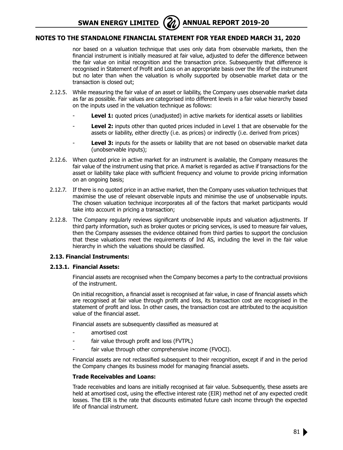**SWAN ENERGY LIMITED** (21) ANNUAL REPORT 2019-20

# **Notes to the Standalone Financial Statement for year ended March 31, 2020**

nor based on a valuation technique that uses only data from observable markets, then the financial instrument is initially measured at fair value, adjusted to defer the difference between the fair value on initial recognition and the transaction price. Subsequently that difference is recognised in Statement of Profit and Loss on an appropriate basis over the life of the instrument but no later than when the valuation is wholly supported by observable market data or the transaction is closed out;

- 2.12.5. While measuring the fair value of an asset or liability, the Company uses observable market data as far as possible. Fair values are categorised into different levels in a fair value hierarchy based on the inputs used in the valuation technique as follows:
	- Level 1: quoted prices (unadjusted) in active markets for identical assets or liabilities
	- Level 2: inputs other than quoted prices included in Level 1 that are observable for the assets or liability, either directly (i.e. as prices) or indirectly (i.e. derived from prices)
	- Level 3: inputs for the assets or liability that are not based on observable market data (unobservable inputs);
- 2.12.6. When quoted price in active market for an instrument is available, the Company measures the fair value of the instrument using that price. A market is regarded as active if transactions for the asset or liability take place with sufficient frequency and volume to provide pricing information on an ongoing basis;
- 2.12.7. If there is no quoted price in an active market, then the Company uses valuation techniques that maximise the use of relevant observable inputs and minimise the use of unobservable inputs. The chosen valuation technique incorporates all of the factors that market participants would take into account in pricing a transaction;
- 2.12.8. The Company regularly reviews significant unobservable inputs and valuation adjustments. If third party information, such as broker quotes or pricing services, is used to measure fair values, then the Company assesses the evidence obtained from third parties to support the conclusion that these valuations meet the requirements of Ind AS, including the level in the fair value hierarchy in which the valuations should be classified.

#### **2.13. Financial Instruments:**

#### **2.13.1. Financial Assets:**

 Financial assets are recognised when the Company becomes a party to the contractual provisions of the instrument.

On initial recognition, a financial asset is recognised at fair value, in case of financial assets which are recognised at fair value through profit and loss, its transaction cost are recognised in the statement of profit and loss. In other cases, the transaction cost are attributed to the acquisition value of the financial asset.

Financial assets are subsequently classified as measured at

- amortised cost
- fair value through profit and loss (FVTPL)
- fair value through other comprehensive income (FVOCI).

Financial assets are not reclassified subsequent to their recognition, except if and in the period the Company changes its business model for managing financial assets.

#### **Trade Receivables and Loans:**

Trade receivables and loans are initially recognised at fair value. Subsequently, these assets are held at amortised cost, using the effective interest rate (EIR) method net of any expected credit losses. The EIR is the rate that discounts estimated future cash income through the expected life of financial instrument.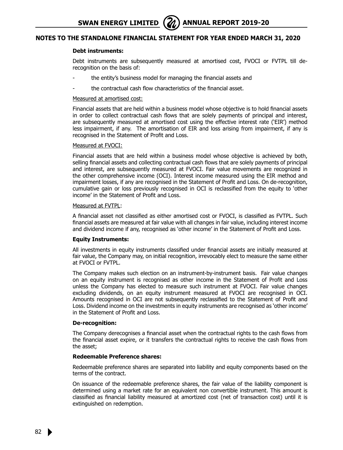#### **Debt instruments:**

Debt instruments are subsequently measured at amortised cost, FVOCI or FVTPL till derecognition on the basis of:

- the entity's business model for managing the financial assets and
- the contractual cash flow characteristics of the financial asset.

#### Measured at amortised cost:

Financial assets that are held within a business model whose objective is to hold financial assets in order to collect contractual cash flows that are solely payments of principal and interest, are subsequently measured at amortised cost using the effective interest rate ('EIR') method less impairment, if any. The amortisation of EIR and loss arising from impairment, if any is recognised in the Statement of Profit and Loss.

#### Measured at FVOCI:

Financial assets that are held within a business model whose objective is achieved by both, selling financial assets and collecting contractual cash flows that are solely payments of principal and interest, are subsequently measured at FVOCI. Fair value movements are recognized in the other comprehensive income (OCI). Interest income measured using the EIR method and impairment losses, if any are recognised in the Statement of Profit and Loss. On de-recognition, cumulative gain or loss previously recognised in OCI is reclassified from the equity to 'other income' in the Statement of Profit and Loss.

#### Measured at FVTPL:

A financial asset not classified as either amortised cost or FVOCI, is classified as FVTPL. Such financial assets are measured at fair value with all changes in fair value, including interest income and dividend income if any, recognised as 'other income' in the Statement of Profit and Loss.

#### **Equity Instruments:**

All investments in equity instruments classified under financial assets are initially measured at fair value, the Company may, on initial recognition, irrevocably elect to measure the same either at FVOCI or FVTPL.

The Company makes such election on an instrument-by-instrument basis. Fair value changes on an equity instrument is recognised as other income in the Statement of Profit and Loss unless the Company has elected to measure such instrument at FVOCI. Fair value changes excluding dividends, on an equity instrument measured at FVOCI are recognised in OCI. Amounts recognised in OCI are not subsequently reclassified to the Statement of Profit and Loss. Dividend income on the investments in equity instruments are recognised as 'other income' in the Statement of Profit and Loss.

#### **De-recognition:**

The Company derecognises a financial asset when the contractual rights to the cash flows from the financial asset expire, or it transfers the contractual rights to receive the cash flows from the asset;

#### **Redeemable Preference shares:**

Redeemable preference shares are separated into liability and equity components based on the terms of the contract.

On issuance of the redeemable preference shares, the fair value of the liability component is determined using a market rate for an equivalent non convertible instrument. This amount is classified as financial liability measured at amortized cost (net of transaction cost) until it is extinguished on redemption.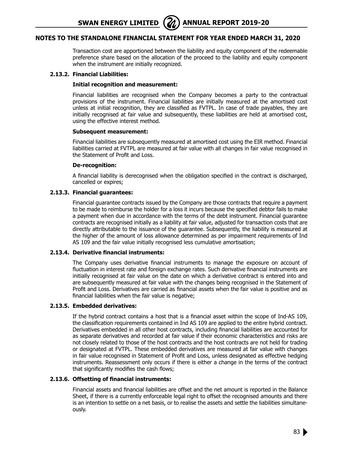**SWAN ENERGY LIMITED** (21) ANNUAL REPORT 2019-20

# **Notes to the Standalone Financial Statement for year ended March 31, 2020**

Transaction cost are apportioned between the liability and equity component of the redeemable preference share based on the allocation of the proceed to the liability and equity component when the instrument are initially recognized.

# **2.13.2. Financial Liabilities:**

#### **Initial recognition and measurement:**

Financial liabilities are recognised when the Company becomes a party to the contractual provisions of the instrument. Financial liabilities are initially measured at the amortised cost unless at initial recognition, they are classified as FVTPL. In case of trade payables, they are initially recognised at fair value and subsequently, these liabilities are held at amortised cost, using the effective interest method.

#### **Subsequent measurement:**

Financial liabilities are subsequently measured at amortised cost using the EIR method. Financial liabilities carried at FVTPL are measured at fair value with all changes in fair value recognised in the Statement of Profit and Loss.

#### **De-recognition:**

A financial liability is derecognised when the obligation specified in the contract is discharged, cancelled or expires;

# **2.13.3. Financial guarantees:**

Financial guarantee contracts issued by the Company are those contracts that require a payment to be made to reimburse the holder for a loss it incurs because the specified debtor fails to make a payment when due in accordance with the terms of the debt instrument. Financial guarantee contracts are recognised initially as a liability at fair value, adjusted for transaction costs that are directly attributable to the issuance of the guarantee. Subsequently, the liability is measured at the higher of the amount of loss allowance determined as per impairment requirements of Ind AS 109 and the fair value initially recognised less cumulative amortisation;

# **2.13.4. Derivative financial instruments:**

The Company uses derivative financial instruments to manage the exposure on account of fluctuation in interest rate and foreign exchange rates. Such derivative financial instruments are initially recognised at fair value on the date on which a derivative contract is entered into and are subsequently measured at fair value with the changes being recognised in the Statement of Profit and Loss. Derivatives are carried as financial assets when the fair value is positive and as financial liabilities when the fair value is negative;

# **2.13.5. Embedded derivatives:**

If the hybrid contract contains a host that is a financial asset within the scope of Ind-AS 109, the classification requirements contained in Ind AS 109 are applied to the entire hybrid contract. Derivatives embedded in all other host contracts, including financial liabilities are accounted for as separate derivatives and recorded at fair value if their economic characteristics and risks are not closely related to those of the host contracts and the host contracts are not held for trading or designated at FVTPL. These embedded derivatives are measured at fair value with changes in fair value recognised in Statement of Profit and Loss, unless designated as effective hedging instruments. Reassessment only occurs if there is either a change in the terms of the contract that significantly modifies the cash flows;

# **2.13.6. Offsetting of financial instruments:**

Financial assets and financial liabilities are offset and the net amount is reported in the Balance Sheet, if there is a currently enforceable legal right to offset the recognised amounts and there is an intention to settle on a net basis, or to realise the assets and settle the liabilities simultaneously.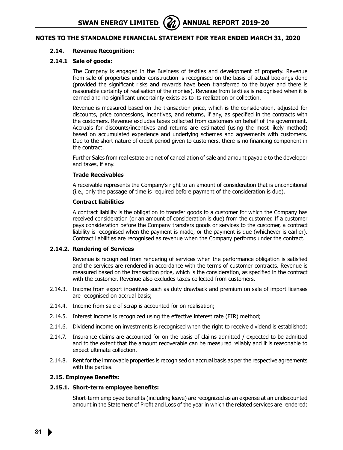#### **2.14. Revenue Recognition:**

#### **2.14.1 Sale of goods:**

The Company is engaged in the Business of textiles and development of property. Revenue from sale of properties under construction is recognised on the basis of actual bookings done (provided the significant risks and rewards have been transferred to the buyer and there is reasonable certainty of realisation of the monies). Revenue from textiles is recognised when it is earned and no significant uncertainty exists as to its realization or collection.

Revenue is measured based on the transaction price, which is the consideration, adjusted for discounts, price concessions, incentives, and returns, if any, as specified in the contracts with the customers. Revenue excludes taxes collected from customers on behalf of the government. Accruals for discounts/incentives and returns are estimated (using the most likely method) based on accumulated experience and underlying schemes and agreements with customers. Due to the short nature of credit period given to customers, there is no financing component in the contract.

Further Sales from real estate are net of cancellation of sale and amount payable to the developer and taxes, if any.

#### **Trade Receivables**

A receivable represents the Company's right to an amount of consideration that is unconditional (i.e., only the passage of time is required before payment of the consideration is due).

#### **Contract liabilities**

A contract liability is the obligation to transfer goods to a customer for which the Company has received consideration (or an amount of consideration is due) from the customer. If a customer pays consideration before the Company transfers goods or services to the customer, a contract liability is recognised when the payment is made, or the payment is due (whichever is earlier). Contract liabilities are recognised as revenue when the Company performs under the contract.

#### **2.14.2. Rendering of Services**

Revenue is recognized from rendering of services when the performance obligation is satisfied and the services are rendered in accordance with the terms of customer contracts. Revenue is measured based on the transaction price, which is the consideration, as specified in the contract with the customer. Revenue also excludes taxes collected from customers.

- 2.14.3. Income from export incentives such as duty drawback and premium on sale of import licenses are recognised on accrual basis;
- 2.14.4. Income from sale of scrap is accounted for on realisation;
- 2.14.5. Interest income is recognized using the effective interest rate (EIR) method;
- 2.14.6. Dividend income on investments is recognised when the right to receive dividend is established;
- 2.14.7. Insurance claims are accounted for on the basis of claims admitted / expected to be admitted and to the extent that the amount recoverable can be measured reliably and it is reasonable to expect ultimate collection.
- 2.14.8. Rent for the immovable properties is recognised on accrual basis as per the respective agreements with the parties.

#### **2.15. Employee Benefits:**

# **2.15.1. Short-term employee benefits:**

Short-term employee benefits (including leave) are recognized as an expense at an undiscounted amount in the Statement of Profit and Loss of the year in which the related services are rendered;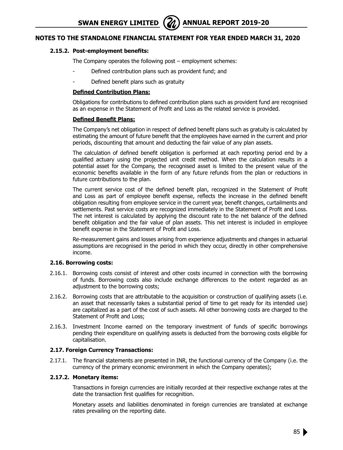# **2.15.2. Post-employment benefits:**

The Company operates the following post – employment schemes:

- Defined contribution plans such as provident fund; and
- Defined benefit plans such as gratuity

#### **Defined Contribution Plans:**

Obligations for contributions to defined contribution plans such as provident fund are recognised as an expense in the Statement of Profit and Loss as the related service is provided.

#### **Defined Benefit Plans:**

The Company's net obligation in respect of defined benefit plans such as gratuity is calculated by estimating the amount of future benefit that the employees have earned in the current and prior periods, discounting that amount and deducting the fair value of any plan assets.

The calculation of defined benefit obligation is performed at each reporting period end by a qualified actuary using the projected unit credit method. When the calculation results in a potential asset for the Company, the recognised asset is limited to the present value of the economic benefits available in the form of any future refunds from the plan or reductions in future contributions to the plan.

The current service cost of the defined benefit plan, recognized in the Statement of Profit and Loss as part of employee benefit expense, reflects the increase in the defined benefit obligation resulting from employee service in the current year, benefit changes, curtailments and settlements. Past service costs are recognized immediately in the Statement of Profit and Loss. The net interest is calculated by applying the discount rate to the net balance of the defined benefit obligation and the fair value of plan assets. This net interest is included in employee benefit expense in the Statement of Profit and Loss.

Re-measurement gains and losses arising from experience adjustments and changes in actuarial assumptions are recognised in the period in which they occur, directly in other comprehensive income.

#### **2.16. Borrowing costs:**

- 2.16.1. Borrowing costs consist of interest and other costs incurred in connection with the borrowing of funds. Borrowing costs also include exchange differences to the extent regarded as an adjustment to the borrowing costs;
- 2.16.2. Borrowing costs that are attributable to the acquisition or construction of qualifying assets (i.e. an asset that necessarily takes a substantial period of time to get ready for its intended use) are capitalized as a part of the cost of such assets. All other borrowing costs are charged to the Statement of Profit and Loss;
- 2.16.3. Investment Income earned on the temporary investment of funds of specific borrowings pending their expenditure on qualifying assets is deducted from the borrowing costs eligible for capitalisation.

# **2.17. Foreign Currency Transactions:**

2.17.1. The financial statements are presented in INR, the functional currency of the Company (i.e. the currency of the primary economic environment in which the Company operates);

#### **2.17.2. Monetary items:**

Transactions in foreign currencies are initially recorded at their respective exchange rates at the date the transaction first qualifies for recognition.

Monetary assets and liabilities denominated in foreign currencies are translated at exchange rates prevailing on the reporting date.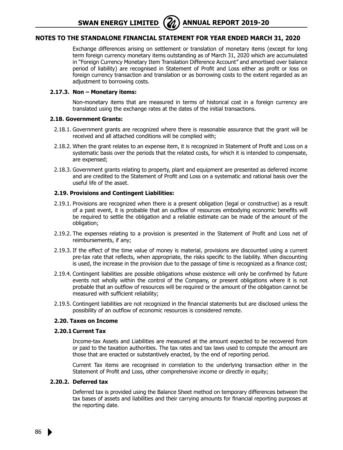**SWAN ENERGY LIMITED** (20) ANNUAL REPORT 2019-20

# **Notes to the Standalone Financial Statement for year ended March 31, 2020**

Exchange differences arising on settlement or translation of monetary items (except for long term foreign currency monetary items outstanding as of March 31, 2020 which are accumulated in "Foreign Currency Monetary Item Translation Difference Account" and amortised over balance period of liability) are recognised in Statement of Profit and Loss either as profit or loss on foreign currency transaction and translation or as borrowing costs to the extent regarded as an adjustment to borrowing costs.

# **2.17.3. Non – Monetary items:**

Non-monetary items that are measured in terms of historical cost in a foreign currency are translated using the exchange rates at the dates of the initial transactions.

#### **2.18. Government Grants:**

- 2.18.1. Government grants are recognized where there is reasonable assurance that the grant will be received and all attached conditions will be complied with;
- 2.18.2. When the grant relates to an expense item, it is recognized in Statement of Profit and Loss on a systematic basis over the periods that the related costs, for which it is intended to compensate, are expensed;
- 2.18.3. Government grants relating to property, plant and equipment are presented as deferred income and are credited to the Statement of Profit and Loss on a systematic and rational basis over the useful life of the asset.

#### **2.19. Provisions and Contingent Liabilities:**

- 2.19.1. Provisions are recognized when there is a present obligation (legal or constructive) as a result of a past event, it is probable that an outflow of resources embodying economic benefits will be required to settle the obligation and a reliable estimate can be made of the amount of the obligation;
- 2.19.2. The expenses relating to a provision is presented in the Statement of Profit and Loss net of reimbursements, if any;
- 2.19.3. If the effect of the time value of money is material, provisions are discounted using a current pre-tax rate that reflects, when appropriate, the risks specific to the liability. When discounting is used, the increase in the provision due to the passage of time is recognized as a finance cost;
- 2.19.4. Contingent liabilities are possible obligations whose existence will only be confirmed by future events not wholly within the control of the Company, or present obligations where it is not probable that an outflow of resources will be required or the amount of the obligation cannot be measured with sufficient reliability;
- 2.19.5. Contingent liabilities are not recognized in the financial statements but are disclosed unless the possibility of an outflow of economic resources is considered remote.

#### **2.20. Taxes on Income**

#### **2.20.1Current Tax**

Income-tax Assets and Liabilities are measured at the amount expected to be recovered from or paid to the taxation authorities. The tax rates and tax laws used to compute the amount are those that are enacted or substantively enacted, by the end of reporting period.

Current Tax items are recognised in correlation to the underlying transaction either in the Statement of Profit and Loss, other comprehensive income or directly in equity;

#### **2.20.2. Deferred tax**

Deferred tax is provided using the Balance Sheet method on temporary differences between the tax bases of assets and liabilities and their carrying amounts for financial reporting purposes at the reporting date.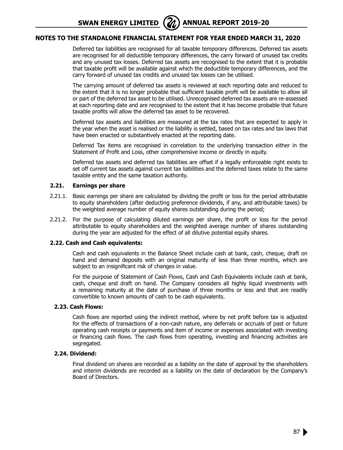**SWAN ENERGY LIMITED** (21) ANNUAL REPORT 2019-20

# **Notes to the Standalone Financial Statement for year ended March 31, 2020**

Deferred tax liabilities are recognised for all taxable temporary differences. Deferred tax assets are recognised for all deductible temporary differences, the carry forward of unused tax credits and any unused tax losses. Deferred tax assets are recognised to the extent that it is probable that taxable profit will be available against which the deductible temporary differences, and the carry forward of unused tax credits and unused tax losses can be utilised.

The carrying amount of deferred tax assets is reviewed at each reporting date and reduced to the extent that it is no longer probable that sufficient taxable profit will be available to allow all or part of the deferred tax asset to be utilised. Unrecognised deferred tax assets are re-assessed at each reporting date and are recognised to the extent that it has become probable that future taxable profits will allow the deferred tax asset to be recovered.

Deferred tax assets and liabilities are measured at the tax rates that are expected to apply in the year when the asset is realised or the liability is settled, based on tax rates and tax laws that have been enacted or substantively enacted at the reporting date.

Deferred Tax items are recognised in correlation to the underlying transaction either in the Statement of Profit and Loss, other comprehensive income or directly in equity.

Deferred tax assets and deferred tax liabilities are offset if a legally enforceable right exists to set off current tax assets against current tax liabilities and the deferred taxes relate to the same taxable entity and the same taxation authority.

#### **2.21. Earnings per share**

- 2.21.1. Basic earnings per share are calculated by dividing the profit or loss for the period attributable to equity shareholders (after deducting preference dividends, if any, and attributable taxes) by the weighted average number of equity shares outstanding during the period;
- 2.21.2. For the purpose of calculating diluted earnings per share, the profit or loss for the period attributable to equity shareholders and the weighted average number of shares outstanding during the year are adjusted for the effect of all dilutive potential equity shares.

### **2.22. Cash and Cash equivalents:**

Cash and cash equivalents in the Balance Sheet include cash at bank, cash, cheque, draft on hand and demand deposits with an original maturity of less than three months, which are subject to an insignificant risk of changes in value.

For the purpose of Statement of Cash Flows, Cash and Cash Equivalents include cash at bank, cash, cheque and draft on hand. The Company considers all highly liquid investments with a remaining maturity at the date of purchase of three months or less and that are readily convertible to known amounts of cash to be cash equivalents.

#### **2.23. Cash Flows:**

Cash flows are reported using the indirect method, where by net profit before tax is adjusted for the effects of transactions of a non-cash nature, any deferrals or accruals of past or future operating cash receipts or payments and item of income or expenses associated with investing or financing cash flows. The cash flows from operating, investing and financing activities are segregated.

#### **2.24. Dividend:**

Final dividend on shares are recorded as a liability on the date of approval by the shareholders and interim dividends are recorded as a liability on the date of declaration by the Company's Board of Directors.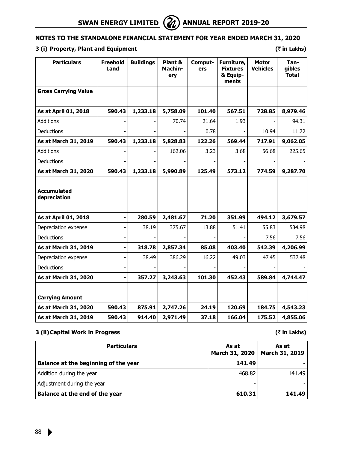# **3 (i) Property, Plant and Equipment (**` **in Lakhs)**

| <b>Particulars</b>                 | <b>Freehold</b><br>Land | <b>Buildings</b> | Plant &<br>Machin-<br>ery | Comput-<br>ers | Furniture,<br><b>Fixtures</b><br>& Equip-<br>ments | <b>Motor</b><br><b>Vehicles</b> | Tan-<br>gibles<br><b>Total</b> |
|------------------------------------|-------------------------|------------------|---------------------------|----------------|----------------------------------------------------|---------------------------------|--------------------------------|
| <b>Gross Carrying Value</b>        |                         |                  |                           |                |                                                    |                                 |                                |
| As at April 01, 2018               | 590.43                  | 1,233.18         | 5,758.09                  | 101.40         | 567.51                                             | 728.85                          | 8,979.46                       |
| <b>Additions</b>                   |                         |                  | 70.74                     | 21.64          | 1.93                                               |                                 | 94.31                          |
| Deductions                         |                         |                  |                           | 0.78           |                                                    | 10.94                           | 11.72                          |
| As at March 31, 2019               | 590.43                  | 1,233.18         | 5,828.83                  | 122.26         | 569.44                                             | 717.91                          | 9,062.05                       |
| <b>Additions</b>                   |                         |                  | 162.06                    | 3.23           | 3.68                                               | 56.68                           | 225.65                         |
| Deductions                         |                         |                  |                           |                |                                                    |                                 |                                |
| As at March 31, 2020               | 590.43                  | 1,233.18         | 5,990.89                  | 125.49         | 573.12                                             | 774.59                          | 9,287.70                       |
| <b>Accumulated</b><br>depreciation |                         |                  |                           |                |                                                    |                                 |                                |
| As at April 01, 2018               | $\blacksquare$          | 280.59           | 2,481.67                  | 71.20          | 351.99                                             | 494.12                          | 3,679.57                       |
| Depreciation expense               |                         | 38.19            | 375.67                    | 13.88          | 51.41                                              | 55.83                           | 534.98                         |
| Deductions                         |                         |                  |                           |                |                                                    | 7.56                            | 7.56                           |
| As at March 31, 2019               |                         | 318.78           | 2,857.34                  | 85.08          | 403.40                                             | 542.39                          | 4,206.99                       |
| Depreciation expense               |                         | 38.49            | 386.29                    | 16.22          | 49.03                                              | 47.45                           | 537.48                         |
| Deductions                         |                         |                  |                           |                |                                                    |                                 |                                |
| As at March 31, 2020               | -                       | 357.27           | 3,243.63                  | 101.30         | 452.43                                             | 589.84                          | 4,744.47                       |
| <b>Carrying Amount</b>             |                         |                  |                           |                |                                                    |                                 |                                |
| As at March 31, 2020               | 590.43                  | 875.91           | 2,747.26                  | 24.19          | 120.69                                             | 184.75                          | 4,543.23                       |
| As at March 31, 2019               | 590.43                  | 914.40           | 2,971.49                  | 37.18          | 166.04                                             | 175.52                          | 4,855.06                       |

# **3 (ii)Capital Work in Progress (**` **in Lakhs)**

| <b>Particulars</b>                   | As at<br><b>March 31, 2020</b> | As at<br>March 31, 2019 |
|--------------------------------------|--------------------------------|-------------------------|
| Balance at the beginning of the year | 141.49                         |                         |
| Addition during the year             | 468.82                         | 141.49                  |
| Adjustment during the year           |                                |                         |
| Balance at the end of the year       | 610.31                         | 141.49                  |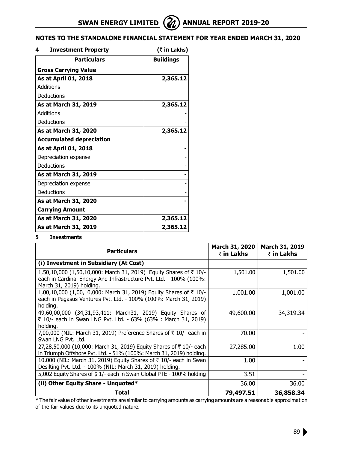| 4<br><b>Investment Property</b> | (₹ in Lakhs)     |
|---------------------------------|------------------|
| <b>Particulars</b>              | <b>Buildings</b> |
| <b>Gross Carrying Value</b>     |                  |
| As at April 01, 2018            | 2,365.12         |
| <b>Additions</b>                |                  |
| Deductions                      |                  |
| As at March 31, 2019            | 2,365.12         |
| Additions                       |                  |
| Deductions                      |                  |
| As at March 31, 2020            | 2,365.12         |
| <b>Accumulated depreciation</b> |                  |
| As at April 01, 2018            |                  |
| Depreciation expense            |                  |
| Deductions                      |                  |
| As at March 31, 2019            |                  |
| Depreciation expense            |                  |
| Deductions                      |                  |
| As at March 31, 2020            |                  |
| <b>Carrying Amount</b>          |                  |
| As at March 31, 2020            | 2,365.12         |
| As at March 31, 2019            | 2,365.12         |

# **5 Investments**

|                                                                                                                                                                                     | <b>March 31, 2020</b> | March 31, 2019 |
|-------------------------------------------------------------------------------------------------------------------------------------------------------------------------------------|-----------------------|----------------|
| <b>Particulars</b>                                                                                                                                                                  | ₹ in Lakhs            | ₹ in Lakhs     |
| (i) Investment in Subsidiary (At Cost)                                                                                                                                              |                       |                |
| 1,50,10,000 (1,50,10,000: March 31, 2019) Equity Shares of $\overline{\tau}$ 10/-<br>each in Cardinal Energy And Infrastructure Pvt. Ltd. - 100% (100%:<br>March 31, 2019) holding. | 1,501.00              | 1,501.00       |
| 1,00,10,000 (1,00,10,000: March 31, 2019) Equity Shares of ₹ 10/-<br>each in Pegasus Ventures Pvt. Ltd. - 100% (100%: March 31, 2019)<br>holding.                                   | 1,001.00              | 1,001.00       |
| 49,60,00,000 (34,31,93,411: March31, 2019) Equity Shares of<br>₹ 10/- each in Swan LNG Pvt. Ltd. - 63% (63% : March 31, 2019)<br>holding.                                           | 49,600.00             | 34,319.34      |
| 7,00,000 (NIL: March 31, 2019) Preference Shares of $\bar{\tau}$ 10/- each in<br>Swan LNG Pvt. Ltd.                                                                                 | 70.00                 |                |
| 27,28,50,000 (10,000: March 31, 2019) Equity Shares of ₹10/- each<br>in Triumph Offshore Pvt. Ltd. - 51% (100%: March 31, 2019) holding.                                            | 27,285.00             | 1.00           |
| 10,000 (NIL: March 31, 2019) Equity Shares of ₹ 10/- each in Swan<br>Desilting Pvt. Ltd. - 100% (NIL: March 31, 2019) holding.                                                      | 1.00                  |                |
| 5,002 Equity Shares of \$1/- each in Swan Global PTE - 100% holding                                                                                                                 | 3.51                  |                |
| (ii) Other Equity Share - Unquoted*                                                                                                                                                 | 36.00                 | 36.00          |
| Total                                                                                                                                                                               | 79,497.51             | 36,858.34      |

\* The fair value of other investments are similar to carrying amounts as carrying amounts are a reasonable approximation of the fair values due to its unquoted nature.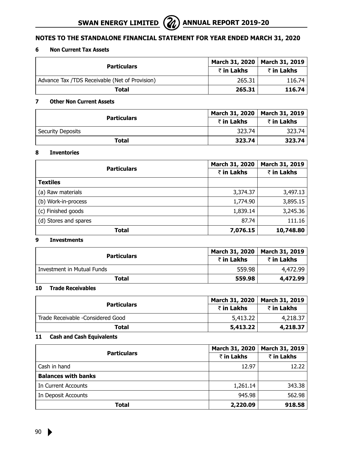# **6 Non Current Tax Assets**

| <b>Particulars</b>                             | March 31, 2020   March 31, 2019 |            |
|------------------------------------------------|---------------------------------|------------|
|                                                | ₹ in Lakhs                      | ₹ in Lakhs |
| Advance Tax /TDS Receivable (Net of Provision) | 265.31                          | 116.74     |
| Total                                          | 265.31                          | 116.74     |

# **7 Other Non Current Assets**

| <b>Particulars</b> | March 31, 2020   March 31, 2019 |            |
|--------------------|---------------------------------|------------|
|                    | ₹ in Lakhs                      | ₹ in Lakhs |
| Security Deposits  | 323.74                          | 323.74     |
| Total              | 323.74                          | 323.74     |

# **8 Inventories**

|                       | March 31, 2020 | March 31, 2019 |
|-----------------------|----------------|----------------|
| <b>Particulars</b>    | ₹ in Lakhs     | ₹ in Lakhs     |
| <b>Textiles</b>       |                |                |
| (a) Raw materials     | 3,374.37       | 3,497.13       |
| (b) Work-in-process   | 1,774.90       | 3,895.15       |
| (c) Finished goods    | 1,839.14       | 3,245.36       |
| (d) Stores and spares | 87.74          | 111.16         |
| <b>Total</b>          | 7,076.15       | 10,748.80      |

# **9 Investments**

|                            |            | March 31, 2020   March 31, 2019<br>₹ in Lakhs |  |
|----------------------------|------------|-----------------------------------------------|--|
| <b>Particulars</b>         | ₹ in Lakhs |                                               |  |
| Investment in Mutual Funds | 559.98     | 4,472.99                                      |  |
| Total                      | 559.98     | 4,472.99                                      |  |

# **10 Trade Receivables**

|                                   | March 31, 2020 | March 31, 2019 |
|-----------------------------------|----------------|----------------|
| <b>Particulars</b>                | ₹ in Lakhs     | ₹ in Lakhs     |
| Trade Receivable -Considered Good | 5,413.22       | 4,218,37       |
| Total                             | 5,413.22       | 4,218.37       |

# **11 Cash and Cash Equivalents**

|                            | <b>March 31, 2020</b> | March 31, 2019 |
|----------------------------|-----------------------|----------------|
| <b>Particulars</b>         | ₹ in Lakhs            | ₹ in Lakhs     |
| Cash in hand               | 12.97                 | 12.22          |
| <b>Balances with banks</b> |                       |                |
| In Current Accounts        | 1,261.14              | 343.38         |
| In Deposit Accounts        | 945.98                | 562.98         |
| Total                      | 2,220.09              | 918.58         |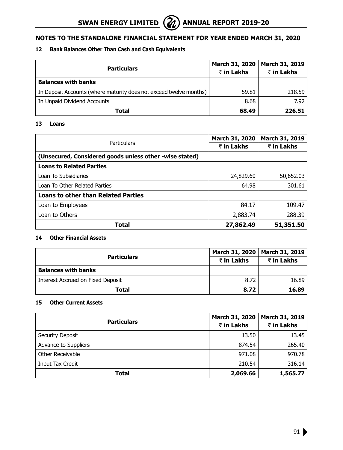# **12 Bank Balances Other Than Cash and Cash Equivalents**

|                                                                    | <b>March 31, 2020</b> | March 31, 2019 |  |
|--------------------------------------------------------------------|-----------------------|----------------|--|
| <b>Particulars</b>                                                 | ₹ in Lakhs            | ₹ in Lakhs     |  |
| <b>Balances with banks</b>                                         |                       |                |  |
| In Deposit Accounts (where maturity does not exceed twelve months) | 59.81                 | 218.59         |  |
| In Unpaid Dividend Accounts                                        | 8.68                  | 7.92           |  |
| Total                                                              | 68.49                 | 226.51         |  |

# **13 Loans**

|                                                         | March 31, 2020 | March 31, 2019 |  |
|---------------------------------------------------------|----------------|----------------|--|
| Particulars                                             | ₹ in Lakhs     | ₹ in Lakhs     |  |
| (Unsecured, Considered goods unless other -wise stated) |                |                |  |
| <b>Loans to Related Parties</b>                         |                |                |  |
| Loan To Subsidiaries                                    | 24,829.60      | 50,652.03      |  |
| Loan To Other Related Parties                           | 64.98          | 301.61         |  |
| <b>Loans to other than Related Parties</b>              |                |                |  |
| Loan to Employees                                       | 84.17          | 109.47         |  |
| Loan to Others                                          | 2,883.74       | 288.39         |  |
| Total                                                   | 27,862.49      | 51,351.50      |  |

# **14 Other Financial Assets**

|                                   |            | March 31, 2020   March 31, 2019 |
|-----------------------------------|------------|---------------------------------|
| <b>Particulars</b>                | ₹ in Lakhs | ₹ in Lakhs                      |
| <b>Balances with banks</b>        |            |                                 |
| Interest Accrued on Fixed Deposit | 8.72       | 16.89                           |
| Total                             | 8.72       | 16.89                           |

# **15 Other Current Assets**

|                      | March 31, 2020 | March 31, 2019 |
|----------------------|----------------|----------------|
| <b>Particulars</b>   | ₹ in Lakhs     | ₹ in Lakhs     |
| Security Deposit     | 13.50          | 13.45          |
| Advance to Suppliers | 874.54         | 265.40         |
| Other Receivable     | 971.08         | 970.78         |
| Input Tax Credit     | 210.54         | 316.14         |
| Total                | 2,069.66       | 1,565.77       |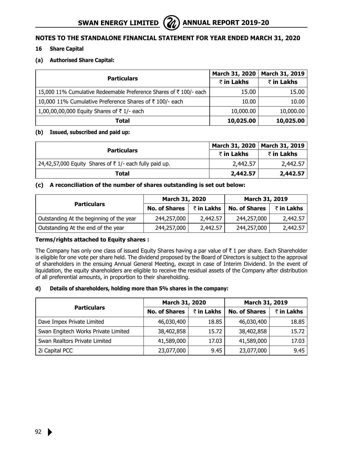# **16 Share Capital**

#### **(a) Authorised Share Capital:**

|                                                                    | March 31, 2020 | March 31, 2019 |
|--------------------------------------------------------------------|----------------|----------------|
| <b>Particulars</b>                                                 | ₹ in Lakhs     | ₹ in Lakhs     |
| 15,000 11% Cumulative Redeemable Preference Shares of ₹ 100/- each | 15.00          | 15.00          |
| 10,000 11% Cumulative Preference Shares of ₹100/- each             | 10.00          | 10.00          |
| 1,00,00,00,000 Equity Shares of ₹1/- each                          | 10,000.00      | 10,000.00      |
| Total                                                              | 10,025.00      | 10,025.00      |

#### **(b) Issued, subscribed and paid up:**

|                                                        |            | March 31, 2020   March 31, 2019 |  |
|--------------------------------------------------------|------------|---------------------------------|--|
| <b>Particulars</b>                                     | ₹ in Lakhs | ₹ in Lakhs                      |  |
| 24,42,57,000 Equity Shares of ₹1/- each fully paid up. | 2,442.57   | 2,442.57                        |  |
| Total                                                  | 2,442.57   | 2,442.57                        |  |

# **(c) A reconciliation of the number of shares outstanding is set out below:**

|                                          | March 31, 2020       |            | March 31, 2019       |            |
|------------------------------------------|----------------------|------------|----------------------|------------|
| <b>Particulars</b>                       | <b>No. of Shares</b> | ₹ in Lakhs | <b>No. of Shares</b> | ₹ in Lakhs |
| Outstanding At the beginning of the year | 244,257,000          | 2,442.57   | 244,257,000          | 2,442.57   |
| Outstanding At the end of the year       | 244,257,000          | 2,442.57   | 244,257,000          | 2,442.57   |

# **Terms/rights attached to Equity shares :**

The Company has only one class of issued Equity Shares having a par value of  $\bar{\tau}$  1 per share. Each Shareholder is eligible for one vote per share held. The dividend proposed by the Board of Directors is subject to the approval of shareholders in the ensuing Annual General Meeting, except in case of Interim Dividend. In the event of liquidation, the equity shareholders are eligible to receive the residual assets of the Company after distribution of all preferential amounts, in proportion to their shareholding.

#### **d) Details of shareholders, holding more than 5% shares in the company:**

|                                     | March 31, 2020       |            | March 31, 2019       |            |  |
|-------------------------------------|----------------------|------------|----------------------|------------|--|
| <b>Particulars</b>                  | <b>No. of Shares</b> | ₹ in Lakhs | <b>No. of Shares</b> | ₹ in Lakhs |  |
| Dave Impex Private Limited          | 46,030,400           | 18.85      | 46,030,400           | 18.85      |  |
| Swan Engitech Works Private Limited | 38,402,858           | 15.72      | 38,402,858           | 15.72      |  |
| Swan Realtors Private Limited       | 41,589,000           | 17.03      | 41,589,000           | 17.03      |  |
| 2i Capital PCC                      | 23,077,000           | 9.45       | 23,077,000           | 9.45       |  |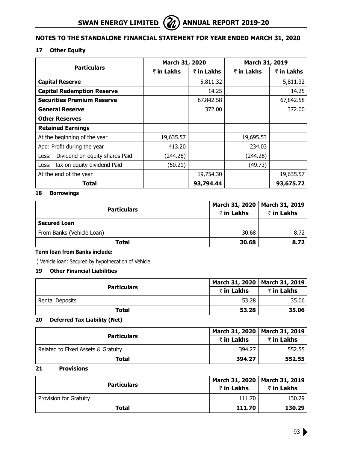# **17 Other Equity**

|                                        | March 31, 2020 |            | March 31, 2019 |            |
|----------------------------------------|----------------|------------|----------------|------------|
| <b>Particulars</b>                     | ₹ in Lakhs     | ₹ in Lakhs | ₹ in Lakhs     | ₹ in Lakhs |
| <b>Capital Reserve</b>                 |                | 5,811.32   |                | 5,811.32   |
| <b>Capital Redemption Reserve</b>      |                | 14.25      |                | 14.25      |
| <b>Securities Premium Reserve</b>      |                | 67,842.58  |                | 67,842.58  |
| <b>General Reserve</b>                 |                | 372.00     |                | 372.00     |
| <b>Other Reserves</b>                  |                |            |                |            |
| <b>Retained Earnings</b>               |                |            |                |            |
| At the beginning of the year           | 19,635.57      |            | 19,695.53      |            |
| Add: Profit during the year            | 413.20         |            | 234.03         |            |
| Less: - Dividend on equity shares Paid | (244.26)       |            | (244.26)       |            |
| Less: - Tax on equity dividend Paid    | (50.21)        |            | (49.73)        |            |
| At the end of the year                 |                | 19,754.30  |                | 19,635.57  |
| Total                                  |                | 93,794.44  |                | 93,675.72  |

# **18 Borrowings**

|                           |            | March 31, 2020   March 31, 2019 |
|---------------------------|------------|---------------------------------|
| <b>Particulars</b>        | ₹ in Lakhs | ₹ in Lakhs                      |
| <b>Secured Loan</b>       |            |                                 |
| From Banks (Vehicle Loan) | 30.68      | 8.72                            |
| Total                     | 30.68      | 8.72                            |

# **Term loan from Banks include:**

i) Vehicle loan: Secured by hypothecation of Vehicle.

# **19 Other Financial Liabilities**

|                    |            | March 31, 2020   March 31, 2019 |
|--------------------|------------|---------------------------------|
| <b>Particulars</b> | ₹ in Lakhs | ₹ in Lakhs                      |
| Rental Deposits    | 53.28      | 35.06                           |
| Total              | 53.28      | 35.06                           |

### **20 Deferred Tax Liability (Net)**

|                                    | March 31, 2020   March 31, 2019<br>₹ in Lakhs |            |
|------------------------------------|-----------------------------------------------|------------|
| <b>Particulars</b>                 |                                               | ₹ in Lakhs |
| Related to Fixed Assets & Gratuity | 394.27                                        | 552.55     |
| Total                              | 394.27                                        | 552.55     |

# **21 Provisions**

|                        | March 31, 2020   March 31, 2019<br>₹ in Lakhs |            |
|------------------------|-----------------------------------------------|------------|
| <b>Particulars</b>     |                                               | ₹ in Lakhs |
| Provision for Gratuity | 111.70                                        | 130.29     |
| Total                  | 111.70                                        | 130.29     |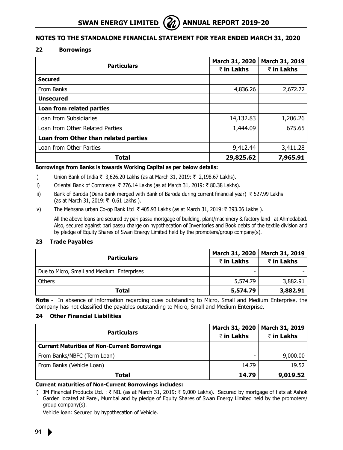# **22 Borrowings**

|                                      | March 31, 2020 | March 31, 2019 |
|--------------------------------------|----------------|----------------|
| <b>Particulars</b>                   | ₹ in Lakhs     | ₹ in Lakhs     |
| <b>Secured</b>                       |                |                |
| From Banks                           | 4,836.26       | 2,672.72       |
| <b>Unsecured</b>                     |                |                |
| Loan from related parties            |                |                |
| Loan from Subsidiaries               | 14,132.83      | 1,206.26       |
| Loan from Other Related Parties      | 1,444.09       | 675.65         |
| Loan from Other than related parties |                |                |
| Loan from Other Parties              | 9,412.44       | 3,411.28       |
| Total                                | 29,825.62      | 7,965.91       |

#### **Borrowings from Banks is towards Working Capital as per below details:**

- i) Union Bank of India ₹ 3,626.20 Lakhs (as at March 31, 2019: ₹ 2,198.67 Lakhs).
- ii) Oriental Bank of Commerce ₹ 276.14 Lakhs (as at March 31, 2019: ₹ 80.38 Lakhs).
- iii) Bank of Baroda (Dena Bank merged with Bank of Baroda during current financial year)  $\bar{\tau}$  527.99 Lakhs (as at March 31, 2019: ₹ 0.61 Lakhs ).
- iv) The Mehsana urban Co-op Bank Ltd  $\bar{\tau}$  405.93 Lakhs (as at March 31, 2019:  $\bar{\tau}$  393.06 Lakhs ).

 All the above loans are secured by pari passu mortgage of building, plant/machinery & factory land at Ahmedabad. Also, secured against pari passu charge on hypothecation of Inventories and Book debts of the textile division and by pledge of Equity Shares of Swan Energy Limited held by the promoters/group company(s).

# **23 Trade Payables**

|                                            |            | March 31, 2020   March 31, 2019 |
|--------------------------------------------|------------|---------------------------------|
| <b>Particulars</b>                         | ₹ in Lakhs | ₹ in Lakhs                      |
| Due to Micro, Small and Medium Enterprises |            |                                 |
| Others                                     | 5,574.79   | 3,882.91                        |
| Total                                      | 5,574.79   | 3,882.91                        |

**Note -** In absence of information regarding dues outstanding to Micro, Small and Medium Enterprise, the Company has not classified the payables outstanding to Micro, Small and Medium Enterprise.

# **24 Other Financial Liabilities**

| <b>Particulars</b>                                  | <b>March 31, 2020</b> | March 31, 2019 |
|-----------------------------------------------------|-----------------------|----------------|
|                                                     | ₹ in Lakhs            | ₹ in Lakhs     |
| <b>Current Maturities of Non-Current Borrowings</b> |                       |                |
| From Banks/NBFC (Term Loan)                         |                       | 9,000.00       |
| From Banks (Vehicle Loan)                           | 14.79                 | 19.52          |
| Total                                               | 14.79                 | 9,019.52       |

#### **Current maturities of Non-Current Borrowings includes:**

i) JM Financial Products Ltd. : ₹ NIL (as at March 31, 2019: ₹ 9,000 Lakhs). Secured by mortgage of flats at Ashok Garden located at Parel, Mumbai and by pledge of Equity Shares of Swan Energy Limited held by the promoters/ group company(s).

Vehicle loan: Secured by hypothecation of Vehicle.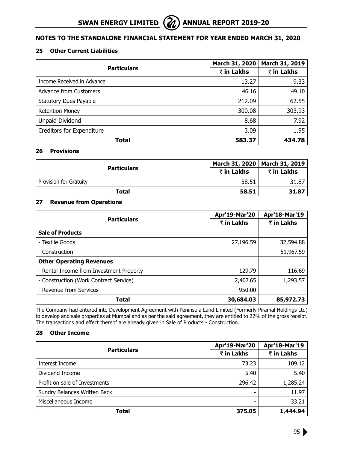# **25 Other Current Liabilities**

|                               | March 31, 2020 | March 31, 2019 |
|-------------------------------|----------------|----------------|
| <b>Particulars</b>            | ₹ in Lakhs     | ₹ in Lakhs     |
| Income Received in Advance    | 13.27          | 9.33           |
| Advance from Customers        | 46.16          | 49.10          |
| <b>Statutory Dues Payable</b> | 212.09         | 62.55          |
| <b>Retention Money</b>        | 300.08         | 303.93         |
| Unpaid Dividend               | 8.68           | 7.92           |
| Creditors for Expenditure     | 3.09           | 1.95           |
| Total                         | 583.37         | 434.78         |

#### **26 Provisions**

|                        |            | March 31, 2020   March 31, 2019 |
|------------------------|------------|---------------------------------|
| <b>Particulars</b>     | ₹ in Lakhs | ₹ in Lakhs                      |
| Provision for Gratuity | 58.51      | 31.87                           |
| Total                  | 58.51      | 31.87                           |

#### **27 Revenue from Operations**

|                                          | Apr'19-Mar'20 | Apr'18-Mar'19 |
|------------------------------------------|---------------|---------------|
| <b>Particulars</b>                       | ₹ in Lakhs    | ₹ in Lakhs    |
| <b>Sale of Products</b>                  |               |               |
| - Textile Goods                          | 27,196.59     | 32,594.88     |
| - Construction                           |               | 51,967.59     |
| <b>Other Operating Revenues</b>          |               |               |
| - Rental Income from Investment Property | 129.79        | 116.69        |
| - Construction (Work Contract Service)   | 2,407.65      | 1,293.57      |
| - Revenue from Services                  | 950.00        |               |
| Total                                    | 30,684.03     | 85,972.73     |

The Company had entered into Development Agreement with Peninsula Land Limited (Formerly Piramal Holdings Ltd) to develop and sale properties at Mumbai and as per the said agreement, they are entitled to 22% of the gross receipt. The transactions and effect thereof are already given in Sale of Products - Construction.

# **28 Other Income**

|                               | Apr'19-Mar'20 | Apr'18-Mar'19 |
|-------------------------------|---------------|---------------|
| <b>Particulars</b>            | ₹ in Lakhs    | ₹ in Lakhs    |
| Interest Income               | 73.23         | 109.12        |
| Dividend Income               | 5.40          | 5.40          |
| Profit on sale of Investments | 296.42        | 1,285.24      |
| Sundry Balances Written Back  |               | 11.97         |
| Miscellaneous Income          | ۰             | 33.21         |
| Total                         | 375.05        | 1,444.94      |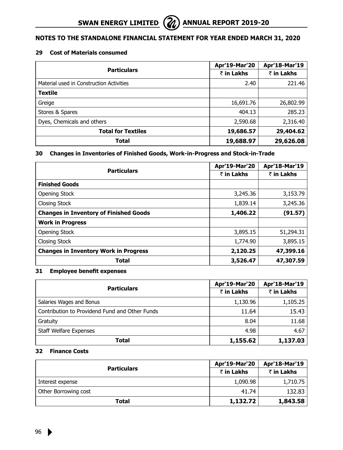#### **29 Cost of Materials consumed**

|                                          | Apr'19-Mar'20            | Apr'18-Mar'19 |
|------------------------------------------|--------------------------|---------------|
| <b>Particulars</b>                       | ₹ in Lakhs<br>₹ in Lakhs |               |
| Material used in Construction Activities | 2.40                     | 221.46        |
| <b>Textile</b>                           |                          |               |
| Greige                                   | 16,691.76                | 26,802.99     |
| Stores & Spares                          | 404.13                   | 285.23        |
| Dyes, Chemicals and others               | 2,590.68                 | 2,316.40      |
| <b>Total for Textiles</b>                | 19,686.57                | 29,404.62     |
| Total                                    | 19,688.97                | 29,626.08     |

# **30 Changes in Inventories of Finished Goods, Work-in-Progress and Stock-in-Trade**

|                                               | Apr'19-Mar'20 | Apr'18-Mar'19 |
|-----------------------------------------------|---------------|---------------|
| <b>Particulars</b>                            | ₹ in Lakhs    | ₹ in Lakhs    |
| <b>Finished Goods</b>                         |               |               |
| <b>Opening Stock</b>                          | 3,245.36      | 3,153.79      |
| Closing Stock                                 | 1,839.14      | 3,245.36      |
| <b>Changes in Inventory of Finished Goods</b> | 1,406.22      | (91.57)       |
| <b>Work in Progress</b>                       |               |               |
| Opening Stock                                 | 3,895.15      | 51,294.31     |
| Closing Stock                                 | 1,774.90      | 3,895.15      |
| <b>Changes in Inventory Work in Progress</b>  | 2,120.25      | 47,399.16     |
| Total                                         | 3,526.47      | 47,307.59     |

# **31 Employee benefit expenses**

|                                                | Apr'19-Mar'20 | Apr'18-Mar'19 |
|------------------------------------------------|---------------|---------------|
| <b>Particulars</b>                             | ₹ in Lakhs    | ₹ in Lakhs    |
| Salaries Wages and Bonus                       | 1,130.96      | 1,105.25      |
| Contribution to Providend Fund and Other Funds | 11.64         | 15.43         |
| Gratuity                                       | 8.04          | 11.68         |
| <b>Staff Welfare Expenses</b>                  | 4.98          | 4.67          |
| Total                                          | 1,155.62      | 1,137.03      |

#### **32 Finance Costs**

|                      | <b>Apr'19-Mar'20</b> | Apr'18-Mar'19 |
|----------------------|----------------------|---------------|
| <b>Particulars</b>   | ₹ in Lakhs           | ₹ in Lakhs    |
| Interest expense     | 1,090.98             | 1,710.75      |
| Other Borrowing cost | 41.74                | 132.83        |
| Total                | 1,132.72             | 1,843.58      |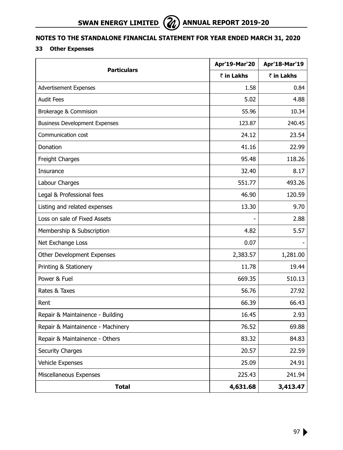# **SWAN ENERGY LIMITED** (2) ANNUAL REPORT 2019-20

# **Notes to the Standalone Financial Statement for year ended March 31, 2020**

# **33 Other Expenses**

|                                      | Apr'19-Mar'20 | Apr'18-Mar'19 |
|--------------------------------------|---------------|---------------|
| <b>Particulars</b>                   | ₹ in Lakhs    | ₹ in Lakhs    |
| Advertisement Expenses               | 1.58          | 0.84          |
| <b>Audit Fees</b>                    | 5.02          | 4.88          |
| Brokerage & Commision                | 55.96         | 10.34         |
| <b>Business Development Expenses</b> | 123.87        | 240.45        |
| Communication cost                   | 24.12         | 23.54         |
| Donation                             | 41.16         | 22.99         |
| Freight Charges                      | 95.48         | 118.26        |
| Insurance                            | 32.40         | 8.17          |
| Labour Charges                       | 551.77        | 493.26        |
| Legal & Professional fees            | 46.90         | 120.59        |
| Listing and related expenses         | 13.30         | 9.70          |
| Loss on sale of Fixed Assets         |               | 2.88          |
| Membership & Subscription            | 4.82          | 5.57          |
| Net Exchange Loss                    | 0.07          |               |
| Other Development Expenses           | 2,383.57      | 1,281.00      |
| Printing & Stationery                | 11.78         | 19.44         |
| Power & Fuel                         | 669.35        | 510.13        |
| Rates & Taxes                        | 56.76         | 27.92         |
| Rent                                 | 66.39         | 66.43         |
| Repair & Maintainence - Building     | 16.45         | 2.93          |
| Repair & Maintainence - Machinery    | 76.52         | 69.88         |
| Repair & Maintainence - Others       | 83.32         | 84.83         |
| <b>Security Charges</b>              | 20.57         | 22.59         |
| Vehicle Expenses                     | 25.09         | 24.91         |
| Miscellaneous Expenses               | 225.43        | 241.94        |
| <b>Total</b>                         | 4,631.68      | 3,413.47      |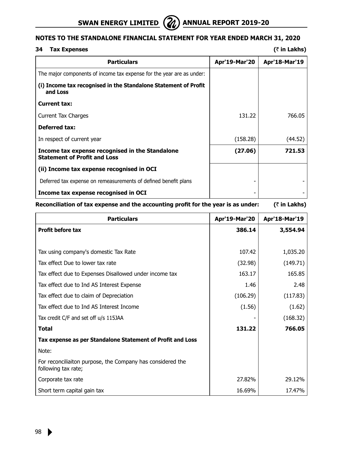

# **34 Tax Expenses (**` **in Lakhs)**

| <b>Particulars</b>                                                                     | <b>Apr'19-Mar'20</b> | Apr'18-Mar'19 |
|----------------------------------------------------------------------------------------|----------------------|---------------|
| The major components of income tax expense for the year are as under:                  |                      |               |
| (i) Income tax recognised in the Standalone Statement of Profit<br>and Loss            |                      |               |
| Current tax:                                                                           |                      |               |
| Current Tax Charges                                                                    | 131.22               | 766.05        |
| <b>Deferred tax:</b>                                                                   |                      |               |
| In respect of current year                                                             | (158.28)             | (44.52)       |
| Income tax expense recognised in the Standalone<br><b>Statement of Profit and Loss</b> | (27.06)              | 721.53        |
| (ii) Income tax expense recognised in OCI                                              |                      |               |
| Deferred tax expense on remeasurements of defined benefit plans                        |                      |               |
| Income tax expense recognised in OCI                                                   |                      |               |

# **Reconciliation of tax expense and the accounting profit for the year is as under: (**` **in Lakhs)**

| <b>Particulars</b>                                                                | Apr'19-Mar'20 | Apr'18-Mar'19 |
|-----------------------------------------------------------------------------------|---------------|---------------|
| <b>Profit before tax</b>                                                          | 386.14        | 3,554.94      |
|                                                                                   |               |               |
| Tax using company's domestic Tax Rate                                             | 107.42        | 1,035.20      |
| Tax effect Due to lower tax rate                                                  | (32.98)       | (149.71)      |
| Tax effect due to Expenses Disallowed under income tax                            | 163.17        | 165.85        |
| Tax effect due to Ind AS Interest Expense                                         | 1.46          | 2.48          |
| Tax effect due to claim of Depreciation                                           | (106.29)      | (117.83)      |
| Tax effect due to Ind AS Interest Income                                          | (1.56)        | (1.62)        |
| Tax credit C/F and set off u/s 115JAA                                             |               | (168.32)      |
| Total                                                                             | 131.22        | 766.05        |
| Tax expense as per Standalone Statement of Profit and Loss                        |               |               |
| Note:                                                                             |               |               |
| For reconciliaiton purpose, the Company has considered the<br>following tax rate; |               |               |
| Corporate tax rate                                                                | 27.82%        | 29.12%        |
| Short term capital gain tax                                                       | 16.69%        | 17.47%        |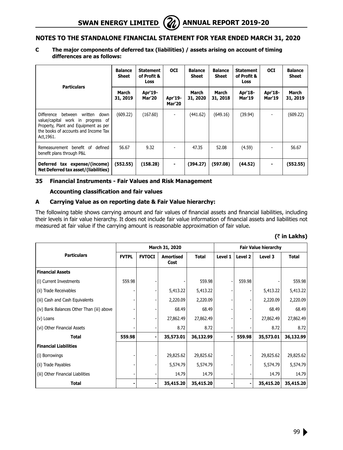#### **C The major components of deferred tax (liabilities) / assets arising on account of timing differences are as follows:**

| <b>Particulars</b>                                                                                                                                                                 | <b>Balance</b><br><b>Sheet</b> | <b>Statement</b><br>of Profit &<br><b>Loss</b> | <b>OCI</b>               | <b>Balance</b><br>Sheet | <b>Balance</b><br><b>Sheet</b> | <b>Statement</b><br>of Profit &<br>Loss | <b>OCI</b>               | <b>Balance</b><br><b>Sheet</b> |
|------------------------------------------------------------------------------------------------------------------------------------------------------------------------------------|--------------------------------|------------------------------------------------|--------------------------|-------------------------|--------------------------------|-----------------------------------------|--------------------------|--------------------------------|
|                                                                                                                                                                                    | March<br>31, 2019              | Apr'19-<br><b>Mar'20</b>                       | Apr'19-<br><b>Mar'20</b> | March<br>31, 2020       | March<br>31, 2018              | Apr'18-<br><b>Mar'19</b>                | Apr'18-<br><b>Mar'19</b> | March<br>31, 2019              |
| <b>Difference</b><br>written<br>between<br>down<br>value/capital work in progress of<br>Property, Plant and Equipment as per<br>the books of accounts and Income Tax<br>Act, 1961. | (609.22)                       | (167.60)                                       | ٠                        | (441.62)                | (649.16)                       | (39.94)                                 |                          | (609.22)                       |
| Remeasurement benefit of<br>defined<br>benefit plans through P&L                                                                                                                   | 56.67                          | 9.32                                           |                          | 47.35                   | 52.08                          | (4.59)                                  |                          | 56.67                          |
| Deferred tax expense/(income)<br>Net Deferred tax asset/(liabilities)                                                                                                              | (552.55)                       | (158.28)                                       | $\blacksquare$           | (394.27)                | (597.08)                       | (44.52)                                 |                          | (552.55)                       |

# **35 Financial Instruments - Fair Values and Risk Management**

#### **Accounting classification and fair values**

# **A Carrying Value as on reporting date & Fair Value hierarchy:**

The following table shows carrying amount and fair values of financial assets and financial liabilities, including their levels in fair value hierarchy. It does not include fair value information of financial assets and liabilities not measured at fair value if the carrying amount is reasonable approximation of fair value.

|                                           | March 31, 2020 |               |                          |              |         | <b>Fair Value hierarchy</b> |           |           |
|-------------------------------------------|----------------|---------------|--------------------------|--------------|---------|-----------------------------|-----------|-----------|
| <b>Particulars</b>                        | <b>FVTPL</b>   | <b>FVTOCI</b> | <b>Amortised</b><br>Cost | <b>Total</b> | Level 1 | Level 2                     | Level 3   | Total     |
| <b>Financial Assets</b>                   |                |               |                          |              |         |                             |           |           |
| (i) Current Investments                   | 559.98         |               |                          | 559.98       |         | 559.98                      |           | 559.98    |
| (ii) Trade Receivables                    |                |               | 5,413.22                 | 5,413.22     |         |                             | 5,413.22  | 5,413.22  |
| (iii) Cash and Cash Equivalents           |                |               | 2,220.09                 | 2,220.09     |         |                             | 2,220.09  | 2,220.09  |
| (iv) Bank Balances Other Than (iii) above |                |               | 68.49                    | 68.49        |         |                             | 68.49     | 68.49     |
| (v) Loans                                 |                |               | 27,862.49                | 27,862.49    |         |                             | 27,862.49 | 27,862.49 |
| (vi) Other Financial Assets               |                |               | 8.72                     | 8.72         |         |                             | 8.72      | 8.72      |
| <b>Total</b>                              | 559.98         |               | 35,573.01                | 36,132.99    |         | 559.98                      | 35,573.01 | 36,132.99 |
| <b>Financial Liabilities</b>              |                |               |                          |              |         |                             |           |           |
| (i) Borrowings                            |                |               | 29,825.62                | 29,825.62    |         |                             | 29,825.62 | 29,825.62 |
| (ii) Trade Payables                       |                |               | 5,574.79                 | 5,574.79     |         |                             | 5,574.79  | 5,574.79  |
| (iii) Other Financial Liabilities         |                |               | 14.79                    | 14.79        |         |                             | 14.79     | 14.79     |
| <b>Total</b>                              |                |               | 35,415.20                | 35,415.20    |         |                             | 35,415.20 | 35,415.20 |

 **(**` **in Lakhs)**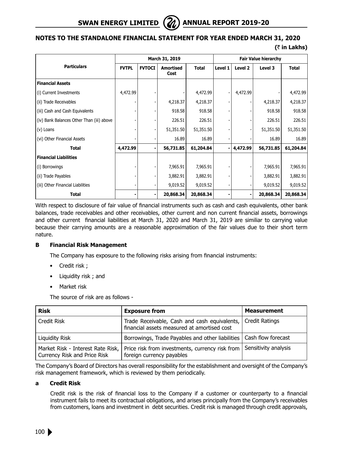

#### **(**` **in Lakhs)**

|                                           | March 31, 2019<br><b>Fair Value hierarchy</b> |               |                   |              |         |          |           |              |
|-------------------------------------------|-----------------------------------------------|---------------|-------------------|--------------|---------|----------|-----------|--------------|
| <b>Particulars</b>                        | <b>FVTPL</b>                                  | <b>FVTOCI</b> | Amortised<br>Cost | <b>Total</b> | Level 1 | Level 2  | Level 3   | <b>Total</b> |
| <b>Financial Assets</b>                   |                                               |               |                   |              |         |          |           |              |
| (i) Current Investments                   | 4,472.99                                      |               |                   | 4,472.99     |         | 4,472.99 |           | 4,472.99     |
| (ii) Trade Receivables                    |                                               |               | 4,218.37          | 4,218.37     |         |          | 4,218.37  | 4,218.37     |
| (iii) Cash and Cash Equivalents           |                                               |               | 918.58            | 918.58       |         |          | 918.58    | 918.58       |
| (iv) Bank Balances Other Than (iii) above |                                               |               | 226.51            | 226.51       |         |          | 226.51    | 226.51       |
| (v) Loans                                 |                                               |               | 51,351.50         | 51,351.50    |         |          | 51,351.50 | 51,351.50    |
| (vi) Other Financial Assets               |                                               |               | 16.89             | 16.89        |         |          | 16.89     | 16.89        |
| <b>Total</b>                              | 4,472.99                                      |               | 56,731.85         | 61,204.84    |         | 4,472.99 | 56,731.85 | 61,204.84    |
| <b>Financial Liabilities</b>              |                                               |               |                   |              |         |          |           |              |
| (i) Borrowings                            |                                               |               | 7,965.91          | 7,965.91     |         |          | 7,965.91  | 7,965.91     |
| (ii) Trade Payables                       |                                               |               | 3,882.91          | 3,882.91     |         |          | 3,882.91  | 3,882.91     |
| (iii) Other Financial Liabilities         |                                               |               | 9,019.52          | 9,019.52     |         |          | 9,019.52  | 9,019.52     |
| <b>Total</b>                              |                                               |               | 20,868.34         | 20,868.34    |         |          | 20,868.34 | 20,868.34    |

With respect to disclosure of fair value of financial instruments such as cash and cash equivalents, other bank balances, trade receivables and other receivables, other current and non current financial assets, borrowings and other current financial liabilities at March 31, 2020 and March 31, 2019 are similiar to carrying value because their carrying amounts are a reasonable approximation of the fair values due to their short term nature.

# **B Financial Risk Management**

The Company has exposure to the following risks arising from financial instruments:

- Credit risk ;
- Liquidity risk ; and
- Market risk

The source of risk are as follows -

| <b>Risk</b>                                                       | <b>Exposure from</b>                                                                              | <b>Measurement</b> |
|-------------------------------------------------------------------|---------------------------------------------------------------------------------------------------|--------------------|
| Credit Risk                                                       | Trade Receivable, Cash and cash equivalents,<br>financial assets measured at amortised cost       | Credit Ratings     |
| Liquidity Risk                                                    | Borrowings, Trade Payables and other liabilities   Cash flow forecast                             |                    |
| Market Risk - Interest Rate Risk,<br>Currency Risk and Price Risk | Price risk from investments, currency risk from Sensitivity analysis<br>foreign currency payables |                    |

The Company's Board of Directors has overall responsibility for the establishment and oversight of the Company's risk management framework, which is reviewed by them periodically.

# **a Credit Risk**

Credit risk is the risk of financial loss to the Company if a customer or counterparty to a financial instrument fails to meet its contractual obligations, and arises principally from the Company's receivables from customers, loans and investment in debt securities. Credit risk is managed through credit approvals,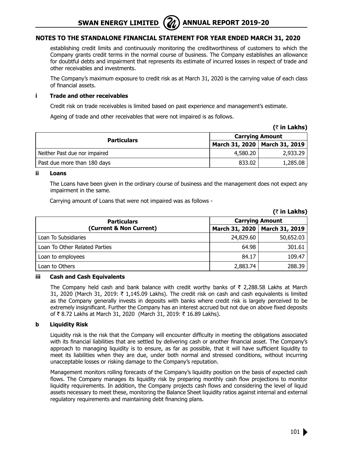**SWAN ENERGY LIMITED** (21) ANNUAL REPORT 2019-20



# **Notes to the Standalone Financial Statement for year ended March 31, 2020**

establishing credit limits and continuously monitoring the creditworthiness of customers to which the Company grants credit terms in the normal course of business. The Company establishes an allowance for doubtful debts and impairment that represents its estimate of incurred losses in respect of trade and other receivables and investments.

The Company's maximum exposure to credit risk as at March 31, 2020 is the carrying value of each class of financial assets.

#### **i Trade and other receivables**

Credit risk on trade receivables is limited based on past experience and management's estimate.

Ageing of trade and other receivables that were not impaired is as follows.

|                               | <b>Carrying Amount</b> |                                 |  |  |
|-------------------------------|------------------------|---------------------------------|--|--|
| <b>Particulars</b>            |                        | March 31, 2020   March 31, 2019 |  |  |
| Neither Past due nor impaired | 4,580.20               | 2,933,29                        |  |  |
| Past due more than 180 days   | 833.02                 | 1,285.08                        |  |  |

#### **ii Loans**

The Loans have been given in the ordinary course of business and the management does not expect any impairment in the same.

Carrying amount of Loans that were not impaired was as follows -

|                               |                        | $\sqrt{2}$ $\sqrt{2}$ |  |  |
|-------------------------------|------------------------|-----------------------|--|--|
| <b>Particulars</b>            | <b>Carrying Amount</b> |                       |  |  |
| (Current & Non Current)       | March 31, 2020         | <b>March 31, 2019</b> |  |  |
| Loan To Subsidiaries          | 24,829.60              | 50,652.03             |  |  |
| Loan To Other Related Parties | 64.98                  | 301.61                |  |  |
| Loan to employees             | 84.17                  | 109.47                |  |  |
| Loan to Others                | 2,883.74               | 288.39                |  |  |

# **iii Cash and Cash Equivalents**

The Company held cash and bank balance with credit worthy banks of  $\bar{\tau}$  2,288.58 Lakhs at March 31, 2020 (March 31, 2019:  $\bar{\tau}$  1,145.09 Lakhs). The credit risk on cash and cash equivalents is limited as the Company generally invests in deposits with banks where credit risk is largely perceived to be extremely insignificant. Further the Company has an interest accrued but not due on above fixed deposits of ₹8.72 Lakhs at March 31, 2020 (March 31, 2019: ₹16.89 Lakhs).

# **b Liquidity Risk**

Liquidity risk is the risk that the Company will encounter difficulty in meeting the obligations associated with its financial liabilities that are settled by delivering cash or another financial asset. The Company's approach to managing liquidity is to ensure, as far as possible, that it will have sufficient liquidity to meet its liabilities when they are due, under both normal and stressed conditions, without incurring unacceptable losses or risking damage to the Company's reputation.

Management monitors rolling forecasts of the Company's liquidity position on the basis of expected cash flows. The Company manages its liquidity risk by preparing monthly cash flow projections to monitor liquidity requirements. In addition, the Company projects cash flows and considering the level of liquid assets necessary to meet these, monitoring the Balance Sheet liquidity ratios against internal and external regulatory requirements and maintaining debt financing plans.



**(**` **in Lakhs)**

 $(7 \text{ in } L)$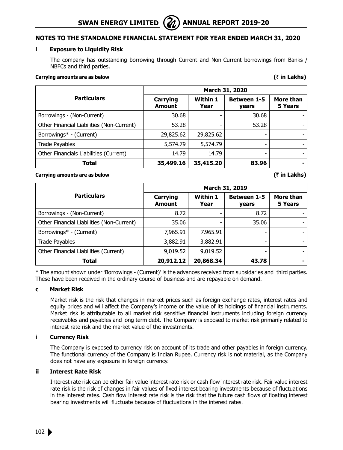# **SWAN ENERGY LIMITED** (22) ANNUAL REPORT 2019-20

# **Notes to the Standalone Financial Statement for year ended March 31, 2020**

#### **i Exposure to Liquidity Risk**

The company has outstanding borrowing through Current and Non-Current borrowings from Banks / NBFCs and third parties.

# **Carrying amounts are as below (**` **in Lakhs)**

|                                           | March 31, 2020                   |                  |                             |                      |
|-------------------------------------------|----------------------------------|------------------|-----------------------------|----------------------|
| <b>Particulars</b>                        | <b>Carrying</b><br><b>Amount</b> | Within 1<br>Year | <b>Between 1-5</b><br>years | More than<br>5 Years |
| Borrowings - (Non-Current)                | 30.68                            |                  | 30.68                       |                      |
| Other Financial Liabilities (Non-Current) | 53.28                            |                  | 53.28                       |                      |
| Borrowings* - (Current)                   | 29,825.62                        | 29,825.62        | -                           |                      |
| Trade Payables                            | 5,574.79                         | 5,574.79         |                             |                      |
| Other Financials Liabilities (Current)    | 14.79                            | 14.79            | ۰                           |                      |
| Total                                     | 35,499.16                        | 35,415.20        | 83.96                       |                      |

# **Carrying amounts are as below (**` **in Lakhs)**

|                                           | March 31, 2019            |                  |                             |                      |
|-------------------------------------------|---------------------------|------------------|-----------------------------|----------------------|
| <b>Particulars</b>                        | Carrying<br><b>Amount</b> | Within 1<br>Year | <b>Between 1-5</b><br>years | More than<br>5 Years |
| Borrowings - (Non-Current)                | 8.72                      |                  | 8.72                        |                      |
| Other Financial Liabilities (Non-Current) | 35.06                     |                  | 35.06                       |                      |
| Borrowings* - (Current)                   | 7,965.91                  | 7,965.91         |                             |                      |
| <b>Trade Payables</b>                     | 3,882.91                  | 3,882.91         |                             |                      |
| Other Financial Liabilities (Current)     | 9,019.52                  | 9,019.52         |                             |                      |
| Total                                     | 20,912.12                 | 20,868.34        | 43.78                       |                      |

\* The amount shown under 'Borrowings - (Current)' is the advances received from subsidaries and third parties. These have been received in the ordinary course of business and are repayable on demand.

# **c Market Risk**

Market risk is the risk that changes in market prices such as foreign exchange rates, interest rates and equity prices and will affect the Company's income or the value of its holdings of financial instruments. Market risk is attributable to all market risk sensitive financial instruments including foreign currency receivables and payables and long term debt. The Company is exposed to market risk primarily related to interest rate risk and the market value of the investments.

# **i Currency Risk**

The Company is exposed to currency risk on account of its trade and other payables in foreign currency. The functional currency of the Company is Indian Rupee. Currency risk is not material, as the Company does not have any exposure in foreign currency.

# **ii Interest Rate Risk**

Interest rate risk can be either fair value interest rate risk or cash flow interest rate risk. Fair value interest rate risk is the risk of changes in fair values of fixed interest bearing investments because of fluctuations in the interest rates. Cash flow interest rate risk is the risk that the future cash flows of floating interest bearing investments will fluctuate because of fluctuations in the interest rates.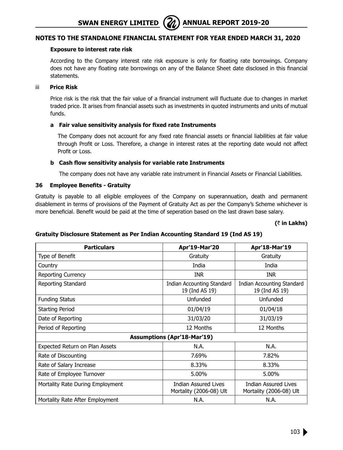#### **Exposure to interest rate risk**

According to the Company interest rate risk exposure is only for floating rate borrowings. Company does not have any floating rate borrowings on any of the Balance Sheet date disclosed in this financial statements.

#### iii **Price Risk**

Price risk is the risk that the fair value of a financial instrument will fluctuate due to changes in market traded price. It arises from financial assets such as investments in quoted instruments and units of mutual funds.

# **a Fair value sensitivity analysis for fixed rate Instruments**

The Company does not account for any fixed rate financial assets or financial liabilities at fair value through Profit or Loss. Therefore, a change in interest rates at the reporting date would not affect Profit or Loss.

#### **b Cash flow sensitivity analysis for variable rate Instruments**

The company does not have any variable rate instrument in Financial Assets or Financial Liabilities.

#### **36 Employee Benefits - Gratuity**

Gratuity is payable to all eligible employees of the Company on superannuation, death and permanent disablement in terms of provisions of the Payment of Gratuity Act as per the Company's Scheme whichever is more beneficial. Benefit would be paid at the time of seperation based on the last drawn base salary.

#### **(**` **in Lakhs)**

| <b>Particulars</b>                 | Apr'19-Mar'20                                          | Apr'18-Mar'19                                          |  |
|------------------------------------|--------------------------------------------------------|--------------------------------------------------------|--|
| Type of Benefit                    | Gratuity                                               | Gratuity                                               |  |
| Country                            | India                                                  | India                                                  |  |
| Reporting Currency                 | <b>INR</b>                                             | <b>INR</b>                                             |  |
| Reporting Standard                 | Indian Accounting Standard<br>19 (Ind AS 19)           | Indian Accounting Standard<br>19 (Ind AS 19)           |  |
| <b>Funding Status</b>              | Unfunded                                               | Unfunded                                               |  |
| <b>Starting Period</b>             | 01/04/19                                               | 01/04/18                                               |  |
| Date of Reporting                  | 31/03/20                                               | 31/03/19                                               |  |
| Period of Reporting                | 12 Months                                              | 12 Months                                              |  |
| <b>Assumptions (Apr'18-Mar'19)</b> |                                                        |                                                        |  |
| Expected Return on Plan Assets     | N.A.                                                   | N.A.                                                   |  |
| Rate of Discounting                | 7.69%                                                  | 7.82%                                                  |  |
| Rate of Salary Increase            | 8.33%                                                  | 8.33%                                                  |  |
| Rate of Employee Turnover          | 5.00%                                                  | 5.00%                                                  |  |
| Mortality Rate During Employment   | <b>Indian Assured Lives</b><br>Mortality (2006-08) Ult | <b>Indian Assured Lives</b><br>Mortality (2006-08) Ult |  |
| Mortality Rate After Employment    | N.A.                                                   | N.A.                                                   |  |

# **Gratuity Disclosure Statement as Per Indian Accounting Standard 19 (Ind AS 19)**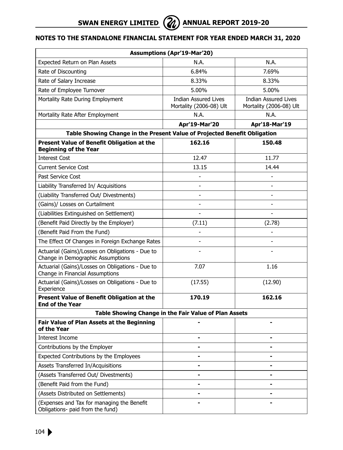| <b>Assumptions (Apr'19-Mar'20)</b>                                                    |                                                        |                                                 |  |  |
|---------------------------------------------------------------------------------------|--------------------------------------------------------|-------------------------------------------------|--|--|
| Expected Return on Plan Assets                                                        | N.A.                                                   | N.A.                                            |  |  |
| Rate of Discounting                                                                   | 6.84%                                                  | 7.69%                                           |  |  |
| Rate of Salary Increase                                                               | 8.33%                                                  | 8.33%                                           |  |  |
| Rate of Employee Turnover                                                             | 5.00%                                                  | 5.00%                                           |  |  |
| Mortality Rate During Employment                                                      | <b>Indian Assured Lives</b><br>Mortality (2006-08) Ult | Indian Assured Lives<br>Mortality (2006-08) Ult |  |  |
| Mortality Rate After Employment                                                       | N.A.                                                   | N.A.                                            |  |  |
|                                                                                       | Apr'19-Mar'20                                          | Apr'18-Mar'19                                   |  |  |
| Table Showing Change in the Present Value of Projected Benefit Obligation             |                                                        |                                                 |  |  |
| Present Value of Benefit Obligation at the<br><b>Beginning of the Year</b>            | 162.16                                                 | 150.48                                          |  |  |
| <b>Interest Cost</b>                                                                  | 12.47                                                  | 11.77                                           |  |  |
| <b>Current Service Cost</b>                                                           | 13.15                                                  | 14.44                                           |  |  |
| Past Service Cost                                                                     |                                                        |                                                 |  |  |
| Liability Transferred In/ Acquisitions                                                | $\overline{\phantom{0}}$                               | $\overline{\phantom{0}}$                        |  |  |
| (Liability Transferred Out/ Divestments)                                              | $\overline{\phantom{0}}$                               | $\overline{\phantom{0}}$                        |  |  |
| (Gains)/ Losses on Curtailment                                                        |                                                        |                                                 |  |  |
| (Liabilities Extinguished on Settlement)                                              | $\overline{a}$                                         | $\overline{\phantom{0}}$                        |  |  |
| (Benefit Paid Directly by the Employer)                                               | (7.11)                                                 | (2.78)                                          |  |  |
| (Benefit Paid From the Fund)                                                          |                                                        |                                                 |  |  |
| The Effect Of Changes in Foreign Exchange Rates                                       | $\overline{\phantom{0}}$                               |                                                 |  |  |
| Actuarial (Gains)/Losses on Obligations - Due to<br>Change in Demographic Assumptions |                                                        |                                                 |  |  |
| Actuarial (Gains)/Losses on Obligations - Due to<br>Change in Financial Assumptions   | 7.07                                                   | 1.16                                            |  |  |
| Actuarial (Gains)/Losses on Obligations - Due to<br>Experience                        | (17.55)                                                | (12.90)                                         |  |  |
| Present Value of Benefit Obligation at the<br><b>End of the Year</b>                  | 170.19                                                 | 162.16                                          |  |  |
|                                                                                       | Table Showing Change in the Fair Value of Plan Assets  |                                                 |  |  |
| <b>Fair Value of Plan Assets at the Beginning</b><br>of the Year                      |                                                        |                                                 |  |  |
| Interest Income                                                                       | -                                                      |                                                 |  |  |
| Contributions by the Employer                                                         |                                                        |                                                 |  |  |
| Expected Contributions by the Employees                                               |                                                        |                                                 |  |  |
| Assets Transferred In/Acquisitions                                                    |                                                        |                                                 |  |  |
| (Assets Transferred Out/ Divestments)                                                 |                                                        |                                                 |  |  |
| (Benefit Paid from the Fund)                                                          |                                                        |                                                 |  |  |
| (Assets Distributed on Settlements)                                                   |                                                        |                                                 |  |  |
| (Expenses and Tax for managing the Benefit<br>Obligations- paid from the fund)        |                                                        |                                                 |  |  |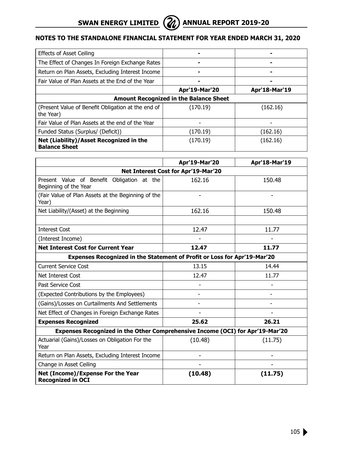

| <b>Effects of Asset Ceiling</b>                                 |               |               |  |
|-----------------------------------------------------------------|---------------|---------------|--|
| The Effect of Changes In Foreign Exchange Rates                 |               |               |  |
| Return on Plan Assets, Excluding Interest Income                |               |               |  |
| Fair Value of Plan Assets at the End of the Year                |               |               |  |
|                                                                 | Apr'19-Mar'20 | Apr'18-Mar'19 |  |
| <b>Amount Recognized in the Balance Sheet</b>                   |               |               |  |
| (Present Value of Benefit Obligation at the end of<br>the Year) | (170.19)      | (162.16)      |  |
| Fair Value of Plan Assets at the end of the Year                |               |               |  |
| Funded Status (Surplus/ (Deficit))                              | (170.19)      | (162.16)      |  |
| Net (Liability)/Asset Recognized in the<br><b>Balance Sheet</b> | (170.19)      | (162.16)      |  |

|                                                                               | Apr'19-Mar'20 | Apr'18-Mar'19 |  |  |
|-------------------------------------------------------------------------------|---------------|---------------|--|--|
| Net Interest Cost for Apr'19-Mar'20                                           |               |               |  |  |
| Present Value of Benefit Obligation at the<br>Beginning of the Year           | 162.16        | 150.48        |  |  |
| (Fair Value of Plan Assets at the Beginning of the<br>Year)                   |               |               |  |  |
| Net Liability/(Asset) at the Beginning                                        | 162.16        | 150.48        |  |  |
|                                                                               |               |               |  |  |
| <b>Interest Cost</b>                                                          | 12.47         | 11.77         |  |  |
| (Interest Income)                                                             |               |               |  |  |
| <b>Net Interest Cost for Current Year</b>                                     | 12.47         | 11.77         |  |  |
| Expenses Recognized in the Statement of Profit or Loss for Apr'19-Mar'20      |               |               |  |  |
| <b>Current Service Cost</b>                                                   | 13.15         | 14.44         |  |  |
| Net Interest Cost                                                             | 12.47         | 11.77         |  |  |
| Past Service Cost                                                             |               |               |  |  |
| (Expected Contributions by the Employees)                                     |               |               |  |  |
| (Gains)/Losses on Curtailments And Settlements                                |               |               |  |  |
| Net Effect of Changes in Foreign Exchange Rates                               |               |               |  |  |
| <b>Expenses Recognized</b>                                                    | 25.62         | 26.21         |  |  |
| Expenses Recognized in the Other Comprehensive Income (OCI) for Apr'19-Mar'20 |               |               |  |  |
| Actuarial (Gains)/Losses on Obligation For the<br>Year                        | (10.48)       | (11.75)       |  |  |
| Return on Plan Assets, Excluding Interest Income                              |               |               |  |  |
| Change in Asset Ceiling                                                       |               |               |  |  |
| Net (Income)/Expense For the Year<br><b>Recognized in OCI</b>                 | (10.48)       | (11.75)       |  |  |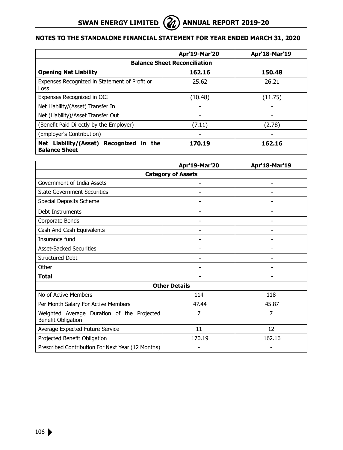|                                                                    | Apr'19-Mar'20 | Apr'18-Mar'19 |  |
|--------------------------------------------------------------------|---------------|---------------|--|
| <b>Balance Sheet Reconciliation</b>                                |               |               |  |
| <b>Opening Net Liability</b>                                       | 162.16        | 150.48        |  |
| Expenses Recognized in Statement of Profit or<br>Loss              | 25.62         | 26.21         |  |
| Expenses Recognized in OCI                                         | (10.48)       | (11.75)       |  |
| Net Liability/(Asset) Transfer In                                  |               |               |  |
| Net (Liability)/Asset Transfer Out                                 | -             |               |  |
| (Benefit Paid Directly by the Employer)                            | (7.11)        | (2.78)        |  |
| (Employer's Contribution)                                          | -             | -             |  |
| Liability/(Asset) Recognized in the<br>Net<br><b>Balance Sheet</b> | 170.19        | 162.16        |  |

|                                                                  | Apr'19-Mar'20             | Apr'18-Mar'19 |
|------------------------------------------------------------------|---------------------------|---------------|
|                                                                  | <b>Category of Assets</b> |               |
| Government of India Assets                                       |                           |               |
| <b>State Government Securities</b>                               |                           |               |
| Special Deposits Scheme                                          |                           |               |
| Debt Instruments                                                 |                           |               |
| Corporate Bonds                                                  |                           |               |
| Cash And Cash Equivalents                                        |                           |               |
| Insurance fund                                                   |                           |               |
| <b>Asset-Backed Securities</b>                                   |                           | ۰             |
| <b>Structured Debt</b>                                           |                           |               |
| Other                                                            |                           |               |
| <b>Total</b>                                                     |                           |               |
|                                                                  | <b>Other Details</b>      |               |
| No of Active Members                                             | 114                       | 118           |
| Per Month Salary For Active Members                              | 47.44                     | 45.87         |
| Weighted Average Duration of the Projected<br>Benefit Obligation | 7                         | 7             |
| Average Expected Future Service                                  | 11                        | 12            |
| Projected Benefit Obligation                                     | 170.19                    | 162.16        |
| Prescribed Contribution For Next Year (12 Months)                |                           |               |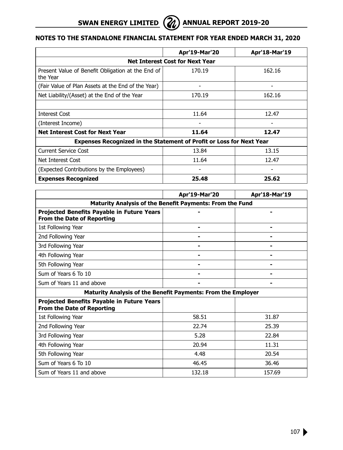|                                                                             | Apr'19-Mar'20                          | Apr'18-Mar'19 |
|-----------------------------------------------------------------------------|----------------------------------------|---------------|
|                                                                             | <b>Net Interest Cost for Next Year</b> |               |
| Present Value of Benefit Obligation at the End of<br>the Year               | 170.19                                 | 162.16        |
| (Fair Value of Plan Assets at the End of the Year)                          |                                        |               |
| Net Liability/(Asset) at the End of the Year                                | 170.19                                 | 162.16        |
|                                                                             |                                        |               |
| <b>Interest Cost</b>                                                        | 11.64                                  | 12.47         |
| (Interest Income)                                                           |                                        |               |
| <b>Net Interest Cost for Next Year</b>                                      | 11.64                                  | 12.47         |
| <b>Expenses Recognized in the Statement of Profit or Loss for Next Year</b> |                                        |               |
| Current Service Cost                                                        | 13.84                                  | 13.15         |
| Net Interest Cost                                                           | 11.64                                  | 12.47         |
| (Expected Contributions by the Employees)                                   |                                        |               |
| <b>Expenses Recognized</b>                                                  | 25.48                                  | 25.62         |

|                                                                                 | Apr'19-Mar'20 | Apr'18-Mar'19 |  |
|---------------------------------------------------------------------------------|---------------|---------------|--|
| Maturity Analysis of the Benefit Payments: From the Fund                        |               |               |  |
| Projected Benefits Payable in Future Years<br><b>From the Date of Reporting</b> |               |               |  |
| 1st Following Year                                                              |               |               |  |
| 2nd Following Year                                                              |               |               |  |
| 3rd Following Year                                                              |               |               |  |
| 4th Following Year                                                              |               |               |  |
| 5th Following Year                                                              |               |               |  |
| Sum of Years 6 To 10                                                            |               |               |  |
| Sum of Years 11 and above                                                       |               |               |  |
| Maturity Analysis of the Benefit Payments: From the Employer                    |               |               |  |
| Projected Benefits Payable in Future Years<br><b>From the Date of Reporting</b> |               |               |  |
| 1st Following Year                                                              | 58.51         | 31.87         |  |
| 2nd Following Year                                                              | 22.74         | 25.39         |  |
| 3rd Following Year                                                              | 5.28          | 22.84         |  |
| 4th Following Year                                                              | 20.94         | 11.31         |  |
| 5th Following Year                                                              | 4.48          | 20.54         |  |
| Sum of Years 6 To 10                                                            | 46.45         | 36.46         |  |
| Sum of Years 11 and above                                                       | 132.18        | 157.69        |  |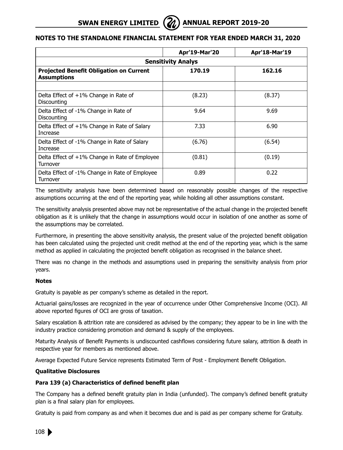|                                                                      | Apr'19-Mar'20 | Apr'18-Mar'19 |  |
|----------------------------------------------------------------------|---------------|---------------|--|
| <b>Sensitivity Analys</b>                                            |               |               |  |
| <b>Projected Benefit Obligation on Current</b><br><b>Assumptions</b> | 170.19        | 162.16        |  |
|                                                                      |               |               |  |
| Delta Effect of $+1\%$ Change in Rate of<br>Discounting              | (8.23)        | (8.37)        |  |
| Delta Effect of -1% Change in Rate of<br>Discounting                 | 9.64          | 9.69          |  |
| Delta Effect of $+1\%$ Change in Rate of Salary<br>Increase          | 7.33          | 6.90          |  |
| Delta Effect of -1% Change in Rate of Salary<br>Increase             | (6.76)        | (6.54)        |  |
| Delta Effect of $+1\%$ Change in Rate of Employee<br>Turnover        | (0.81)        | (0.19)        |  |
| Delta Effect of -1% Change in Rate of Employee<br>Turnover           | 0.89          | 0.22          |  |

The sensitivity analysis have been determined based on reasonably possible changes of the respective assumptions occurring at the end of the reporting year, while holding all other assumptions constant.

The sensitivity analysis presented above may not be representative of the actual change in the projected benefit obligation as it is unlikely that the change in assumptions would occur in isolation of one another as some of the assumptions may be correlated.

Furthermore, in presenting the above sensitivity analysis, the present value of the projected benefit obligation has been calculated using the projected unit credit method at the end of the reporting year, which is the same method as applied in calculating the projected benefit obligation as recognised in the balance sheet.

There was no change in the methods and assumptions used in preparing the sensitivity analysis from prior years.

# **Notes**

Gratuity is payable as per company's scheme as detailed in the report.

Actuarial gains/losses are recognized in the year of occurrence under Other Comprehensive Income (OCI). All above reported figures of OCI are gross of taxation.

Salary escalation & attrition rate are considered as advised by the company; they appear to be in line with the industry practice considering promotion and demand & supply of the employees.

Maturity Analysis of Benefit Payments is undiscounted cashflows considering future salary, attrition & death in respective year for members as mentioned above.

Average Expected Future Service represents Estimated Term of Post - Employment Benefit Obligation.

# **Qualitative Disclosures**

# **Para 139 (a) Characteristics of defined benefit plan**

The Company has a defined benefit gratuity plan in India (unfunded). The company's defined benefit gratuity plan is a final salary plan for employees.

Gratuity is paid from company as and when it becomes due and is paid as per company scheme for Gratuity.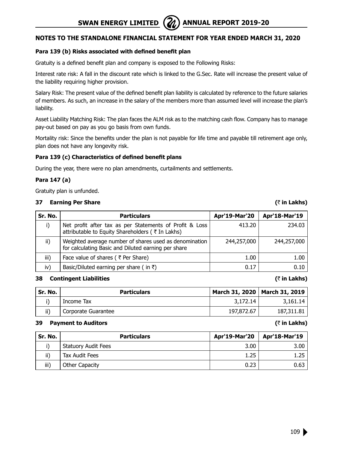# **Notes to the Standalone Financial Statement for year ended March 31, 2020**

# **Para 139 (b) Risks associated with defined benefit plan**

Gratuity is a defined benefit plan and company is exposed to the Following Risks:

Interest rate risk: A fall in the discount rate which is linked to the G.Sec. Rate will increase the present value of the liability requiring higher provision.

Salary Risk: The present value of the defined benefit plan liability is calculated by reference to the future salaries of members. As such, an increase in the salary of the members more than assumed level will increase the plan's liability.

Asset Liability Matching Risk: The plan faces the ALM risk as to the matching cash flow. Company has to manage pay-out based on pay as you go basis from own funds.

Mortality risk: Since the benefits under the plan is not payable for life time and payable till retirement age only, plan does not have any longevity risk.

# **Para 139 (c) Characteristics of defined benefit plans**

During the year, there were no plan amendments, curtailments and settlements.

# **Para 147 (a)**

Gratuity plan is unfunded.

### **37 Earning Per Share (**` **in Lakhs)**

| Sr. No. | <b>Particulars</b>                                                                                            | Apr'19-Mar'20 | Apr'18-Mar'19 |
|---------|---------------------------------------------------------------------------------------------------------------|---------------|---------------|
|         | Net profit after tax as per Statements of Profit & Loss<br>attributable to Equity Shareholders ( ₹ In Lakhs)  | 413.20        | 234.03        |
| ii)     | Weighted average number of shares used as denomination<br>for calculating Basic and Diluted earning per share | 244,257,000   | 244,257,000   |
| iii)    | Face value of shares ( ₹ Per Share)                                                                           | 1.00          | 1.00          |
| iv)     | Basic/Diluted earning per share ( in ₹)                                                                       | 0.17          | 0.10          |

### **38 Contingent Liabilities (**` **in Lakhs)**

| ' Sr. No. | <b>Particulars</b>  |            | March 31, 2020   March 31, 2019 |
|-----------|---------------------|------------|---------------------------------|
|           | Income Tax          | 3,172,14   | 3,161.14                        |
| ii)       | Corporate Guarantee | 197,872,67 | 187,311.81                      |

### **39 Payment to Auditors (**` **in Lakhs)**

| Sr. No. | <b>Particulars</b>         | Apr'19-Mar'20 | Apr'18-Mar'19 |
|---------|----------------------------|---------------|---------------|
|         | <b>Statuory Audit Fees</b> | 3.00          | 3.00          |
| ii)     | Tax Audit Fees             | 1.25          | 1.25          |
| iii)    | Other Capacity             | 0.23          | 0.63          |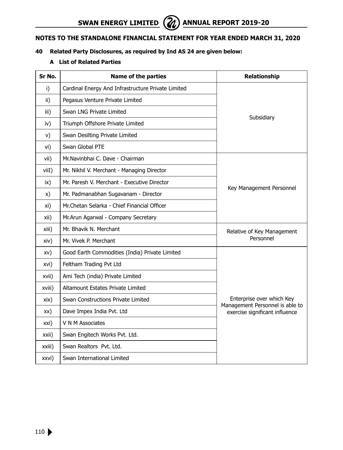# **Notes to the Standalone Financial Statement for year ended March 31, 2020**

# **40 Related Party Disclosures, as required by Ind AS 24 are given below:**

## **A List of Related Parties**

| Sr No. | <b>Name of the parties</b>                         | <b>Relationship</b>                                          |
|--------|----------------------------------------------------|--------------------------------------------------------------|
| i)     | Cardinal Energy And Infrastructure Private Limited |                                                              |
| ii)    | Pegasus Venture Private Limited                    |                                                              |
| iii)   | Swan LNG Private Limited                           |                                                              |
| iv)    | Triumph Offshore Private Limited                   | Subsidiary                                                   |
| V)     | Swan Desilting Private Limited                     |                                                              |
| vi)    | Swan Global PTE                                    |                                                              |
| vii)   | Mr.Navinbhai C. Dave - Chairman                    |                                                              |
| viiI)  | Mr. Nikhil V. Merchant - Managing Director         |                                                              |
| ix)    | Mr. Paresh V. Merchant - Executive Director        | Key Management Personnel                                     |
| x)     | Mr. Padmanabhan Sugavanam - Director               |                                                              |
| xi)    | Mr.Chetan Selarka - Chief Financial Officer        |                                                              |
| xii)   | Mr.Arun Agarwal - Company Secretary                |                                                              |
| xiii)  | Mr. Bhavik N. Merchant                             | Relative of Key Management                                   |
| xiv)   | Mr. Vivek P. Merchant                              | Personnel                                                    |
| xv)    | Good Earth Commodities (India) Private Limited     |                                                              |
| xvi)   | Feltham Trading Pvt Ltd                            |                                                              |
| xvii)  | Ami Tech (india) Private Limited                   |                                                              |
| xviii) | Altamount Estates Private Limited                  |                                                              |
| xix)   | Swan Constructions Private Limited                 | Enterprise over which Key<br>Management Personnel is able to |
| xx)    | Dave Impex India Pvt. Ltd                          | exercise significant influence                               |
| xxi)   | V N M Associates                                   |                                                              |
| xxii)  | Swan Engitech Works Pvt. Ltd.                      |                                                              |
| xxiii) | Swan Realtors Pvt. Ltd.                            |                                                              |
| xxvi)  | Swan International Limited                         |                                                              |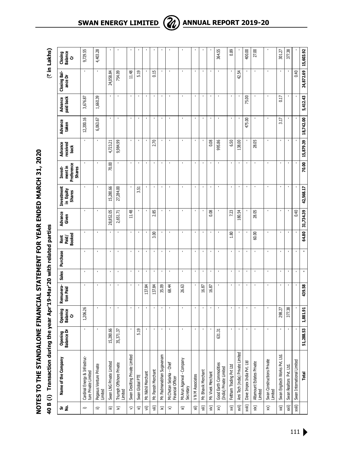NOTES TO THE STANDALONE FINANCIAL STATEMENT FOR YEAR ENDED MARCH 31, 2020 **Notes to the Standalone Financial Statement for year ended March 31, 2020**

|                          | 40 B (i) Transaction during                           |                       |                         | the year Apr'19-Mar'20 with related parties |                |                |                         |                  |                                   |                                                  |                             |                  |                      |                         | (₹ in Lakhs)            |
|--------------------------|-------------------------------------------------------|-----------------------|-------------------------|---------------------------------------------|----------------|----------------|-------------------------|------------------|-----------------------------------|--------------------------------------------------|-----------------------------|------------------|----------------------|-------------------------|-------------------------|
| ង ទំ                     | Name of the Company                                   | Opening<br>Balance Dr | Opening<br>Balance<br>ò | Remunera-<br>tion Paid                      | Sales          | Purchase       | Rent<br>Paid/<br>Booked | Advance<br>Given | Investment<br>In Equity<br>Shares | Preference<br>mentin<br><b>Shares</b><br>Invest- | Advance<br>received<br>back | Advance<br>taken | paid back<br>Advance | Closing Bal-<br>ance Dr | Closing<br>Balance<br>ò |
| $\equiv$                 | Cardinal Energy & Infrastruc-<br>ture Private Limited | $\blacksquare$        | 1,206.26                | $\blacksquare$                              | $\blacksquare$ | $\blacksquare$ | $\blacksquare$          | $\blacksquare$   | $\blacksquare$                    |                                                  |                             | 12,200.16        | 3,676.87             | $\blacksquare$          | 9,729.55                |
| ≘                        | Pegasus Venture Private<br>Limited                    |                       |                         | $\blacksquare$                              | $\blacksquare$ |                |                         |                  | $\blacksquare$                    |                                                  |                             | 6,063.67         | 1,660.39             |                         | 4,403.28                |
| ≘                        | Swan LNG Private Limited                              | 5,280.66              |                         | $\blacksquare$                              | $\blacksquare$ |                |                         | 28,852.05        | 15,280.66                         | 70.00                                            | 4,723.21                    |                  | $\blacksquare$       | 24,058.84               |                         |
| $\widehat{\geq}$         | Triumph Offshore Private<br>Limited                   | 35,371.37             |                         |                                             |                |                |                         | 2,651.71         | 27,284.00                         |                                                  | 9,984.99                    |                  |                      | 754.09                  |                         |
| $\widehat{\phantom{1}}$  | Swan Desilting Private Limited                        |                       | $\blacksquare$          | ٠                                           | $\blacksquare$ | $\blacksquare$ | $\blacksquare$          | 11.48            | $\blacksquare$                    | $\blacksquare$                                   |                             |                  | $\blacksquare$       | 11.48                   |                         |
| $\widehat{\mathcal{F}}$  | Swan Global PTE                                       | 5.19                  |                         |                                             | ×              |                |                         |                  | 3.51                              |                                                  |                             |                  | ï                    | 5.19                    |                         |
| $\widehat{\equiv}$       | Mr. Nikhil Merchant                                   |                       |                         | 137.84                                      | $\blacksquare$ |                |                         |                  |                                   |                                                  |                             |                  |                      |                         |                         |
| 闫                        | Mr. Paresh Merchant                                   | ٠                     |                         | 137.84                                      | $\blacksquare$ |                | 3.00                    | œ,<br>$\sim$     | ٠                                 | $\blacksquare$                                   | 2.70                        |                  | ٠                    | 0.15                    |                         |
| $\widehat{\varkappa}$    | Mr. Padmanabhan Sugavanam                             | $\blacksquare$        |                         | 35.09                                       | $\blacksquare$ | $\blacksquare$ |                         |                  | $\blacksquare$                    | $\blacksquare$                                   |                             |                  | ٠                    |                         |                         |
| $\widehat{\times}$       | Mr.Chetan Selarka - Chief<br>Financial Officer        |                       |                         | 68.44                                       |                |                |                         |                  |                                   |                                                  |                             |                  |                      |                         |                         |
| $\widehat{\rtimes}$      | Mr.Arun Agarwal - Company<br>Secretary                |                       |                         | 26.63                                       | $\blacksquare$ |                |                         | $\blacksquare$   |                                   | $\blacksquare$                                   |                             |                  |                      | ٠                       |                         |
| ίjχ                      | V N M Associates                                      | ×                     | ×                       |                                             | ×              |                | ×                       | ×                | ٠                                 | ×                                                | ×                           |                  | ×                    | ×                       |                         |
| ίij,                     | Mr. Bhavik Merchant                                   |                       |                         | 16.87                                       |                |                |                         |                  |                                   |                                                  |                             |                  |                      |                         |                         |
| xiv)                     | Mr. Vivek Merchant                                    |                       |                         | 16.87                                       |                |                |                         | 8ġ<br>Õ          | ٠                                 | J.                                               | 0.08                        |                  |                      |                         |                         |
| $\widehat{\times}$       | Good Earth Commodities<br>(India) Private Limited     | 631.31                | $\blacksquare$          |                                             | ×              |                |                         |                  |                                   |                                                  | 995.86                      |                  |                      |                         | 364.55                  |
| χvj)                     | Feltham Trading Pvt Ltd                               | $\blacksquare$        |                         | $\blacksquare$                              | $\blacksquare$ |                | 1.80                    | 7.23             | $\blacksquare$                    | $\blacksquare$                                   | 6.50                        |                  | $\blacksquare$       |                         | 0.89                    |
| xvii)                    | Ami Tech (india) Private Limited                      |                       |                         | ×                                           | ×              |                |                         | 180.54           | ٠                                 | ×                                                | 138.00                      |                  |                      | 55<br>42.               |                         |
| xviii)                   | Dave Impex India Pvt. Ltd                             |                       |                         |                                             |                |                |                         |                  |                                   |                                                  |                             | 475.00           | 75.00                |                         | 400.00                  |
| xix)                     | Altamount Estates Private<br>Limited                  |                       |                         | $\blacksquare$                              | $\cdot$        | $\blacksquare$ | 60.00                   | 28.05            |                                   | $\blacksquare$                                   | 28.05                       |                  |                      |                         | 27.00                   |
| $\mathsf{\widetilde{x}}$ | Swan Constructions Private<br>Limited                 | ×                     | ×                       | ×                                           | ×              | J.             | ×                       | J.               | ×                                 | J.                                               | ×                           | ×                | ï                    | J.                      |                         |
| xxi)                     | Swan Engitech Works Pvt. Ltd.                         |                       | 298.27                  | $\blacksquare$                              | $\blacksquare$ |                | ٠                       |                  | $\blacksquare$                    | $\blacksquare$                                   |                             | 3.17             | 0.17                 |                         | 301.27                  |
| xxii)                    | Swan Realtors Pvt. Ltd.                               |                       | 377.38                  |                                             |                |                |                         |                  |                                   |                                                  |                             |                  |                      |                         | 377.38                  |
| xxiii)                   | Swan International Limited                            |                       |                         |                                             |                |                |                         | 0.40             |                                   |                                                  |                             |                  |                      | 0.40                    |                         |
|                          | Total                                                 | ,288.53<br><u>n</u>   | 1,881.91                | 439.58                                      | $\blacksquare$ |                | 64.80                   | 31,734.39        | 42,568.17                         | 70.00                                            | 15,879.39                   | 18,742.00        | 5,412.43             | 24,872.69               | 15,603.92               |

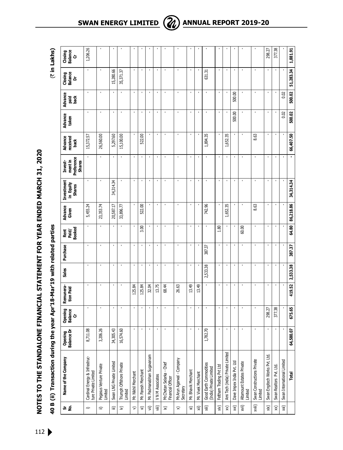NOTES TO THE STANDALONE FINANCIAL STATEMENT FOR YEAR ENDED MARCH 31, 2020 **Notes to the Standalone Financial Statement for year ended March 31, 2020**

**40 B (ii) Transaction during the year Apr'18-Mar'19 with related parties** (` **in Lakhs)** 40 B (ii) Transaction during the year Apr'18-Mar'19 with related parties

|                          | 40 B (ii) Transaction during                          |                       |                         | the year Apr'18-Mar'19 with related parties |                |                |                         |                  |                                   |                                                   |                             |                  |               |                         | (₹ in Lakhs)             |  |
|--------------------------|-------------------------------------------------------|-----------------------|-------------------------|---------------------------------------------|----------------|----------------|-------------------------|------------------|-----------------------------------|---------------------------------------------------|-----------------------------|------------------|---------------|-------------------------|--------------------------|--|
| ត់ ខ្                    | Name of the Company                                   | Opening<br>Balance Dr | Opening<br>Balance<br>ò | Remunera-<br>tion Paid                      | Sales          | Purchase       | Rent<br>Paid/<br>Booked | Advance<br>Given | Investment<br>in Equity<br>Shares | Preference<br>ment in<br><b>Shares</b><br>Invest- | Advance<br>received<br>back | Advance<br>taken | Advance<br>ᇐ쳖 | Closing<br>Balance<br>ă | Closing<br>Balance<br>Cr |  |
| $\widehat{\phantom{m}}$  | Cardinal Energy & Infrastruc-<br>ture Private Limited | ,711.08<br>∞          |                         |                                             | $\blacksquare$ | $\blacksquare$ |                         | 5,455.24         |                                   |                                                   | 15,372.57                   | ٠                | ٠             |                         | 1,206.26                 |  |
| ≘                        | Pegasus Venture Private<br>Limited                    | ,206.26               |                         |                                             |                |                |                         | 23,353.74        | ٠                                 |                                                   | 26,560.00                   | $\blacksquare$   |               |                         |                          |  |
| ≘                        | Swan LNG Private Limited                              | 305.43<br>24          |                         |                                             |                |                |                         | 20,587.17        | 34,314.34                         | ×                                                 | 5,297.60                    | ٠                |               | 15,280.66               |                          |  |
| $\widehat{\geq}$         | Triumph Offshore Private<br>Limited                   | 574.60<br>16          |                         |                                             |                |                |                         | 33,896.77        |                                   |                                                   | 15,100.00                   | $\blacksquare$   |               | 35,371.37               |                          |  |
| 能                        | Mr. Nikhil Merchant                                   |                       |                         | 125.84                                      |                |                |                         |                  |                                   |                                                   |                             |                  |               | $\blacksquare$          |                          |  |
| $\widehat{\mathcal{F}}$  | Mr. Paresh Merchant                                   |                       |                         | 125.84                                      |                |                | 3.00                    | 522.00           | ï                                 | $\blacksquare$                                    | 522.00                      | ×                |               | J.                      |                          |  |
| 写                        | Mr. Padmanabhan Sugavanam                             |                       |                         | 32.04                                       |                |                |                         |                  |                                   |                                                   |                             |                  |               |                         |                          |  |
| 闫                        | V N M Associates                                      |                       |                         | 13.75                                       |                |                |                         |                  |                                   | $\mathbf{I}$                                      |                             |                  |               |                         |                          |  |
| $\widehat{\varkappa}$    | Mr.Chetan Selarka - Chief<br>Financial Officer        |                       |                         | 68.44                                       | $\blacksquare$ |                |                         |                  |                                   | ł,                                                |                             | $\blacksquare$   |               | ٠                       |                          |  |
| ≈                        | Mr.Arun Agarwal - Company<br>Secretary                |                       |                         | 26.63                                       |                |                |                         |                  |                                   | $\overline{\phantom{a}}$                          |                             | $\blacksquare$   |               |                         |                          |  |
| $\widehat{\rtimes}$      | Mr. Bhavik Merchant                                   |                       | $\blacksquare$          | 13.49                                       |                | $\blacksquare$ | $\blacksquare$          | ı                | $\blacksquare$                    | $\blacksquare$                                    |                             | $\blacksquare$   |               | $\blacksquare$          |                          |  |
| $\widehat{\mathsf{x}}$   | Mr. Vivek Merchant                                    |                       |                         | 13.49                                       |                |                |                         |                  |                                   |                                                   |                             |                  |               |                         |                          |  |
| 间                        | Good Earth Commodities<br>India) Private Limited      | 782.70                |                         |                                             | 2,533.38       | 387.37         |                         | 742.96           |                                   |                                                   | 1,894.35                    | $\blacksquare$   |               | 631.31                  |                          |  |
| (vix                     | Feltham Trading Pvt Ltd                               |                       |                         |                                             |                |                | 1.80                    |                  |                                   |                                                   |                             |                  |               |                         |                          |  |
| $\widehat{\times}$       | Ami Tech (india) Private Limited                      |                       | $\blacksquare$          |                                             | $\blacksquare$ |                |                         | 1,652.35         | $\blacksquare$                    | $\blacksquare$                                    | 1,652.35                    |                  |               | $\blacksquare$          |                          |  |
| $\widehat{\mathsf{x}}$   | Dave Impex India Pvt. Ltd                             |                       |                         |                                             |                |                |                         |                  |                                   | $\blacksquare$                                    |                             | 500.00           | 500.00        |                         |                          |  |
| xvii)                    | Altamount Estates Private<br>Limited                  |                       |                         |                                             |                |                | 60.00                   |                  |                                   | ï                                                 |                             |                  |               |                         |                          |  |
| xviii)                   | Swan Constructions Private<br>Limited                 |                       |                         |                                             |                |                |                         | 8.63             |                                   |                                                   | 8.63                        |                  |               |                         |                          |  |
| xix)                     | Swan Engitech Works Pvt. Ltd.                         |                       | 298.27                  |                                             |                |                |                         |                  |                                   |                                                   |                             |                  |               |                         | 298.27                   |  |
| $\mathsf{\widetilde{x}}$ | Swan Realtors Pvt. Ltd.                               |                       | 377.38                  |                                             | $\blacksquare$ |                |                         |                  | $\blacksquare$                    | $\blacksquare$                                    |                             |                  |               | $\blacksquare$          | 377.38                   |  |
| xxi)                     | Swan International Limited                            |                       |                         |                                             |                |                |                         |                  |                                   |                                                   |                             | 0.02             | 0.02          |                         |                          |  |
|                          | Total                                                 | 64,580.07             | 675.65                  | 419.52                                      | 2,533.38       | 387.37         | 64.80                   | 86,218.86        | 34,314.34                         |                                                   | 66,407.50                   | 500.02           | 500.02        | 51,283.34               | 1,881.91                 |  |

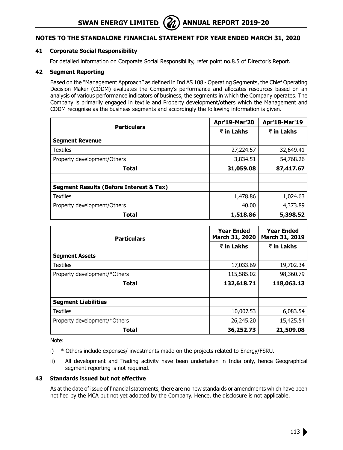**SWAN ENERGY LIMITED** ( $\mathbb{Z}$ ) ANNUAL REPORT 2019-20

# **Notes to the Standalone Financial Statement for year ended March 31, 2020**

### **41 Corporate Social Responsibility**

For detailed information on Corporate Social Responsibility, refer point no.8.5 of Director's Report.

#### **42 Segment Reporting**

Based on the "Management Approach" as defined in Ind AS 108 - Operating Segments, the Chief Operating Decision Maker (CODM) evaluates the Company's performance and allocates resources based on an analysis of various performance indicators of business, the segments in which the Company operates. The Company is primarily engaged in textile and Property development/others which the Management and CODM recognise as the business segments and accordingly the following information is given.

| <b>Particulars</b>                      | Apr'19-Mar'20 | Apr'18-Mar'19 |
|-----------------------------------------|---------------|---------------|
|                                         | ₹ in Lakhs    | ₹ in Lakhs    |
| <b>Segment Revenue</b>                  |               |               |
| <b>Textiles</b>                         | 27,224.57     | 32,649.41     |
| Property development/Others             | 3,834.51      | 54,768.26     |
| <b>Total</b>                            | 31,059.08     | 87,417.67     |
|                                         |               |               |
| Segment Results (Before Interest & Tax) |               |               |
| <b>Textiles</b>                         | 1,478.86      | 1,024.63      |
| Property development/Others             | 40.00         | 4,373.89      |
| <b>Total</b>                            | 1,518.86      | 5,398.52      |

| <b>Particulars</b>           | <b>Year Ended</b><br>March 31, 2020 | <b>Year Ended</b><br>March 31, 2019 |
|------------------------------|-------------------------------------|-------------------------------------|
|                              | ₹ in Lakhs                          | ₹ in Lakhs                          |
| <b>Segment Assets</b>        |                                     |                                     |
| <b>Textiles</b>              | 17,033.69                           | 19,702.34                           |
| Property development/*Others | 115,585.02                          | 98,360.79                           |
| <b>Total</b>                 | 132,618.71                          | 118,063.13                          |
|                              |                                     |                                     |
| <b>Segment Liabilities</b>   |                                     |                                     |
| <b>Textiles</b>              | 10,007.53                           | 6,083.54                            |
| Property development/*Others | 26,245.20                           | 15,425.54                           |
| <b>Total</b>                 | 36,252.73                           | 21,509.08                           |

Note:

i) \* Others include expenses/ investments made on the projects related to Energy/FSRU.

ii) All development and Trading activity have been undertaken in India only, hence Geographical segment reporting is not required.

#### **43 Standards issued but not effective**

As at the date of issue of financial statements, there are no new standards or amendments which have been notified by the MCA but not yet adopted by the Company. Hence, the disclosure is not applicable.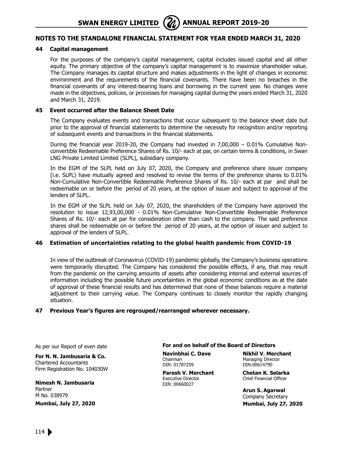# **Notes to the Standalone Financial Statement for year ended March 31, 2020**

#### **44 Capital management**

For the purposes of the company's capital management, capital includes issued capital and all other equity. The primary objective of the company's capital management is to maximize shareholder value. The Company manages its capital structure and makes adjustments in the light of changes in economic environment and the requirements of the financial covenants. There have been no breaches in the financial covenants of any interest-bearing loans and borrowing in the current year. No changes were made in the objectives, policies, or processes for managing capital during the years ended March 31, 2020 and March 31, 2019.

#### **45 Event occurred after the Balance Sheet Date**

The Company evaluates events and transactions that occur subsequent to the balance sheet date but prior to the approval of financial statements to determine the necessity for recognition and/or reporting of subsequent events and transactions in the financial statements.

During the financial year 2019-20, the Company had invested in 7,00,000 – 0.01% Cumulative Nonconvertible Redeemable Preference Shares of Rs. 10/- each at par, on certain terms & conditions, in Swan LNG Private Limited Limited (SLPL), subsidiary company.

In the EGM of the SLPL held on July 07, 2020, the Company and preference share issuer company (i.e. SLPL) have mutually agreed and resolved to revise the terms of the preference shares to 0.01% Non-Cumulative Non-Convertible Redeemable Preference Shares of Rs. 10/- each at par and shall be redeemable on or before the period of 20 years, at the option of issuer and subject to approval of the lenders of SLPL.

In the EGM of the SLPL held on July 07, 2020, the shareholders of the Company have approved the resolution to issue 12,93,00,000 - 0.01% Non-Cumulative Non-Convertible Redeemable Preference Shares of Rs. 10/- each at par for consideration other than cash to the company. The said preference shares shall be redeemable on or before the period of 20 years, at the option of issuer and subject to approval of the lenders of SLPL.

#### **46 Estimation of uncertainties relating to the global health pandemic from COVID-19**

In view of the outbreak of Coronavirus (COVID-19) pandemic globally, the Company's business operations were temporarily disrupted. The Company has considered the possible effects, if any, that may result from the pandemic on the carrying amounts of assets after considering internal and external sources of information including the possible future uncertainties in the global economic conditions as at the date of approval of these financial results and has determined that none of these balances require a material adjustment to their carrying value. The Company continues to closely monitor the rapidly changing situation.

#### **47 Previous Year's figures are regrouped/rearranged wherever necessary.**

As per our Report of even date

**For N. N. Jambusaria & Co.** Chartered Accountants

Firm Registration No. 104030W

**Nimesh N. Jambusaria** Partner M No. 038979

**Mumbai, July 27, 2020**

#### **For and on behalf of the Board of Directors**

Chairman Managing Director<br>
DIN: 01787259 DIN:00614790 DIN: 01787259

**Paresh V. Merchant Chetan K. Selarka** Executive Director **Chief Financial Officer** DIN: 00660027

**Navinbhai C. Dave Nikhil V. Merchant**

**Arun S. Agarwal** Company Secretary  **Mumbai, July 27, 2020**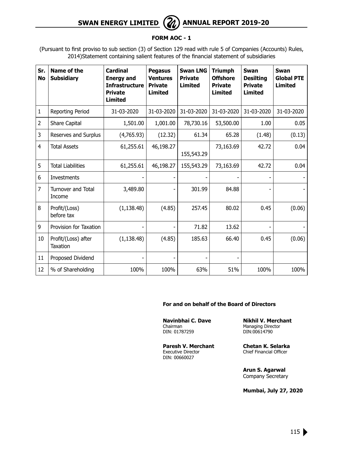# **SWAN ENERGY LIMITED** ( $\mathcal{Z}_\ell$ ) ANNUAL REPORT 2019-20

# **FORM AOC - 1**

(Pursuant to first proviso to sub section (3) of Section 129 read with rule 5 of Companies (Accounts) Rules, 2014)Statement containing salient features of the financial statement of subsidiaries

| Sr.<br><b>No</b> | Name of the<br><b>Subsidiary</b> | <b>Cardinal</b><br><b>Energy and</b><br><b>Infrastructure</b><br><b>Private</b><br><b>Limited</b> | <b>Pegasus</b><br><b>Ventures</b><br><b>Private</b><br><b>Limited</b> | <b>Swan LNG</b><br><b>Private</b><br><b>Limited</b> | Triumph<br><b>Offshore</b><br><b>Private</b><br><b>Limited</b> | Swan<br><b>Desilting</b><br><b>Private</b><br><b>Limited</b> | Swan<br><b>Global PTE</b><br><b>Limited</b> |
|------------------|----------------------------------|---------------------------------------------------------------------------------------------------|-----------------------------------------------------------------------|-----------------------------------------------------|----------------------------------------------------------------|--------------------------------------------------------------|---------------------------------------------|
| $\mathbf{1}$     | Reporting Period                 | 31-03-2020                                                                                        | 31-03-2020                                                            | 31-03-2020                                          | 31-03-2020                                                     | 31-03-2020                                                   | 31-03-2020                                  |
| 2                | <b>Share Capital</b>             | 1,501.00                                                                                          | 1,001.00                                                              | 78,730.16                                           | 53,500.00                                                      | 1.00                                                         | 0.05                                        |
| 3                | Reserves and Surplus             | (4,765.93)                                                                                        | (12.32)                                                               | 61.34                                               | 65.28                                                          | (1.48)                                                       | (0.13)                                      |
| $\overline{4}$   | <b>Total Assets</b>              | 61,255.61                                                                                         | 46,198.27                                                             | 155,543.29                                          | 73,163.69                                                      | 42.72                                                        | 0.04                                        |
| 5                | <b>Total Liabilities</b>         | 61,255.61                                                                                         | 46,198.27                                                             | 155,543.29                                          | 73,163.69                                                      | 42.72                                                        | 0.04                                        |
| 6                | Investments                      |                                                                                                   |                                                                       |                                                     |                                                                |                                                              |                                             |
| 7                | Turnover and Total<br>Income     | 3,489.80                                                                                          |                                                                       | 301.99                                              | 84.88                                                          |                                                              |                                             |
| 8                | Profit/(Loss)<br>before tax      | (1, 138.48)                                                                                       | (4.85)                                                                | 257.45                                              | 80.02                                                          | 0.45                                                         | (0.06)                                      |
| 9                | Provision for Taxation           |                                                                                                   |                                                                       | 71.82                                               | 13.62                                                          |                                                              |                                             |
| 10               | Profit/(Loss) after<br>Taxation  | (1, 138.48)                                                                                       | (4.85)                                                                | 185.63                                              | 66.40                                                          | 0.45                                                         | (0.06)                                      |
| 11               | Proposed Dividend                |                                                                                                   |                                                                       |                                                     |                                                                |                                                              |                                             |
| 12               | % of Shareholding                | 100%                                                                                              | 100%                                                                  | 63%                                                 | 51%                                                            | 100%                                                         | 100%                                        |

#### **For and on behalf of the Board of Directors**

# **Navinbhai C. Dave Nikhil V. Merchant** DIN: 01787259

Managing Director<br>DIN:00614790

**Paresh V. Merchant Chetan K. Selarka**<br>Executive Director Chief Financial Officer DIN: 00660027

Chief Financial Officer

**Arun S. Agarwal** Company Secretary

**Mumbai, July 27, 2020**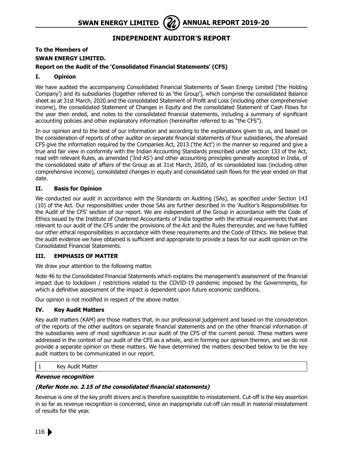# **Independent Auditor's Report**

# **To the Members of SWAN ENERGY LIMITED. Report on the Audit of the 'Consolidated Financial Statements' (CFS)**

# **I. Opinion**

We have audited the accompanying Consolidated Financial Statements of Swan Energy Limited ('the Holding Company') and its subsidiaries (together referred to as 'the Group'), which comprise the consolidated Balance sheet as at 31st March, 2020 and the consolidated Statement of Profit and Loss (including other comprehensive income), the consolidated Statement of Changes in Equity and the consolidated Statement of Cash Flows for the year then ended, and notes to the consolidated financial statements, including a summary of significant accounting policies and other explanatory information (hereinafter referred to as "the CFS").

In our opinion and to the best of our information and according to the explanations given to us, and based on the consideration of reports of other auditor on separate financial statements of four subsidiaries, the aforesaid CFS give the information required by the Companies Act, 2013 ('the Act') in the manner so required and give a true and fair view in conformity with the Indian Accounting Standards prescribed under section 133 of the Act, read with relevant Rules, as amended ('Ind AS') and other accounting principles generally accepted in India, of the consolidated state of affairs of the Group as at 31st March, 2020, of its consolidated loss (including other comprehensive income), consolidated changes in equity and consolidated cash flows for the year ended on that date.

# **II. Basis for Opinion**

We conducted our audit in accordance with the Standards on Auditing (SAs), as specified under Section 143 (10) of the Act. Our responsibilities under those SAs are further described in the 'Auditor's Responsibilities for the Audit of the CFS' section of our report. We are independent of the Group in accordance with the Code of Ethics issued by the Institute of Chartered Accountants of India together with the ethical requirements that are relevant to our audit of the CFS under the provisions of the Act and the Rules thereunder, and we have fulfilled our other ethical responsibilities in accordance with these requirements and the Code of Ethics. We believe that the audit evidence we have obtained is sufficient and appropriate to provide a basis for our audit opinion on the Consolidated Financial Statements.

# **III. EMPHASIS OF MATTER**

We draw your attention to the following matter.

Note 46 to the Consolidated Financial Statements which explains the management's assessment of the financial impact due to lockdown / restrictions related to the COVID-19 pandemic imposed by the Governments, for which a definitive assessment of the impact is dependent upon future economic conditions.

Our opinion is not modified in respect of the above matter.

# **IV. Key Audit Matters**

Key audit matters (KAM) are those matters that, in our professional judgement and based on the consideration of the reports of the other auditors on separate financial statements and on the other financial information of the subsidiaries were of most significance in our audit of the CFS of the current period. These matters were addressed in the context of our audit of the CFS as a whole, and in forming our opinion thereon, and we do not provide a separate opinion on these matters. We have determined the matters described below to be the key audit matters to be communicated in our report.

1 Key Audit Matter

### **Revenue recognition**

# **(Refer Note no. 2.15 of the consolidated financial statements)**

Revenue is one of the key profit drivers and is therefore susceptible to misstatement. Cut-off is the key assertion in so far as revenue recognition is concerned, since an inappropriate cut-off can result in material misstatement of results for the year.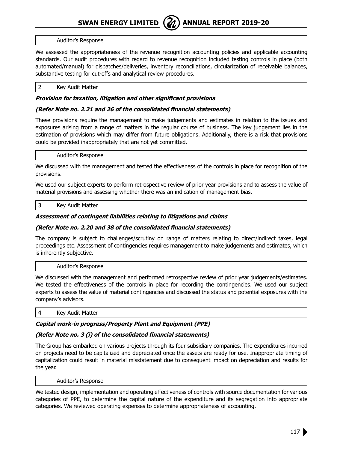

#### Auditor's Response

We assessed the appropriateness of the revenue recognition accounting policies and applicable accounting standards. Our audit procedures with regard to revenue recognition included testing controls in place (both automated/manual) for dispatches/deliveries, inventory reconciliations, circularization of receivable balances, substantive testing for cut-offs and analytical review procedures.

#### 2 Key Audit Matter

#### **Provision for taxation, litigation and other significant provisions**

#### **(Refer Note no. 2.21 and 26 of the consolidated financial statements)**

These provisions require the management to make judgements and estimates in relation to the issues and exposures arising from a range of matters in the regular course of business. The key judgement lies in the estimation of provisions which may differ from future obligations. Additionally, there is a risk that provisions could be provided inappropriately that are not yet committed.

#### Auditor's Response

We discussed with the management and tested the effectiveness of the controls in place for recognition of the provisions.

We used our subject experts to perform retrospective review of prior year provisions and to assess the value of material provisions and assessing whether there was an indication of management bias.

#### 3 Key Audit Matter

#### **Assessment of contingent liabilities relating to litigations and claims**

#### **(Refer Note no. 2.20 and 38 of the consolidated financial statements)**

The company is subject to challenges/scrutiny on range of matters relating to direct/indirect taxes, legal proceedings etc. Assessment of contingencies requires management to make judgements and estimates, which is inherently subjective.

#### Auditor's Response

We discussed with the management and performed retrospective review of prior year judgements/estimates. We tested the effectiveness of the controls in place for recording the contingencies. We used our subject experts to assess the value of material contingencies and discussed the status and potential exposures with the company's advisors.

4 Key Audit Matter

# **Capital work-in progress/Property Plant and Equipment (PPE)**

# **(Refer Note no. 3 (i) of the consolidated financial statements)**

The Group has embarked on various projects through its four subsidiary companies. The expenditures incurred on projects need to be capitalized and depreciated once the assets are ready for use. Inappropriate timing of capitalization could result in material misstatement due to consequent impact on depreciation and results for the year.

Auditor's Response

We tested design, implementation and operating effectiveness of controls with source documentation for various categories of PPE, to determine the capital nature of the expenditure and its segregation into appropriate categories. We reviewed operating expenses to determine appropriateness of accounting.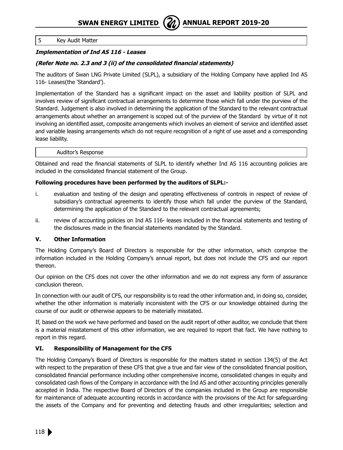### 5 Key Audit Matter

# **Implementation of Ind AS 116 - Leases**

# **(Refer Note no. 2.3 and 3 (ii) of the consolidated financial statements)**

The auditors of Swan LNG Private Limited (SLPL), a subsidiary of the Holding Company have applied Ind AS 116- Leases(the 'Standard').

Implementation of the Standard has a significant impact on the asset and liability position of SLPL and involves review of significant contractual arrangements to determine those which fall under the purview of the Standard. Judgement is also involved in determining the application of the Standard to the relevant contractual arrangements about whether an arrangement is scoped out of the purview of the Standard by virtue of it not involving an identified asset, composite arrangements which involves an element of service and identified asset and variable leasing arrangements which do not require recognition of a right of use asset and a corresponding lease liability.

#### Auditor's Response

Obtained and read the financial statements of SLPL to identify whether Ind AS 116 accounting policies are included in the consolidated financial statement of the Group.

### **Following procedures have been performed by the auditors of SLPL:-**

- i. evaluation and testing of the design and operating effectiveness of controls in respect of review of subsidiary's contractual agreements to identify those which fall under the purview of the Standard, determining the application of the Standard to the relevant contractual agreements;
- ii. review of accounting policies on Ind AS 116- leases included in the financial statements and testing of the disclosures made in the financial statements mandated by the Standard.

### **V. Other Information**

The Holding Company's Board of Directors is responsible for the other information, which comprise the information included in the Holding Company's annual report, but does not include the CFS and our report thereon.

Our opinion on the CFS does not cover the other information and we do not express any form of assurance conclusion thereon.

In connection with our audit of CFS, our responsibility is to read the other information and, in doing so, consider, whether the other information is materially inconsistent with the CFS or our knowledge obtained during the course of our audit or otherwise appears to be materially misstated.

If, based on the work we have performed and based on the audit report of other auditor, we conclude that there is a material misstatement of this other information, we are required to report that fact. We have nothing to report in this regard.

### **VI. Responsibility of Management for the CFS**

The Holding Company's Board of Directors is responsible for the matters stated in section 134(5) of the Act with respect to the preparation of these CFS that give a true and fair view of the consolidated financial position, consolidated financial performance including other comprehensive income, consolidated changes in equity and consolidated cash flows of the Company in accordance with the Ind AS and other accounting principles generally accepted in India. The respective Board of Directors of the companies included in the Group are responsible for maintenance of adequate accounting records in accordance with the provisions of the Act for safeguarding the assets of the Company and for preventing and detecting frauds and other irregularities; selection and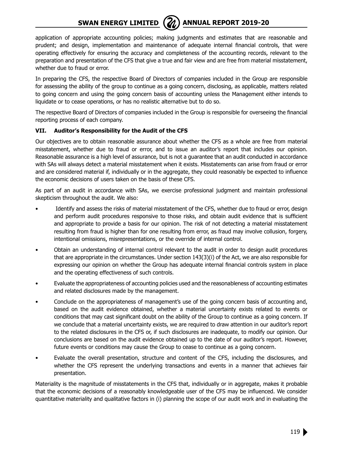# **SWAN ENERGY LIMITED** ( $\mathbb{Z}$ ) ANNUAL REPORT 2019-20



application of appropriate accounting policies; making judgments and estimates that are reasonable and prudent; and design, implementation and maintenance of adequate internal financial controls, that were operating effectively for ensuring the accuracy and completeness of the accounting records, relevant to the preparation and presentation of the CFS that give a true and fair view and are free from material misstatement, whether due to fraud or error.

In preparing the CFS, the respective Board of Directors of companies included in the Group are responsible for assessing the ability of the group to continue as a going concern, disclosing, as applicable, matters related to going concern and using the going concern basis of accounting unless the Management either intends to liquidate or to cease operations, or has no realistic alternative but to do so.

The respective Board of Directors of companies included in the Group is responsible for overseeing the financial reporting process of each company.

# **VII. Auditor's Responsibility for the Audit of the CFS**

Our objectives are to obtain reasonable assurance about whether the CFS as a whole are free from material misstatement, whether due to fraud or error, and to issue an auditor's report that includes our opinion. Reasonable assurance is a high level of assurance, but is not a guarantee that an audit conducted in accordance with SAs will always detect a material misstatement when it exists. Misstatements can arise from fraud or error and are considered material if, individually or in the aggregate, they could reasonably be expected to influence the economic decisions of users taken on the basis of these CFS.

As part of an audit in accordance with SAs, we exercise professional judgment and maintain professional skepticism throughout the audit. We also:

- Identify and assess the risks of material misstatement of the CFS, whether due to fraud or error, design and perform audit procedures responsive to those risks, and obtain audit evidence that is sufficient and appropriate to provide a basis for our opinion. The risk of not detecting a material misstatement resulting from fraud is higher than for one resulting from error, as fraud may involve collusion, forgery, intentional omissions, misrepresentations, or the override of internal control.
- Obtain an understanding of internal control relevant to the audit in order to design audit procedures that are appropriate in the circumstances. Under section 143(3)(i) of the Act, we are also responsible for expressing our opinion on whether the Group has adequate internal financial controls system in place and the operating effectiveness of such controls.
- Evaluate the appropriateness of accounting policies used and the reasonableness of accounting estimates and related disclosures made by the management.
- Conclude on the appropriateness of management's use of the going concern basis of accounting and, based on the audit evidence obtained, whether a material uncertainty exists related to events or conditions that may cast significant doubt on the ability of the Group to continue as a going concern. If we conclude that a material uncertainty exists, we are required to draw attention in our auditor's report to the related disclosures in the CFS or, if such disclosures are inadequate, to modify our opinion. Our conclusions are based on the audit evidence obtained up to the date of our auditor's report. However, future events or conditions may cause the Group to cease to continue as a going concern.
- Evaluate the overall presentation, structure and content of the CFS, including the disclosures, and whether the CFS represent the underlying transactions and events in a manner that achieves fair presentation.

Materiality is the magnitude of misstatements in the CFS that, individually or in aggregate, makes it probable that the economic decisions of a reasonably knowledgeable user of the CFS may be influenced. We consider quantitative materiality and qualitative factors in (i) planning the scope of our audit work and in evaluating the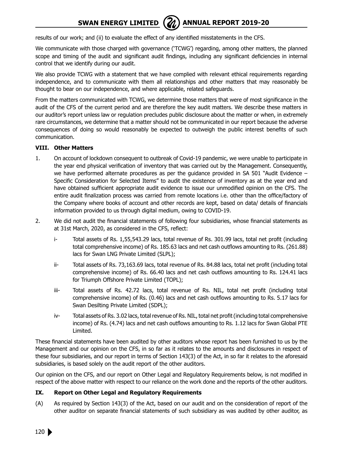# **SWAN ENERGY LIMITED** ( $\mathcal{U}$ ) ANNUAL REPORT 2019-20

results of our work; and (ii) to evaluate the effect of any identified misstatements in the CFS.

We communicate with those charged with governance ('TCWG') regarding, among other matters, the planned scope and timing of the audit and significant audit findings, including any significant deficiencies in internal control that we identify during our audit.

We also provide TCWG with a statement that we have complied with relevant ethical requirements regarding independence, and to communicate with them all relationships and other matters that may reasonably be thought to bear on our independence, and where applicable, related safeguards.

From the matters communicated with TCWG, we determine those matters that were of most significance in the audit of the CFS of the current period and are therefore the key audit matters. We describe these matters in our auditor's report unless law or regulation precludes public disclosure about the matter or when, in extremely rare circumstances, we determine that a matter should not be communicated in our report because the adverse consequences of doing so would reasonably be expected to outweigh the public interest benefits of such communication.

### **VIII. Other Matters**

- 1. On account of lockdown consequent to outbreak of Covid-19 pandemic, we were unable to participate in the year end physical verification of inventory that was carried out by the Management. Consequently, we have performed alternate procedures as per the quidance provided in SA 501 "Audit Evidence -Specific Consideration for Selected Items" to audit the existence of inventory as at the year end and have obtained sufficient appropriate audit evidence to issue our unmodified opinion on the CFS. The entire audit finalization process was carried from remote locations i.e. other than the office/factory of the Company where books of account and other records are kept, based on data/ details of financials information provided to us through digital medium, owing to COVID-19.
- 2. We did not audit the financial statements of following four subsidiaries, whose financial statements as at 31st March, 2020, as considered in the CFS, reflect:
	- i- Total assets of Rs. 1,55,543.29 lacs, total revenue of Rs. 301.99 lacs, total net profit (including total comprehensive income) of Rs. 185.63 lacs and net cash outflows amounting to Rs. (261.88) lacs for Swan LNG Private Limited (SLPL);
	- ii- Total assets of Rs. 73,163.69 lacs, total revenue of Rs. 84.88 lacs, total net profit (including total comprehensive income) of Rs. 66.40 lacs and net cash outflows amounting to Rs. 124.41 lacs for Triumph Offshore Private Limited (TOPL);
	- iii- Total assets of Rs. 42.72 lacs, total revenue of Rs. NIL, total net profit (including total comprehensive income) of Rs. (0.46) lacs and net cash outflows amounting to Rs. 5.17 lacs for Swan Desilting Private Limited (SDPL);
	- iv- Total assets of Rs. 3.02 lacs, total revenue of Rs. NIL, total net profit (including total comprehensive income) of Rs. (4.74) lacs and net cash outflows amounting to Rs. 1.12 lacs for Swan Global PTE Limited.

These financial statements have been audited by other auditors whose report has been furnished to us by the Management and our opinion on the CFS, in so far as it relates to the amounts and disclosures in respect of these four subsidiaries, and our report in terms of Section 143(3) of the Act, in so far it relates to the aforesaid subsidiaries, is based solely on the audit report of the other auditors.

Our opinion on the CFS, and our report on Other Legal and Regulatory Requirements below, is not modified in respect of the above matter with respect to our reliance on the work done and the reports of the other auditors.

#### **IX. Report on Other Legal and Regulatory Requirements**

(A) As required by Section 143(3) of the Act, based on our audit and on the consideration of report of the other auditor on separate financial statements of such subsidiary as was audited by other auditor, as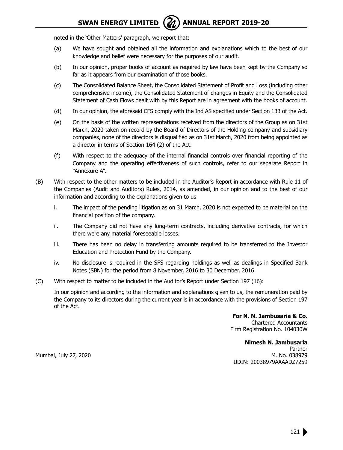noted in the 'Other Matters' paragraph, we report that:

- (a) We have sought and obtained all the information and explanations which to the best of our knowledge and belief were necessary for the purposes of our audit.
- (b) In our opinion, proper books of account as required by law have been kept by the Company so far as it appears from our examination of those books.
- (c) The Consolidated Balance Sheet, the Consolidated Statement of Profit and Loss (including other comprehensive income), the Consolidated Statement of changes in Equity and the Consolidated Statement of Cash Flows dealt with by this Report are in agreement with the books of account.
- (d) In our opinion, the aforesaid CFS comply with the Ind AS specified under Section 133 of the Act.
- (e) On the basis of the written representations received from the directors of the Group as on 31st March, 2020 taken on record by the Board of Directors of the Holding company and subsidiary companies, none of the directors is disqualified as on 31st March, 2020 from being appointed as a director in terms of Section 164 (2) of the Act.
- (f) With respect to the adequacy of the internal financial controls over financial reporting of the Company and the operating effectiveness of such controls, refer to our separate Report in "Annexure A".
- (B) With respect to the other matters to be included in the Auditor's Report in accordance with Rule 11 of the Companies (Audit and Auditors) Rules, 2014, as amended, in our opinion and to the best of our information and according to the explanations given to us
	- i. The impact of the pending litigation as on 31 March, 2020 is not expected to be material on the financial position of the company.
	- ii. The Company did not have any long-term contracts, including derivative contracts, for which there were any material foreseeable losses.
	- iii. There has been no delay in transferring amounts required to be transferred to the Investor Education and Protection Fund by the Company.
	- iv. No disclosure is required in the SFS regarding holdings as well as dealings in Specified Bank Notes (SBN) for the period from 8 November, 2016 to 30 December, 2016.
- (C) With respect to matter to be included in the Auditor's Report under Section 197 (16):

 In our opinion and according to the information and explanations given to us, the remuneration paid by the Company to its directors during the current year is in accordance with the provisions of Section 197 of the Act.

> **For N. N. Jambusaria & Co.** Chartered Accountants Firm Registration No. 104030W

**Nimesh N. Jambusaria** Partner Mumbai, July 27, 2020 M. No. 038979 UDIN: 20038979AAAADZ7259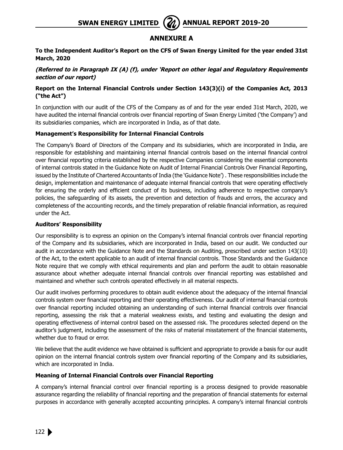# **Annexure A**

### **To the Independent Auditor's Report on the CFS of Swan Energy Limited for the year ended 31st March, 2020**

# **(Referred to in Paragraph IX (A) (f), under 'Report on other legal and Regulatory Requirements section of our report)**

# **Report on the Internal Financial Controls under Section 143(3)(i) of the Companies Act, 2013 ("the Act")**

In conjunction with our audit of the CFS of the Company as of and for the year ended 31st March, 2020, we have audited the internal financial controls over financial reporting of Swan Energy Limited ('the Company') and its subsidiaries companies, which are incorporated in India, as of that date.

### **Management's Responsibility for Internal Financial Controls**

The Company's Board of Directors of the Company and its subsidiaries, which are incorporated in India, are responsible for establishing and maintaining internal financial controls based on the internal financial control over financial reporting criteria established by the respective Companies considering the essential components of internal controls stated in the Guidance Note on Audit of Internal Financial Controls Over Financial Reporting, issued by the Institute of Chartered Accountants of India (the 'Guidance Note') . These responsibilities include the design, implementation and maintenance of adequate internal financial controls that were operating effectively for ensuring the orderly and efficient conduct of its business, including adherence to respective company's policies, the safeguarding of its assets, the prevention and detection of frauds and errors, the accuracy and completeness of the accounting records, and the timely preparation of reliable financial information, as required under the Act.

### **Auditors' Responsibility**

Our responsibility is to express an opinion on the Company's internal financial controls over financial reporting of the Company and its subsidiaries, which are incorporated in India, based on our audit. We conducted our audit in accordance with the Guidance Note and the Standards on Auditing, prescribed under section 143(10) of the Act, to the extent applicable to an audit of internal financial controls. Those Standards and the Guidance Note require that we comply with ethical requirements and plan and perform the audit to obtain reasonable assurance about whether adequate internal financial controls over financial reporting was established and maintained and whether such controls operated effectively in all material respects.

Our audit involves performing procedures to obtain audit evidence about the adequacy of the internal financial controls system over financial reporting and their operating effectiveness. Our audit of internal financial controls over financial reporting included obtaining an understanding of such internal financial controls over financial reporting, assessing the risk that a material weakness exists, and testing and evaluating the design and operating effectiveness of internal control based on the assessed risk. The procedures selected depend on the auditor's judgment, including the assessment of the risks of material misstatement of the financial statements, whether due to fraud or error.

We believe that the audit evidence we have obtained is sufficient and appropriate to provide a basis for our audit opinion on the internal financial controls system over financial reporting of the Company and its subsidiaries, which are incorporated in India.

### **Meaning of Internal Financial Controls over Financial Reporting**

A company's internal financial control over financial reporting is a process designed to provide reasonable assurance regarding the reliability of financial reporting and the preparation of financial statements for external purposes in accordance with generally accepted accounting principles. A company's internal financial controls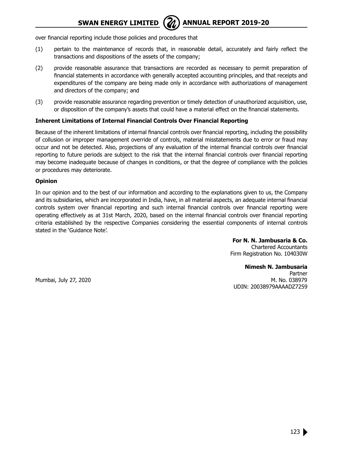over financial reporting include those policies and procedures that

- (1) pertain to the maintenance of records that, in reasonable detail, accurately and fairly reflect the transactions and dispositions of the assets of the company;
- (2) provide reasonable assurance that transactions are recorded as necessary to permit preparation of financial statements in accordance with generally accepted accounting principles, and that receipts and expenditures of the company are being made only in accordance with authorizations of management and directors of the company; and
- (3) provide reasonable assurance regarding prevention or timely detection of unauthorized acquisition, use, or disposition of the company's assets that could have a material effect on the financial statements.

#### **Inherent Limitations of Internal Financial Controls Over Financial Reporting**

Because of the inherent limitations of internal financial controls over financial reporting, including the possibility of collusion or improper management override of controls, material misstatements due to error or fraud may occur and not be detected. Also, projections of any evaluation of the internal financial controls over financial reporting to future periods are subject to the risk that the internal financial controls over financial reporting may become inadequate because of changes in conditions, or that the degree of compliance with the policies or procedures may deteriorate.

#### **Opinion**

In our opinion and to the best of our information and according to the explanations given to us, the Company and its subsidiaries, which are incorporated in India, have, in all material aspects, an adequate internal financial controls system over financial reporting and such internal financial controls over financial reporting were operating effectively as at 31st March, 2020, based on the internal financial controls over financial reporting criteria established by the respective Companies considering the essential components of internal controls stated in the 'Guidance Note'.

> **For N. N. Jambusaria & Co.** Chartered Accountants Firm Registration No. 104030W

**Nimesh N. Jambusaria** Partner Mumbai, July 27, 2020 **M. No. 038979** M. No. 038979 UDIN: 20038979AAAADZ7259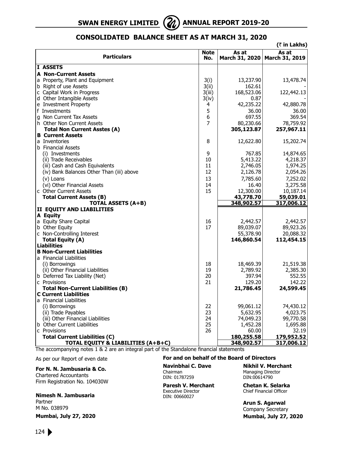

# **Consolidated Balance Sheet as at March 31, 2020**

|                                                       |                    |                                          | (₹ in Lakhs)          |
|-------------------------------------------------------|--------------------|------------------------------------------|-----------------------|
| <b>Particulars</b>                                    | <b>Note</b><br>No. | As at<br>March 31, 2020   March 31, 2019 | As at                 |
| I ASSETS                                              |                    |                                          |                       |
| <b>A Non-Current Assets</b>                           |                    |                                          |                       |
| a Property, Plant and Equipment                       | 3(i)               | 13,237.90                                | 13,478.74             |
| b Right of use Assets                                 | 3(ii)              | 162.61                                   |                       |
| c Capital Work in Progress                            | 3(iii)             | 168,523.06                               | 122,442.13            |
| d Other Intangible Assets                             | 3(iv)              | 0.87                                     |                       |
| e Investment Property                                 | 4                  | 42,235.22                                | 42,880.78             |
| f Investments                                         | 5                  | 36.00                                    | 36.00                 |
| g Non Current Tax Assets                              | 6                  | 697.55                                   | 369.54                |
| h Other Non Current Assets                            | 7                  | 80,230.66                                | 78,759.92             |
| <b>Total Non Current Asstes (A)</b>                   |                    | 305,123.87                               | 257,967.11            |
| <b>B</b> Current Assets                               |                    |                                          |                       |
| a Inventories                                         | 8                  | 12,622.80                                | 15,202.74             |
| <b>b</b> Financial Assets                             | 9                  |                                          |                       |
| (i) Investments<br>(ii) Trade Receivables             | 10                 | 767.85<br>5,413.22                       | 14,874.65<br>4,218.37 |
| (iii) Cash and Cash Equivalents                       | 11                 | 2,746.05                                 | 1,974.25              |
| (iv) Bank Balances Other Than (iii) above             | 12                 | 2,126.78                                 | 2,054.26              |
|                                                       | 13                 |                                          |                       |
| (v) Loans                                             | 14                 | 7,785.60<br>16.40                        | 7,252.02<br>3,275.58  |
| (vi) Other Financial Assets<br>c Other Current Assets | 15                 | 12,300.00                                | 10,187.14             |
| <b>Total Current Assets (B)</b>                       |                    | 43,778.70                                | 59,039.01             |
| <b>TOTAL ASSETS (A+B)</b>                             |                    | 348,902.57                               | 317,006.12            |
| II EQUITY AND LIABILITIES                             |                    |                                          |                       |
| A Equity                                              |                    |                                          |                       |
| a Equity Share Capital                                | 16                 | 2,442.57                                 | 2,442.57              |
| b Other Equity                                        | 17                 | 89,039.07                                | 89,923.26             |
| c Non-Controlling Interest                            |                    | 55,378.90                                | 20,088.32             |
| <b>Total Equity (A)</b>                               |                    | 146,860.54                               | 112,454.15            |
| <b>Liabilities</b>                                    |                    |                                          |                       |
| <b>B Non-Current Liabilities</b>                      |                    |                                          |                       |
| a Financial Liabilities                               |                    |                                          |                       |
| (i) Borrowings                                        | 18                 | 18,469.39                                | 21,519.38             |
| (ii) Other Financial Liabilities                      | 19                 | 2,789.92                                 | 2,385.30              |
| b Deferred Tax Liability (Net)                        | 20                 | 397.94                                   | 552.55                |
| c Provisions                                          | 21                 | 129.20                                   | 142.22                |
| <b>Total Non-Current Liabilities (B)</b>              |                    | 21,786.45                                | 24,599.45             |
| <b>C Current Liabilities</b>                          |                    |                                          |                       |
| a Financial Liabilities<br>(i) Borrowings             | 22                 | 99,061.12                                | 74,430.12             |
| (ii) Trade Payables                                   | 23                 | 5,632.95                                 | 4,023.75              |
| (iii) Other Financial Liabilities                     | 24                 | 74,049.23                                | 99,770.58             |
| b Other Current Liabilities                           | 25                 | 1,452.28                                 | 1,695.88              |
| c Provisions                                          | 26                 | 60.00                                    | 32.19                 |
| <b>Total Current Liabilities (C)</b>                  |                    | 180,255.58                               | 179,952.52            |
| TOTAL EQUITY & LIABILITIES (A+B+C)                    |                    | 348,902.57                               | 317,006.12            |

The accompanying notes 1 & 2 are an integral part of the Standalone financial statements

As per our Report of even date

### **For N. N. Jambusaria & Co.**

Chartered Accountants Firm Registration No. 104030W

#### **Nimesh N. Jambusaria**

Partner M No. 038979 **Mumbai, July 27, 2020**

#### **For and on behalf of the Board of Directors**

Chairman Managing Director<br>
DIN: 01787259 DIN: 00614790 DIN: 01787259

**Paresh V. Merchant Chetan K. Selarka** Executive Director Chief Financial Officer DIN: 00660027

**Navinbhai C. Dave Nikhil V. Merchant**

**Arun S. Agarwal** Company Secretary

 **Mumbai, July 27, 2020**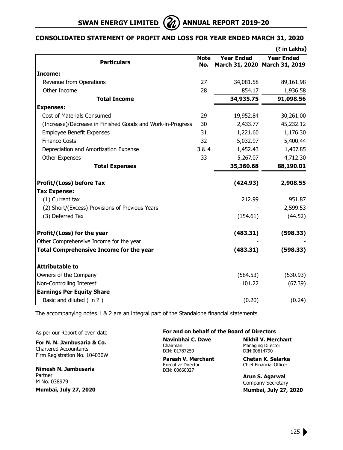

# **Consolidated Statement of Profit and Loss for Year Ended March 31, 2020**

|                                                            |                    |                                     | $($ ₹ in Lakhs)                     |
|------------------------------------------------------------|--------------------|-------------------------------------|-------------------------------------|
| <b>Particulars</b>                                         | <b>Note</b><br>No. | <b>Year Ended</b><br>March 31, 2020 | <b>Year Ended</b><br>March 31, 2019 |
| Income:                                                    |                    |                                     |                                     |
| Revenue from Operations                                    | 27                 | 34,081.58                           | 89,161.98                           |
| Other Income                                               | 28                 | 854.17                              | 1,936.58                            |
| <b>Total Income</b>                                        |                    | 34,935.75                           | 91,098.56                           |
| <b>Expenses:</b>                                           |                    |                                     |                                     |
| Cost of Materials Consumed                                 | 29                 | 19,952.84                           | 30,261.00                           |
| (Increase)/Decrease in Finished Goods and Work-in-Progress | 30                 | 2,433.77                            | 45,232.12                           |
| <b>Employee Benefit Expenses</b>                           | 31                 | 1,221.60                            | 1,176.30                            |
| <b>Finance Costs</b>                                       | 32                 | 5,032.97                            | 5,400.44                            |
| Depreciation and Amortization Expense                      | 3&4                | 1,452.43                            | 1,407.85                            |
| Other Expenses                                             | 33                 | 5,267.07                            | 4,712.30                            |
| <b>Total Expenses</b>                                      |                    | 35,360.68                           | 88,190.01                           |
| Profit/(Loss) before Tax                                   |                    | (424.93)                            | 2,908.55                            |
| <b>Tax Expense:</b>                                        |                    |                                     |                                     |
| (1) Current tax                                            |                    | 212.99                              | 951.87                              |
| (2) Short/(Excess) Provisions of Previous Years            |                    |                                     | 2,599.53                            |
| (3) Deferred Tax                                           |                    | (154.61)                            | (44.52)                             |
| Profit/(Loss) for the year                                 |                    | (483.31)                            | (598.33)                            |
| Other Comprehensive Income for the year                    |                    |                                     |                                     |
| <b>Total Comprehensive Income for the year</b>             |                    | (483.31)                            | (598.33)                            |
| <b>Attributable to</b>                                     |                    |                                     |                                     |
| Owners of the Company                                      |                    | (584.53)                            | (530.93)                            |
| Non-Controlling Interest                                   |                    | 101.22                              | (67.39)                             |
| <b>Earnings Per Equity Share</b>                           |                    |                                     |                                     |
| Basic and diluted (in $\bar{z}$ )                          |                    | (0.20)                              | (0.24)                              |

The accompanying notes 1 & 2 are an integral part of the Standalone financial statements

As per our Report of even date

**For N. N. Jambusaria & Co.** Chartered Accountants Firm Registration No. 104030W

**Nimesh N. Jambusaria** Partner M No. 038979

**Mumbai, July 27, 2020**

#### **For and on behalf of the Board of Directors**

DIN: 01787259

**Paresh V. Merchant Chetan K. Selarka**<br>Executive Director Chief Financial Officer DIN: 00660027

**Navinbhai C. Dave Nikhil V. Merchant**<br>Chairman **Managing Director** Managing Director<br>DIN:00614790

Chief Financial Officer

**Arun S. Agarwal** Company Secretary  **Mumbai, July 27, 2020**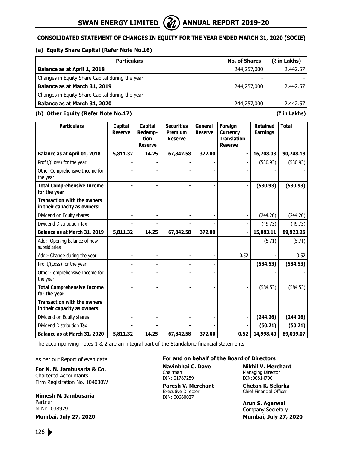# **Consolidated Statement of Changes in Equity for the year ended March 31, 2020 (SOCIE)**

### **(a) Equity Share Capital (Refer Note No.16)**

| <b>Particulars</b>                              | <b>No. of Shares</b> | $($ ₹ in Lakhs) |
|-------------------------------------------------|----------------------|-----------------|
| Balance as at April 1, 2018                     | 244,257,000          | 2,442.57        |
| Changes in Equity Share Capital during the year |                      |                 |
| Balance as at March 31, 2019                    | 244,257,000          | 2,442.57        |
| Changes in Equity Share Capital during the year |                      |                 |
| Balance as at March 31, 2020                    | 244,257,000          | 2,442.57        |

#### **(b) Other Equity (Refer Note No.17) (**` **in Lakhs)**

| <b>Particulars</b>                                                 | Capital<br><b>Reserve</b> | <b>Capital</b><br>Redemp-<br>tion<br><b>Reserve</b> | <b>Securities</b><br><b>Premium</b><br><b>Reserve</b> | General<br><b>Reserve</b> | <b>Foreign</b><br><b>Currency</b><br><b>Translation</b><br><b>Reserve</b> | <b>Retained</b><br><b>Earnings</b> | <b>Total</b> |
|--------------------------------------------------------------------|---------------------------|-----------------------------------------------------|-------------------------------------------------------|---------------------------|---------------------------------------------------------------------------|------------------------------------|--------------|
| Balance as at April 01, 2018                                       | 5,811.32                  | 14.25                                               | 67,842.58                                             | 372.00                    |                                                                           | 16,708.03                          | 90,748.18    |
| Profit/(Loss) for the year                                         |                           |                                                     |                                                       |                           |                                                                           | (530.93)                           | (530.93)     |
| Other Comprehensive Income for<br>the year                         |                           |                                                     |                                                       |                           |                                                                           |                                    |              |
| <b>Total Comprehensive Income</b><br>for the year                  | $\blacksquare$            |                                                     |                                                       |                           | ۰                                                                         | (530.93)                           | (530.93)     |
| <b>Transaction with the owners</b><br>in their capacity as owners: |                           |                                                     |                                                       |                           |                                                                           |                                    |              |
| Dividend on Equity shares                                          |                           |                                                     |                                                       |                           |                                                                           | (244.26)                           | (244.26)     |
| Dividend Distribution Tax                                          |                           |                                                     |                                                       |                           |                                                                           | (49.73)                            | (49.73)      |
| Balance as at March 31, 2019                                       | 5,811.32                  | 14.25                                               | 67,842.58                                             | 372.00                    |                                                                           | 15,883.11                          | 89,923.26    |
| Add:- Opening balance of new<br>subsidiaries                       |                           |                                                     |                                                       |                           |                                                                           | (5.71)                             | (5.71)       |
| Add:- Change during the year                                       | $\overline{\phantom{a}}$  |                                                     |                                                       |                           | 0.52                                                                      |                                    | 0.52         |
| Profit/(Loss) for the year                                         | $\blacksquare$            |                                                     |                                                       |                           |                                                                           | (584.53)                           | (584.53)     |
| Other Comprehensive Income for<br>the year                         |                           |                                                     |                                                       |                           |                                                                           |                                    |              |
| <b>Total Comprehensive Income</b><br>for the year                  |                           |                                                     |                                                       |                           |                                                                           | (584.53)                           | (584.53)     |
| <b>Transaction with the owners</b><br>in their capacity as owners: |                           |                                                     |                                                       |                           |                                                                           |                                    |              |
| Dividend on Equity shares                                          |                           |                                                     |                                                       |                           |                                                                           | (244.26)                           | (244.26)     |
| Dividend Distribution Tax                                          |                           |                                                     |                                                       |                           |                                                                           | (50.21)                            | (50.21)      |
| Balance as at March 31, 2020                                       | 5,811.32                  | 14.25                                               | 67,842.58                                             | 372.00                    | 0.52                                                                      | 14,998.40                          | 89,039.07    |

The accompanying notes 1 & 2 are an integral part of the Standalone financial statements

As per our Report of even date

# **For N. N. Jambusaria & Co.**

Chartered Accountants Firm Registration No. 104030W

#### **Nimesh N. Jambusaria** Partner

M No. 038979 **Mumbai, July 27, 2020**

#### **For and on behalf of the Board of Directors**

DIN: 01787259 DIN:00614790

DIN: 00660027

**Navinbhai C. Dave Nikhil V. Merchant** Managing Director

**Paresh V. Merchant Chetan K. Selarka**<br>Executive Director Chief Financial Officer Chief Financial Officer

> **Arun S. Agarwal** Company Secretary  **Mumbai, July 27, 2020**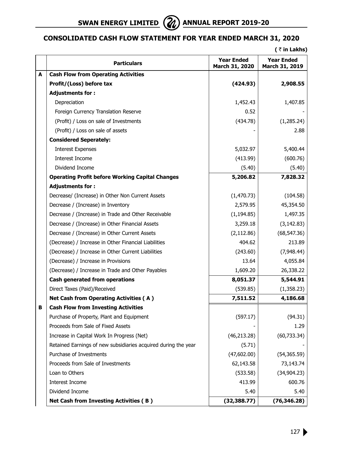

# **Consolidated Cash Flow Statement for Year Ended March 31, 2020**

**(** ` **in Lakhs)**

|   | <b>Particulars</b>                                             | <b>Year Ended</b><br>March 31, 2020 | <b>Year Ended</b><br>March 31, 2019 |
|---|----------------------------------------------------------------|-------------------------------------|-------------------------------------|
| A | <b>Cash Flow from Operating Activities</b>                     |                                     |                                     |
|   | Profit/(Loss) before tax                                       | (424.93)                            | 2,908.55                            |
|   | <b>Adjustments for:</b>                                        |                                     |                                     |
|   | Depreciation                                                   | 1,452.43                            | 1,407.85                            |
|   | Foreign Currency Translation Reserve                           | 0.52                                |                                     |
|   | (Profit) / Loss on sale of Investments                         | (434.78)                            | (1,285.24)                          |
|   | (Profit) / Loss on sale of assets                              |                                     | 2.88                                |
|   | <b>Considered Seperately:</b>                                  |                                     |                                     |
|   | <b>Interest Expenses</b>                                       | 5,032.97                            | 5,400.44                            |
|   | Interest Income                                                | (413.99)                            | (600.76)                            |
|   | Dividend Income                                                | (5.40)                              | (5.40)                              |
|   | <b>Operating Profit before Working Capital Changes</b>         | 5,206.82                            | 7,828.32                            |
|   | <b>Adjustments for:</b>                                        |                                     |                                     |
|   | Decrease/ (Increase) in Other Non Current Assets               | (1,470.73)                          | (104.58)                            |
|   | Decrease / (Increase) in Inventory                             | 2,579.95                            | 45,354.50                           |
|   | Decrease / (Increase) in Trade and Other Receivable            | (1, 194.85)                         | 1,497.35                            |
|   | Decrease / (Increase) in Other Financial Assets                | 3,259.18                            | (3, 142.83)                         |
|   | Decrease / (Increase) in Other Current Assets                  | (2, 112.86)                         | (68, 547.36)                        |
|   | (Decrease) / Increase in Other Financial Liabilities           | 404.62                              | 213.89                              |
|   | (Decrease) / Increase in Other Current Liabilities             | (243.60)                            | (7,948.44)                          |
|   | (Decrease) / Increase in Provisions                            | 13.64                               | 4,055.84                            |
|   | (Decrease) / Increase in Trade and Other Payables              | 1,609.20                            | 26,338.22                           |
|   | Cash generated from operations                                 | 8,051.37                            | 5,544.91                            |
|   | Direct Taxes (Paid)/Received                                   | (539.85)                            | (1,358.23)                          |
|   | <b>Net Cash from Operating Activities (A)</b>                  | 7,511.52                            | 4,186.68                            |
| в | <b>Cash Flow from Investing Activities</b>                     |                                     |                                     |
|   | Purchase of Property, Plant and Equipment                      | (597.17)                            | (94.31)                             |
|   | Proceeds from Sale of Fixed Assets                             |                                     | 1.29                                |
|   | Increase in Capital Work In Progress (Net)                     | (46, 213.28)                        | (60, 733.34)                        |
|   | Retained Earnings of new subsidiaries acquired during the year | (5.71)                              |                                     |
|   | Purchase of Investments                                        | (47,602.00)                         | (54, 365.59)                        |
|   | Proceeds from Sale of Investments                              | 62,143.58                           | 73,143.74                           |
|   | Loan to Others                                                 | (533.58)                            | (34, 904.23)                        |
|   | Interest Income                                                | 413.99                              | 600.76                              |
|   | Dividend Income                                                | 5.40                                | 5.40                                |
|   | <b>Net Cash from Investing Activities (B)</b>                  | (32, 388.77)                        | (76, 346.28)                        |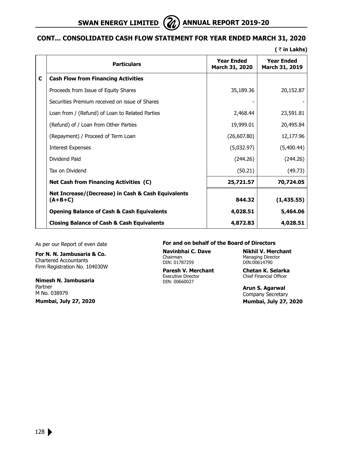

# **cont... Consolidated Cash Flow Statement for Year Ended March 31, 2020**

**(** ` **in Lakhs)**

|   | <b>Particulars</b>                                              | <b>Year Ended</b><br>March 31, 2020 | <b>Year Ended</b><br>March 31, 2019 |
|---|-----------------------------------------------------------------|-------------------------------------|-------------------------------------|
| C | <b>Cash Flow from Financing Activities</b>                      |                                     |                                     |
|   | Proceeds from Issue of Equity Shares                            | 35,189.36                           | 20,152.87                           |
|   | Securities Premium received on issue of Shares                  |                                     |                                     |
|   | Loan from / (Refund) of Loan to Related Parties                 | 2,468.44                            | 23,591.81                           |
|   | (Refund) of / Loan from Other Parties                           | 19,999.01                           | 20,495.84                           |
|   | (Repayment) / Proceed of Term Loan                              | (26,607.80)                         | 12,177.96                           |
|   | <b>Interest Expenses</b>                                        | (5,032.97)                          | (5,400.44)                          |
|   | Dividend Paid                                                   | (244.26)                            | (244.26)                            |
|   | Tax on Dividend                                                 | (50.21)                             | (49.73)                             |
|   | <b>Net Cash from Financing Activities (C)</b>                   | 25,721.57                           | 70,724.05                           |
|   | Net Increase/(Decrease) in Cash & Cash Equivalents<br>$(A+B+C)$ | 844.32                              | (1,435.55)                          |
|   | <b>Opening Balance of Cash &amp; Cash Equivalents</b>           | 4,028.51                            | 5,464.06                            |
|   | <b>Closing Balance of Cash &amp; Cash Equivalents</b>           | 4,872.83                            | 4,028.51                            |

As per our Report of even date

**For N. N. Jambusaria & Co.** Chartered Accountants Firm Registration No. 104030W

**Nimesh N. Jambusaria** Partner M No. 038979 **Mumbai, July 27, 2020**

#### **For and on behalf of the Board of Directors**

DIN: 01787259 DIN:00614790

**Paresh V. Merchant Chetan K. Selarka**<br>Executive Director Chief Financial Officer DIN: 00660027

**Navinbhai C. Dave Nikhil V. Merchant** Managing Director

Chief Financial Officer

**Arun S. Agarwal** Company Secretary  **Mumbai, July 27, 2020**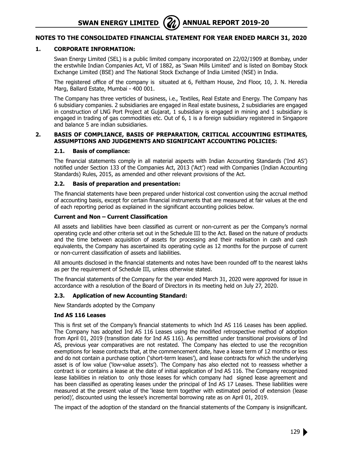#### **1. CORPORATE INFORMATION:**

 Swan Energy Limited (SEL) is a public limited company incorporated on 22/02/1909 at Bombay, under the erstwhile Indian Companies Act, VI of 1882, as 'Swan Mills Limited' and is listed on Bombay Stock Exchange Limited (BSE) and The National Stock Exchange of India Limited (NSE) in India.

The registered office of the company is situated at 6, Feltham House, 2nd Floor, 10, J. N. Heredia Marg, Ballard Estate, Mumbai - 400 001.

 The Company has three verticles of business, i.e., Textiles, Real Estate and Energy. The Company has 6 subsidiary companies. 2 subsidiaries are engaged in Real estate business, 2 subsidiaries are engaged in construction of LNG Port Project at Gujarat, 1 subsidiary is engaged in mining and 1 subsidiary is engaged in trading of gas commodities etc. Out of 6, 1 is a foreign subsidiary registered in Singapore and balance 5 are indian subsidiaries.

#### **2. BASIS OF COMPLIANCE, BASIS OF PREPARATION, CRITICAL ACCOUNTING ESTIMATES, ASSUMPTIONS AND JUDGEMENTS AND SIGNIFICANT ACCOUNTING POLICIES:**

#### **2.1. Basis of compliance:**

The financial statements comply in all material aspects with Indian Accounting Standards ('Ind AS') notified under Section 133 of the Companies Act, 2013 ('Act') read with Companies (Indian Accounting Standards) Rules, 2015, as amended and other relevant provisions of the Act.

#### **2.2. Basis of preparation and presentation:**

The financial statements have been prepared under historical cost convention using the accrual method of accounting basis, except for certain financial instruments that are measured at fair values at the end of each reporting period as explained in the significant accounting policies below.

#### **Current and Non – Current Classification**

All assets and liabilities have been classified as current or non-current as per the Company's normal operating cycle and other criteria set out in the Schedule III to the Act. Based on the nature of products and the time between acquisition of assets for processing and their realisation in cash and cash equivalents, the Company has ascertained its operating cycle as 12 months for the purpose of current or non-current classification of assets and liabilities.

All amounts disclosed in the financial statements and notes have been rounded off to the nearest lakhs as per the requirement of Schedule III, unless otherwise stated.

The financial statements of the Company for the year ended March 31, 2020 were approved for issue in accordance with a resolution of the Board of Directors in its meeting held on July 27, 2020.

#### **2.3. Application of new Accounting Standard:**

New Standards adopted by the Company

#### **Ind AS 116 Leases**

This is first set of the Company's financial statements to which Ind AS 116 Leases has been applied. The Company has adopted Ind AS 116 Leases using the modified retrospective method of adoption from April 01, 2019 (transition date for Ind AS 116). As permitted under transitional provisions of Ind AS, previous year comparatives are not restated. The Company has elected to use the recognition exemptions for lease contracts that, at the commencement date, have a lease term of 12 months or less and do not contain a purchase option ('short-term leases'), and lease contracts for which the underlying asset is of low value ('low-value assets'). The Company has also elected not to reassess whether a contract is or contains a lease at the date of initial application of Ind AS 116. The Company recognized lease liabilities in relation to only those leases for which company had signed lease agreement and has been classified as operating leases under the principal of Ind AS 17 Leases. These liabilities were measured at the present value of the 'lease term together with estimated period of extension (lease period)', discounted using the lessee's incremental borrowing rate as on April 01, 2019.

The impact of the adoption of the standard on the financial statements of the Company is insignificant.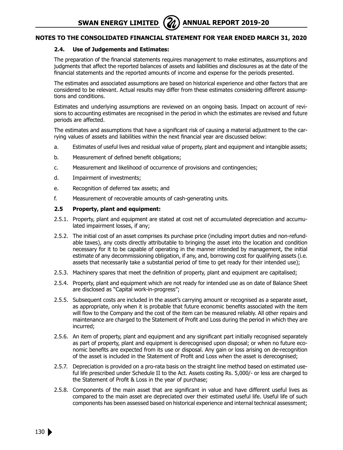## **2.4. Use of Judgements and Estimates:**

The preparation of the financial statements requires management to make estimates, assumptions and judgments that affect the reported balances of assets and liabilities and disclosures as at the date of the financial statements and the reported amounts of income and expense for the periods presented.

The estimates and associated assumptions are based on historical experience and other factors that are considered to be relevant. Actual results may differ from these estimates considering different assumptions and conditions.

Estimates and underlying assumptions are reviewed on an ongoing basis. Impact on account of revisions to accounting estimates are recognised in the period in which the estimates are revised and future periods are affected.

The estimates and assumptions that have a significant risk of causing a material adjustment to the carrying values of assets and liabilities within the next financial year are discussed below:

- a. Estimates of useful lives and residual value of property, plant and equipment and intangible assets;
- b. Measurement of defined benefit obligations;
- c. Measurement and likelihood of occurrence of provisions and contingencies;
- d. Impairment of investments;
- e. Recognition of deferred tax assets; and
- f. Measurement of recoverable amounts of cash-generating units.

#### **2.5 Property, plant and equipment:**

- 2.5.1. Property, plant and equipment are stated at cost net of accumulated depreciation and accumulated impairment losses, if any;
- 2.5.2. The initial cost of an asset comprises its purchase price (including import duties and non-refundable taxes), any costs directly attributable to bringing the asset into the location and condition necessary for it to be capable of operating in the manner intended by management, the initial estimate of any decommissioning obligation, if any, and, borrowing cost for qualifying assets (i.e. assets that necessarily take a substantial period of time to get ready for their intended use);
- 2.5.3. Machinery spares that meet the definition of property, plant and equipment are capitalised;
- 2.5.4. Property, plant and equipment which are not ready for intended use as on date of Balance Sheet are disclosed as "Capital work-in-progress";
- 2.5.5. Subsequent costs are included in the asset's carrying amount or recognised as a separate asset, as appropriate, only when it is probable that future economic benefits associated with the item will flow to the Company and the cost of the item can be measured reliably. All other repairs and maintenance are charged to the Statement of Profit and Loss during the period in which they are incurred;
- 2.5.6. An item of property, plant and equipment and any significant part initially recognised separately as part of property, plant and equipment is derecognised upon disposal; or when no future economic benefits are expected from its use or disposal. Any gain or loss arising on de-recognition of the asset is included in the Statement of Profit and Loss when the asset is derecognised;
- 2.5.7. Depreciation is provided on a pro-rata basis on the straight line method based on estimated useful life prescribed under Schedule II to the Act. Assets costing Rs. 5,000/- or less are charged to the Statement of Profit & Loss in the year of purchase;
- 2.5.8. Components of the main asset that are significant in value and have different useful lives as compared to the main asset are depreciated over their estimated useful life. Useful life of such components has been assessed based on historical experience and internal technical assessment;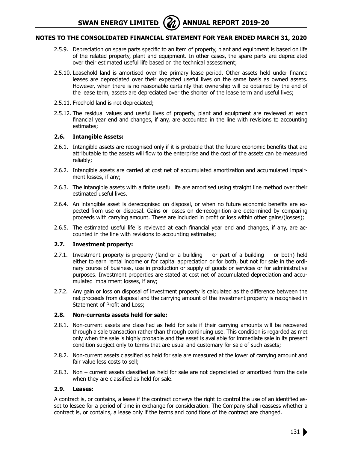# **Notes to the Consolidated Financial Statement for year ended March 31, 2020**

- 2.5.9. Depreciation on spare parts specific to an item of property, plant and equipment is based on life of the related property, plant and equipment. In other cases, the spare parts are depreciated over their estimated useful life based on the technical assessment;
- 2.5.10. Leasehold land is amortised over the primary lease period. Other assets held under finance leases are depreciated over their expected useful lives on the same basis as owned assets. However, when there is no reasonable certainty that ownership will be obtained by the end of the lease term, assets are depreciated over the shorter of the lease term and useful lives;
- 2.5.11. Freehold land is not depreciated;
- 2.5.12. The residual values and useful lives of property, plant and equipment are reviewed at each financial year end and changes, if any, are accounted in the line with revisions to accounting estimates;

#### **2.6. Intangible Assets:**

- 2.6.1. Intangible assets are recognised only if it is probable that the future economic benefits that are attributable to the assets will flow to the enterprise and the cost of the assets can be measured reliably;
- 2.6.2. Intangible assets are carried at cost net of accumulated amortization and accumulated impairment losses, if any;
- 2.6.3. The intangible assets with a finite useful life are amortised using straight line method over their estimated useful lives.
- 2.6.4. An intangible asset is derecognised on disposal, or when no future economic benefits are expected from use or disposal. Gains or losses on de-recognition are determined by comparing proceeds with carrying amount. These are included in profit or loss within other gains/(losses);
- 2.6.5. The estimated useful life is reviewed at each financial year end and changes, if any, are accounted in the line with revisions to accounting estimates;

#### **2.7. Investment property:**

- 2.7.1. Investment property is property (land or a building  $-$  or part of a building  $-$  or both) held either to earn rental income or for capital appreciation or for both, but not for sale in the ordinary course of business, use in production or supply of goods or services or for administrative purposes. Investment properties are stated at cost net of accumulated depreciation and accumulated impairment losses, if any;
- 2.7.2. Any gain or loss on disposal of investment property is calculated as the difference between the net proceeds from disposal and the carrying amount of the investment property is recognised in Statement of Profit and Loss;

#### **2.8. Non-currents assets held for sale:**

- 2.8.1. Non-current assets are classified as held for sale if their carrying amounts will be recovered through a sale transaction rather than through continuing use. This condition is regarded as met only when the sale is highly probable and the asset is available for immediate sale in its present condition subject only to terms that are usual and customary for sale of such assets;
- 2.8.2. Non-current assets classified as held for sale are measured at the lower of carrying amount and fair value less costs to sell;
- 2.8.3. Non current assets classified as held for sale are not depreciated or amortized from the date when they are classified as held for sale.

#### **2.9. Leases:**

A contract is, or contains, a lease if the contract conveys the right to control the use of an identified asset to lessee for a period of time in exchange for consideration. The Company shall reassess whether a contract is, or contains, a lease only if the terms and conditions of the contract are changed.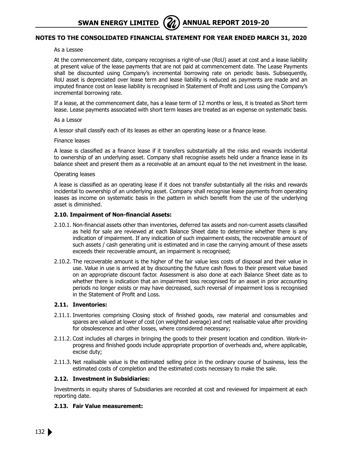# **Notes to the Consolidated Financial Statement for year ended March 31, 2020**

As a Lessee

At the commencement date, company recognises a right-of-use (RoU) asset at cost and a lease liability at present value of the lease payments that are not paid at commencement date. The Lease Payments shall be discounted using Company's incremental borrowing rate on periodic basis. Subsequently, RoU asset is depreciated over lease term and lease liability is reduced as payments are made and an imputed finance cost on lease liability is recognised in Statement of Profit and Loss using the Company's incremental borrowing rate.

If a lease, at the commencement date, has a lease term of 12 months or less, it is treated as Short term lease. Lease payments associated with short term leases are treated as an expense on systematic basis.

#### As a Lessor

A lessor shall classify each of its leases as either an operating lease or a finance lease.

#### Finance leases

A lease is classified as a finance lease if it transfers substantially all the risks and rewards incidental to ownership of an underlying asset. Company shall recognise assets held under a finance lease in its balance sheet and present them as a receivable at an amount equal to the net investment in the lease.

#### Operating leases

A lease is classified as an operating lease if it does not transfer substantially all the risks and rewards incidental to ownership of an underlying asset. Company shall recognise lease payments from operating leases as income on systematic basis in the pattern in which benefit from the use of the underlying asset is diminished.

#### **2.10. Impairment of Non-financial Assets:**

- 2.10.1. Non-financial assets other than inventories, deferred tax assets and non-current assets classified as held for sale are reviewed at each Balance Sheet date to determine whether there is any indication of impairment. If any indication of such impairment exists, the recoverable amount of such assets / cash generating unit is estimated and in case the carrying amount of these assets exceeds their recoverable amount, an impairment is recognised;
- 2.10.2. The recoverable amount is the higher of the fair value less costs of disposal and their value in use. Value in use is arrived at by discounting the future cash flows to their present value based on an appropriate discount factor. Assessment is also done at each Balance Sheet date as to whether there is indication that an impairment loss recognised for an asset in prior accounting periods no longer exists or may have decreased, such reversal of impairment loss is recognised in the Statement of Profit and Loss.

#### **2.11. Inventories:**

- 2.11.1. Inventories comprising Closing stock of finished goods, raw material and consumables and spares are valued at lower of cost (on weighted average) and net realisable value after providing for obsolescence and other losses, where considered necessary;
- 2.11.2. Cost includes all charges in bringing the goods to their present location and condition. Work-inprogress and finished goods include appropriate proportion of overheads and, where applicable, excise duty;
- 2.11.3. Net realisable value is the estimated selling price in the ordinary course of business, less the estimated costs of completion and the estimated costs necessary to make the sale.

#### **2.12. Investment in Subsidiaries:**

Investments in equity shares of Subsidiaries are recorded at cost and reviewed for impairment at each reporting date.

#### **2.13. Fair Value measurement:**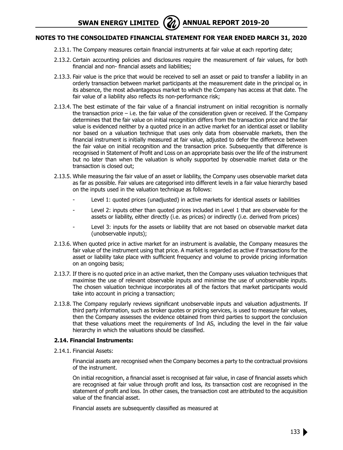# **Notes to the Consolidated Financial Statement for year ended March 31, 2020**

- 2.13.1. The Company measures certain financial instruments at fair value at each reporting date;
- 2.13.2. Certain accounting policies and disclosures require the measurement of fair values, for both financial and non- financial assets and liabilities;
- 2.13.3. Fair value is the price that would be received to sell an asset or paid to transfer a liability in an orderly transaction between market participants at the measurement date in the principal or, in its absence, the most advantageous market to which the Company has access at that date. The fair value of a liability also reflects its non-performance risk;
- 2.13.4. The best estimate of the fair value of a financial instrument on initial recognition is normally the transaction price – i.e. the fair value of the consideration given or received. If the Company determines that the fair value on initial recognition differs from the transaction price and the fair value is evidenced neither by a quoted price in an active market for an identical asset or liability nor based on a valuation technique that uses only data from observable markets, then the financial instrument is initially measured at fair value, adjusted to defer the difference between the fair value on initial recognition and the transaction price. Subsequently that difference is recognised in Statement of Profit and Loss on an appropriate basis over the life of the instrument but no later than when the valuation is wholly supported by observable market data or the transaction is closed out;
- 2.13.5. While measuring the fair value of an asset or liability, the Company uses observable market data as far as possible. Fair values are categorised into different levels in a fair value hierarchy based on the inputs used in the valuation technique as follows:
	- Level 1: quoted prices (unadjusted) in active markets for identical assets or liabilities
	- Level 2: inputs other than quoted prices included in Level 1 that are observable for the assets or liability, either directly (i.e. as prices) or indirectly (i.e. derived from prices)
	- Level 3: inputs for the assets or liability that are not based on observable market data (unobservable inputs);
- 2.13.6. When quoted price in active market for an instrument is available, the Company measures the fair value of the instrument using that price. A market is regarded as active if transactions for the asset or liability take place with sufficient frequency and volume to provide pricing information on an ongoing basis;
- 2.13.7. If there is no quoted price in an active market, then the Company uses valuation techniques that maximise the use of relevant observable inputs and minimise the use of unobservable inputs. The chosen valuation technique incorporates all of the factors that market participants would take into account in pricing a transaction;
- 2.13.8. The Company regularly reviews significant unobservable inputs and valuation adjustments. If third party information, such as broker quotes or pricing services, is used to measure fair values, then the Company assesses the evidence obtained from third parties to support the conclusion that these valuations meet the requirements of Ind AS, including the level in the fair value hierarchy in which the valuations should be classified.

#### **2.14. Financial Instruments:**

2.14.1. Financial Assets:

 Financial assets are recognised when the Company becomes a party to the contractual provisions of the instrument.

On initial recognition, a financial asset is recognised at fair value, in case of financial assets which are recognised at fair value through profit and loss, its transaction cost are recognised in the statement of profit and loss. In other cases, the transaction cost are attributed to the acquisition value of the financial asset.

Financial assets are subsequently classified as measured at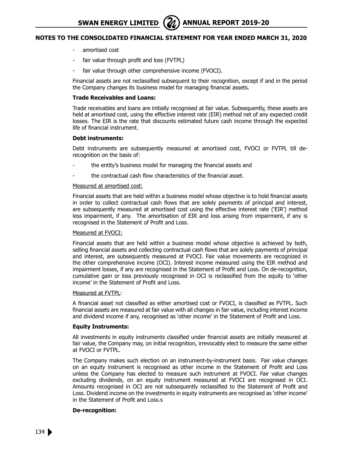# **Notes to the Consolidated Financial Statement for year ended March 31, 2020**

- amortised cost
- fair value through profit and loss (FVTPL)
- fair value through other comprehensive income (FVOCI).

Financial assets are not reclassified subsequent to their recognition, except if and in the period the Company changes its business model for managing financial assets.

#### **Trade Receivables and Loans:**

Trade receivables and loans are initially recognised at fair value. Subsequently, these assets are held at amortised cost, using the effective interest rate (EIR) method net of any expected credit losses. The EIR is the rate that discounts estimated future cash income through the expected life of financial instrument.

#### **Debt instruments:**

Debt instruments are subsequently measured at amortised cost, FVOCI or FVTPL till derecognition on the basis of:

- the entity's business model for managing the financial assets and
- the contractual cash flow characteristics of the financial asset.

#### Measured at amortised cost:

Financial assets that are held within a business model whose objective is to hold financial assets in order to collect contractual cash flows that are solely payments of principal and interest, are subsequently measured at amortised cost using the effective interest rate ('EIR') method less impairment, if any. The amortisation of EIR and loss arising from impairment, if any is recognised in the Statement of Profit and Loss.

#### Measured at FVOCI:

Financial assets that are held within a business model whose objective is achieved by both, selling financial assets and collecting contractual cash flows that are solely payments of principal and interest, are subsequently measured at FVOCI. Fair value movements are recognized in the other comprehensive income (OCI). Interest income measured using the EIR method and impairment losses, if any are recognised in the Statement of Profit and Loss. On de-recognition, cumulative gain or loss previously recognised in OCI is reclassified from the equity to 'other income' in the Statement of Profit and Loss.

#### Measured at FVTPL:

A financial asset not classified as either amortised cost or FVOCI, is classified as FVTPL. Such financial assets are measured at fair value with all changes in fair value, including interest income and dividend income if any, recognised as 'other income' in the Statement of Profit and Loss.

#### **Equity Instruments:**

All investments in equity instruments classified under financial assets are initially measured at fair value, the Company may, on initial recognition, irrevocably elect to measure the same either at FVOCI or FVTPL.

The Company makes such election on an instrument-by-instrument basis. Fair value changes on an equity instrument is recognised as other income in the Statement of Profit and Loss unless the Company has elected to measure such instrument at FVOCI. Fair value changes excluding dividends, on an equity instrument measured at FVOCI are recognised in OCI. Amounts recognised in OCI are not subsequently reclassified to the Statement of Profit and Loss. Dividend income on the investments in equity instruments are recognised as 'other income' in the Statement of Profit and Loss.s

#### **De-recognition:**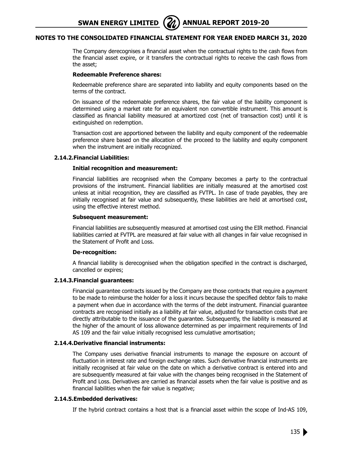## **Notes to the Consolidated Financial Statement for year ended March 31, 2020**

The Company derecognises a financial asset when the contractual rights to the cash flows from the financial asset expire, or it transfers the contractual rights to receive the cash flows from the asset;

#### **Redeemable Preference shares:**

Redeemable preference share are separated into liability and equity components based on the terms of the contract.

On issuance of the redeemable preference shares, the fair value of the liability component is determined using a market rate for an equivalent non convertible instrument. This amount is classified as financial liability measured at amortized cost (net of transaction cost) until it is extinguished on redemption.

Transaction cost are apportioned between the liability and equity component of the redeemable preference share based on the allocation of the proceed to the liability and equity component when the instrument are initially recognized.

#### **2.14.2.Financial Liabilities:**

#### **Initial recognition and measurement:**

Financial liabilities are recognised when the Company becomes a party to the contractual provisions of the instrument. Financial liabilities are initially measured at the amortised cost unless at initial recognition, they are classified as FVTPL. In case of trade payables, they are initially recognised at fair value and subsequently, these liabilities are held at amortised cost, using the effective interest method.

#### **Subsequent measurement:**

Financial liabilities are subsequently measured at amortised cost using the EIR method. Financial liabilities carried at FVTPL are measured at fair value with all changes in fair value recognised in the Statement of Profit and Loss.

#### **De-recognition:**

A financial liability is derecognised when the obligation specified in the contract is discharged, cancelled or expires;

#### **2.14.3.Financial guarantees:**

Financial guarantee contracts issued by the Company are those contracts that require a payment to be made to reimburse the holder for a loss it incurs because the specified debtor fails to make a payment when due in accordance with the terms of the debt instrument. Financial guarantee contracts are recognised initially as a liability at fair value, adjusted for transaction costs that are directly attributable to the issuance of the guarantee. Subsequently, the liability is measured at the higher of the amount of loss allowance determined as per impairment requirements of Ind AS 109 and the fair value initially recognised less cumulative amortisation;

#### **2.14.4.Derivative financial instruments:**

The Company uses derivative financial instruments to manage the exposure on account of fluctuation in interest rate and foreign exchange rates. Such derivative financial instruments are initially recognised at fair value on the date on which a derivative contract is entered into and are subsequently measured at fair value with the changes being recognised in the Statement of Profit and Loss. Derivatives are carried as financial assets when the fair value is positive and as financial liabilities when the fair value is negative;

#### **2.14.5.Embedded derivatives:**

If the hybrid contract contains a host that is a financial asset within the scope of Ind-AS 109,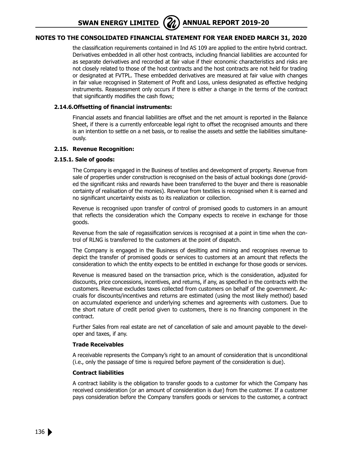

# **Notes to the Consolidated Financial Statement for year ended March 31, 2020**

the classification requirements contained in Ind AS 109 are applied to the entire hybrid contract. Derivatives embedded in all other host contracts, including financial liabilities are accounted for as separate derivatives and recorded at fair value if their economic characteristics and risks are not closely related to those of the host contracts and the host contracts are not held for trading or designated at FVTPL. These embedded derivatives are measured at fair value with changes in fair value recognised in Statement of Profit and Loss, unless designated as effective hedging instruments. Reassessment only occurs if there is either a change in the terms of the contract that significantly modifies the cash flows;

#### **2.14.6.Offsetting of financial instruments:**

Financial assets and financial liabilities are offset and the net amount is reported in the Balance Sheet, if there is a currently enforceable legal right to offset the recognised amounts and there is an intention to settle on a net basis, or to realise the assets and settle the liabilities simultaneously.

#### **2.15. Revenue Recognition:**

#### **2.15.1. Sale of goods:**

The Company is engaged in the Business of textiles and development of property. Revenue from sale of properties under construction is recognised on the basis of actual bookings done (provided the significant risks and rewards have been transferred to the buyer and there is reasonable certainty of realisation of the monies). Revenue from textiles is recognised when it is earned and no significant uncertainty exists as to its realization or collection.

Revenue is recognised upon transfer of control of promised goods to customers in an amount that reflects the consideration which the Company expects to receive in exchange for those goods.

Revenue from the sale of regassification services is recognised at a point in time when the control of RLNG is transferred to the customers at the point of dispatch.

The Company is engaged in the Business of desilting and mining and recognises revenue to depict the transfer of promised goods or services to customers at an amount that reflects the consideration to which the entity expects to be entitled in exchange for those goods or services.

Revenue is measured based on the transaction price, which is the consideration, adjusted for discounts, price concessions, incentives, and returns, if any, as specified in the contracts with the customers. Revenue excludes taxes collected from customers on behalf of the government. Accruals for discounts/incentives and returns are estimated (using the most likely method) based on accumulated experience and underlying schemes and agreements with customers. Due to the short nature of credit period given to customers, there is no financing component in the contract.

Further Sales from real estate are net of cancellation of sale and amount payable to the developer and taxes, if any.

#### **Trade Receivables**

A receivable represents the Company's right to an amount of consideration that is unconditional (i.e., only the passage of time is required before payment of the consideration is due).

#### **Contract liabilities**

A contract liability is the obligation to transfer goods to a customer for which the Company has received consideration (or an amount of consideration is due) from the customer. If a customer pays consideration before the Company transfers goods or services to the customer, a contract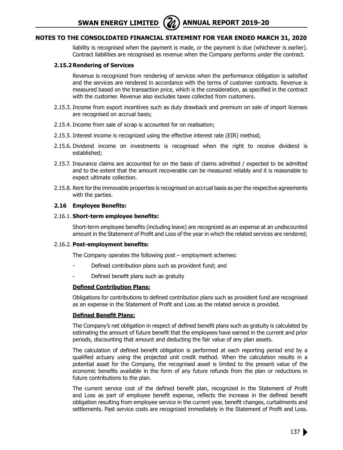# **Notes to the Consolidated Financial Statement for year ended March 31, 2020**

liability is recognised when the payment is made, or the payment is due (whichever is earlier). Contract liabilities are recognised as revenue when the Company performs under the contract.

#### **2.15.2 Rendering of Services**

Revenue is recognized from rendering of services when the performance obligation is satisfied and the services are rendered in accordance with the terms of customer contracts. Revenue is measured based on the transaction price, which is the consideration, as specified in the contract with the customer. Revenue also excludes taxes collected from customers.

- 2.15.3. Income from export incentives such as duty drawback and premium on sale of import licenses are recognised on accrual basis;
- 2.15.4. Income from sale of scrap is accounted for on realisation;
- 2.15.5. Interest income is recognized using the effective interest rate (EIR) method;
- 2.15.6. Dividend income on investments is recognised when the right to receive dividend is established;
- 2.15.7. Insurance claims are accounted for on the basis of claims admitted / expected to be admitted and to the extent that the amount recoverable can be measured reliably and it is reasonable to expect ultimate collection.
- 2.15.8. Rent for the immovable properties is recognised on accrual basis as per the respective agreements with the parties.

#### **2.16 Employee Benefits:**

#### 2.16.1. **Short-term employee benefits:**

Short-term employee benefits (including leave) are recognized as an expense at an undiscounted amount in the Statement of Profit and Loss of the year in which the related services are rendered;

#### 2.16.2. **Post-employment benefits:**

The Company operates the following post – employment schemes:

- Defined contribution plans such as provident fund; and
- Defined benefit plans such as gratuity

#### **Defined Contribution Plans:**

Obligations for contributions to defined contribution plans such as provident fund are recognised as an expense in the Statement of Profit and Loss as the related service is provided.

#### **Defined Benefit Plans:**

The Company's net obligation in respect of defined benefit plans such as gratuity is calculated by estimating the amount of future benefit that the employees have earned in the current and prior periods, discounting that amount and deducting the fair value of any plan assets.

The calculation of defined benefit obligation is performed at each reporting period end by a qualified actuary using the projected unit credit method. When the calculation results in a potential asset for the Company, the recognised asset is limited to the present value of the economic benefits available in the form of any future refunds from the plan or reductions in future contributions to the plan.

The current service cost of the defined benefit plan, recognized in the Statement of Profit and Loss as part of employee benefit expense, reflects the increase in the defined benefit obligation resulting from employee service in the current year, benefit changes, curtailments and settlements. Past service costs are recognized immediately in the Statement of Profit and Loss.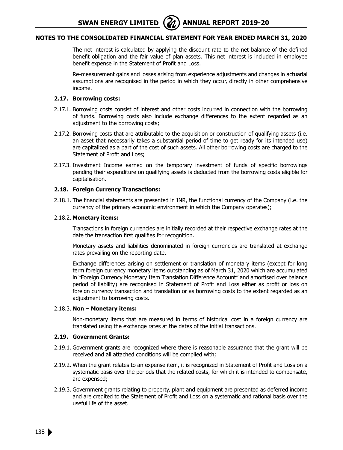# **Notes to the Consolidated Financial Statement for year ended March 31, 2020**

The net interest is calculated by applying the discount rate to the net balance of the defined benefit obligation and the fair value of plan assets. This net interest is included in employee benefit expense in the Statement of Profit and Loss.

Re-measurement gains and losses arising from experience adjustments and changes in actuarial assumptions are recognised in the period in which they occur, directly in other comprehensive income.

#### **2.17. Borrowing costs:**

- 2.17.1. Borrowing costs consist of interest and other costs incurred in connection with the borrowing of funds. Borrowing costs also include exchange differences to the extent regarded as an adjustment to the borrowing costs;
- 2.17.2. Borrowing costs that are attributable to the acquisition or construction of qualifying assets (i.e. an asset that necessarily takes a substantial period of time to get ready for its intended use) are capitalized as a part of the cost of such assets. All other borrowing costs are charged to the Statement of Profit and Loss;
- 2.17.3. Investment Income earned on the temporary investment of funds of specific borrowings pending their expenditure on qualifying assets is deducted from the borrowing costs eligible for capitalisation.

#### **2.18. Foreign Currency Transactions:**

2.18.1. The financial statements are presented in INR, the functional currency of the Company (i.e. the currency of the primary economic environment in which the Company operates);

#### 2.18.2. **Monetary items:**

Transactions in foreign currencies are initially recorded at their respective exchange rates at the date the transaction first qualifies for recognition.

Monetary assets and liabilities denominated in foreign currencies are translated at exchange rates prevailing on the reporting date.

Exchange differences arising on settlement or translation of monetary items (except for long term foreign currency monetary items outstanding as of March 31, 2020 which are accumulated in "Foreign Currency Monetary Item Translation Difference Account" and amortised over balance period of liability) are recognised in Statement of Profit and Loss either as profit or loss on foreign currency transaction and translation or as borrowing costs to the extent regarded as an adjustment to borrowing costs.

#### 2.18.3. **Non – Monetary items:**

Non-monetary items that are measured in terms of historical cost in a foreign currency are translated using the exchange rates at the dates of the initial transactions.

### **2.19. Government Grants:**

- 2.19.1. Government grants are recognized where there is reasonable assurance that the grant will be received and all attached conditions will be complied with;
- 2.19.2. When the grant relates to an expense item, it is recognized in Statement of Profit and Loss on a systematic basis over the periods that the related costs, for which it is intended to compensate, are expensed;
- 2.19.3. Government grants relating to property, plant and equipment are presented as deferred income and are credited to the Statement of Profit and Loss on a systematic and rational basis over the useful life of the asset.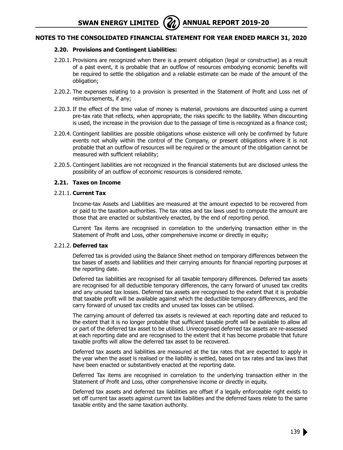## **2.20. Provisions and Contingent Liabilities:**

- 2.20.1. Provisions are recognized when there is a present obligation (legal or constructive) as a result of a past event, it is probable that an outflow of resources embodying economic benefits will be required to settle the obligation and a reliable estimate can be made of the amount of the obligation;
- 2.20.2. The expenses relating to a provision is presented in the Statement of Profit and Loss net of reimbursements, if any;
- 2.20.3. If the effect of the time value of money is material, provisions are discounted using a current pre-tax rate that reflects, when appropriate, the risks specific to the liability. When discounting is used, the increase in the provision due to the passage of time is recognized as a finance cost;
- 2.20.4. Contingent liabilities are possible obligations whose existence will only be confirmed by future events not wholly within the control of the Company, or present obligations where it is not probable that an outflow of resources will be required or the amount of the obligation cannot be measured with sufficient reliability;
- 2.20.5. Contingent liabilities are not recognized in the financial statements but are disclosed unless the possibility of an outflow of economic resources is considered remote.

#### **2.21. Taxes on Income**

#### 2.21.1. **Current Tax**

Income-tax Assets and Liabilities are measured at the amount expected to be recovered from or paid to the taxation authorities. The tax rates and tax laws used to compute the amount are those that are enacted or substantively enacted, by the end of reporting period.

Current Tax items are recognised in correlation to the underlying transaction either in the Statement of Profit and Loss, other comprehensive income or directly in equity;

#### 2.21.2. **Deferred tax**

Deferred tax is provided using the Balance Sheet method on temporary differences between the tax bases of assets and liabilities and their carrying amounts for financial reporting purposes at the reporting date.

Deferred tax liabilities are recognised for all taxable temporary differences. Deferred tax assets are recognised for all deductible temporary differences, the carry forward of unused tax credits and any unused tax losses. Deferred tax assets are recognised to the extent that it is probable that taxable profit will be available against which the deductible temporary differences, and the carry forward of unused tax credits and unused tax losses can be utilised.

The carrying amount of deferred tax assets is reviewed at each reporting date and reduced to the extent that it is no longer probable that sufficient taxable profit will be available to allow all or part of the deferred tax asset to be utilised. Unrecognised deferred tax assets are re-assessed at each reporting date and are recognised to the extent that it has become probable that future taxable profits will allow the deferred tax asset to be recovered.

Deferred tax assets and liabilities are measured at the tax rates that are expected to apply in the year when the asset is realised or the liability is settled, based on tax rates and tax laws that have been enacted or substantively enacted at the reporting date.

Deferred Tax items are recognised in correlation to the underlying transaction either in the Statement of Profit and Loss, other comprehensive income or directly in equity.

Deferred tax assets and deferred tax liabilities are offset if a legally enforceable right exists to set off current tax assets against current tax liabilities and the deferred taxes relate to the same taxable entity and the same taxation authority.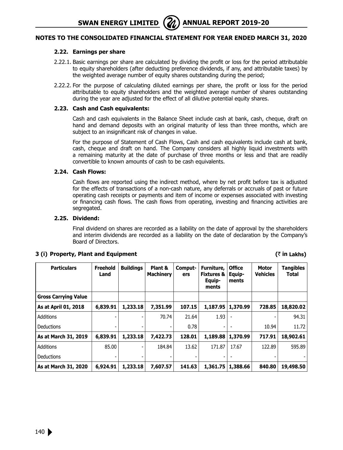#### **2.22. Earnings per share**

- 2.22.1. Basic earnings per share are calculated by dividing the profit or loss for the period attributable to equity shareholders (after deducting preference dividends, if any, and attributable taxes) by the weighted average number of equity shares outstanding during the period;
- 2.22.2. For the purpose of calculating diluted earnings per share, the profit or loss for the period attributable to equity shareholders and the weighted average number of shares outstanding during the year are adjusted for the effect of all dilutive potential equity shares.

#### **2.23. Cash and Cash equivalents:**

Cash and cash equivalents in the Balance Sheet include cash at bank, cash, cheque, draft on hand and demand deposits with an original maturity of less than three months, which are subject to an insignificant risk of changes in value.

For the purpose of Statement of Cash Flows, Cash and cash equivalents include cash at bank, cash, cheque and draft on hand. The Company considers all highly liquid investments with a remaining maturity at the date of purchase of three months or less and that are readily convertible to known amounts of cash to be cash equivalents.

#### **2.24. Cash Flows:**

Cash flows are reported using the indirect method, where by net profit before tax is adjusted for the effects of transactions of a non-cash nature, any deferrals or accruals of past or future operating cash receipts or payments and item of income or expenses associated with investing or financing cash flows. The cash flows from operating, investing and financing activities are segregated.

#### **2.25. Dividend:**

Final dividend on shares are recorded as a liability on the date of approval by the shareholders and interim dividends are recorded as a liability on the date of declaration by the Company's Board of Directors.

#### **Particulars Freehold Land Buildings Plant & Machinery Computers Furniture, Fixtures & Equipments Office Equipments Motor Vehicles Tangibles Total Gross Carrying Value As at April 01, 2018 6,839.91 1,233.18 7,351.99 107.15 1,187.95 1,370.99 728.85 18,820.02**  Additions - | - | 70.74 | 21.64 | 1.93 | - | - | 94.31 Deductions - | - | - | 0.78 | - | - | 10.94 | 11.72 | **As at March 31, 2019 6,839.91 1,233.18 7,422.73 128.01 1,189.88 1,370.99 717.91 18,902.61**  Additions 85.00 - 184.84 13.62 171.87 17.67 122.89 595.89 Deductions - | - | - | - | - | | - | - | -**As at March 31, 2020 6,924.91 1,233.18 7,607.57 141.63 1,361.75 1,388.66 840.80 19,498.50**

#### **3 (i) Property, Plant and Equipment (**` **in Lakhs)**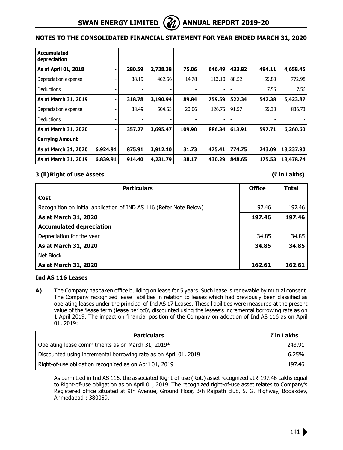

# **Notes to the Consolidated Financial Statement for year ended March 31, 2020**

| <b>Accumulated</b><br>depreciation |          |        |          |        |        |        |        |           |
|------------------------------------|----------|--------|----------|--------|--------|--------|--------|-----------|
| As at April 01, 2018               | ۰        | 280.59 | 2,728.38 | 75.06  | 646.49 | 433.82 | 494.11 | 4,658.45  |
| Depreciation expense               |          | 38.19  | 462.56   | 14.78  | 113.10 | 88.52  | 55.83  | 772.98    |
| Deductions                         |          |        |          |        |        |        | 7.56   | 7.56      |
| As at March 31, 2019               | ۰        | 318.78 | 3,190.94 | 89.84  | 759.59 | 522.34 | 542.38 | 5,423.87  |
| Depreciation expense               |          | 38.49  | 504.53   | 20.06  | 126.75 | 91.57  | 55.33  | 836.73    |
| <b>Deductions</b>                  |          |        |          |        |        |        |        |           |
| As at March 31, 2020               | ۰        | 357.27 | 3,695.47 | 109.90 | 886.34 | 613.91 | 597.71 | 6,260.60  |
| <b>Carrying Amount</b>             |          |        |          |        |        |        |        |           |
| As at March 31, 2020               | 6,924.91 | 875.91 | 3,912.10 | 31.73  | 475.41 | 774.75 | 243.09 | 13,237.90 |
| As at March 31, 2019               | 6,839.91 | 914.40 | 4,231.79 | 38.17  | 430.29 | 848.65 | 175.53 | 13,478.74 |

#### **3 (ii)Right of use Assets (**` **in Lakhs)**

| <b>Particulars</b>                                                  | <b>Office</b> | <b>Total</b> |
|---------------------------------------------------------------------|---------------|--------------|
| Cost                                                                |               |              |
| Recognition on initial application of IND AS 116 (Refer Note Below) | 197.46        | 197.46       |
| As at March 31, 2020                                                | 197.46        | 197.46       |
| <b>Accumulated depreciation</b>                                     |               |              |
| Depreciation for the year                                           | 34.85         | 34.85        |
| As at March 31, 2020                                                | 34.85         | 34.85        |
| Net Block                                                           |               |              |
| As at March 31, 2020                                                | 162.61        | 162.61       |

#### **Ind AS 116 Leases**

**A)** The Company has taken office building on lease for 5 years .Such lease is renewable by mutual consent. The Company recognized lease liabilities in relation to leases which had previously been classified as operating leases under the principal of Ind AS 17 Leases. These liabilities were measured at the present value of the 'lease term (lease period)', discounted using the lessee's incremental borrowing rate as on 1 April 2019. The impact on financial position of the Company on adoption of Ind AS 116 as on April 01, 2019:

| <b>Particulars</b>                                               | ₹ in Lakhs |
|------------------------------------------------------------------|------------|
| Operating lease commitments as on March 31, 2019 $*$             | 243.91     |
| Discounted using incremental borrowing rate as on April 01, 2019 | 6.25%      |
| Right-of-use obligation recognized as on April 01, 2019          | 197.46     |

As permitted in Ind AS 116, the associated Right-of-use (RoU) asset recognized at  $\bar{\tau}$  197.46 Lakhs equal to Right-of-use obligation as on April 01, 2019. The recognized right-of-use asset relates to Company's Registered office situated at 9th Avenue, Ground Floor, B/h Rajpath club, S. G. Highway, Bodakdev, Ahmedabad : 380059.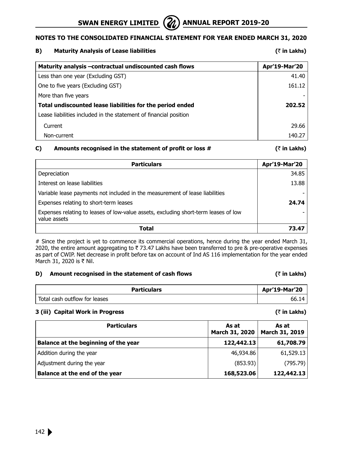

 $($ **₹** in Lakhs)

| Maturity analysis - contractual undiscounted cash flows           | Apr'19-Mar'20 |
|-------------------------------------------------------------------|---------------|
| Less than one year (Excluding GST)                                | 41.40         |
| One to five years (Excluding GST)                                 | 161.12        |
| More than five years                                              |               |
| Total undiscounted lease liabilities for the period ended         | 202.52        |
| Lease liabilities included in the statement of financial position |               |
| Current                                                           | 29.66         |
| Non-current                                                       | 140.27        |

### **C)** Amounts recognised in the statement of profit or loss  $\#$   $\qquad$   $\qquad$   $\qquad$   $\qquad$   $\qquad$   $\qquad$   $\qquad$   $\qquad$   $\qquad$   $\qquad$   $\qquad$   $\qquad$   $\qquad$   $\qquad$   $\qquad$   $\qquad$   $\qquad$   $\qquad$   $\qquad$   $\qquad$   $\qquad$   $\qquad$   $\qquad$   $\qquad$   $\qquad$   $\qquad$

| <b>Particulars</b>                                                                                  | Apr'19-Mar'20 |
|-----------------------------------------------------------------------------------------------------|---------------|
| Depreciation                                                                                        | 34.85         |
| Interest on lease liabilities                                                                       | 13.88         |
| Variable lease payments not included in the measurement of lease liabilities                        |               |
| Expenses relating to short-term leases                                                              | 24.74         |
| Expenses relating to leases of low-value assets, excluding short-term leases of low<br>value assets |               |
| Total                                                                                               | 73.47         |

# Since the project is yet to commence its commercial operations, hence during the year ended March 31, 2020, the entire amount aggregating to  $\bar{\tau}$  73.47 Lakhs have been transferred to pre & pre-operative expenses as part of CWIP. Net decrease in profit before tax on account of Ind AS 116 implementation for the year ended March 31, 2020 is  $\bar{\tau}$  Nil.

### **D)** Amount recognised in the statement of cash flows  $(\bar{z})$  in Lakhs)

# Particulars **Particulars Apr'19-Mar'20** Total cash outflow for leases 66.14

### **3 (iii) Capital Work in Progress (**` **in Lakhs)**

| <b>Particulars</b>                   | As at<br>March 31, 2020 | As at<br>March 31, 2019 |  |
|--------------------------------------|-------------------------|-------------------------|--|
| Balance at the beginning of the year | 122,442.13              | 61,708.79               |  |
| Addition during the year             | 46,934.86               | 61,529.13               |  |
| Adjustment during the year           | (853.93)                | (795.79)                |  |
| Balance at the end of the year       | 168,523.06              | 122,442.13              |  |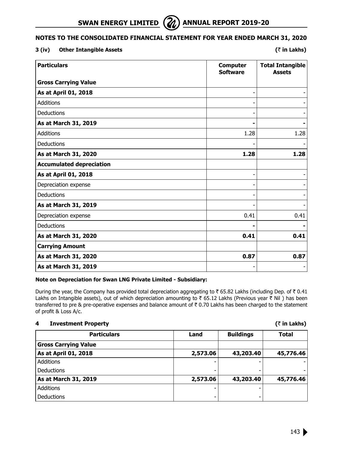

## **3 (iv) Other Intangible Assets (**` **in Lakhs)**

| <b>Particulars</b>              | <b>Computer</b><br><b>Software</b> | <b>Total Intangible</b><br><b>Assets</b> |
|---------------------------------|------------------------------------|------------------------------------------|
| <b>Gross Carrying Value</b>     |                                    |                                          |
| As at April 01, 2018            |                                    |                                          |
| <b>Additions</b>                |                                    |                                          |
| Deductions                      |                                    |                                          |
| As at March 31, 2019            |                                    |                                          |
| <b>Additions</b>                | 1.28                               | 1.28                                     |
| Deductions                      |                                    |                                          |
| As at March 31, 2020            | 1.28                               | 1.28                                     |
| <b>Accumulated depreciation</b> |                                    |                                          |
| As at April 01, 2018            |                                    |                                          |
| Depreciation expense            |                                    |                                          |
| Deductions                      |                                    |                                          |
| As at March 31, 2019            |                                    |                                          |
| Depreciation expense            | 0.41                               | 0.41                                     |
| Deductions                      |                                    |                                          |
| As at March 31, 2020            | 0.41                               | 0.41                                     |
| <b>Carrying Amount</b>          |                                    |                                          |
| As at March 31, 2020            | 0.87                               | 0.87                                     |
| As at March 31, 2019            |                                    |                                          |

#### **Note on Depreciation for Swan LNG Private Limited - Subsidiary:**

During the year, the Company has provided total depreciation aggregating to  $\bar{\tau}$  65.82 Lakhs (including Dep. of  $\bar{\tau}$  0.41 Lakhs on Intangible assets), out of which depreciation amounting to  $\bar{\tau}$  65.12 Lakhs (Previous year  $\bar{\tau}$  Nil) has been transferred to pre & pre-operative expenses and balance amount of  $\bar{\tau}$  0.70 Lakhs has been charged to the statement of profit & Loss A/c.

## **4 Investment Property (**` **in Lakhs)**

| <b>Particulars</b>          | Land     | <b>Buildings</b> | Total     |
|-----------------------------|----------|------------------|-----------|
| <b>Gross Carrying Value</b> |          |                  |           |
| As at April 01, 2018        | 2,573.06 | 43,203.40        | 45,776.46 |
| <b>Additions</b>            |          |                  |           |
| <b>Deductions</b>           |          |                  |           |
| As at March 31, 2019        | 2,573.06 | 43,203.40        | 45,776.46 |
| <b>Additions</b>            |          |                  |           |
| <b>Deductions</b>           |          |                  |           |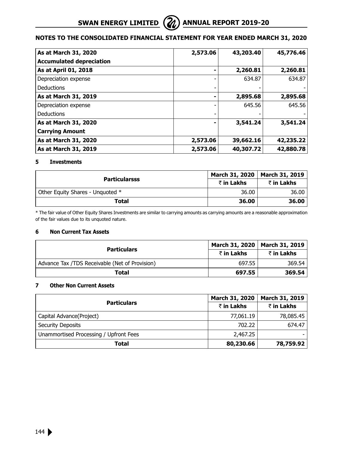| As at March 31, 2020            | 2,573.06 | 43,203.40 | 45,776.46 |
|---------------------------------|----------|-----------|-----------|
| <b>Accumulated depreciation</b> |          |           |           |
| As at April 01, 2018            |          | 2,260.81  | 2,260.81  |
| Depreciation expense            |          | 634.87    | 634.87    |
| Deductions                      |          |           |           |
| As at March 31, 2019            |          | 2,895.68  | 2,895.68  |
| Depreciation expense            |          | 645.56    | 645.56    |
| <b>Deductions</b>               |          |           |           |
| As at March 31, 2020            |          | 3,541.24  | 3,541.24  |
| <b>Carrying Amount</b>          |          |           |           |
| As at March 31, 2020            | 2,573.06 | 39,662.16 | 42,235.22 |
| As at March 31, 2019            | 2,573.06 | 40,307.72 | 42,880.78 |

#### **5 Investments**

| <b>Particularsss</b>             | March 31, 2020   March 31, 2019 |            |
|----------------------------------|---------------------------------|------------|
|                                  | ₹ in Lakhs                      | ₹ in Lakhs |
| Other Equity Shares - Unquoted * | 36.00                           | 36.00      |
| Total                            | 36.00                           | 36.00      |

\* The fair value of Other Equity Shares Investments are similar to carrying amounts as carrying amounts are a reasonable approximation of the fair values due to its unquoted nature.

## **6 Non Current Tax Assets**

|                                                | March 31, 2020   March 31, 2019 |            |
|------------------------------------------------|---------------------------------|------------|
| <b>Particulars</b>                             | ₹ in Lakhs                      | ₹ in Lakhs |
| Advance Tax /TDS Receivable (Net of Provision) | 697.55                          | 369.54     |
| Total                                          | 697.55                          | 369.54     |

#### **7 Other Non Current Assets**

| <b>Particulars</b>                     | March 31, 2020 | March 31, 2019 |
|----------------------------------------|----------------|----------------|
|                                        | ₹ in Lakhs     | ₹ in Lakhs     |
| Capital Advance (Project)              | 77,061.19      | 78,085.45      |
| Security Deposits                      | 702.22         | 674.47         |
| Unammortised Processing / Upfront Fees | 2,467.25       |                |
| Total                                  | 80,230.66      | 78,759.92      |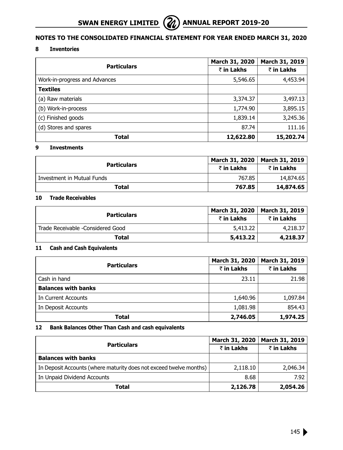# **8 Inventories**

| <b>Particulars</b>            | March 31, 2020 | March 31, 2019 |  |
|-------------------------------|----------------|----------------|--|
|                               | ₹ in Lakhs     | ₹ in Lakhs     |  |
| Work-in-progress and Advances | 5,546.65       | 4,453.94       |  |
| <b>Textiles</b>               |                |                |  |
| (a) Raw materials             | 3,374.37       | 3,497.13       |  |
| (b) Work-in-process           | 1,774.90       | 3,895.15       |  |
| (c) Finished goods            | 1,839.14       | 3,245.36       |  |
| (d) Stores and spares         | 87.74          | 111.16         |  |
| Total                         | 12,622.80      | 15,202.74      |  |

#### **9 Investments**

| <b>Particulars</b>         |            | March 31, 2020   March 31, 2019 |  |
|----------------------------|------------|---------------------------------|--|
|                            | ₹ in Lakhs | ₹ in Lakhs                      |  |
| Investment in Mutual Funds | 767.85     | 14,874.65                       |  |
| Total                      | 767.85     | 14,874.65                       |  |

# **10 Trade Receivables**

| <b>Particulars</b>                | March 31, 2020   March 31, 2019 |            |  |
|-----------------------------------|---------------------------------|------------|--|
|                                   | ₹ in Lakhs                      | ₹ in Lakhs |  |
| Trade Receivable -Considered Good | 5,413.22                        | 4,218.37   |  |
| Total                             | 5,413.22                        | 4,218.37   |  |

# **11 Cash and Cash Equivalents**

| <b>Particulars</b>         | March 31, 2020 | March 31, 2019 |
|----------------------------|----------------|----------------|
|                            | ₹ in Lakhs     | ₹ in Lakhs     |
| Cash in hand               | 23.11          | 21.98          |
| <b>Balances with banks</b> |                |                |
| In Current Accounts        | 1,640.96       | 1,097.84       |
| In Deposit Accounts        | 1,081.98       | 854.43         |
| Total                      | 2,746.05       | 1,974.25       |

# **12 Bank Balances Other Than Cash and cash equivalents**

|                                                                    | March 31, 2020 | March 31, 2019<br>₹ in Lakhs |  |
|--------------------------------------------------------------------|----------------|------------------------------|--|
| <b>Particulars</b>                                                 | ₹ in Lakhs     |                              |  |
| <b>Balances with banks</b>                                         |                |                              |  |
| In Deposit Accounts (where maturity does not exceed twelve months) | 2,118.10       | 2,046.34                     |  |
| In Unpaid Dividend Accounts                                        | 8.68           | 7.92                         |  |
| Total                                                              | 2,126.78       | 2,054.26                     |  |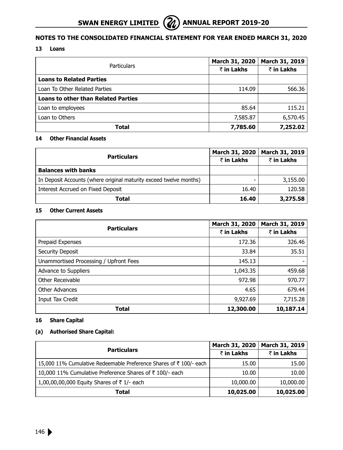# **13 Loans**

| Particulars                                | <b>March 31, 2020</b> | March 31, 2019 |
|--------------------------------------------|-----------------------|----------------|
|                                            | ₹ in Lakhs            | ₹ in Lakhs     |
| <b>Loans to Related Parties</b>            |                       |                |
| Loan To Other Related Parties              | 114.09                | 566.36         |
| <b>Loans to other than Related Parties</b> |                       |                |
| Loan to employees                          | 85.64                 | 115.21         |
| Loan to Others                             | 7,585.87              | 6,570.45       |
| Total                                      | 7,785.60              | 7,252.02       |

# **14 Other Financial Assets**

|                                                                    | <b>March 31, 2020</b> | March 31, 2019 |  |
|--------------------------------------------------------------------|-----------------------|----------------|--|
| <b>Particulars</b>                                                 | ₹ in Lakhs            | ₹ in Lakhs     |  |
| <b>Balances with banks</b>                                         |                       |                |  |
| In Deposit Accounts (where original maturity exceed twelve months) |                       | 3,155.00       |  |
| Interest Accrued on Fixed Deposit                                  | 16.40                 | 120.58         |  |
| Total                                                              | 16.40                 | 3,275.58       |  |

### **15 Other Current Assets**

|                                        | <b>March 31, 2020</b> | March 31, 2019     |
|----------------------------------------|-----------------------|--------------------|
| <b>Particulars</b>                     | ₹ in Lakhs            | $\bar{z}$ in Lakhs |
| Prepaid Expenses                       | 172.36                | 326.46             |
| Security Deposit                       | 33.84                 | 35.51              |
| Unammortised Processing / Upfront Fees | 145.13                |                    |
| Advance to Suppliers                   | 1,043.35              | 459.68             |
| Other Receivable                       | 972.98                | 970.77             |
| Other Advances                         | 4.65                  | 679.44             |
| Input Tax Credit                       | 9,927.69              | 7,715.28           |
| Total                                  | 12,300.00             | 10,187.14          |

# **16 Share Capital**

# **(a) Authorised Share Capital:**

|                                                                   | March 31, 2020 | March 31, 2019 |
|-------------------------------------------------------------------|----------------|----------------|
| <b>Particulars</b>                                                | ₹ in Lakhs     | ₹ in Lakhs     |
| 15,000 11% Cumulative Redeemable Preference Shares of ₹100/- each | 15.00          | 15.00          |
| 10,000 11% Cumulative Preference Shares of ₹100/- each            | 10.00          | 10.00          |
| 1,00,00,00,000 Equity Shares of ₹1/- each                         | 10,000.00      | 10,000.00      |
| Total                                                             | 10,025.00      | 10,025.00      |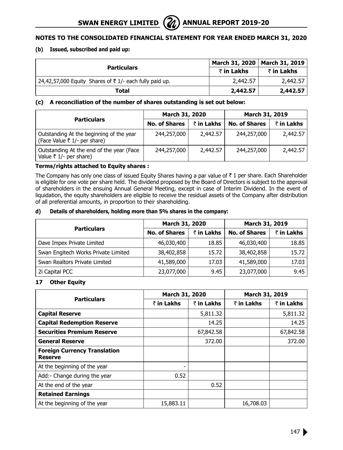# **(b) Issued, subscribed and paid up:**

| <b>Particulars</b>                                                   | March 31, 2020   March 31, 2019 |            |
|----------------------------------------------------------------------|---------------------------------|------------|
|                                                                      | ₹ in Lakhs                      | ₹ in Lakhs |
| 24,42,57,000 Equity Shares of $\overline{z}$ 1/- each fully paid up. | 2,442.57                        | 2,442.57   |
| Total                                                                | 2,442.57                        | 2,442.57   |

# **(c) A reconciliation of the number of shares outstanding is set out below:**

|                                                                          | March 31, 2020       |            | March 31, 2019       |            |
|--------------------------------------------------------------------------|----------------------|------------|----------------------|------------|
| <b>Particulars</b>                                                       | <b>No. of Shares</b> | ₹ in Lakhs | <b>No. of Shares</b> | ₹ in Lakhs |
| Outstanding At the beginning of the year<br>(Face Value ₹ 1/- per share) | 244,257,000          | 2,442.57   | 244,257,000          | 2,442.57   |
| Outstanding At the end of the year (Face<br>Value ₹ $1/-$ per share)     | 244,257,000          | 2,442.57   | 244,257,000          | 2,442.57   |

# **Terms/rights attached to Equity shares :**

The Company has only one class of issued Equity Shares having a par value of  $\bar{\tau}$  1 per share. Each Shareholder is eligible for one vote per share held. The dividend proposed by the Board of Directors is subject to the approval of shareholders in the ensuing Annual General Meeting, except in case of Interim Dividend. In the event of liquidation, the equity shareholders are eligible to receive the residual assets of the Company after distribution of all preferential amounts, in proportion to their shareholding.

# **d) Details of shareholders, holding more than 5% shares in the company:**

|                                     | March 31, 2020       |                    | March 31, 2019       |            |
|-------------------------------------|----------------------|--------------------|----------------------|------------|
| <b>Particulars</b>                  | <b>No. of Shares</b> | $\bar{z}$ in Lakhs | <b>No. of Shares</b> | ₹ in Lakhs |
| Dave Impex Private Limited          | 46,030,400           | 18.85              | 46,030,400           | 18.85      |
| Swan Engitech Works Private Limited | 38,402,858           | 15.72              | 38,402,858           | 15.72      |
| Swan Realtors Private Limited       | 41,589,000           | 17.03              | 41,589,000           | 17.03      |
| 2i Capital PCC                      | 23,077,000           | 9.45               | 23,077,000           | 9.45       |

# **17 Other Equity**

|                                                       |            | March 31, 2020     |            | March 31, 2019 |  |
|-------------------------------------------------------|------------|--------------------|------------|----------------|--|
| <b>Particulars</b>                                    | ₹ in Lakhs | $\bar{z}$ in Lakhs | ₹ in Lakhs | ₹ in Lakhs     |  |
| <b>Capital Reserve</b>                                |            | 5,811.32           |            | 5,811.32       |  |
| <b>Capital Redemption Reserve</b>                     |            | 14.25              |            | 14.25          |  |
| <b>Securities Premium Reserve</b>                     |            | 67,842.58          |            | 67,842.58      |  |
| <b>General Reserve</b>                                |            | 372.00             |            | 372.00         |  |
| <b>Foreign Currency Translation</b><br><b>Reserve</b> |            |                    |            |                |  |
| At the beginning of the year                          |            |                    |            |                |  |
| Add: - Change during the year                         | 0.52       |                    |            |                |  |
| At the end of the year                                |            | 0.52               |            |                |  |
| <b>Retained Earnings</b>                              |            |                    |            |                |  |
| At the beginning of the year                          | 15,883.11  |                    | 16,708.03  |                |  |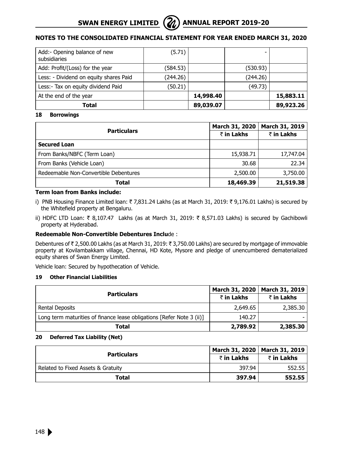

| Add:- Opening balance of new<br>subsidiaries | (5.71)   |           |          |           |
|----------------------------------------------|----------|-----------|----------|-----------|
| Add: Profit/(Loss) for the year              | (584.53) |           | (530.93) |           |
| Less: - Dividend on equity shares Paid       | (244.26) |           | (244.26) |           |
| Less:- Tax on equity dividend Paid           | (50.21)  |           | (49.73)  |           |
| At the end of the year                       |          | 14,998.40 |          | 15,883.11 |
| Total                                        |          | 89,039.07 |          | 89,923.26 |

#### **18 Borrowings**

|                                       | March 31, 2020 | March 31, 2019 |
|---------------------------------------|----------------|----------------|
| <b>Particulars</b>                    | ₹ in Lakhs     | ₹ in Lakhs     |
| <b>Secured Loan</b>                   |                |                |
| From Banks/NBFC (Term Loan)           | 15,938.71      | 17,747.04      |
| From Banks (Vehicle Loan)             | 30.68          | 22.34          |
| Redeemable Non-Convertible Debentures | 2,500.00       | 3,750.00       |
| Total                                 | 18,469.39      | 21,519.38      |

# **Term loan from Banks include:**

- i) PNB Housing Finance Limited loan: ₹7,831.24 Lakhs (as at March 31, 2019: ₹9,176.01 Lakhs) is secured by the Whitefield property at Bengaluru.
- ii) HDFC LTD Loan:  $\bar{\tau}$  8,107.47 Lakhs (as at March 31, 2019:  $\bar{\tau}$  8,571.03 Lakhs) is secured by Gachibowli property at Hyderabad.

# **Redeemable Non-Convertible Debentures Inclu**de :

Debentures of ₹ 2,500.00 Lakhs (as at March 31, 2019: ₹ 3,750.00 Lakhs) are secured by mortgage of immovable property at Kovilambakkam village, Chennai, HD Kote, Mysore and pledge of unencumbered dematerialized equity shares of Swan Energy Limited.

Vehicle loan: Secured by hypothecation of Vehicle.

#### **19 Other Financial Liabilities**

|                                                                       |            | March 31, 2020   March 31, 2019 |
|-----------------------------------------------------------------------|------------|---------------------------------|
| <b>Particulars</b>                                                    | ₹ in Lakhs | ₹ in Lakhs                      |
| Rental Deposits                                                       | 2,649.65   | 2,385.30                        |
| Long term maturities of finance lease obligations [Refer Note 3 (ii)] | 140.27     |                                 |
| Total                                                                 | 2,789.92   | 2,385.30                        |

#### **20 Deferred Tax Liability (Net)**

| <b>Particulars</b>                 |            | March 31, 2020   March 31, 2019 |
|------------------------------------|------------|---------------------------------|
|                                    | ₹ in Lakhs | ₹ in Lakhs                      |
| Related to Fixed Assets & Gratuity | 397.94     | 552.55                          |
| Total                              | 397.94     | 552.55                          |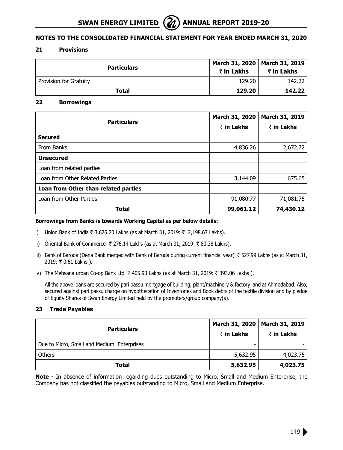# **21 Provisions**

| <b>Particulars</b>     |            | March 31, 2020   March 31, 2019 |
|------------------------|------------|---------------------------------|
|                        | ₹ in Lakhs | ₹ in Lakhs                      |
| Provision for Gratuity | 129.20     | 142.22                          |
| Total                  | 129.20     | 142.22                          |

# **22 Borrowings**

| <b>Particulars</b>                   | March 31, 2020 | March 31, 2019 |
|--------------------------------------|----------------|----------------|
|                                      | ₹ in Lakhs     | ₹ in Lakhs     |
| <b>Secured</b>                       |                |                |
| From Banks                           | 4,836.26       | 2,672.72       |
| <b>Unsecured</b>                     |                |                |
| Loan from related parties            |                |                |
| Loan from Other Related Parties      | 3,144.09       | 675.65         |
| Loan from Other than related parties |                |                |
| Loan from Other Parties              | 91,080.77      | 71,081.75      |
| Total                                | 99,061.12      | 74,430.12      |

#### **Borrowings from Banks is towards Working Capital as per below details:**

- i) Union Bank of India ₹ 3,626.20 Lakhs (as at March 31, 2019: ₹ 2,198.67 Lakhs).
- ii) Oriental Bank of Commerce ₹ 276.14 Lakhs (as at March 31, 2019: ₹ 80.38 Lakhs).
- iii) Bank of Baroda (Dena Bank merged with Bank of Baroda during current financial year)  $\bar{\tau}$  527.99 Lakhs (as at March 31, 2019: ₹ 0.61 Lakhs).
- iv) The Mehsana urban Co-op Bank Ltd ₹ 405.93 Lakhs (as at March 31, 2019: ₹ 393.06 Lakhs ).

All the above loans are secured by pari passu mortgage of building, plant/machinery & factory land at Ahmedabad. Also, secured against pari passu charge on hypothecation of Inventories and Book debts of the textile division and by pledge of Equity Shares of Swan Energy Limited held by the promoters/group company(s).

# **23 Trade Payables**

| <b>Particulars</b>                         | March 31, 2020   March 31, 2019 |            |
|--------------------------------------------|---------------------------------|------------|
|                                            | ₹ in Lakhs                      | ₹ in Lakhs |
| Due to Micro, Small and Medium Enterprises |                                 |            |
| <b>Others</b>                              | 5,632.95                        | 4,023.75   |
| Total                                      | 5,632.95                        | 4,023.75   |

**Note -** In absence of information regarding dues outstanding to Micro, Small and Medium Enterprise, the Company has not classified the payables outstanding to Micro, Small and Medium Enterprise.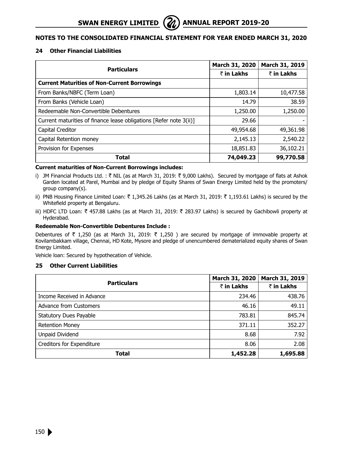# **24 Other Financial Liabilities**

| <b>Particulars</b>                                                 | March 31, 2020 | March 31, 2019 |
|--------------------------------------------------------------------|----------------|----------------|
|                                                                    | ₹ in Lakhs     | ₹ in Lakhs     |
| <b>Current Maturities of Non-Current Borrowings</b>                |                |                |
| From Banks/NBFC (Term Loan)                                        | 1,803.14       | 10,477.58      |
| From Banks (Vehicle Loan)                                          | 14.79          | 38.59          |
| Redeemable Non-Convertible Debentures                              | 1,250.00       | 1,250.00       |
| Current maturities of finance lease obligations [Refer note 3(ii)] | 29.66          |                |
| Capital Creditor                                                   | 49,954.68      | 49,361.98      |
| Capital Retention money                                            | 2,145.13       | 2,540.22       |
| Provision for Expenses                                             | 18,851.83      | 36,102.21      |
| Total                                                              | 74,049.23      | 99,770.58      |

#### **Current maturities of Non-Current Borrowings includes:**

- i) JM Financial Products Ltd. :  $\bar{\tau}$  NIL (as at March 31, 2019:  $\bar{\tau}$  9,000 Lakhs). Secured by mortgage of flats at Ashok Garden located at Parel, Mumbai and by pledge of Equity Shares of Swan Energy Limited held by the promoters/ group company(s).
- ii) PNB Housing Finance Limited Loan:  $\bar{\tau}$  1,345.26 Lakhs (as at March 31, 2019:  $\bar{\tau}$  1,193.61 Lakhs) is secured by the Whitefield property at Bengaluru.
- iii) HDFC LTD Loan: ₹ 457.88 Lakhs (as at March 31, 2019: ₹ 283.97 Lakhs) is secured by Gachibowli property at Hyderabad.

# **Redeemable Non-Convertible Debentures Include :**

Debentures of ₹ 1,250 (as at March 31, 2019: ₹ 1,250 ) are secured by mortgage of immovable property at Kovilambakkam village, Chennai, HD Kote, Mysore and pledge of unencumbered dematerialized equity shares of Swan Energy Limited.

Vehicle loan: Secured by hypothecation of Vehicle.

# **25 Other Current Liabilities**

| <b>Particulars</b>         | <b>March 31, 2020</b> | March 31, 2019 |
|----------------------------|-----------------------|----------------|
|                            | ₹ in Lakhs            | ₹ in Lakhs     |
| Income Received in Advance | 234.46                | 438.76         |
| Advance from Customers     | 46.16                 | 49.11          |
| Statutory Dues Payable     | 783.81                | 845.74         |
| <b>Retention Money</b>     | 371.11                | 352.27         |
| Unpaid Dividend            | 8.68                  | 7.92           |
| Creditors for Expenditure  | 8.06                  | 2.08           |
| Total                      | 1,452.28              | 1,695.88       |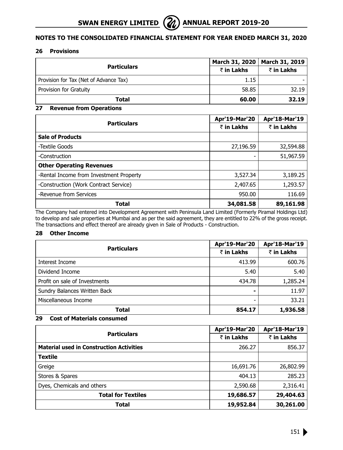#### **26 Provisions**

| <b>Particulars</b>                     | March 31, 2020 | <b>March 31, 2019</b> |
|----------------------------------------|----------------|-----------------------|
|                                        | ₹ in Lakhs     | ₹ in Lakhs            |
| Provision for Tax (Net of Advance Tax) | 1.15           |                       |
| Provision for Gratuity                 | 58.85          | 32.19                 |
| Total                                  | 60.00          | 32.19                 |

# **27 Revenue from Operations**

| <b>Particulars</b>                      | Apr'19-Mar'20 | Apr'18-Mar'19 |
|-----------------------------------------|---------------|---------------|
|                                         | ₹ in Lakhs    | ₹ in Lakhs    |
| <b>Sale of Products</b>                 |               |               |
| -Textile Goods                          | 27,196.59     | 32,594.88     |
| -Construction                           |               | 51,967.59     |
| <b>Other Operating Revenues</b>         |               |               |
| -Rental Income from Investment Property | 3,527.34      | 3,189.25      |
| -Construction (Work Contract Service)   | 2,407.65      | 1,293.57      |
| -Revenue from Services                  | 950.00        | 116.69        |
| Total                                   | 34,081.58     | 89,161.98     |

The Company had entered into Development Agreement with Peninsula Land Limited (Formerly Piramal Holdings Ltd) to develop and sale properties at Mumbai and as per the said agreement, they are entitled to 22% of the gross receipt. The transactions and effect thereof are already given in Sale of Products - Construction.

# **28 Other Income**

|                               | Apr'19-Mar'20 | Apr'18-Mar'19 |
|-------------------------------|---------------|---------------|
| <b>Particulars</b>            | ₹ in Lakhs    | ₹ in Lakhs    |
| Interest Income               | 413.99        | 600.76        |
| Dividend Income               | 5.40          | 5.40          |
| Profit on sale of Investments | 434.78        | 1,285.24      |
| Sundry Balances Written Back  |               | 11.97         |
| Miscellaneous Income          |               | 33.21         |
| Total                         | 854.17        | 1,936.58      |

# **29 Cost of Materials consumed**

|                                                 | Apr'19-Mar'20 | Apr'18-Mar'19 |
|-------------------------------------------------|---------------|---------------|
| <b>Particulars</b>                              | ₹ in Lakhs    | ₹ in Lakhs    |
| <b>Material used in Construction Activities</b> | 266.27        | 856.37        |
| <b>Textile</b>                                  |               |               |
| Greige                                          | 16,691.76     | 26,802.99     |
| Stores & Spares                                 | 404.13        | 285.23        |
| Dyes, Chemicals and others                      | 2,590.68      | 2,316.41      |
| <b>Total for Textiles</b>                       | 19,686.57     | 29,404.63     |
| <b>Total</b>                                    | 19,952.84     | 30,261.00     |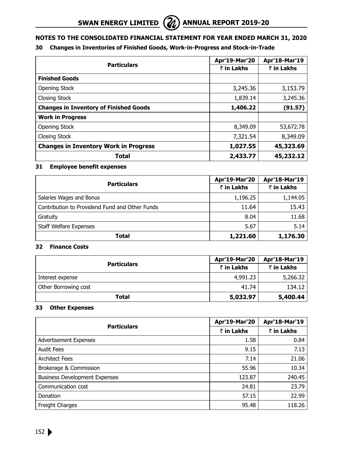

# **30 Changes in Inventories of Finished Goods, Work-in-Progress and Stock-in-Trade**

|                                               | Apr'19-Mar'20 | Apr'18-Mar'19 |
|-----------------------------------------------|---------------|---------------|
| <b>Particulars</b>                            | ₹ in Lakhs    | ₹ in Lakhs    |
| <b>Finished Goods</b>                         |               |               |
| Opening Stock                                 | 3,245.36      | 3,153.79      |
| <b>Closing Stock</b>                          | 1,839.14      | 3,245.36      |
| <b>Changes in Inventory of Finished Goods</b> | 1,406.22      | (91.57)       |
| <b>Work in Progress</b>                       |               |               |
| Opening Stock                                 | 8,349.09      | 53,672.78     |
| <b>Closing Stock</b>                          | 7,321.54      | 8,349.09      |
| <b>Changes in Inventory Work in Progress</b>  | 1,027.55      | 45,323.69     |
| Total                                         | 2,433.77      | 45,232.12     |

# **31 Employee benefit expenses**

|                                                | Apr'19-Mar'20 | Apr'18-Mar'19 |
|------------------------------------------------|---------------|---------------|
| <b>Particulars</b>                             | ₹ in Lakhs    | ₹ in Lakhs    |
| Salaries Wages and Bonus                       | 1,196.25      | 1,144.05      |
| Contribution to Providend Fund and Other Funds | 11.64         | 15.43         |
| Gratuity                                       | 8.04          | 11.68         |
| <b>Staff Welfare Expenses</b>                  | 5.67          | 5.14          |
| Total                                          | 1,221.60      | 1,176.30      |

# **32 Finance Costs**

|                      | Apr'19-Mar'20 | Apr'18-Mar'19 |
|----------------------|---------------|---------------|
| <b>Particulars</b>   | ₹ in Lakhs    | ₹ in Lakhs    |
| Interest expense     | 4,991,23      | 5,266.32      |
| Other Borrowing cost | 41.74         | 134.12        |
| Total                | 5,032.97      | 5,400.44      |

# **33 Other Expenses**

| <b>Particulars</b>                   | Apr'19-Mar'20 | Apr'18-Mar'19 |
|--------------------------------------|---------------|---------------|
|                                      | ₹ in Lakhs    | ₹ in Lakhs    |
| Advertisement Expenses               | 1.58          | 0.84          |
| <b>Audit Fees</b>                    | 9.15          | 7.13          |
| <b>Architect Fees</b>                | 7.14          | 21.06         |
| Brokerage & Commission               | 55.96         | 10.34         |
| <b>Business Development Expenses</b> | 123.87        | 240.45        |
| Communication cost                   | 24.81         | 23.79         |
| Donation                             | 57.15         | 22.99         |
| <b>Freight Charges</b>               | 95.48         | 118.26        |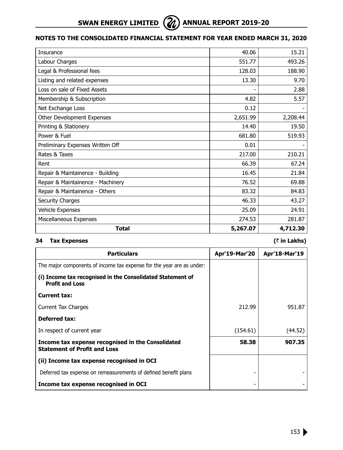# **SWAN ENERGY LIMITED (2) ANNUAL REPORT 2019-20**



# **Notes to the Consolidated Financial Statement for year ended March 31, 2020**

| Insurance                         | 40.06    | 15.21    |
|-----------------------------------|----------|----------|
| Labour Charges                    | 551.77   | 493.26   |
| Legal & Professional fees         | 128.03   | 188.90   |
| Listing and related expenses      | 13.30    | 9.70     |
| Loss on sale of Fixed Assets      |          | 2.88     |
| Membership & Subscription         | 4.82     | 5.57     |
| Net Exchange Loss                 | 0.12     |          |
| Other Development Expenses        | 2,651.99 | 2,208.44 |
| Printing & Stationery             | 14.40    | 19.50    |
| Power & Fuel                      | 681.80   | 519.93   |
| Preliminary Expenses Written Off  | 0.01     |          |
| Rates & Taxes                     | 217.00   | 210.21   |
| Rent                              | 66.39    | 67.24    |
| Repair & Maintainence - Building  | 16.45    | 21.84    |
| Repair & Maintainence - Machinery | 76.52    | 69.88    |
| Repair & Maintainence - Others    | 83.32    | 84.83    |
| Security Charges                  | 46.33    | 43.27    |
| Vehicle Expenses                  | 25.09    | 24.91    |
| Miscellaneous Expenses            | 274.53   | 281.87   |
| <b>Total</b>                      | 5,267.07 | 4,712.30 |

# **34 Tax Expenses (**` **in Lakhs)**

| <b>Particulars</b>                                                                       | <b>Apr'19-Mar'20</b> | Apr'18-Mar'19 |
|------------------------------------------------------------------------------------------|----------------------|---------------|
| The major components of income tax expense for the year are as under:                    |                      |               |
| (i) Income tax recognised in the Consolidated Statement of<br><b>Profit and Loss</b>     |                      |               |
| Current tax:                                                                             |                      |               |
| Current Tax Charges                                                                      | 212.99               | 951.87        |
| Deferred tax:                                                                            |                      |               |
| In respect of current year                                                               | (154.61)             | (44.52)       |
| Income tax expense recognised in the Consolidated<br><b>Statement of Profit and Loss</b> | 58.38                | 907.35        |
| (ii) Income tax expense recognised in OCI                                                |                      |               |
| Deferred tax expense on remeasurements of defined benefit plans                          |                      |               |
| Income tax expense recognised in OCI                                                     |                      |               |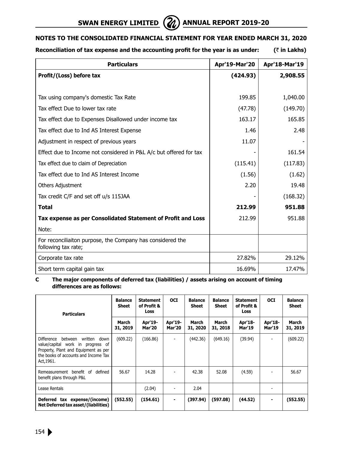# **SWAN ENERGY LIMITED**  $\left(\frac{2}{\ell}\right)$  annual report 2019-20



# **Notes to the Consolidated Financial Statement for year ended March 31, 2020**

# **Reconciliation of tax expense and the accounting profit for the year is as under: (**` **in Lakhs)**

| <b>Particulars</b>                                                                | Apr'19-Mar'20 | Apr'18-Mar'19 |
|-----------------------------------------------------------------------------------|---------------|---------------|
| Profit/(Loss) before tax                                                          | (424.93)      | 2,908.55      |
|                                                                                   |               |               |
| Tax using company's domestic Tax Rate                                             | 199.85        | 1,040.00      |
| Tax effect Due to lower tax rate                                                  | (47.78)       | (149.70)      |
| Tax effect due to Expenses Disallowed under income tax                            | 163.17        | 165.85        |
| Tax effect due to Ind AS Interest Expense                                         | 1.46          | 2.48          |
| Adjustment in respect of previous years                                           | 11.07         |               |
| Effect due to Income not considered in P&L A/c but offered for tax                |               | 161.54        |
| Tax effect due to claim of Depreciation                                           | (115.41)      | (117.83)      |
| Tax effect due to Ind AS Interest Income                                          | (1.56)        | (1.62)        |
| <b>Others Adjustment</b>                                                          | 2.20          | 19.48         |
| Tax credit C/F and set off u/s 115JAA                                             |               | (168.32)      |
| <b>Total</b>                                                                      | 212.99        | 951.88        |
| Tax expense as per Consolidated Statement of Profit and Loss                      | 212.99        | 951.88        |
| Note:                                                                             |               |               |
| For reconciliaiton purpose, the Company has considered the<br>following tax rate; |               |               |
| Corporate tax rate                                                                | 27,82%        | 29.12%        |
| Short term capital gain tax                                                       | 16.69%        | 17.47%        |

#### **C The major components of deferred tax (liabilities) / assets arising on account of timing differences are as follows:**

| <b>Particulars</b>                                                                                                                                                                 | <b>Balance</b><br><b>Sheet</b> | <b>Statement</b><br>of Profit &<br><b>Loss</b> | <b>OCI</b>               | <b>Balance</b><br>Sheet | <b>Balance</b><br><b>Sheet</b> | <b>Statement</b><br>of Profit &<br>Loss | <b>OCI</b>               | <b>Balance</b><br><b>Sheet</b> |
|------------------------------------------------------------------------------------------------------------------------------------------------------------------------------------|--------------------------------|------------------------------------------------|--------------------------|-------------------------|--------------------------------|-----------------------------------------|--------------------------|--------------------------------|
|                                                                                                                                                                                    | March<br>31, 2019              | Apr'19-<br><b>Mar'20</b>                       | Apr'19-<br><b>Mar'20</b> | March<br>31, 2020       | March<br>31, 2018              | Apr'18-<br><b>Mar'19</b>                | Apr'18-<br><b>Mar'19</b> | March<br>31, 2019              |
| <b>Difference</b><br>between<br>written<br>down<br>value/capital work in progress of<br>Property, Plant and Equipment as per<br>the books of accounts and Income Tax<br>Act, 1961. | (609.22)                       | (166.86)                                       |                          | (442.36)                | (649.16)                       | (39.94)                                 |                          | (609.22)                       |
| Remeasurement benefit of<br>defined<br>benefit plans through P&L                                                                                                                   | 56.67                          | 14.28                                          |                          | 42.38                   | 52.08                          | (4.59)                                  |                          | 56.67                          |
| Lease Rentals                                                                                                                                                                      |                                | (2.04)                                         |                          | 2.04                    |                                |                                         |                          |                                |
| tax expense/(income)<br>Deferred<br>Net Deferred tax asset/(liabilities)                                                                                                           | (552.55)                       | (154.61)                                       | ٠                        | (397.94)                | (597.08)                       | (44.52)                                 |                          | (552.55)                       |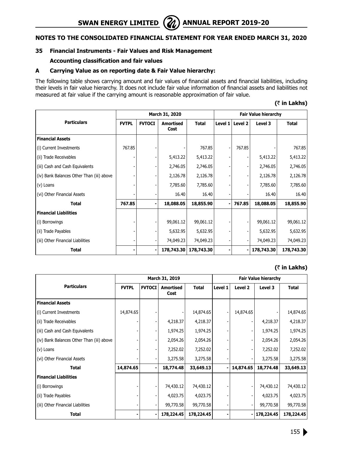# **SWAN ENERGY LIMITED** ( $\mathbb{Z}$ ) ANNUAL REPORT 2019-20

# **Notes to the Consolidated Financial Statement for year ended March 31, 2020**

# **35 Financial Instruments - Fair Values and Risk Management**

#### **Accounting classification and fair values**

#### **A Carrying Value as on reporting date & Fair Value hierarchy:**

The following table shows carrying amount and fair values of financial assets and financial liabilities, including their levels in fair value hierarchy. It does not include fair value information of financial assets and liabilities not measured at fair value if the carrying amount is reasonable approximation of fair value.

# **(**` **in Lakhs)**

|                                           | March 31, 2020 |               |                          |              |         | <b>Fair Value hierarchy</b> |            |              |  |
|-------------------------------------------|----------------|---------------|--------------------------|--------------|---------|-----------------------------|------------|--------------|--|
| <b>Particulars</b>                        | <b>FVTPL</b>   | <b>FVTOCI</b> | <b>Amortised</b><br>Cost | <b>Total</b> | Level 1 | Level 2                     | Level 3    | <b>Total</b> |  |
| <b>Financial Assets</b>                   |                |               |                          |              |         |                             |            |              |  |
| (i) Current Investments                   | 767.85         |               |                          | 767.85       |         | 767.85                      |            | 767.85       |  |
| (ii) Trade Receivables                    |                |               | 5,413.22                 | 5,413.22     |         |                             | 5,413.22   | 5,413.22     |  |
| (iii) Cash and Cash Equivalents           |                |               | 2,746.05                 | 2,746.05     |         |                             | 2,746.05   | 2,746.05     |  |
| (iv) Bank Balances Other Than (iii) above |                |               | 2,126.78                 | 2,126.78     |         |                             | 2,126.78   | 2,126.78     |  |
| (v) Loans                                 |                |               | 7,785.60                 | 7,785.60     |         |                             | 7,785.60   | 7,785.60     |  |
| (vi) Other Financial Assets               |                |               | 16.40                    | 16.40        |         |                             | 16.40      | 16.40        |  |
| <b>Total</b>                              | 767.85         |               | 18,088.05                | 18,855.90    |         | 767.85                      | 18,088.05  | 18,855.90    |  |
| <b>Financial Liabilities</b>              |                |               |                          |              |         |                             |            |              |  |
| (i) Borrowings                            |                |               | 99,061.12                | 99,061.12    |         |                             | 99,061.12  | 99,061.12    |  |
| (ii) Trade Payables                       |                |               | 5,632.95                 | 5,632.95     |         |                             | 5,632.95   | 5,632.95     |  |
| (iii) Other Financial Liabilities         |                |               | 74,049.23                | 74,049.23    |         |                             | 74,049.23  | 74,049.23    |  |
| Total                                     |                |               | 178,743.30               | 178,743.30   |         |                             | 178,743.30 | 178,743.30   |  |

# **(**` **in Lakhs)**

|                                           | March 31, 2019 |               |                          |              |         | <b>Fair Value hierarchy</b> |            |              |
|-------------------------------------------|----------------|---------------|--------------------------|--------------|---------|-----------------------------|------------|--------------|
| <b>Particulars</b>                        | <b>FVTPL</b>   | <b>FVTOCI</b> | <b>Amortised</b><br>Cost | <b>Total</b> | Level 1 | Level 2                     | Level 3    | <b>Total</b> |
| <b>Financial Assets</b>                   |                |               |                          |              |         |                             |            |              |
| (i) Current Investments                   | 14,874.65      |               |                          | 14,874.65    |         | 14,874.65                   |            | 14,874.65    |
| (ii) Trade Receivables                    |                |               | 4,218.37                 | 4,218.37     |         |                             | 4,218.37   | 4,218.37     |
| (iii) Cash and Cash Equivalents           |                |               | 1,974.25                 | 1,974.25     |         |                             | 1,974.25   | 1,974.25     |
| (iv) Bank Balances Other Than (iii) above |                |               | 2,054.26                 | 2,054.26     |         |                             | 2,054.26   | 2,054.26     |
| (v) Loans                                 |                |               | 7,252.02                 | 7,252.02     |         |                             | 7,252.02   | 7,252.02     |
| (vi) Other Financial Assets               |                |               | 3,275.58                 | 3,275.58     |         |                             | 3,275.58   | 3,275.58     |
| <b>Total</b>                              | 14,874.65      |               | 18,774.48                | 33,649.13    |         | 14,874.65                   | 18,774.48  | 33,649.13    |
| <b>Financial Liabilities</b>              |                |               |                          |              |         |                             |            |              |
| (i) Borrowings                            |                |               | 74,430.12                | 74,430.12    |         |                             | 74,430.12  | 74,430.12    |
| (ii) Trade Payables                       |                |               | 4,023.75                 | 4,023.75     |         |                             | 4,023.75   | 4,023.75     |
| (iii) Other Financial Liabilities         |                |               | 99,770.58                | 99,770.58    |         |                             | 99,770.58  | 99,770.58    |
| <b>Total</b>                              |                |               | 178,224.45               | 178,224.45   |         |                             | 178,224.45 | 178,224.45   |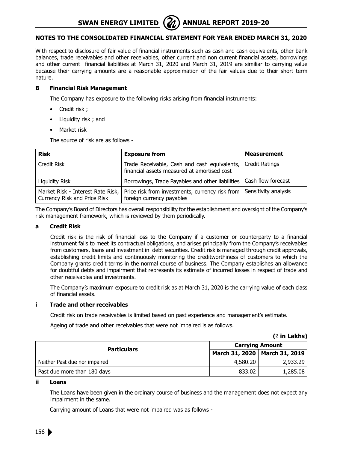**SWAN ENERGY LIMITED** (**A**) ANNUAL REPORT 2019-20



# **Notes to the Consolidated Financial Statement for year ended March 31, 2020**

With respect to disclosure of fair value of financial instruments such as cash and cash equivalents, other bank balances, trade receivables and other receivables, other current and non current financial assets, borrowings and other current financial liabilities at March 31, 2020 and March 31, 2019 are similiar to carrying value because their carrying amounts are a reasonable approximation of the fair values due to their short term nature.

# **B Financial Risk Management**

The Company has exposure to the following risks arising from financial instruments:

- Credit risk ;
- Liquidity risk ; and
- Market risk

The source of risk are as follows -

| <b>Risk</b>                                                       | <b>Exposure from</b>                                                                                | <b>Measurement</b> |
|-------------------------------------------------------------------|-----------------------------------------------------------------------------------------------------|--------------------|
| Credit Risk                                                       | Trade Receivable, Cash and cash equivalents,  <br>financial assets measured at amortised cost       | Credit Ratings     |
| Liquidity Risk                                                    | Borrowings, Trade Payables and other liabilities   Cash flow forecast                               |                    |
| Market Risk - Interest Rate Risk,<br>Currency Risk and Price Risk | Price risk from investments, currency risk from   Sensitivity analysis<br>foreign currency payables |                    |

The Company's Board of Directors has overall responsibility for the establishment and oversight of the Company's risk management framework, which is reviewed by them periodically.

# **a Credit Risk**

Credit risk is the risk of financial loss to the Company if a customer or counterparty to a financial instrument fails to meet its contractual obligations, and arises principally from the Company's receivables from customers, loans and investment in debt securities. Credit risk is managed through credit approvals, establishing credit limits and continuously monitoring the creditworthiness of customers to which the Company grants credit terms in the normal course of business. The Company establishes an allowance for doubtful debts and impairment that represents its estimate of incurred losses in respect of trade and other receivables and investments.

The Company's maximum exposure to credit risk as at March 31, 2020 is the carrying value of each class of financial assets.

#### **i Trade and other receivables**

Credit risk on trade receivables is limited based on past experience and management's estimate.

Ageing of trade and other receivables that were not impaired is as follows.

|                               |                        | (₹ in Lakhs)                    |
|-------------------------------|------------------------|---------------------------------|
|                               | <b>Carrying Amount</b> |                                 |
| <b>Particulars</b>            |                        | March 31, 2020   March 31, 2019 |
| Neither Past due nor impaired | 4,580,20               | 2,933,29                        |
| Past due more than 180 days   | 833.02                 | 1,285.08                        |

#### **ii Loans**

The Loans have been given in the ordinary course of business and the management does not expect any impairment in the same.

Carrying amount of Loans that were not impaired was as follows -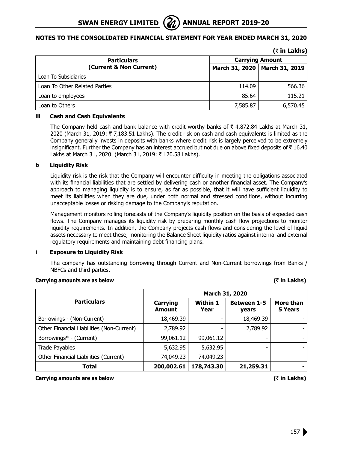| <b>Particulars</b>            |                                 | <b>Carrying Amount</b> |  |
|-------------------------------|---------------------------------|------------------------|--|
| (Current & Non Current)       | March 31, 2020   March 31, 2019 |                        |  |
| Loan To Subsidiaries          |                                 |                        |  |
| Loan To Other Related Parties | 114.09                          | 566.36                 |  |
| Loan to employees             | 85.64                           | 115.21                 |  |
| Loan to Others                | 7,585.87                        | 6,570.45               |  |

# **iii Cash and Cash Equivalents**

The Company held cash and bank balance with credit worthy banks of  $\bar{\tau}$  4,872.84 Lakhs at March 31, 2020 (March 31, 2019:  $\bar{\tau}$  7,183.51 Lakhs). The credit risk on cash and cash equivalents is limited as the Company generally invests in deposits with banks where credit risk is largely perceived to be extremely insignificant. Further the Company has an interest accrued but not due on above fixed deposits of  $\bar{\tau}$  16.40 Lakhs at March 31, 2020 (March 31, 2019: ₹ 120.58 Lakhs).

# **b Liquidity Risk**

Liquidity risk is the risk that the Company will encounter difficulty in meeting the obligations associated with its financial liabilities that are settled by delivering cash or another financial asset. The Company's approach to managing liquidity is to ensure, as far as possible, that it will have sufficient liquidity to meet its liabilities when they are due, under both normal and stressed conditions, without incurring unacceptable losses or risking damage to the Company's reputation.

Management monitors rolling forecasts of the Company's liquidity position on the basis of expected cash flows. The Company manages its liquidity risk by preparing monthly cash flow projections to monitor liquidity requirements. In addition, the Company projects cash flows and considering the level of liquid assets necessary to meet these, monitoring the Balance Sheet liquidity ratios against internal and external regulatory requirements and maintaining debt financing plans.

# **i Exposure to Liquidity Risk**

The company has outstanding borrowing through Current and Non-Current borrowings from Banks / NBFCs and third parties.

# **Carrying amounts are as below (**` **in Lakhs)**

#### **Particulars March 31, 2020 Carrying Amount Within 1 Year Between 1-5 years More than 5 Years** Borrowings - (Non-Current) 18,469.39 - 18,469.39 Other Financial Liabilities (Non-Current)  $\vert$  2,789.92  $\vert$  - 2,789.92  $\vert$  -Borrowings\* - (Current)  $99,061.12$  | 99,061.12 -Trade Payables 5,632.95 5,632.95 - - Other Financial Liabilities (Current) | 74,049.23 | - | -**Total 178,743.30 21,259.31**

**Carrying amounts are as below (**` **in Lakhs)**

 $(3 \text{ in } 1 \text{ a}$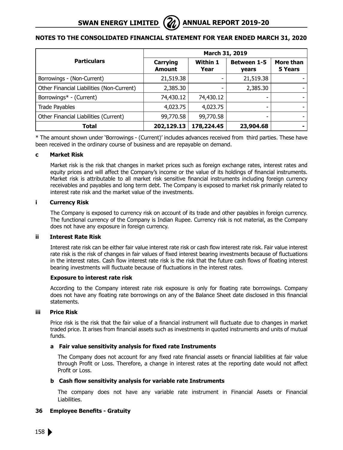|                                           | March 31, 2019            |                         |                             |                      |
|-------------------------------------------|---------------------------|-------------------------|-----------------------------|----------------------|
| <b>Particulars</b>                        | Carrying<br><b>Amount</b> | <b>Within 1</b><br>Year | <b>Between 1-5</b><br>years | More than<br>5 Years |
| Borrowings - (Non-Current)                | 21,519.38                 |                         | 21,519.38                   |                      |
| Other Financial Liabilities (Non-Current) | 2,385.30                  |                         | 2,385.30                    |                      |
| Borrowings* - (Current)                   | 74,430.12                 | 74,430.12               |                             |                      |
| Trade Payables                            | 4,023.75                  | 4,023.75                |                             |                      |
| Other Financial Liabilities (Current)     | 99,770.58                 | 99,770.58               |                             |                      |
| <b>Total</b>                              | 202,129.13                | 178,224.45              | 23,904.68                   |                      |

\* The amount shown under 'Borrowings - (Current)' includes advances received from third parties. These have been received in the ordinary course of business and are repayable on demand.

# **c Market Risk**

Market risk is the risk that changes in market prices such as foreign exchange rates, interest rates and equity prices and will affect the Company's income or the value of its holdings of financial instruments. Market risk is attributable to all market risk sensitive financial instruments including foreign currency receivables and payables and long term debt. The Company is exposed to market risk primarily related to interest rate risk and the market value of the investments.

# **i Currency Risk**

The Company is exposed to currency risk on account of its trade and other payables in foreign currency. The functional currency of the Company is Indian Rupee. Currency risk is not material, as the Company does not have any exposure in foreign currency.

# **ii Interest Rate Risk**

Interest rate risk can be either fair value interest rate risk or cash flow interest rate risk. Fair value interest rate risk is the risk of changes in fair values of fixed interest bearing investments because of fluctuations in the interest rates. Cash flow interest rate risk is the risk that the future cash flows of floating interest bearing investments will fluctuate because of fluctuations in the interest rates.

#### **Exposure to interest rate risk**

According to the Company interest rate risk exposure is only for floating rate borrowings. Company does not have any floating rate borrowings on any of the Balance Sheet date disclosed in this financial statements.

# **iii Price Risk**

Price risk is the risk that the fair value of a financial instrument will fluctuate due to changes in market traded price. It arises from financial assets such as investments in quoted instruments and units of mutual funds.

# **a Fair value sensitivity analysis for fixed rate Instruments**

The Company does not account for any fixed rate financial assets or financial liabilities at fair value through Profit or Loss. Therefore, a change in interest rates at the reporting date would not affect Profit or Loss.

# **b Cash flow sensitivity analysis for variable rate Instruments**

The company does not have any variable rate instrument in Financial Assets or Financial Liabilities.

# **36 Employee Benefits - Gratuity**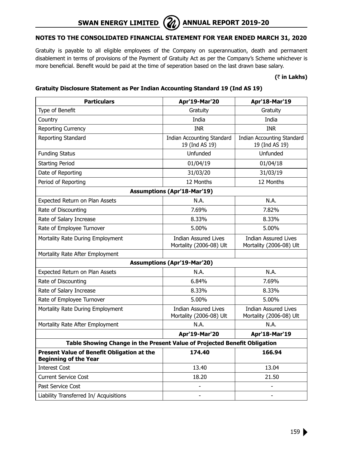

Gratuity is payable to all eligible employees of the Company on superannuation, death and permanent disablement in terms of provisions of the Payment of Gratuity Act as per the Company's Scheme whichever is more beneficial. Benefit would be paid at the time of seperation based on the last drawn base salary.

#### **(**` **in Lakhs)**

# **Gratuity Disclosure Statement as Per Indian Accounting Standard 19 (Ind AS 19)**

| <b>Particulars</b>                                                                   | Apr'19-Mar'20                                          | Apr'18-Mar'19                                          |
|--------------------------------------------------------------------------------------|--------------------------------------------------------|--------------------------------------------------------|
| Type of Benefit                                                                      | Gratuity                                               | Gratuity                                               |
| Country                                                                              | India                                                  | India                                                  |
| Reporting Currency                                                                   | <b>INR</b>                                             | INR.                                                   |
| Reporting Standard                                                                   | <b>Indian Accounting Standard</b><br>19 (Ind AS 19)    | <b>Indian Accounting Standard</b><br>19 (Ind AS 19)    |
| <b>Funding Status</b>                                                                | Unfunded                                               | Unfunded                                               |
| <b>Starting Period</b>                                                               | 01/04/19                                               | 01/04/18                                               |
| Date of Reporting                                                                    | 31/03/20                                               | 31/03/19                                               |
| Period of Reporting                                                                  | 12 Months                                              | 12 Months                                              |
|                                                                                      | <b>Assumptions (Apr'18-Mar'19)</b>                     |                                                        |
| Expected Return on Plan Assets                                                       | N.A.                                                   | N.A.                                                   |
| Rate of Discounting                                                                  | 7.69%                                                  | 7.82%                                                  |
| Rate of Salary Increase                                                              | 8.33%                                                  | 8.33%                                                  |
| Rate of Employee Turnover                                                            | 5.00%                                                  | 5.00%                                                  |
| Mortality Rate During Employment                                                     | Indian Assured Lives<br>Mortality (2006-08) Ult        | <b>Indian Assured Lives</b><br>Mortality (2006-08) Ult |
| Mortality Rate After Employment                                                      |                                                        |                                                        |
|                                                                                      | <b>Assumptions (Apr'19-Mar'20)</b>                     |                                                        |
| Expected Return on Plan Assets                                                       | N.A.                                                   | N.A.                                                   |
| Rate of Discounting                                                                  | 6.84%                                                  | 7.69%                                                  |
| Rate of Salary Increase                                                              | 8.33%                                                  | 8.33%                                                  |
| Rate of Employee Turnover                                                            | 5.00%                                                  | 5.00%                                                  |
| Mortality Rate During Employment                                                     | <b>Indian Assured Lives</b><br>Mortality (2006-08) Ult | <b>Indian Assured Lives</b><br>Mortality (2006-08) Ult |
| Mortality Rate After Employment                                                      | N.A.                                                   | N.A.                                                   |
|                                                                                      | Apr'19-Mar'20                                          | Apr'18-Mar'19                                          |
| Table Showing Change in the Present Value of Projected Benefit Obligation            |                                                        |                                                        |
| Present Value of Benefit Obligation at the<br>174.40<br><b>Beginning of the Year</b> |                                                        | 166.94                                                 |
| <b>Interest Cost</b>                                                                 | 13.40                                                  | 13.04                                                  |
| <b>Current Service Cost</b>                                                          | 18.20                                                  | 21.50                                                  |
| Past Service Cost                                                                    | $\overline{a}$                                         |                                                        |
| Liability Transferred In/ Acquisitions                                               | $\overline{\phantom{0}}$                               | $\overline{\phantom{0}}$                               |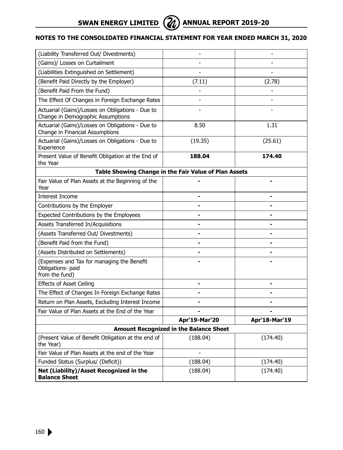

| (Liability Transferred Out/ Divestments)                                              | $\overline{a}$                                        |                |
|---------------------------------------------------------------------------------------|-------------------------------------------------------|----------------|
| (Gains)/ Losses on Curtailment                                                        |                                                       |                |
| (Liabilities Extinguished on Settlement)                                              |                                                       |                |
| (Benefit Paid Directly by the Employer)                                               | (7.11)                                                | (2.78)         |
| (Benefit Paid From the Fund)                                                          |                                                       |                |
| The Effect Of Changes in Foreign Exchange Rates                                       | $\overline{a}$                                        | $\overline{a}$ |
| Actuarial (Gains)/Losses on Obligations - Due to<br>Change in Demographic Assumptions |                                                       |                |
| Actuarial (Gains)/Losses on Obligations - Due to<br>Change in Financial Assumptions   | 8.50                                                  | 1.31           |
| Actuarial (Gains)/Losses on Obligations - Due to<br>Experience                        | (19.35)                                               | (25.61)        |
| Present Value of Benefit Obligation at the End of<br>the Year                         | 188.04                                                | 174.40         |
|                                                                                       | Table Showing Change in the Fair Value of Plan Assets |                |
| Fair Value of Plan Assets at the Beginning of the<br>Year                             |                                                       |                |
| Interest Income                                                                       |                                                       |                |
| Contributions by the Employer                                                         | $\blacksquare$                                        |                |
| Expected Contributions by the Employees                                               | $\blacksquare$                                        |                |
| Assets Transferred In/Acquisitions                                                    | ۰                                                     |                |
| (Assets Transferred Out/ Divestments)                                                 | $\blacksquare$                                        |                |
| (Benefit Paid from the Fund)                                                          |                                                       |                |
| (Assets Distributed on Settlements)                                                   |                                                       |                |
| (Expenses and Tax for managing the Benefit<br>Obligations- paid<br>from the fund)     |                                                       |                |
| <b>Effects of Asset Ceiling</b>                                                       | $\blacksquare$                                        |                |
| The Effect of Changes In Foreign Exchange Rates                                       |                                                       |                |
| Return on Plan Assets, Excluding Interest Income                                      | $\blacksquare$                                        |                |
| Fair Value of Plan Assets at the End of the Year                                      |                                                       |                |
|                                                                                       | Apr'19-Mar'20                                         | Apr'18-Mar'19  |
|                                                                                       | <b>Amount Recognized in the Balance Sheet</b>         |                |
| (Present Value of Benefit Obligation at the end of<br>the Year)                       | (188.04)                                              | (174.40)       |
| Fair Value of Plan Assets at the end of the Year                                      |                                                       |                |
| Funded Status (Surplus/ (Deficit))                                                    | (188.04)                                              | (174.40)       |
| Net (Liability)/Asset Recognized in the<br><b>Balance Sheet</b>                       | (188.04)                                              | (174.40)       |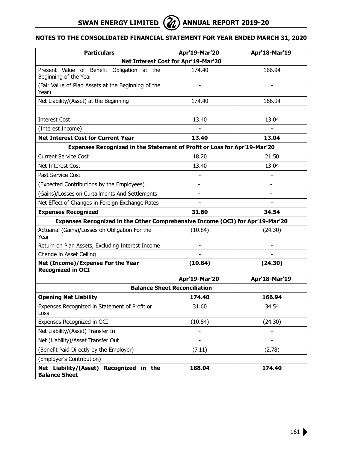# **SWAN ENERGY LIMITED (2) ANNUAL REPORT 2019-20**



| <b>Particulars</b>                                                            | Apr'19-Mar'20                       | Apr'18-Mar'19  |
|-------------------------------------------------------------------------------|-------------------------------------|----------------|
|                                                                               | Net Interest Cost for Apr'19-Mar'20 |                |
| Present Value of Benefit Obligation at the<br>Beginning of the Year           | 174.40                              | 166.94         |
| (Fair Value of Plan Assets at the Beginning of the<br>Year)                   |                                     |                |
| Net Liability/(Asset) at the Beginning                                        | 174.40                              | 166.94         |
|                                                                               |                                     |                |
| <b>Interest Cost</b>                                                          | 13.40                               | 13.04          |
| (Interest Income)                                                             | $\overline{a}$                      |                |
| <b>Net Interest Cost for Current Year</b>                                     | 13.40                               | 13.04          |
| Expenses Recognized in the Statement of Profit or Loss for Apr'19-Mar'20      |                                     |                |
| <b>Current Service Cost</b>                                                   | 18.20                               | 21.50          |
| Net Interest Cost                                                             | 13.40                               | 13.04          |
| Past Service Cost                                                             |                                     |                |
| (Expected Contributions by the Employees)                                     |                                     |                |
| (Gains)/Losses on Curtailments And Settlements                                |                                     |                |
| Net Effect of Changes in Foreign Exchange Rates                               |                                     |                |
| <b>Expenses Recognized</b>                                                    | 31.60                               | 34.54          |
| Expenses Recognized in the Other Comprehensive Income (OCI) for Apr'19-Mar'20 |                                     |                |
| Actuarial (Gains)/Losses on Obligation For the<br>Year                        | (10.84)                             | (24.30)        |
| Return on Plan Assets, Excluding Interest Income                              |                                     |                |
| Change in Asset Ceiling                                                       |                                     |                |
| Net (Income)/Expense For the Year<br><b>Recognized in OCI</b>                 | (10.84)                             | (24.30)        |
|                                                                               | Apr'19-Mar'20                       | Apr'18-Mar'19  |
|                                                                               | <b>Balance Sheet Reconciliation</b> |                |
| <b>Opening Net Liability</b>                                                  | 174.40                              | 166.94         |
| Expenses Recognized in Statement of Profit or<br>Loss                         | 31.60                               | 34.54          |
| Expenses Recognized in OCI                                                    | (10.84)                             | (24.30)        |
| Net Liability/(Asset) Transfer In                                             | $\overline{a}$                      |                |
| Net (Liability)/Asset Transfer Out                                            | $\overline{a}$                      | $\blacksquare$ |
| (Benefit Paid Directly by the Employer)                                       | (7.11)                              | (2.78)         |
| (Employer's Contribution)                                                     |                                     |                |
| Net Liability/(Asset) Recognized in the<br><b>Balance Sheet</b>               | 188.04                              | 174.40         |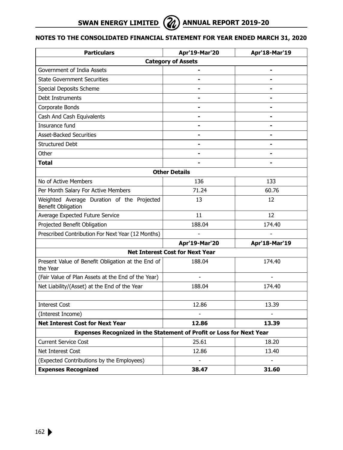| <b>Particulars</b>                                                   | Apr'19-Mar'20                          | Apr'18-Mar'19  |  |  |  |
|----------------------------------------------------------------------|----------------------------------------|----------------|--|--|--|
| <b>Category of Assets</b>                                            |                                        |                |  |  |  |
| Government of India Assets                                           |                                        | $\blacksquare$ |  |  |  |
| <b>State Government Securities</b>                                   | $\blacksquare$                         |                |  |  |  |
| Special Deposits Scheme                                              | $\blacksquare$                         |                |  |  |  |
| Debt Instruments                                                     |                                        |                |  |  |  |
| Corporate Bonds                                                      | $\blacksquare$                         |                |  |  |  |
| Cash And Cash Equivalents                                            | $\blacksquare$                         |                |  |  |  |
| Insurance fund                                                       |                                        |                |  |  |  |
| <b>Asset-Backed Securities</b>                                       |                                        |                |  |  |  |
| <b>Structured Debt</b>                                               | $\blacksquare$                         |                |  |  |  |
| Other                                                                | $\blacksquare$                         | $\blacksquare$ |  |  |  |
| <b>Total</b>                                                         |                                        |                |  |  |  |
|                                                                      | <b>Other Details</b>                   |                |  |  |  |
| No of Active Members                                                 | 136                                    | 133            |  |  |  |
| Per Month Salary For Active Members                                  | 71.24                                  | 60.76          |  |  |  |
| Weighted Average Duration of the Projected<br>Benefit Obligation     | 13                                     | 12             |  |  |  |
| Average Expected Future Service                                      | 11                                     | 12             |  |  |  |
| Projected Benefit Obligation                                         | 188.04                                 | 174.40         |  |  |  |
| Prescribed Contribution For Next Year (12 Months)                    |                                        |                |  |  |  |
|                                                                      | Apr'19-Mar'20                          | Apr'18-Mar'19  |  |  |  |
|                                                                      | <b>Net Interest Cost for Next Year</b> |                |  |  |  |
| Present Value of Benefit Obligation at the End of<br>the Year        | 188.04                                 | 174.40         |  |  |  |
| (Fair Value of Plan Assets at the End of the Year)                   | $\overline{a}$                         |                |  |  |  |
| Net Liability/(Asset) at the End of the Year                         | 188.04                                 | 174.40         |  |  |  |
|                                                                      |                                        |                |  |  |  |
| <b>Interest Cost</b>                                                 | 12.86                                  | 13.39          |  |  |  |
| (Interest Income)                                                    | ÷                                      |                |  |  |  |
| <b>Net Interest Cost for Next Year</b>                               | 12.86                                  | 13.39          |  |  |  |
| Expenses Recognized in the Statement of Profit or Loss for Next Year |                                        |                |  |  |  |
| <b>Current Service Cost</b>                                          | 25.61                                  | 18.20          |  |  |  |
| Net Interest Cost                                                    | 12.86                                  | 13.40          |  |  |  |
| (Expected Contributions by the Employees)                            | $\overline{a}$                         |                |  |  |  |
| <b>Expenses Recognized</b>                                           | 38.47                                  | 31.60          |  |  |  |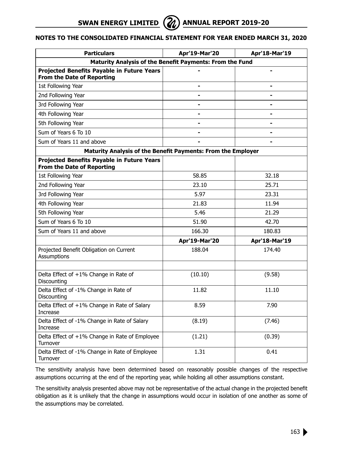**SWAN ENERGY LIMITED**  $\left(\frac{2}{\ell}\right)$  annual report 2019-20



# **Notes to the Consolidated Financial Statement for year ended March 31, 2020**

| <b>Particulars</b>                                                              | Apr'19-Mar'20  | Apr'18-Mar'19  |  |  |
|---------------------------------------------------------------------------------|----------------|----------------|--|--|
| Maturity Analysis of the Benefit Payments: From the Fund                        |                |                |  |  |
| Projected Benefits Payable in Future Years<br>From the Date of Reporting        |                | $\blacksquare$ |  |  |
| 1st Following Year                                                              | $\blacksquare$ |                |  |  |
| 2nd Following Year                                                              |                |                |  |  |
| 3rd Following Year                                                              | $\blacksquare$ |                |  |  |
| 4th Following Year                                                              |                |                |  |  |
| 5th Following Year                                                              |                |                |  |  |
| Sum of Years 6 To 10                                                            | $\blacksquare$ |                |  |  |
| Sum of Years 11 and above                                                       | $\blacksquare$ |                |  |  |
| Maturity Analysis of the Benefit Payments: From the Employer                    |                |                |  |  |
| Projected Benefits Payable in Future Years<br><b>From the Date of Reporting</b> |                |                |  |  |
| 1st Following Year                                                              | 58.85          | 32.18          |  |  |
| 2nd Following Year                                                              | 23.10          | 25.71          |  |  |
| 3rd Following Year                                                              | 5.97           | 23.31          |  |  |
| 4th Following Year                                                              | 21.83          | 11.94          |  |  |
| 5th Following Year                                                              | 5.46           | 21.29          |  |  |
| Sum of Years 6 To 10                                                            | 51.90          | 42.70          |  |  |
| Sum of Years 11 and above                                                       | 166.30         | 180.83         |  |  |
|                                                                                 | Apr'19-Mar'20  | Apr'18-Mar'19  |  |  |
| Projected Benefit Obligation on Current<br>Assumptions                          | 188.04         | 174.40         |  |  |
| Delta Effect of +1% Change in Rate of<br>Discounting                            | (10.10)        | (9.58)         |  |  |
| Delta Effect of -1% Change in Rate of<br>Discounting                            | 11.82          | 11.10          |  |  |
| Delta Effect of +1% Change in Rate of Salary<br>Increase                        | 8.59           | 7.90           |  |  |
| Delta Effect of -1% Change in Rate of Salary<br>Increase                        | (8.19)         | (7.46)         |  |  |
| Delta Effect of +1% Change in Rate of Employee<br>Turnover                      | (1.21)         | (0.39)         |  |  |
| Delta Effect of -1% Change in Rate of Employee<br>Turnover                      | 1.31           | 0.41           |  |  |

The sensitivity analysis have been determined based on reasonably possible changes of the respective assumptions occurring at the end of the reporting year, while holding all other assumptions constant.

The sensitivity analysis presented above may not be representative of the actual change in the projected benefit obligation as it is unlikely that the change in assumptions would occur in isolation of one another as some of the assumptions may be correlated.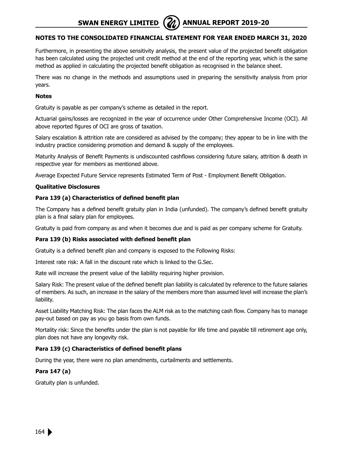Furthermore, in presenting the above sensitivity analysis, the present value of the projected benefit obligation has been calculated using the projected unit credit method at the end of the reporting year, which is the same method as applied in calculating the projected benefit obligation as recognised in the balance sheet.

There was no change in the methods and assumptions used in preparing the sensitivity analysis from prior years.

# **Notes**

Gratuity is payable as per company's scheme as detailed in the report.

Actuarial gains/losses are recognized in the year of occurrence under Other Comprehensive Income (OCI). All above reported figures of OCI are gross of taxation.

Salary escalation & attrition rate are considered as advised by the company; they appear to be in line with the industry practice considering promotion and demand & supply of the employees.

Maturity Analysis of Benefit Payments is undiscounted cashflows considering future salary, attrition & death in respective year for members as mentioned above.

Average Expected Future Service represents Estimated Term of Post - Employment Benefit Obligation.

# **Qualitative Disclosures**

# **Para 139 (a) Characteristics of defined benefit plan**

The Company has a defined benefit gratuity plan in India (unfunded). The company's defined benefit gratuity plan is a final salary plan for employees.

Gratuity is paid from company as and when it becomes due and is paid as per company scheme for Gratuity.

# **Para 139 (b) Risks associated with defined benefit plan**

Gratuity is a defined benefit plan and company is exposed to the Following Risks:

Interest rate risk: A fall in the discount rate which is linked to the G.Sec.

Rate will increase the present value of the liability requiring higher provision.

Salary Risk: The present value of the defined benefit plan liability is calculated by reference to the future salaries of members. As such, an increase in the salary of the members more than assumed level will increase the plan's liability.

Asset Liability Matching Risk: The plan faces the ALM risk as to the matching cash flow. Company has to manage pay-out based on pay as you go basis from own funds.

Mortality risk: Since the benefits under the plan is not payable for life time and payable till retirement age only, plan does not have any longevity risk.

# **Para 139 (c) Characteristics of defined benefit plans**

During the year, there were no plan amendments, curtailments and settlements.

# **Para 147 (a)**

Gratuity plan is unfunded.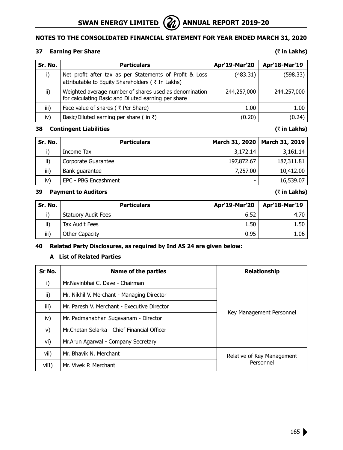

# **37 Earning Per Share (**` **in Lakhs)**

| Sr. No. | <b>Particulars</b>                                                                                            | Apr'19-Mar'20 | Apr'18-Mar'19 |
|---------|---------------------------------------------------------------------------------------------------------------|---------------|---------------|
|         | Net profit after tax as per Statements of Profit & Loss<br>attributable to Equity Shareholders ( ₹ In Lakhs)  | (483.31)      | (598.33)      |
| ii)     | Weighted average number of shares used as denomination<br>for calculating Basic and Diluted earning per share | 244,257,000   | 244,257,000   |
| iii)    | Face value of shares ( ₹ Per Share)                                                                           | 1.00          | 1.00          |
| iv)     | Basic/Diluted earning per share (in $\bar{z}$ )                                                               | (0.20)        | (0.24)        |

# **38 Contingent Liabilities (**` **in Lakhs)**

| Sr. No. | <b>Particulars</b>   |                          | March 31, 2020   March 31, 2019 |
|---------|----------------------|--------------------------|---------------------------------|
|         | Income Tax           | 3,172.14                 | 3,161.14                        |
| ii)     | Corporate Guarantee  | 197,872.67               | 187,311.81                      |
| iii)    | Bank quarantee       | 7,257.00                 | 10,412.00                       |
| iv)     | EPC - PBG Encashment | $\overline{\phantom{0}}$ | 16,539.07                       |

# **39 Payment to Auditors (**` **in Lakhs)**

| Sr. No. | <b>Particulars</b>         | <b>Apr'19-Mar'20</b> | Apr'18-Mar'19 |
|---------|----------------------------|----------------------|---------------|
|         | <b>Statuory Audit Fees</b> | 6.52                 | 4.70          |
| ii)     | Tax Audit Fees             | 1.50                 | 1.50          |
| iii)    | Other Capacity             | 0.95                 | 1.06          |

# **40 Related Party Disclosures, as required by Ind AS 24 are given below:**

# **A List of Related Parties**

| Sr No. | Name of the parties                         | <b>Relationship</b>        |
|--------|---------------------------------------------|----------------------------|
| i)     | Mr. Navinbhai C. Dave - Chairman            |                            |
| ii)    | Mr. Nikhil V. Merchant - Managing Director  |                            |
| iii)   | Mr. Paresh V. Merchant - Executive Director |                            |
| iv)    | Mr. Padmanabhan Sugavanam - Director        | Key Management Personnel   |
| V)     | Mr.Chetan Selarka - Chief Financial Officer |                            |
| vi)    | Mr.Arun Agarwal - Company Secretary         |                            |
| vii)   | Mr. Bhavik N. Merchant                      | Relative of Key Management |
| viiI)  | Mr. Vivek P. Merchant                       | Personnel                  |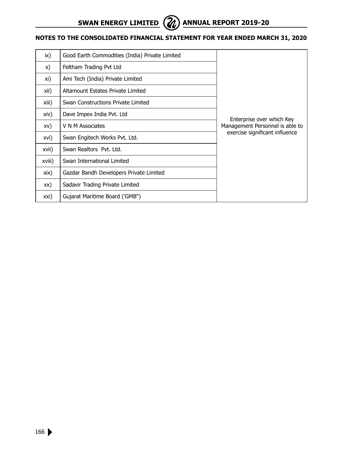

| ix)    | Good Earth Commodities (India) Private Limited |                                 |  |
|--------|------------------------------------------------|---------------------------------|--|
| X)     | Feltham Trading Pvt Ltd                        |                                 |  |
| xi)    | Ami Tech (India) Private Limited               |                                 |  |
| xii)   | Altamount Estates Private Limited              |                                 |  |
| xiii)  | Swan Constructions Private Limited             |                                 |  |
| xiv)   | Dave Impex India Pvt. Ltd                      | Enterprise over which Key       |  |
| XV)    | V N M Associates                               | Management Personnel is able to |  |
| xvi)   | Swan Engitech Works Pvt. Ltd.                  | exercise significant influence  |  |
| xvii)  | Swan Realtors Pyt. Ltd.                        |                                 |  |
| xviii) | Swan International Limited                     |                                 |  |
| xix)   | Gazdar Bandh Developers Private Limited        |                                 |  |
| XX)    | Sadavir Trading Private Limited                |                                 |  |
| xxi)   | Gujarat Maritime Board ('GMB")                 |                                 |  |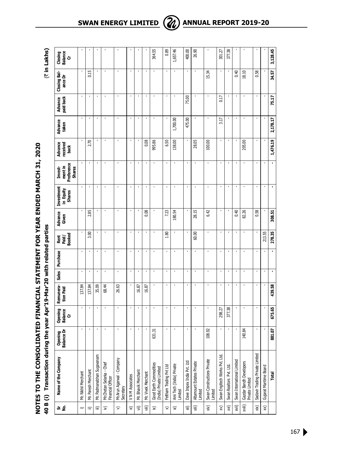**40 B (i) Transaction during the year Apr'19-Mar'20 with related parties** (` **in Lakhs)** NOTES TO THE CONSOLIDATED FINANCIAL STATEMENT FOR YEAR ENDED MARCH 31, 2020 **Notes to the Consolidated Financial Statement for year ended March 31, 2020** 40 B (i) Transaction during the year Apr'19-Mar'20 with related parties

(₹ in Lakhs)

| ង ខ្                    | Name of the Company                               | Opening<br>Balance Dr | Opening<br>Balance<br>ö | Remunera-<br>tion Paid | Sales          | Purchase       | <b>Booked</b><br>Rent<br>Paid/ | Advance<br>Given | Investment<br>in Equity<br>Shares | Preference<br>mentin<br><b>Shares</b><br>Invest- | Advance<br>received<br>back | Advance<br>taken | paid back<br>Advance | Closing Bal-<br>ance Dr | Closing<br>Balance<br>Cr |
|-------------------------|---------------------------------------------------|-----------------------|-------------------------|------------------------|----------------|----------------|--------------------------------|------------------|-----------------------------------|--------------------------------------------------|-----------------------------|------------------|----------------------|-------------------------|--------------------------|
| $\Rightarrow$           | Mr. Nikhil Merchant                               | $\blacksquare$        |                         | 137.84                 |                | $\blacksquare$ |                                |                  |                                   |                                                  |                             |                  | $\blacksquare$       |                         |                          |
| $\widehat{=}$           | Mr. Paresh Merchant                               | ï                     | ٠                       | 137.84                 | J.             |                | 3.00                           | 2.85             |                                   |                                                  | 2.70                        |                  |                      | 0.15                    |                          |
| $\widehat{\equiv}$      | Mr. Padmanabhan Sugavanam                         | f,                    | ٠                       | 35.09                  | ×              |                |                                |                  | ٠                                 |                                                  |                             |                  | ł,                   |                         |                          |
| $\widehat{\geq}$        | Mr.Chetan Selarka - Chief<br>Financial Officer    | ï                     |                         | 68.44                  | $\blacksquare$ |                | $\blacksquare$                 |                  |                                   |                                                  |                             |                  | ï                    |                         |                          |
| $\widehat{\phantom{a}}$ | Mr.Arun Agarwal - Company<br>Secretary            | J.                    | ×                       | 26.63                  |                | $\blacksquare$ | ٠                              | $\blacksquare$   | ï                                 | ı                                                | ×                           | J.               | $\blacksquare$       | ٠                       |                          |
| $\widehat{\mathbf{z}}$  | V N M Associates                                  | $\blacksquare$        | $\blacksquare$          |                        | $\blacksquare$ | $\blacksquare$ | $\blacksquare$                 | ï                | ï                                 |                                                  | $\blacksquare$              | $\blacksquare$   | $\blacksquare$       | ï                       |                          |
| $\widehat{\mathbf{v}}$  | Mr. Bhavik Merchant                               |                       | ı                       | 16.87                  |                |                |                                |                  |                                   |                                                  |                             |                  | ı                    |                         |                          |
| ίii)                    | Mr. Vivek Merchant                                |                       | ٠                       | 16.87                  | ×,             | f,             | ٠                              | 0.08             |                                   |                                                  | 0.08                        |                  | f,                   |                         |                          |
| $\widehat{\varkappa}$   | Good Earth Commodities<br>(India) Private Limited | 631.31                |                         |                        |                |                |                                |                  |                                   |                                                  | 995.86                      |                  |                      |                         | 364.55                   |
| $\widehat{\times}$      | Feltham Trading Pvt Ltd                           | $\blacksquare$        | $\blacksquare$          |                        | $\blacksquare$ | $\blacksquare$ | 1.80                           | 7.23             | $\blacksquare$                    | $\blacksquare$                                   | 6.50                        |                  | $\blacksquare$       | $\blacksquare$          | 0.89                     |
| $\widehat{\mathbf{x}}$  | Ami Tech (India) Private<br>Limited               | f,                    | ٠                       |                        |                | J.             |                                | 180.54           | ï                                 |                                                  | 138.00                      | 1,700.00         | J.                   |                         | 1,657.46                 |
| ίäχ                     | Dave Impex India Pvt. Ltd                         | f,                    | $\blacksquare$          |                        |                |                |                                |                  | ï                                 | ı                                                |                             | 475.00           | 75.00                |                         | 400.00                   |
| χiii)                   | Altamount Estates Private<br>Limited              |                       |                         |                        |                |                | 60.00                          | 28.15            |                                   |                                                  | 28.05                       |                  |                      |                         | 26.90                    |
| xiv)                    | Swan Constructions Private<br>Limited             | 108.92                | ï                       |                        |                | ï              |                                | 6.42             |                                   |                                                  | 100.00                      |                  | $\blacksquare$       | 15.34                   |                          |
| $\widehat{\varkappa}$   | Swan Engitech Works Pvt. Ltd.                     |                       | 298.27                  |                        |                | J.             | $\blacksquare$                 |                  |                                   |                                                  | $\blacksquare$              | 3.17             | 0.17                 |                         | 301.27                   |
| χvi)                    | Swan Realtors Pvt. Ltd.                           | ٠                     | 377.38                  |                        |                |                |                                |                  |                                   |                                                  |                             |                  |                      |                         | 377.38                   |
| xvii)                   | Swan International Limited                        |                       | $\blacksquare$          |                        | $\blacksquare$ | $\blacksquare$ | $\blacksquare$                 | 0.40             | ı                                 |                                                  | $\blacksquare$              | $\blacksquare$   | $\blacksquare$       | 0.40                    | ı                        |
| wiii)                   | Gazdar Bandh Developers<br>Private Limited        | 140.84                |                         |                        |                | ï              |                                | 82.26            |                                   |                                                  | 205.00                      |                  | ï                    | 18.10                   | ï                        |
| xix)                    | Sadavir Trading Private Limited                   | ı                     | $\blacksquare$          |                        | $\blacksquare$ | $\blacksquare$ |                                | 0.58             |                                   | ï                                                | ٠                           | $\blacksquare$   | f,                   | 0.58                    |                          |
| $\widehat{\mathsf{x}}$  | Gujarat Maritime Board                            |                       |                         |                        |                |                | 213.55                         |                  |                                   |                                                  |                             |                  |                      |                         |                          |
|                         | Total                                             | 881.07                | 675.65                  | 439.58                 |                |                | 278.35                         | 308.51           |                                   |                                                  | 1,476.19                    | 2,178.17         | 75.17                | 34.57                   | 3,128.45                 |

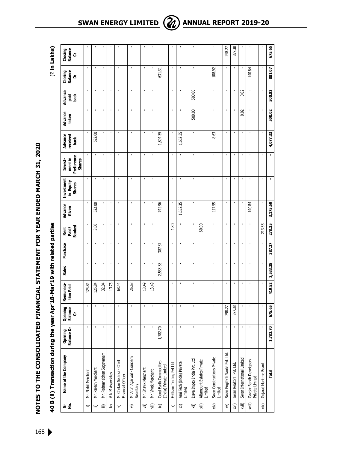| coc residents distributed to the holistics. |
|---------------------------------------------|
|                                             |
|                                             |
|                                             |
|                                             |
|                                             |
|                                             |
|                                             |
|                                             |
|                                             |
|                                             |
|                                             |
|                                             |
|                                             |
|                                             |
|                                             |
|                                             |
|                                             |
|                                             |
|                                             |
|                                             |
|                                             |
|                                             |
|                                             |
|                                             |
|                                             |
|                                             |
|                                             |
|                                             |
|                                             |
|                                             |
|                                             |
|                                             |
|                                             |
|                                             |
|                                             |
|                                             |
|                                             |
|                                             |
|                                             |
|                                             |
|                                             |
|                                             |
|                                             |
|                                             |
|                                             |
|                                             |
|                                             |
|                                             |
|                                             |

|                        | 40 B (ii) Transaction during                      |                            |                                | the year Apr'18-Mar'19 with related parties |                |                |                                |                  |                                   |                                                   |                             |                  |                       |                         | (₹ in Lakhs)             |
|------------------------|---------------------------------------------------|----------------------------|--------------------------------|---------------------------------------------|----------------|----------------|--------------------------------|------------------|-----------------------------------|---------------------------------------------------|-----------------------------|------------------|-----------------------|-------------------------|--------------------------|
| ង ទំ                   | Name of the Company                               | ening<br>ance Dr<br>రీశ్లే | <b>Balance</b><br>Opening<br>ò | Remunera-<br>tion Paid                      | Sales          | Purchase       | <b>Booked</b><br>Rent<br>Paid/ | Advance<br>Given | Investment<br>in Equity<br>Shares | Preference<br>ment in<br><b>Shares</b><br>Invest- | Advance<br>received<br>back | Advance<br>taken | Advance<br>고 중<br>요 효 | Closing<br>Balance<br>ă | Closing<br>Balance<br>Cr |
| $\Rightarrow$          | Mr. Nikhil Merchant                               | ×                          |                                | 125.84                                      | ×              |                |                                |                  |                                   |                                                   |                             |                  | $\blacksquare$        |                         |                          |
| ≘                      | Mr. Paresh Merchant                               |                            | ı                              | 125.84                                      | ı              |                | 3.00                           | 522.00           |                                   |                                                   | 522.00                      |                  |                       |                         |                          |
| ≘                      | Mr. Padmanabhan Sugavanam                         |                            | f,                             | 32.04                                       | f,             | ٠              |                                |                  | ٠                                 |                                                   | ٠                           |                  | ٠                     |                         |                          |
| $\widehat{\ge}$        | V N M Associates                                  |                            | $\blacksquare$                 | 13.75                                       | $\blacksquare$ | $\blacksquare$ | $\blacksquare$                 | ï                |                                   |                                                   | $\blacksquare$              |                  | $\blacksquare$        |                         |                          |
| $\mathfrak{D}$         | Mr.Chetan Selarka - Chief<br>Financial Officer    |                            |                                | 68.44                                       | ï              |                |                                |                  |                                   |                                                   |                             |                  |                       |                         |                          |
| $\widehat{\mathbf{z}}$ | Mr.Arun Agarwal - Company<br>Secretary            |                            |                                | 26.63                                       | ×              | ٠              |                                | ï                | ï                                 |                                                   | ï                           |                  | ٠                     | ×                       |                          |
| 闫                      | Mr. Bhavik Merchant                               |                            |                                | 13.49                                       | $\blacksquare$ |                | ٠                              |                  |                                   |                                                   |                             |                  |                       |                         |                          |
| 闫                      | Mr. Vivek Merchant                                |                            | $\blacksquare$                 | 13.49                                       | $\blacksquare$ |                |                                |                  |                                   |                                                   |                             |                  |                       |                         |                          |
| $\widehat{\varkappa}$  | Good Earth Commodities<br>(India) Private Limited | 1,782.70                   |                                |                                             | 2,533.38       | 387.37         |                                | 742.96           |                                   |                                                   | 1,894.35                    |                  |                       | 631.31                  |                          |
| $\approx$              | Feltham Trading Pvt Ltd                           |                            | $\blacksquare$                 | $\blacksquare$                              | $\blacksquare$ | ٠              | 1.80                           |                  | ï                                 |                                                   |                             | $\blacksquare$   | $\blacksquare$        | ٠                       |                          |
| $\widehat{\mathbf{x}}$ | Ami Tech (India) Private<br>Limited               |                            | ï                              | $\blacksquare$                              | $\blacksquare$ |                |                                | 1,652.35         |                                   |                                                   | 1,652.35                    |                  |                       |                         |                          |
| 词<br>xii)              | Dave Impex India Pvt. Ltd                         |                            | ٠                              | $\blacksquare$                              | $\blacksquare$ |                |                                |                  |                                   |                                                   |                             | 500.00           | 500.00                |                         |                          |
| 闫                      | Altamount Estates Private<br>Limited              |                            |                                | $\blacksquare$                              | $\blacksquare$ |                | 60.00                          |                  |                                   |                                                   |                             |                  |                       |                         |                          |
| χiν)                   | Swan Constructions Private<br>Limited             |                            |                                | $\blacksquare$                              | $\blacksquare$ | $\blacksquare$ |                                | 117.55           |                                   |                                                   | 8.63                        | $\blacksquare$   |                       | 108.92                  |                          |
| $\widehat{\mathsf{x}}$ | Swan Engitech Works Pvt. Ltd.                     |                            | 298.27                         | $\blacksquare$                              | $\blacksquare$ | ٠              | $\blacksquare$                 |                  | $\blacksquare$                    |                                                   |                             | $\blacksquare$   | $\blacksquare$        |                         | 298.27                   |
| $\widehat{\mathsf{x}}$ | Swan Realtors Pvt. Ltd.                           |                            | 377.38                         | $\blacksquare$                              | ٠              |                |                                |                  |                                   |                                                   |                             |                  |                       |                         | 377.38                   |
| xvii)                  | Swan International Limited                        |                            |                                | $\blacksquare$                              | $\blacksquare$ |                |                                |                  |                                   |                                                   | $\blacksquare$              | 0.02             | 0.02                  |                         |                          |
| xviii)                 | Gazdar Bandh Developers<br>Private Limited        |                            |                                |                                             |                |                |                                | 140.84           |                                   |                                                   |                             |                  |                       | 140.84                  |                          |
| (xix                   | Gujarat Maritime Board                            |                            |                                |                                             |                |                | 213.55                         |                  |                                   |                                                   |                             |                  |                       |                         |                          |
|                        | Total                                             | 1,782.70                   | 675.65                         | 419.52                                      | 2,533.38       | 387.37         | 278.35                         | 3,175.69         |                                   |                                                   | 4,077.33                    | 500.02           | 500.02                | 881.07                  | 675.65                   |

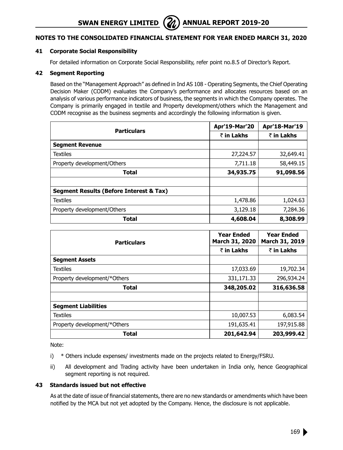# **41 Corporate Social Responsibility**

For detailed information on Corporate Social Responsibility, refer point no.8.5 of Director's Report.

#### **42 Segment Reporting**

Based on the "Management Approach" as defined in Ind AS 108 - Operating Segments, the Chief Operating Decision Maker (CODM) evaluates the Company's performance and allocates resources based on an analysis of various performance indicators of business, the segments in which the Company operates. The Company is primarily engaged in textile and Property development/others which the Management and CODM recognise as the business segments and accordingly the following information is given.

| <b>Particulars</b>                      | Apr'19-Mar'20 | Apr'18-Mar'19 |
|-----------------------------------------|---------------|---------------|
|                                         | ₹ in Lakhs    | ₹ in Lakhs    |
| <b>Segment Revenue</b>                  |               |               |
| <b>Textiles</b>                         | 27,224.57     | 32,649.41     |
| Property development/Others             | 7,711.18      | 58,449.15     |
| Total                                   | 34,935.75     | 91,098.56     |
|                                         |               |               |
| Segment Results (Before Interest & Tax) |               |               |
| <b>Textiles</b>                         | 1,478.86      | 1,024.63      |
| Property development/Others             | 3,129.18      | 7,284.36      |
| <b>Total</b>                            | 4,608.04      | 8,308.99      |

| <b>Particulars</b>           | <b>Year Ended</b><br>March 31, 2020 | <b>Year Ended</b><br>March 31, 2019 |
|------------------------------|-------------------------------------|-------------------------------------|
|                              | ₹ in Lakhs                          | ₹ in Lakhs                          |
| <b>Segment Assets</b>        |                                     |                                     |
| <b>Textiles</b>              | 17,033.69                           | 19,702.34                           |
| Property development/*Others | 331,171.33                          | 296,934.24                          |
| Total                        | 348,205.02                          | 316,636.58                          |
|                              |                                     |                                     |
| <b>Segment Liabilities</b>   |                                     |                                     |
| <b>Textiles</b>              | 10,007.53                           | 6,083.54                            |
| Property development/*Others | 191,635.41                          | 197,915.88                          |
| <b>Total</b>                 | 201,642.94                          | 203,999.42                          |

Note:

- i) \* Others include expenses/ investments made on the projects related to Energy/FSRU.
- ii) All development and Trading activity have been undertaken in India only, hence Geographical segment reporting is not required.

### **43 Standards issued but not effective**

As at the date of issue of financial statements, there are no new standards or amendments which have been notified by the MCA but not yet adopted by the Company. Hence, the disclosure is not applicable.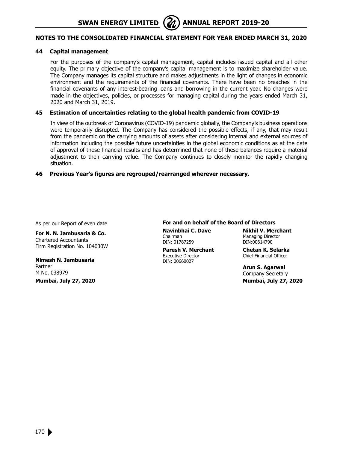### **44 Capital management**

For the purposes of the company's capital management, capital includes issued capital and all other equity. The primary objective of the company's capital management is to maximize shareholder value. The Company manages its capital structure and makes adjustments in the light of changes in economic environment and the requirements of the financial covenants. There have been no breaches in the financial covenants of any interest-bearing loans and borrowing in the current year. No changes were made in the objectives, policies, or processes for managing capital during the years ended March 31, 2020 and March 31, 2019.

#### **45 Estimation of uncertainties relating to the global health pandemic from COVID-19**

In view of the outbreak of Coronavirus (COVID-19) pandemic globally, the Company's business operations were temporarily disrupted. The Company has considered the possible effects, if any, that may result from the pandemic on the carrying amounts of assets after considering internal and external sources of information including the possible future uncertainties in the global economic conditions as at the date of approval of these financial results and has determined that none of these balances require a material adjustment to their carrying value. The Company continues to closely monitor the rapidly changing situation.

#### **46 Previous Year's figures are regrouped/rearranged wherever necessary.**

As per our Report of even date

**For N. N. Jambusaria & Co.** Chartered Accountants Firm Registration No. 104030W

**Nimesh N. Jambusaria** Partner M No. 038979

**Mumbai, July 27, 2020**

#### **For and on behalf of the Board of Directors**

Chairman Managing Director<br>
DIN: 01787259 DIN:00614790 DIN: 01787259

**Paresh V. Merchant Chetan K. Selarka**<br>Executive Director Chief Financial Officer DIN: 00660027

**Navinbhai C. Dave Nikhil V. Merchant**

Chief Financial Officer

**Arun S. Agarwal** Company Secretary  **Mumbai, July 27, 2020**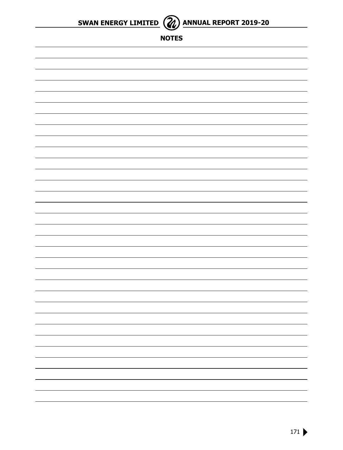



**NOTES**